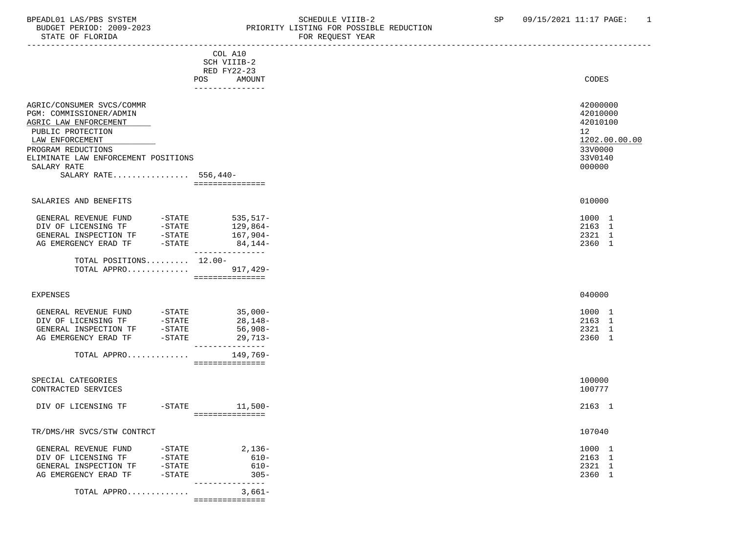### BPEADL01 LAS/PBS SYSTEM STRING THE SCHEDULE VIIIB-2 SP 09/15/2021 11:17 PAGE: 1<br>BUDGET PERIOD: 2009-2023 PRIORITY LISTING FOR POSSIBLE REDUCTION BUDGET PERIOD: 2009-2023<br>STATE OF FLORIDA STATE OF FLORIDA FOR REQUEST YEAR

| STATE OF FLORIDA                                                                                                                                                                                                          |                                                                    | FOR REQUEST IEAR |                                                                                                       |
|---------------------------------------------------------------------------------------------------------------------------------------------------------------------------------------------------------------------------|--------------------------------------------------------------------|------------------|-------------------------------------------------------------------------------------------------------|
|                                                                                                                                                                                                                           | COL A10<br>SCH VIIIB-2<br>RED FY22-23<br>POS<br>AMOUNT             |                  | CODES                                                                                                 |
|                                                                                                                                                                                                                           | ---------------                                                    |                  |                                                                                                       |
| AGRIC/CONSUMER SVCS/COMMR<br>PGM: COMMISSIONER/ADMIN<br>AGRIC LAW ENFORCEMENT<br>PUBLIC PROTECTION<br>LAW ENFORCEMENT<br>PROGRAM REDUCTIONS<br>ELIMINATE LAW ENFORCEMENT POSITIONS<br>SALARY RATE<br>SALARY RATE 556,440- | -===============                                                   |                  | 42000000<br>42010000<br>42010100<br>12 <sup>12</sup><br>1202.00.00.00<br>33V0000<br>33V0140<br>000000 |
| SALARIES AND BENEFITS                                                                                                                                                                                                     |                                                                    |                  | 010000                                                                                                |
| GENERAL REVENUE FUND -STATE 535,517-<br>DIV OF LICENSING TF -STATE 129,864-<br>GENERAL INSPECTION TF -STATE 167,904-<br>AG EMERGENCY ERAD TF -STATE 84,144-                                                               | ---------------                                                    |                  | 1000 1<br>2163 1<br>2321 1<br>2360 1                                                                  |
| TOTAL POSITIONS $12.00 -$<br>TOTAL APPRO 917,429-                                                                                                                                                                         | ================                                                   |                  |                                                                                                       |
| <b>EXPENSES</b>                                                                                                                                                                                                           |                                                                    |                  | 040000                                                                                                |
| GENERAL REVENUE FUND -STATE<br>DIV OF LICENSING TF -STATE<br>GENERAL INSPECTION TF -STATE<br>AG EMERGENCY ERAD TF -STATE                                                                                                  | $35,000-$<br>$28,148-$<br>56,908-<br>$29,713-$<br>________________ |                  | 1000 1<br>2163 1<br>2321 1<br>2360 1                                                                  |
| TOTAL APPRO                                                                                                                                                                                                               | 149,769-<br>===============                                        |                  |                                                                                                       |
| SPECIAL CATEGORIES<br>CONTRACTED SERVICES                                                                                                                                                                                 |                                                                    |                  | 100000<br>100777                                                                                      |
| DIV OF LICENSING TF                                                                                                                                                                                                       | -STATE 11,500-<br>================                                 |                  | 2163 1                                                                                                |
| TR/DMS/HR SVCS/STW CONTRCT                                                                                                                                                                                                |                                                                    |                  | 107040                                                                                                |
| GENERAL REVENUE FUND -STATE<br>DIV OF LICENSING TF -STATE<br>GENERAL INSPECTION TF -STATE<br>AG EMERGENCY ERAD TF -STATE                                                                                                  | 2,136-<br>$610-$<br>610-<br>$305 -$                                |                  | 1000 1<br>2163 1<br>2321 1<br>2360 1                                                                  |
| TOTAL APPRO                                                                                                                                                                                                               | ---------------<br>3,661–                                          |                  |                                                                                                       |

===============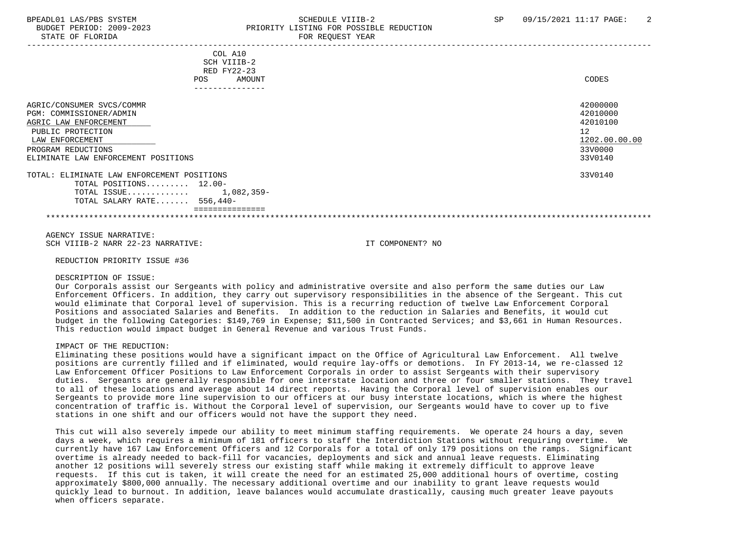# BPEADL01 LAS/PBS SYSTEM SALL SCHEDULE VIIIB-2 SP 09/15/2021 11:17 PAGE: 2 BUDGET PERIOD: 2009-2023 PRIORITY LISTING FOR POSSIBLE REDUCTION STATE OF FLORIDA FOR REQUEST YEAR FOR REQUEST YEAR

| COL A10                                    |               |
|--------------------------------------------|---------------|
| SCH VIIIB-2                                |               |
| RED FY22-23                                |               |
| <b>POS</b><br>AMOUNT                       | CODES         |
|                                            |               |
| AGRIC/CONSUMER SVCS/COMMR                  | 42000000      |
| PGM: COMMISSIONER/ADMIN                    | 42010000      |
| AGRIC LAW ENFORCEMENT                      | 42010100      |
| PUBLIC PROTECTION                          | 12            |
|                                            | 1202.00.00.00 |
| LAW ENFORCEMENT                            |               |
| PROGRAM REDUCTIONS                         | 33V0000       |
| ELIMINATE LAW ENFORCEMENT POSITIONS        | 33V0140       |
| TOTAL: ELIMINATE LAW ENFORCEMENT POSITIONS | 33V0140       |
| TOTAL POSITIONS 12.00-                     |               |
| 1,082,359-<br>TOTAL ISSUE                  |               |
| TOTAL SALARY RATE 556,440-                 |               |
|                                            |               |
|                                            |               |
|                                            |               |

 AGENCY ISSUE NARRATIVE: SCH VIIIB-2 NARR 22-23 NARRATIVE: IT COMPONENT? NO

REDUCTION PRIORITY ISSUE #36

#### DESCRIPTION OF ISSUE:

 Our Corporals assist our Sergeants with policy and administrative oversite and also perform the same duties our Law Enforcement Officers. In addition, they carry out supervisory responsibilities in the absence of the Sergeant. This cut would eliminate that Corporal level of supervision. This is a recurring reduction of twelve Law Enforcement Corporal Positions and associated Salaries and Benefits. In addition to the reduction in Salaries and Benefits, it would cut budget in the following Categories: \$149,769 in Expense; \$11,500 in Contracted Services; and \$3,661 in Human Resources. This reduction would impact budget in General Revenue and various Trust Funds.

### IMPACT OF THE REDUCTION:

 Eliminating these positions would have a significant impact on the Office of Agricultural Law Enforcement. All twelve positions are currently filled and if eliminated, would require lay-offs or demotions. In FY 2013-14, we re-classed 12 Law Enforcement Officer Positions to Law Enforcement Corporals in order to assist Sergeants with their supervisory duties. Sergeants are generally responsible for one interstate location and three or four smaller stations. They travel to all of these locations and average about 14 direct reports. Having the Corporal level of supervision enables our Sergeants to provide more line supervision to our officers at our busy interstate locations, which is where the highest concentration of traffic is. Without the Corporal level of supervision, our Sergeants would have to cover up to five stations in one shift and our officers would not have the support they need.

 This cut will also severely impede our ability to meet minimum staffing requirements. We operate 24 hours a day, seven days a week, which requires a minimum of 181 officers to staff the Interdiction Stations without requiring overtime. We currently have 167 Law Enforcement Officers and 12 Corporals for a total of only 179 positions on the ramps. Significant overtime is already needed to back-fill for vacancies, deployments and sick and annual leave requests. Eliminating another 12 positions will severely stress our existing staff while making it extremely difficult to approve leave requests. If this cut is taken, it will create the need for an estimated 25,000 additional hours of overtime, costing approximately \$800,000 annually. The necessary additional overtime and our inability to grant leave requests would quickly lead to burnout. In addition, leave balances would accumulate drastically, causing much greater leave payouts when officers separate.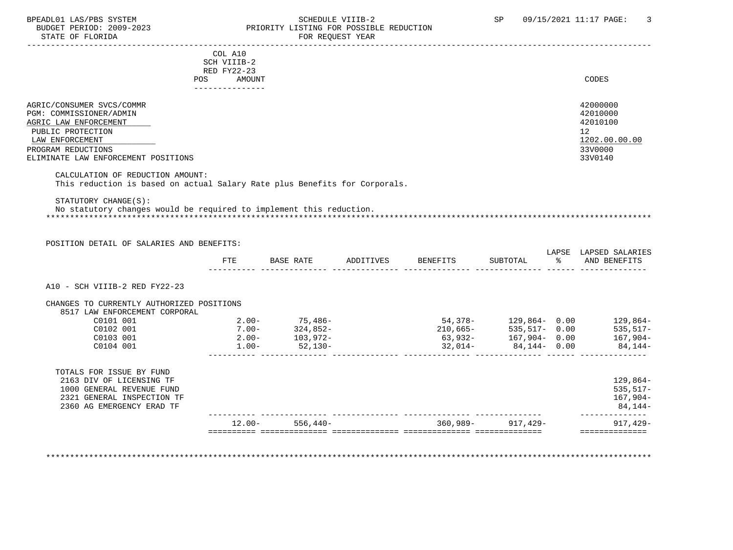# BPEADL01 LAS/PBS SYSTEM SALLE STREDULE VIIIB-2 SCHEDULE VIIIB-2 SP 09/15/2021 11:17 PAGE: 3<br>BUDGET PERIOD: 2009-2023 SP PRIORITY LISTING FOR POSSIBLE REDUCTION BUDGET PERIOD: 2009-2023 PRIORITY LISTING FOR POSSIBLE REDUCTION<br>FOR REQUEST YEAR FOR REQUEST YEAR

|                                                                            | COL A10              |                  |           |          |          |    |                       |
|----------------------------------------------------------------------------|----------------------|------------------|-----------|----------|----------|----|-----------------------|
|                                                                            | SCH VIIIB-2          |                  |           |          |          |    |                       |
|                                                                            | RED FY22-23          |                  |           |          |          |    |                       |
|                                                                            | <b>POS</b><br>AMOUNT |                  |           |          |          |    | CODES                 |
|                                                                            |                      |                  |           |          |          |    |                       |
| AGRIC/CONSUMER SVCS/COMMR                                                  |                      |                  |           |          |          |    | 42000000              |
| PGM: COMMISSIONER/ADMIN                                                    |                      |                  |           |          |          |    | 42010000              |
| AGRIC LAW ENFORCEMENT                                                      |                      |                  |           |          |          |    | 42010100              |
| PUBLIC PROTECTION                                                          |                      |                  |           |          |          |    | 12                    |
| LAW ENFORCEMENT                                                            |                      |                  |           |          |          |    | 1202.00.00.00         |
| PROGRAM REDUCTIONS                                                         |                      |                  |           |          |          |    | 33V0000               |
| ELIMINATE LAW ENFORCEMENT POSITIONS                                        |                      |                  |           |          |          |    | 33V0140               |
|                                                                            |                      |                  |           |          |          |    |                       |
| CALCULATION OF REDUCTION AMOUNT:                                           |                      |                  |           |          |          |    |                       |
| This reduction is based on actual Salary Rate plus Benefits for Corporals. |                      |                  |           |          |          |    |                       |
|                                                                            |                      |                  |           |          |          |    |                       |
| STATUTORY CHANGE(S):                                                       |                      |                  |           |          |          |    |                       |
| No statutory changes would be required to implement this reduction.        |                      |                  |           |          |          |    |                       |
|                                                                            |                      |                  |           |          |          |    |                       |
|                                                                            |                      |                  |           |          |          |    |                       |
| POSITION DETAIL OF SALARIES AND BENEFITS:                                  |                      |                  |           |          |          |    |                       |
|                                                                            |                      |                  |           |          |          |    | LAPSE LAPSED SALARIES |
|                                                                            | <b>FTE</b>           | <b>BASE RATE</b> | ADDITIVES | BENEFITS | SUBTOTAL | ွေ | AND BENEFITS          |
|                                                                            |                      |                  |           |          |          |    |                       |

A10 - SCH VIIIB-2 RED FY22-23

| CHANGES TO CURRENTLY AUTHORIZED POSITIONS |          |             |            |                  |            |
|-------------------------------------------|----------|-------------|------------|------------------|------------|
| 8517 LAW ENFORCEMENT CORPORAL             |          |             |            |                  |            |
| C0101 001                                 | $2.00-$  | $75,486-$   | 54,378-    | $129.864 - 0.00$ | $129.864-$ |
| C0102 001                                 | $7.00 -$ | $324.852-$  | $210.665-$ | $535.517 - 0.00$ | $535.517-$ |
| C0103 001                                 | $2.00-$  | $103.972 -$ | $63,932-$  | $167.904 - 0.00$ | $167.904-$ |
| C0104 001                                 | $1.00 -$ | $52.130 -$  | $32.014-$  | 84.144- 0.00     | 84,144-    |
|                                           |          |             |            |                  |            |

|                            | $12.00 -$ | 556,440- | 360,989- | 917,429- | $917.429 -$ |
|----------------------------|-----------|----------|----------|----------|-------------|
| 2360 AG EMERGENCY ERAD TF  |           |          |          |          | 84,144-     |
| 2321 GENERAL INSPECTION TF |           |          |          |          | $167,904-$  |
| 1000 GENERAL REVENUE FUND  |           |          |          |          | $535.517-$  |
| 2163 DIV OF LICENSING TF   |           |          |          |          | $129,864-$  |
| TOTALS FOR ISSUE BY FUND   |           |          |          |          |             |

\*\*\*\*\*\*\*\*\*\*\*\*\*\*\*\*\*\*\*\*\*\*\*\*\*\*\*\*\*\*\*\*\*\*\*\*\*\*\*\*\*\*\*\*\*\*\*\*\*\*\*\*\*\*\*\*\*\*\*\*\*\*\*\*\*\*\*\*\*\*\*\*\*\*\*\*\*\*\*\*\*\*\*\*\*\*\*\*\*\*\*\*\*\*\*\*\*\*\*\*\*\*\*\*\*\*\*\*\*\*\*\*\*\*\*\*\*\*\*\*\*\*\*\*\*\*\*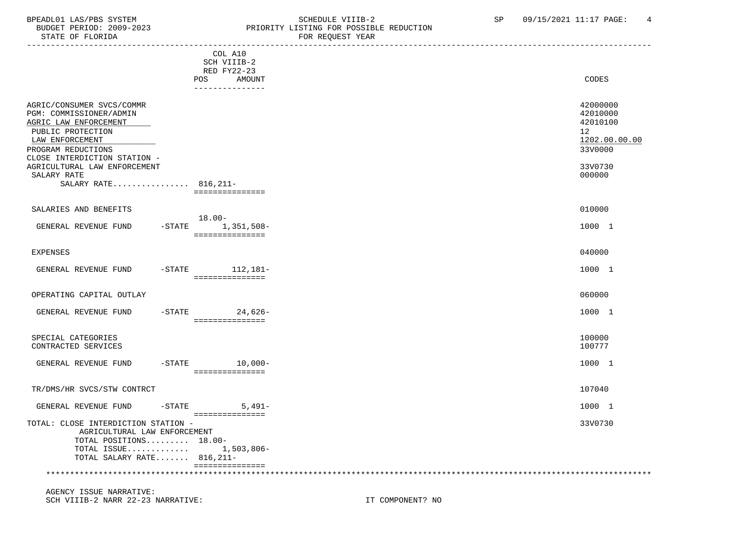## BPEADL01 LAS/PBS SYSTEM SALLE SOME SCHEDULE VIIIB-2 SCHEDULE VIIIB-2 SP 09/15/2021 11:17 PAGE: 4 BUDGET PERIOD: 2009-2023 PRIORITY LISTING FOR POSSIBLE REDUCTION FOR REQUEST YEAR

| DIAIB VR FBORIDA                                                                                                                                                                                                           |           |                                                                    | L'OIL TUDQUEUI TEUT                                                                     |
|----------------------------------------------------------------------------------------------------------------------------------------------------------------------------------------------------------------------------|-----------|--------------------------------------------------------------------|-----------------------------------------------------------------------------------------|
|                                                                                                                                                                                                                            | POS       | COL A10<br>SCH VIIIB-2<br>RED FY22-23<br>AMOUNT<br>--------------- | CODES                                                                                   |
| AGRIC/CONSUMER SVCS/COMMR<br>PGM: COMMISSIONER/ADMIN<br>AGRIC LAW ENFORCEMENT<br>PUBLIC PROTECTION<br>LAW ENFORCEMENT<br>PROGRAM REDUCTIONS<br>CLOSE INTERDICTION STATION -<br>AGRICULTURAL LAW ENFORCEMENT<br>SALARY RATE |           |                                                                    | 42000000<br>42010000<br>42010100<br>12<br>1202.00.00.00<br>33V0000<br>33V0730<br>000000 |
| SALARY RATE 816, 211-                                                                                                                                                                                                      |           |                                                                    |                                                                                         |
| SALARIES AND BENEFITS<br>GENERAL REVENUE FUND                                                                                                                                                                              | $18.00 -$ | ===============<br>$-STATE$ 1, 351, 508-<br>===============        | 010000<br>1000 1                                                                        |
| EXPENSES                                                                                                                                                                                                                   |           |                                                                    | 040000                                                                                  |
| GENERAL REVENUE FUND                                                                                                                                                                                                       |           | -STATE 112,181-<br>===============                                 | 1000 1                                                                                  |
| OPERATING CAPITAL OUTLAY                                                                                                                                                                                                   |           |                                                                    | 060000                                                                                  |
| GENERAL REVENUE FUND                                                                                                                                                                                                       |           | $-$ STATE 24,626-<br>===============                               | 1000 1                                                                                  |
| SPECIAL CATEGORIES<br>CONTRACTED SERVICES                                                                                                                                                                                  |           |                                                                    | 100000<br>100777                                                                        |
| GENERAL REVENUE FUND                                                                                                                                                                                                       |           | $-STATE$ 10,000-<br>===============                                | 1000 1                                                                                  |
| TR/DMS/HR SVCS/STW CONTRCT                                                                                                                                                                                                 |           |                                                                    | 107040                                                                                  |
| GENERAL REVENUE FUND                                                                                                                                                                                                       | $-$ STATE | $5,491-$                                                           | 1000 1                                                                                  |
| TOTAL: CLOSE INTERDICTION STATION -<br>AGRICULTURAL LAW ENFORCEMENT<br>TOTAL POSITIONS 18.00-<br>TOTAL ISSUE 1,503,806-<br>TOTAL SALARY RATE 816, 211-                                                                     |           | ===============                                                    | 33V0730                                                                                 |
|                                                                                                                                                                                                                            |           | ===============                                                    |                                                                                         |
|                                                                                                                                                                                                                            |           |                                                                    |                                                                                         |

 AGENCY ISSUE NARRATIVE: SCH VIIIB-2 NARR 22-23 NARRATIVE: IT COMPONENT? NO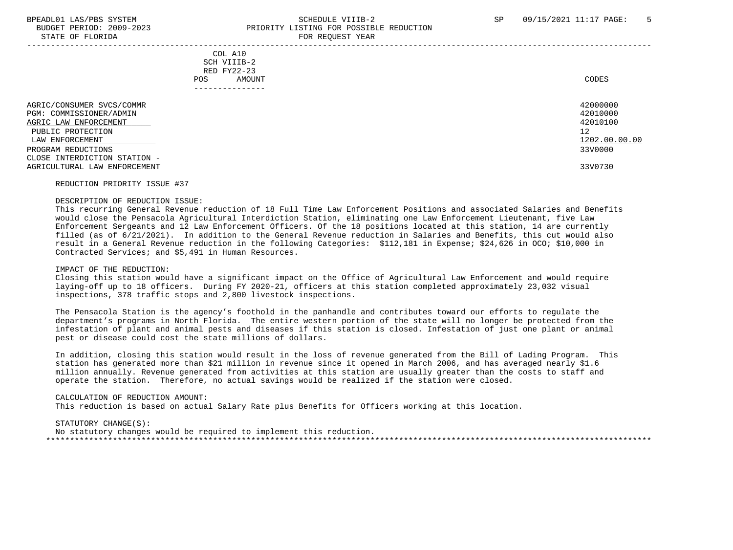# BPEADL01 LAS/PBS SYSTEM SALL SOLUTION SCHEDULE VIIIB-2 SP 09/15/2021 11:17 PAGE: 5 BUDGET PERIOD: 2009-2023 PRIORITY LISTING FOR POSSIBLE REDUCTION STATE OF FLORIDA FOR REQUEST YEAR

 ----------------------------------------------------------------------------------------------------------------------------------- COL A10 SCH VIIIB-2 RED FY22-23 POS AMOUNT NOTES AND RESERVE AND RESERVE AND RESERVE AND RESERVE AND RESERVE AND RESERVE AND RESERVE AND RESERVE AND RESERVE AND RESERVE A LODGE STATES OF A LODGE STATES OF A LODGE STATES OF A LODGE STATES OF A LODGE STATE --------------- AGRIC/CONSUMER SVCS/COMMR 42000000 PGM: COMMISSIONER/ADMIN 42010000<br>AGRIC LAW ENFORCEMENT 42010100 AGRIC LAW ENFORCEMENT PUBLIC PROTECTION 12<br>LAW ENFORCEMENT 1202.00.00.00 PUBLIC PROTECTION  $\texttt{LAN ENFORCEMENT} \color{black} \textcolor{red}{1202.00.00.00}$  PROGRAM REDUCTIONS 33V0000 CLOSE INTERDICTION STATION - AGRICULTURAL LAW ENFORCEMENT 33V0730

#### REDUCTION PRIORITY ISSUE #37

# DESCRIPTION OF REDUCTION ISSUE:

 This recurring General Revenue reduction of 18 Full Time Law Enforcement Positions and associated Salaries and Benefits would close the Pensacola Agricultural Interdiction Station, eliminating one Law Enforcement Lieutenant, five Law Enforcement Sergeants and 12 Law Enforcement Officers. Of the 18 positions located at this station, 14 are currently filled (as of 6/21/2021). In addition to the General Revenue reduction in Salaries and Benefits, this cut would also result in a General Revenue reduction in the following Categories: \$112,181 in Expense; \$24,626 in OCO; \$10,000 in Contracted Services; and \$5,491 in Human Resources.

#### IMPACT OF THE REDUCTION:

 Closing this station would have a significant impact on the Office of Agricultural Law Enforcement and would require laying-off up to 18 officers. During FY 2020-21, officers at this station completed approximately 23,032 visual inspections, 378 traffic stops and 2,800 livestock inspections.

 The Pensacola Station is the agency's foothold in the panhandle and contributes toward our efforts to regulate the department's programs in North Florida. The entire western portion of the state will no longer be protected from the infestation of plant and animal pests and diseases if this station is closed. Infestation of just one plant or animal pest or disease could cost the state millions of dollars.

 In addition, closing this station would result in the loss of revenue generated from the Bill of Lading Program. This station has generated more than \$21 million in revenue since it opened in March 2006, and has averaged nearly \$1.6 million annually. Revenue generated from activities at this station are usually greater than the costs to staff and operate the station. Therefore, no actual savings would be realized if the station were closed.

#### CALCULATION OF REDUCTION AMOUNT:

This reduction is based on actual Salary Rate plus Benefits for Officers working at this location.

#### STATUTORY CHANGE(S):

 No statutory changes would be required to implement this reduction. \*\*\*\*\*\*\*\*\*\*\*\*\*\*\*\*\*\*\*\*\*\*\*\*\*\*\*\*\*\*\*\*\*\*\*\*\*\*\*\*\*\*\*\*\*\*\*\*\*\*\*\*\*\*\*\*\*\*\*\*\*\*\*\*\*\*\*\*\*\*\*\*\*\*\*\*\*\*\*\*\*\*\*\*\*\*\*\*\*\*\*\*\*\*\*\*\*\*\*\*\*\*\*\*\*\*\*\*\*\*\*\*\*\*\*\*\*\*\*\*\*\*\*\*\*\*\*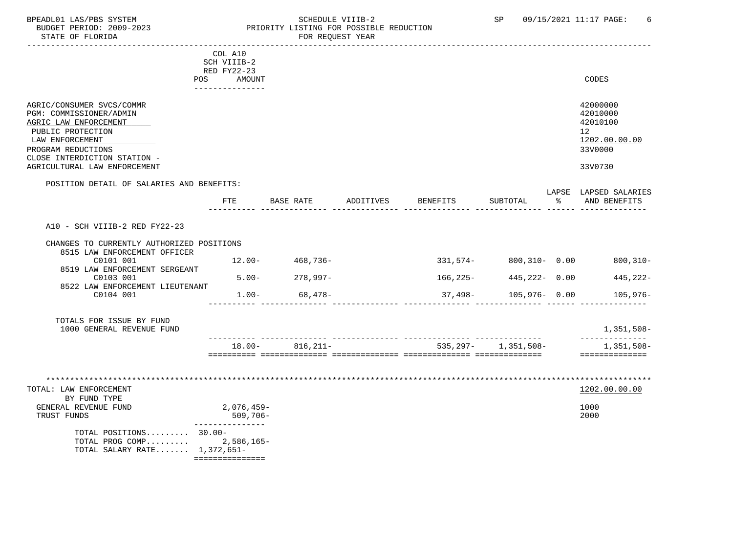# BPEADL01 LAS/PBS SYSTEM SALLE SOME SCHEDULE VIIIB-2 SCHEDULE VIIIB-2 SP 09/15/2021 11:17 PAGE: 6<br>BUDGET PERIOD: 2009-2023 SP PRIORITY LISTING FOR POSSIBLE REDUCTION BUDGET PERIOD: 2009-2023 PRIORITY LISTING FOR POSSIBLE REDUCTION<br>PRIORITY LISTING FOR POSSIBLE REDUCTION FOR REQUEST YEAR

|                                                                                                                                                                                                             | COL A10<br>SCH VIIIB-2<br>RED FY22-23<br><b>POS</b><br>AMOUNT<br>--------------- |                     |           |          |                            |    | <b>CODES</b>                                                                               |
|-------------------------------------------------------------------------------------------------------------------------------------------------------------------------------------------------------------|----------------------------------------------------------------------------------|---------------------|-----------|----------|----------------------------|----|--------------------------------------------------------------------------------------------|
| AGRIC/CONSUMER SVCS/COMMR<br>PGM: COMMISSIONER/ADMIN<br>AGRIC LAW ENFORCEMENT<br>PUBLIC PROTECTION<br>LAW ENFORCEMENT<br>PROGRAM REDUCTIONS<br>CLOSE INTERDICTION STATION -<br>AGRICULTURAL LAW ENFORCEMENT |                                                                                  |                     |           |          |                            |    | 42000000<br>42010000<br>42010100<br>12 <sup>°</sup><br>1202.00.00.00<br>33V0000<br>33V0730 |
| POSITION DETAIL OF SALARIES AND BENEFITS:                                                                                                                                                                   |                                                                                  |                     |           |          |                            |    | LAPSE LAPSED SALARIES                                                                      |
|                                                                                                                                                                                                             | FTE                                                                              | BASE RATE           | ADDITIVES | BENEFITS | SUBTOTAL                   | ္က | AND BENEFITS                                                                               |
| A10 - SCH VIIIB-2 RED FY22-23                                                                                                                                                                               |                                                                                  |                     |           |          |                            |    |                                                                                            |
| CHANGES TO CURRENTLY AUTHORIZED POSITIONS<br>8515 LAW ENFORCEMENT OFFICER                                                                                                                                   |                                                                                  |                     |           |          |                            |    |                                                                                            |
| C0101 001                                                                                                                                                                                                   |                                                                                  | $12.00 - 468,736 -$ |           |          | 331,574-800,310-0.00       |    | $800, 310 -$                                                                               |
| 8519 LAW ENFORCEMENT SERGEANT<br>C0103 001                                                                                                                                                                  | $5.00 -$                                                                         | 278,997-            |           | 166,225- | 445,222- 0.00              |    | 445,222-                                                                                   |
| 8522 LAW ENFORCEMENT LIEUTENANT<br>C0104 001                                                                                                                                                                | $1.00-$                                                                          | 68,478-             |           |          | 37,498- 105,976- 0.00      |    | 105,976-                                                                                   |
| TOTALS FOR ISSUE BY FUND<br>1000 GENERAL REVENUE FUND                                                                                                                                                       |                                                                                  |                     |           |          |                            |    | 1,351,508-                                                                                 |
|                                                                                                                                                                                                             |                                                                                  | $18.00 - 816,211 -$ |           |          | $535, 297 - 1, 351, 508 -$ |    | --------------<br>1,351,508–<br>==============                                             |
| TOTAL: LAW ENFORCEMENT<br>BY FUND TYPE<br>GENERAL REVENUE FUND                                                                                                                                              | 2,076,459-                                                                       |                     |           |          |                            |    | 1202.00.00.00<br>1000                                                                      |
| TRUST FUNDS                                                                                                                                                                                                 | 509,706-                                                                         |                     |           |          |                            |    | 2000                                                                                       |
| TOTAL POSITIONS 30.00-<br>TOTAL PROG COMP 2,586,165-<br>TOTAL SALARY RATE 1,372,651-                                                                                                                        | ---------------<br>===============                                               |                     |           |          |                            |    |                                                                                            |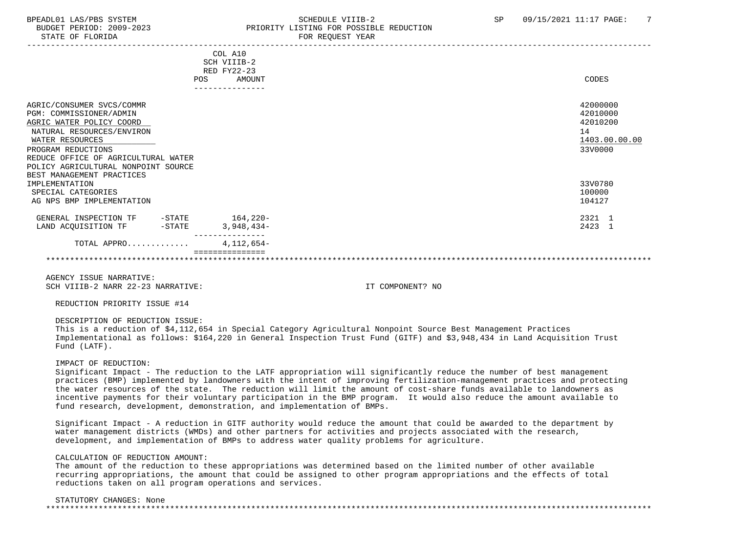# BPEADL01 LAS/PBS SYSTEM SALL SALL SOMEDULE VIIIB-2 SP 09/15/2021 11:17 PAGE: 7 BUDGET PERIOD: 2009-2023 PRIORITY LISTING FOR POSSIBLE REDUCTION

|                                            | COL A10       |               |
|--------------------------------------------|---------------|---------------|
|                                            | SCH VIIIB-2   |               |
|                                            | RED FY22-23   |               |
|                                            | AMOUNT<br>POS | CODES         |
|                                            |               |               |
|                                            |               |               |
| AGRIC/CONSUMER SVCS/COMMR                  |               | 42000000      |
| PGM: COMMISSIONER/ADMIN                    |               | 42010000      |
| AGRIC WATER POLICY COORD                   |               | 42010200      |
| NATURAL RESOURCES/ENVIRON                  |               | 14            |
| WATER RESOURCES                            |               | 1403.00.00.00 |
| PROGRAM REDUCTIONS                         |               | 33V0000       |
| REDUCE OFFICE OF AGRICULTURAL WATER        |               |               |
| POLICY AGRICULTURAL NONPOINT SOURCE        |               |               |
| BEST MANAGEMENT PRACTICES                  |               |               |
| IMPLEMENTATION                             |               | 33V0780       |
| SPECIAL CATEGORIES                         |               | 100000        |
| AG NPS BMP IMPLEMENTATION                  |               | 104127        |
|                                            |               |               |
| GENERAL INSPECTION TF<br>$-\mathtt{STATE}$ | 164,220-      | 2321 1        |
| LAND ACQUISITION TF<br>$-$ STATE           | $3,948,434-$  | 2423 1        |
|                                            |               |               |
| TOTAL APPRO                                | $4,112,654-$  |               |
|                                            |               |               |
|                                            |               |               |

 AGENCY ISSUE NARRATIVE: SCH VIIIR-2 NARR 22-23 NARRATIVE: IT COMPONENT? NO

REDUCTION PRIORITY ISSUE #14

DESCRIPTION OF REDUCTION ISSUE:

 This is a reduction of \$4,112,654 in Special Category Agricultural Nonpoint Source Best Management Practices Implementational as follows: \$164,220 in General Inspection Trust Fund (GITF) and \$3,948,434 in Land Acquisition Trust Fund (LATF).

IMPACT OF REDUCTION:

 Significant Impact - The reduction to the LATF appropriation will significantly reduce the number of best management practices (BMP) implemented by landowners with the intent of improving fertilization-management practices and protecting the water resources of the state. The reduction will limit the amount of cost-share funds available to landowners as incentive payments for their voluntary participation in the BMP program. It would also reduce the amount available to fund research, development, demonstration, and implementation of BMPs.

 Significant Impact - A reduction in GITF authority would reduce the amount that could be awarded to the department by water management districts (WMDs) and other partners for activities and projects associated with the research, development, and implementation of BMPs to address water quality problems for agriculture.

CALCULATION OF REDUCTION AMOUNT:

 The amount of the reduction to these appropriations was determined based on the limited number of other available recurring appropriations, the amount that could be assigned to other program appropriations and the effects of total reductions taken on all program operations and services.

STATUTORY CHANGES: None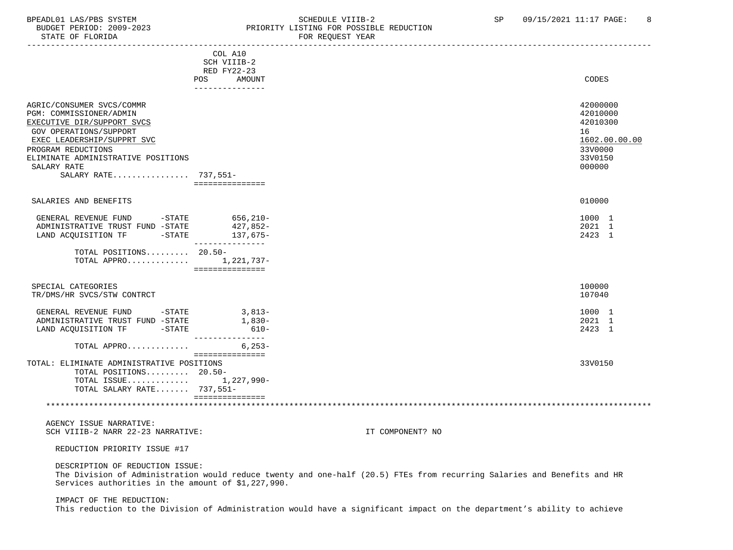# BPEADL01 LAS/PBS SYSTEM SALL SOLUTION SCHEDULE VIIIB-2 SP 09/15/2021 11:17 PAGE: 8<br>BUDGET PERIOD: 2009-2023 REIORITY LISTING FOR POSSIBLE REDUCTION PRIORITY LISTING FOR POSSIBLE REDUCTION

| DIAIL UP PIURIDA                                                                                                                                                                                                                              |                                                                           | LOV VEÃOPOI IEMV |                                                                                         |
|-----------------------------------------------------------------------------------------------------------------------------------------------------------------------------------------------------------------------------------------------|---------------------------------------------------------------------------|------------------|-----------------------------------------------------------------------------------------|
|                                                                                                                                                                                                                                               | COL A10<br>SCH VIIIB-2<br>RED FY22-23<br>POS<br>AMOUNT<br>--------------- |                  | CODES                                                                                   |
| AGRIC/CONSUMER SVCS/COMMR<br>PGM: COMMISSIONER/ADMIN<br>EXECUTIVE DIR/SUPPORT SVCS<br>GOV OPERATIONS/SUPPORT<br>EXEC LEADERSHIP/SUPPRT SVC<br>PROGRAM REDUCTIONS<br>ELIMINATE ADMINISTRATIVE POSITIONS<br>SALARY RATE<br>SALARY RATE 737,551- | ===============                                                           |                  | 42000000<br>42010000<br>42010300<br>16<br>1602.00.00.00<br>33V0000<br>33V0150<br>000000 |
| SALARIES AND BENEFITS                                                                                                                                                                                                                         |                                                                           |                  | 010000                                                                                  |
| GENERAL REVENUE FUND<br>ADMINISTRATIVE TRUST FUND -STATE<br>$-STATE$<br>LAND ACQUISITION TF                                                                                                                                                   | $-STATE$ 656, 210-<br>427,852-<br>137,675-<br>---------------             |                  | 1000 1<br>2021 1<br>2423 1                                                              |
| TOTAL POSITIONS 20.50-<br>TOTAL APPRO                                                                                                                                                                                                         | 1,221,737-<br>----------------                                            |                  |                                                                                         |
| SPECIAL CATEGORIES<br>TR/DMS/HR SVCS/STW CONTRCT                                                                                                                                                                                              |                                                                           |                  | 100000<br>107040                                                                        |
| GENERAL REVENUE FUND -STATE<br>ADMINISTRATIVE TRUST FUND -STATE<br>LAND ACQUISITION TF -STATE                                                                                                                                                 | $3,813-$<br>$1,830-$<br>610-<br>________________                          |                  | 1000 1<br>2021 1<br>2423 1                                                              |
| TOTAL APPRO                                                                                                                                                                                                                                   | $6, 253 -$<br>===============                                             |                  |                                                                                         |
| TOTAL: ELIMINATE ADMINISTRATIVE POSITIONS<br>TOTAL POSITIONS 20.50-<br>TOTAL ISSUE 1,227,990-<br>TOTAL SALARY RATE 737,551-                                                                                                                   | ===============                                                           |                  | 33V0150                                                                                 |
|                                                                                                                                                                                                                                               |                                                                           |                  |                                                                                         |
| AGENCY ISSUE NARRATIVE:<br>SCH VIIIB-2 NARR 22-23 NARRATIVE:                                                                                                                                                                                  |                                                                           | IT COMPONENT? NO |                                                                                         |

REDUCTION PRIORITY ISSUE #17

DESCRIPTION OF REDUCTION ISSUE:

 The Division of Administration would reduce twenty and one-half (20.5) FTEs from recurring Salaries and Benefits and HR Services authorities in the amount of \$1,227,990.

IMPACT OF THE REDUCTION:

This reduction to the Division of Administration would have a significant impact on the department's ability to achieve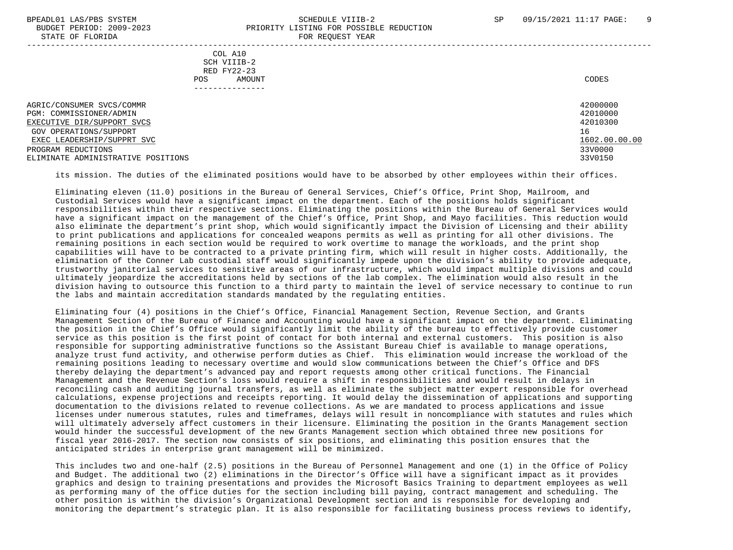# BPEADL01 LAS/PBS SYSTEM SALL SALL SOMEDULE VIIIB-2 SP 09/15/2021 11:17 PAGE: 9 BUDGET PERIOD: 2009-2023 PRIORITY LISTING FOR POSSIBLE REDUCTION

STATE OF FLORIDA **FOR REQUEST YEAR**  ----------------------------------------------------------------------------------------------------------------------------------- COL A10 SCH VIIIB-2 RED FY22-23 POS AMOUNT NOTES AND RESERVE AND RESERVE AND RESERVE AND RESERVE AND RESERVE AND RESERVE AND RESERVE AND RESERVE AND RESERVE AND RESERVE A LODGE STATES OF A LODGE STATES OF A LODGE STATES OF A LODGE STATES OF A LODGE STATE --------------- AGRIC/CONSUMER SVCS/COMMR 42000000 PGM: COMMISSIONER/ADMIN 42010000<br>EXECUTIVE DIR/SUPPORT SVCS 42010300 EXECUTIVE DIR/SUPPORT SVCS GOV OPERATIONS/SUPPORT 16  $\frac{\texttt{EXEC} \texttt{LEADERSHIP/SUPPRT} \texttt{SVC}}{3300000}$ PROGRAM REDUCTIONS ELIMINATE ADMINISTRATIVE POSITIONS 33V0150

its mission. The duties of the eliminated positions would have to be absorbed by other employees within their offices.

 Eliminating eleven (11.0) positions in the Bureau of General Services, Chief's Office, Print Shop, Mailroom, and Custodial Services would have a significant impact on the department. Each of the positions holds significant responsibilities within their respective sections. Eliminating the positions within the Bureau of General Services would have a significant impact on the management of the Chief's Office, Print Shop, and Mayo facilities. This reduction would also eliminate the department's print shop, which would significantly impact the Division of Licensing and their ability to print publications and applications for concealed weapons permits as well as printing for all other divisions. The remaining positions in each section would be required to work overtime to manage the workloads, and the print shop capabilities will have to be contracted to a private printing firm, which will result in higher costs. Additionally, the elimination of the Conner Lab custodial staff would significantly impede upon the division's ability to provide adequate, trustworthy janitorial services to sensitive areas of our infrastructure, which would impact multiple divisions and could ultimately jeopardize the accreditations held by sections of the lab complex. The elimination would also result in the division having to outsource this function to a third party to maintain the level of service necessary to continue to run the labs and maintain accreditation standards mandated by the regulating entities.

 Eliminating four (4) positions in the Chief's Office, Financial Management Section, Revenue Section, and Grants Management Section of the Bureau of Finance and Accounting would have a significant impact on the department. Eliminating the position in the Chief's Office would significantly limit the ability of the bureau to effectively provide customer service as this position is the first point of contact for both internal and external customers. This position is also responsible for supporting administrative functions so the Assistant Bureau Chief is available to manage operations, analyze trust fund activity, and otherwise perform duties as Chief. This elimination would increase the workload of the remaining positions leading to necessary overtime and would slow communications between the Chief's Office and DFS thereby delaying the department's advanced pay and report requests among other critical functions. The Financial Management and the Revenue Section's loss would require a shift in responsibilities and would result in delays in reconciling cash and auditing journal transfers, as well as eliminate the subject matter expert responsible for overhead calculations, expense projections and receipts reporting. It would delay the dissemination of applications and supporting documentation to the divisions related to revenue collections. As we are mandated to process applications and issue licenses under numerous statutes, rules and timeframes, delays will result in noncompliance with statutes and rules which will ultimately adversely affect customers in their licensure. Eliminating the position in the Grants Management section would hinder the successful development of the new Grants Management section which obtained three new positions for fiscal year 2016-2017. The section now consists of six positions, and eliminating this position ensures that the anticipated strides in enterprise grant management will be minimized.

 This includes two and one-half (2.5) positions in the Bureau of Personnel Management and one (1) in the Office of Policy and Budget. The additional two (2) eliminations in the Director's Office will have a significant impact as it provides graphics and design to training presentations and provides the Microsoft Basics Training to department employees as well as performing many of the office duties for the section including bill paying, contract management and scheduling. The other position is within the division's Organizational Development section and is responsible for developing and monitoring the department's strategic plan. It is also responsible for facilitating business process reviews to identify,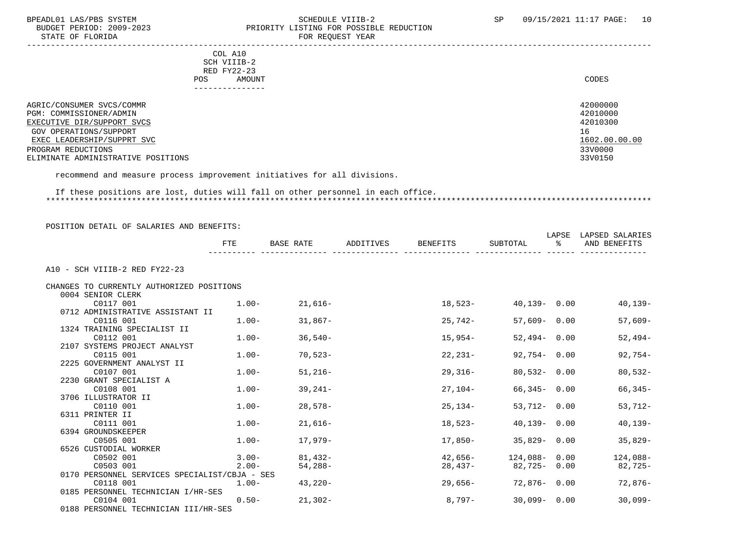# BPEADL01 LAS/PBS SYSTEM SOHEDULE VIIIB-2 SCHEDULE VIIIB-2 SP 09/15/2021 11:17 PAGE: 10<br>BUDGET PERIOD: 2009-2023 PRIORITY LISTING FOR POSSIBLE REDUCTION PRIORITY LISTING FOR POSSIBLE REDUCTION

STATE OF FLORIDA FOR REQUEST YEAR FOR REQUEST YEAR ----------------------------------------------------------------------------------------------------------------------------------- COL A10 SCH VIIIB-2 RED FY22-23 POS AMOUNT AMOUNT AND A LOCAL AND A LOCAL AND A LOCAL AND A LOCAL AND A LOCAL AND A LOCAL AND A LOCAL AND A LOCAL AND A LOCAL AND A LOCAL AND A LOCAL AND A LOCAL AND A LOCAL AND A LOCAL AND A LOCAL AND A LOCAL AND A LOCAL --------------- AGRIC/CONSUMER SVCS/COMMR<br>PGM: COMMISSIONER/ADMIN 42000000 42000000 42000000 42000000 42000000 4200000 4200000 4200000 420000 420000 420 PGM: COMMISSIONER/ADMIN 42010000 EXECUTIVE DIR/SUPPORT SVCS GOV OPERATIONS/SUPPORT 16 EXEC LEADERSHIP/SUPPRT SVC 1602.00.00.00 \_\_\_\_\_\_\_\_\_\_\_\_\_\_\_\_\_\_\_\_\_\_\_\_\_\_ \_\_\_\_\_\_\_\_\_\_\_\_\_ PROGRAM REDUCTIONS 33V0000 33V0000 33V0000 33V0000 33V0000 33V0000 33V0000 33V0000 33V0150 33V0150 33V0150 33V0150 33V0150 33V0150 33V0150 33V0150 33V0150 33V0150 33V0150 33V0150 33V0150 33V0150 33V0150 33V0150 33V0150 33V ELIMINATE ADMINISTRATIVE POSITIONS

recommend and measure process improvement initiatives for all divisions.

### If these positions are lost, duties will fall on other personnel in each office. \*\*\*\*\*\*\*\*\*\*\*\*\*\*\*\*\*\*\*\*\*\*\*\*\*\*\*\*\*\*\*\*\*\*\*\*\*\*\*\*\*\*\*\*\*\*\*\*\*\*\*\*\*\*\*\*\*\*\*\*\*\*\*\*\*\*\*\*\*\*\*\*\*\*\*\*\*\*\*\*\*\*\*\*\*\*\*\*\*\*\*\*\*\*\*\*\*\*\*\*\*\*\*\*\*\*\*\*\*\*\*\*\*\*\*\*\*\*\*\*\*\*\*\*\*\*\*

|                                               | FTE      | BASE RATE         | ADDITIVES | BENEFITS | SUBTOTAL        | °≈ | LAPSE LAPSED SALARIES<br>AND BENEFITS |
|-----------------------------------------------|----------|-------------------|-----------|----------|-----------------|----|---------------------------------------|
| A10 - SCH VIIIB-2 RED FY22-23                 |          |                   |           |          |                 |    |                                       |
| CHANGES TO CURRENTLY AUTHORIZED POSITIONS     |          |                   |           |          |                 |    |                                       |
| 0004 SENIOR CLERK                             |          |                   |           |          |                 |    |                                       |
| C0117 001                                     | $1.00-$  | $21,616-$         |           | 18,523-  | 40,139-0.00     |    | 40,139-                               |
| 0712 ADMINISTRATIVE ASSISTANT II              |          |                   |           |          |                 |    |                                       |
| C0116 001                                     |          | $1.00 - 31,867 -$ |           | 25,742-  | $57,609 - 0.00$ |    | $57,609-$                             |
| 1324 TRAINING SPECIALIST II                   |          |                   |           |          |                 |    |                                       |
| C0112 001                                     | $1.00-$  | $36,540-$         |           | 15,954-  | $52,494 - 0.00$ |    | $52,494-$                             |
| 2107 SYSTEMS PROJECT ANALYST                  |          |                   |           |          |                 |    |                                       |
| C0115 001                                     | $1.00-$  | 70,523-           |           | 22,231-  | 92,754-0.00     |    | $92,754-$                             |
| 2225 GOVERNMENT ANALYST II                    |          |                   |           |          |                 |    |                                       |
| C0107 001                                     | $1.00-$  | $51,216-$         |           | 29,316-  | 80,532- 0.00    |    | $80,532-$                             |
| 2230 GRANT SPECIALIST A                       |          |                   |           |          |                 |    |                                       |
| C0108 001                                     | $1.00 -$ | 39,241-           |           | 27,104-  | 66,345- 0.00    |    | $66,345-$                             |
| 3706 ILLUSTRATOR II                           |          |                   |           |          |                 |    |                                       |
| C0110 001                                     | $1.00-$  | 28,578-           |           | 25,134-  | $53,712 - 0.00$ |    | $53,712-$                             |
| 6311 PRINTER II                               |          |                   |           |          |                 |    |                                       |
| C0111 001                                     | $1.00-$  | 21,616-           |           | 18,523-  | 40,139- 0.00    |    | $40, 139 -$                           |
| 6394 GROUNDSKEEPER                            |          |                   |           |          |                 |    |                                       |
| C0505 001                                     | $1.00-$  | 17,979-           |           | 17,850-  | $35,829 - 0.00$ |    | $35,829-$                             |
| 6526 CUSTODIAL WORKER                         |          |                   |           |          |                 |    |                                       |
| C0502 001                                     | $3.00-$  | 81,432-           |           | 42,656-  | 124,088- 0.00   |    | 124,088-                              |
| C0503 001                                     | $2.00 -$ | $54,288-$         |           | 28,437-  | 82,725-0.00     |    | 82,725-                               |
| 0170 PERSONNEL SERVICES SPECIALIST/CBJA - SES |          |                   |           |          |                 |    |                                       |
| C0118 001                                     | $1.00 -$ | 43,220-           |           | 29,656-  | 72,876-0.00     |    | 72,876-                               |
| 0185 PERSONNEL TECHNICIAN I/HR-SES            |          |                   |           |          |                 |    |                                       |
| C0104 001                                     | $0.50 -$ | $21,302-$         |           | 8,797-   | $30,099 - 0.00$ |    | $30,099-$                             |
| 0188 PERSONNEL TECHNICIAN III/HR-SES          |          |                   |           |          |                 |    |                                       |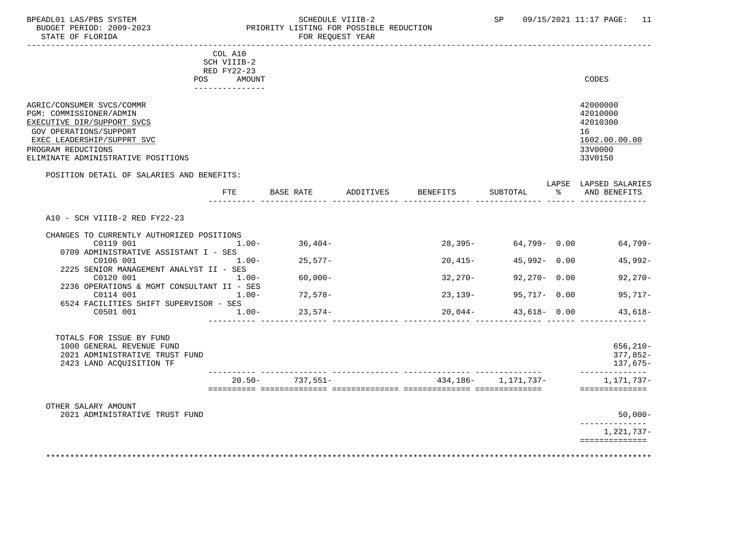STATE OF FLORIDA FOR STATE OF STATE OF STATE OF STATE OF STATE OF STATE OF STATE OF STATE OF STATE OF STATE OF STATE OF STATE OF STATE OF STATE OF STATE OF STATE OF STATE OF STATE OF STATE OF STATE OF STATE OF STATE OF STA

# BPEADL01 LAS/PBS SYSTEM SALL SALL SOMEDULE VIIIB-2 SP 09/15/2021 11:17 PAGE: 11 BUDGET PERIOD: 2009-2023 PRIORITY LISTING FOR POSSIBLE REDUCTION

-----------------------------------------------------------------------------------------------------------------------------------

|     | --------------- |       |
|-----|-----------------|-------|
| POS | AMOUNT          | CODES |
|     | RED FY22-23     |       |
|     | SCH VIIIB-2     |       |
| COL | A10             |       |

| AGRIC/CONSUMER SVCS/COMMR          | 42000000      |
|------------------------------------|---------------|
| PGM: COMMISSIONER/ADMIN            | 42010000      |
| EXECUTIVE DIR/SUPPORT SVCS         | 42010300      |
| GOV OPERATIONS/SUPPORT             | 16            |
| EXEC LEADERSHIP/SUPPRT SVC         | 1602.00.00.00 |
| PROGRAM REDUCTIONS                 | 33V0000       |
| ELIMINATE ADMINISTRATIVE POSITIONS | 33V0150       |

# POSITION DETAIL OF SALARIES AND BENEFITS: LAPSE LAPSED SALARIES FTE BASE RATE ADDITIVES BENEFITS SUBTOTAL % AND BENEFITS ---------- -------------- -------------- -------------- -------------- ------ -------------- A10 - SCH VIIIB-2 RED FY22-23 CHANGES TO CURRENTLY AUTHORIZED POSITIONS  $C0119$   $001$   $1.00 36,404 28,395 64,799 0.00$   $64,799-$  0709 ADMINISTRATIVE ASSISTANT I - SES  $C0106$   $001$   $1.00 25,577 20,415 45,992 0.00$   $45,992-$  2225 SENIOR MANAGEMENT ANALYST II - SES C0120 001 1.00- 60,000- 32,270- 92,270- 0.00 92,270- 2236 OPERATIONS & MGMT CONSULTANT II - SES C0114 001 1.00- 72,578- 23,139- 95,717- 0.00 95,717- 6524 FACILITIES SHIFT SUPERVISOR - SES<br>-00- 001001 C0501 001 1.00- 23,574- 20,044- 43,618- 0.00 43,618- ---------- -------------- -------------- -------------- -------------- ------ -------------- TOTALS FOR ISSUE BY FUND 1000 GENERAL REVENUE FUND 656,210- 2021 ADMINISTRATIVE TRUST FUND 377,852- 2423 LAND ACQUISITION TF 137,675- ---------- -------------- -------------- -------------- -------------- -------------- 20.50- 737,551- 434,186- 1,171,737- 1,171,737- ========== ============== ============== ============== ============== ============== OTHER SALARY AMOUNT 2021 ADMINISTRATIVE TRUST FUND 50,000- -------------- 1,221,737-

==============

\*\*\*\*\*\*\*\*\*\*\*\*\*\*\*\*\*\*\*\*\*\*\*\*\*\*\*\*\*\*\*\*\*\*\*\*\*\*\*\*\*\*\*\*\*\*\*\*\*\*\*\*\*\*\*\*\*\*\*\*\*\*\*\*\*\*\*\*\*\*\*\*\*\*\*\*\*\*\*\*\*\*\*\*\*\*\*\*\*\*\*\*\*\*\*\*\*\*\*\*\*\*\*\*\*\*\*\*\*\*\*\*\*\*\*\*\*\*\*\*\*\*\*\*\*\*\*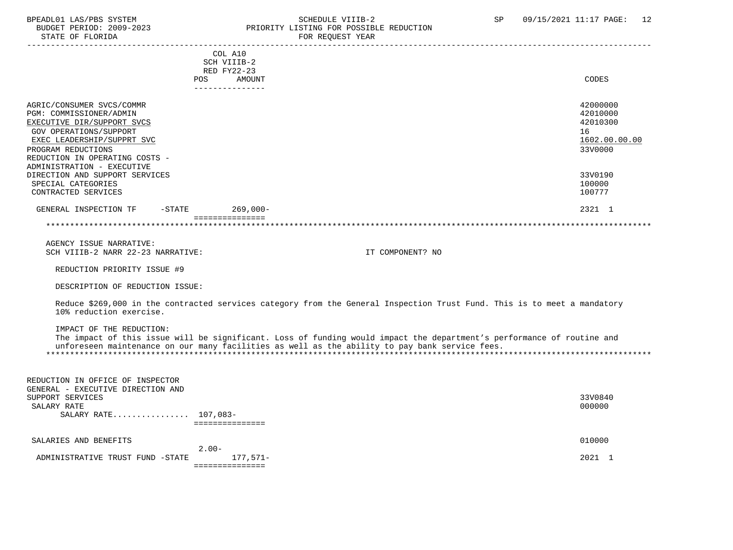# BPEADL01 LAS/PBS SYSTEM SALL SOME SCHEDULE VIIIB-2 SCHEDULE SP 09/15/2021 11:17 PAGE: 12 BUDGET PERIOD: 2009-2023 PRIORITY LISTING FOR POSSIBLE REDUCTION

| COL A10<br>SCH VIIIB-2                                                                                                                              |               |
|-----------------------------------------------------------------------------------------------------------------------------------------------------|---------------|
| RED FY22-23                                                                                                                                         |               |
| <b>POS</b><br>AMOUNT                                                                                                                                | CODES         |
| ---------------                                                                                                                                     |               |
| AGRIC/CONSUMER SVCS/COMMR                                                                                                                           | 42000000      |
| PGM: COMMISSIONER/ADMIN                                                                                                                             | 42010000      |
| EXECUTIVE DIR/SUPPORT SVCS                                                                                                                          | 42010300      |
| GOV OPERATIONS/SUPPORT                                                                                                                              | 16            |
| EXEC LEADERSHIP/SUPPRT SVC                                                                                                                          | 1602.00.00.00 |
| PROGRAM REDUCTIONS                                                                                                                                  | 33V0000       |
| REDUCTION IN OPERATING COSTS -                                                                                                                      |               |
| ADMINISTRATION - EXECUTIVE                                                                                                                          |               |
| DIRECTION AND SUPPORT SERVICES                                                                                                                      | 33V0190       |
| SPECIAL CATEGORIES                                                                                                                                  | 100000        |
| CONTRACTED SERVICES                                                                                                                                 | 100777        |
| GENERAL INSPECTION TF<br>-STATE 269,000-                                                                                                            | 2321 1        |
| ===============                                                                                                                                     |               |
|                                                                                                                                                     |               |
| AGENCY ISSUE NARRATIVE:                                                                                                                             |               |
| SCH VIIIB-2 NARR 22-23 NARRATIVE:<br>IT COMPONENT? NO                                                                                               |               |
| REDUCTION PRIORITY ISSUE #9                                                                                                                         |               |
| DESCRIPTION OF REDUCTION ISSUE:                                                                                                                     |               |
|                                                                                                                                                     |               |
| Reduce \$269,000 in the contracted services category from the General Inspection Trust Fund. This is to meet a mandatory<br>10% reduction exercise. |               |
|                                                                                                                                                     |               |
| IMPACT OF THE REDUCTION:                                                                                                                            |               |
| The impact of this issue will be significant. Loss of funding would impact the department's performance of routine and                              |               |
| unforeseen maintenance on our many facilities as well as the ability to pay bank service fees.                                                      |               |
|                                                                                                                                                     |               |
|                                                                                                                                                     |               |
| REDUCTION IN OFFICE OF INSPECTOR                                                                                                                    |               |
| GENERAL - EXECUTIVE DIRECTION AND                                                                                                                   |               |
| SUPPORT SERVICES                                                                                                                                    | 33V0840       |
| SALARY RATE                                                                                                                                         | 000000        |
| SALARY RATE 107,083-<br>===============                                                                                                             |               |
|                                                                                                                                                     |               |
| SALARIES AND BENEFITS                                                                                                                               | 010000        |
| $2.00 -$                                                                                                                                            |               |
| ADMINISTRATIVE TRUST FUND -STATE<br>177,571–<br>===============                                                                                     | 2021 1        |
|                                                                                                                                                     |               |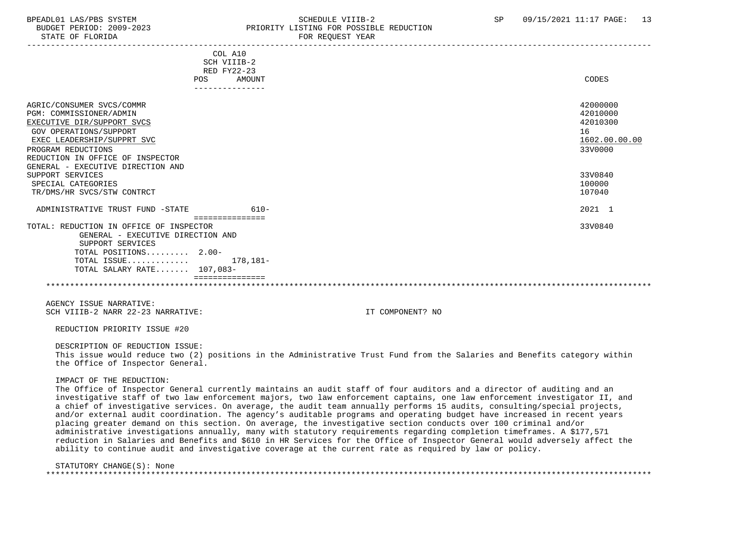# BPEADL01 LAS/PBS SYSTEM SALL SALL SOMEDULE VIIIB-2 SP 09/15/2021 11:17 PAGE: 13 BUDGET PERIOD: 2009-2023 PRIORITY LISTING FOR POSSIBLE REDUCTION

| COL A10<br>SCH VIIIB-2<br><b>RED FY22-23</b> |               |
|----------------------------------------------|---------------|
| AMOUNT<br>POS                                | CODES         |
| ---------------                              |               |
|                                              |               |
| AGRIC/CONSUMER SVCS/COMMR                    | 42000000      |
| PGM: COMMISSIONER/ADMIN                      | 42010000      |
| EXECUTIVE DIR/SUPPORT SVCS                   | 42010300      |
| <b>GOV OPERATIONS/SUPPORT</b>                | 16            |
| EXEC LEADERSHIP/SUPPRT SVC                   | 1602.00.00.00 |
| PROGRAM REDUCTIONS                           | 33V0000       |
| REDUCTION IN OFFICE OF INSPECTOR             |               |
| GENERAL - EXECUTIVE DIRECTION AND            |               |
| SUPPORT SERVICES                             | 33V0840       |
| SPECIAL CATEGORIES                           | 100000        |
| TR/DMS/HR SVCS/STW CONTRCT                   | 107040        |
|                                              |               |
| ADMINISTRATIVE TRUST FUND -STATE<br>$610-$   | 2021 1        |
| ===============                              |               |
| TOTAL: REDUCTION IN OFFICE OF INSPECTOR      | 33V0840       |
| GENERAL - EXECUTIVE DIRECTION AND            |               |
| SUPPORT SERVICES                             |               |
| TOTAL POSITIONS 2.00-                        |               |
| TOTAL ISSUE $178,181-$                       |               |
| TOTAL SALARY RATE $107.083-$                 |               |
|                                              |               |
|                                              |               |

 AGENCY ISSUE NARRATIVE: SCH VIIIB-2 NARR 22-23 NARRATIVE: IT COMPONENT? NO

REDUCTION PRIORITY ISSUE #20

 DESCRIPTION OF REDUCTION ISSUE: This issue would reduce two (2) positions in the Administrative Trust Fund from the Salaries and Benefits category within the Office of Inspector General.

#### IMPACT OF THE REDUCTION:

 The Office of Inspector General currently maintains an audit staff of four auditors and a director of auditing and an investigative staff of two law enforcement majors, two law enforcement captains, one law enforcement investigator II, and a chief of investigative services. On average, the audit team annually performs 15 audits, consulting/special projects, and/or external audit coordination. The agency's auditable programs and operating budget have increased in recent years placing greater demand on this section. On average, the investigative section conducts over 100 criminal and/or administrative investigations annually, many with statutory requirements regarding completion timeframes. A \$177,571 reduction in Salaries and Benefits and \$610 in HR Services for the Office of Inspector General would adversely affect the ability to continue audit and investigative coverage at the current rate as required by law or policy.

### STATUTORY CHANGE(S): None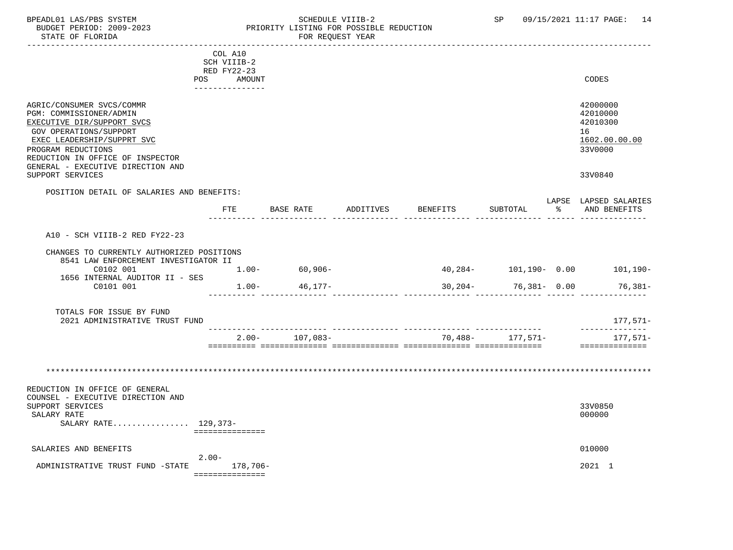# BPEADL01 LAS/PBS SYSTEM SALL SOME SCHEDULE VIIIB-2 SCHEDULE SP 09/15/2021 11:17 PAGE: 14 BUDGET PERIOD: 2009-2023 PRIORITY LISTING FOR POSSIBLE REDUCTION

|                                                                                                                                                                                                             | COL A10<br>SCH VIIIB-2<br>RED FY22-23 |          |                                       |           |          |                          |                                                                    |
|-------------------------------------------------------------------------------------------------------------------------------------------------------------------------------------------------------------|---------------------------------------|----------|---------------------------------------|-----------|----------|--------------------------|--------------------------------------------------------------------|
|                                                                                                                                                                                                             | POS                                   | AMOUNT   |                                       |           |          |                          | CODES                                                              |
| AGRIC/CONSUMER SVCS/COMMR<br>PGM: COMMISSIONER/ADMIN<br>EXECUTIVE DIR/SUPPORT SVCS<br><b>GOV OPERATIONS/SUPPORT</b><br>EXEC LEADERSHIP/SUPPRT SVC<br>PROGRAM REDUCTIONS<br>REDUCTION IN OFFICE OF INSPECTOR |                                       |          |                                       |           |          |                          | 42000000<br>42010000<br>42010300<br>16<br>1602.00.00.00<br>33V0000 |
| GENERAL - EXECUTIVE DIRECTION AND<br>SUPPORT SERVICES                                                                                                                                                       |                                       |          |                                       |           |          |                          | 33V0840                                                            |
| POSITION DETAIL OF SALARIES AND BENEFITS:                                                                                                                                                                   |                                       |          |                                       |           |          |                          |                                                                    |
|                                                                                                                                                                                                             |                                       |          | FTE BASE RATE                         | ADDITIVES | BENEFITS | SUBTOTAL                 | LAPSE LAPSED SALARIES<br>% AND BENEFITS                            |
| A10 - SCH VIIIB-2 RED FY22-23<br>CHANGES TO CURRENTLY AUTHORIZED POSITIONS<br>8541 LAW ENFORCEMENT INVESTIGATOR II<br>C0102 001<br>1656 INTERNAL AUDITOR II - SES<br>C0101 001                              |                                       |          | $1.00 - 60,906 -$<br>$1.00-$ 46, 177- |           |          | $30,204 - 76,381 - 0.00$ | 40,284- 101,190- 0.00 101,190-<br>76,381-                          |
| TOTALS FOR ISSUE BY FUND<br>2021 ADMINISTRATIVE TRUST FUND                                                                                                                                                  |                                       |          |                                       |           |          |                          | 177,571-                                                           |
|                                                                                                                                                                                                             |                                       | $2.00-$  | 107,083-                              |           | 70,488-  | 177,571–                 | --------------<br>177,571-<br>==============                       |
| REDUCTION IN OFFICE OF GENERAL<br>COUNSEL - EXECUTIVE DIRECTION AND<br>SUPPORT SERVICES<br>SALARY RATE                                                                                                      |                                       |          |                                       |           |          |                          | 33V0850<br>000000                                                  |
| SALARY RATE 129,373-                                                                                                                                                                                        | ===============                       |          |                                       |           |          |                          |                                                                    |
| SALARIES AND BENEFITS                                                                                                                                                                                       | $2.00 -$                              |          |                                       |           |          |                          | 010000                                                             |
| ADMINISTRATIVE TRUST FUND -STATE                                                                                                                                                                            | ===============                       | 178,706- |                                       |           |          |                          | 2021 1                                                             |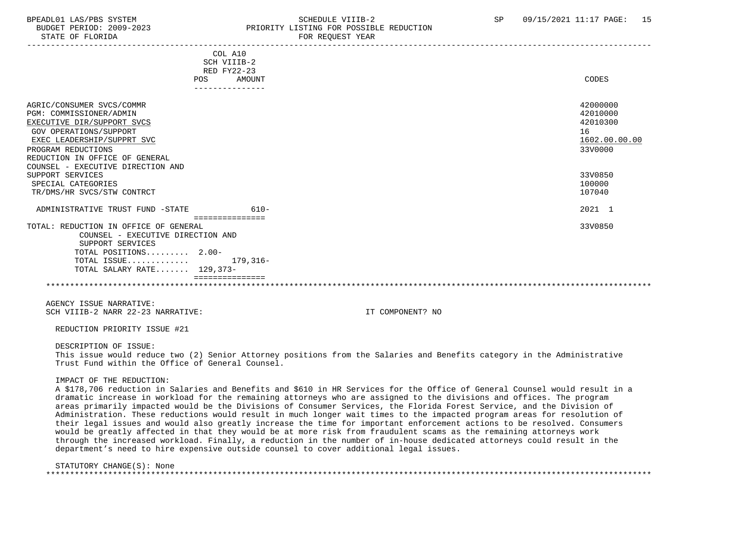# BPEADL01 LAS/PBS SYSTEM STRAND SCHEDULE VIIIB-2 SP 09/15/2021 11:17 PAGE: 15 BUDGET PERIOD: 2009-2023 PRIORITY LISTING FOR POSSIBLE REDUCTION STATE OF FLORIDA FOR STATE OF STATE OF STATE OF STATE OF STATE OF STATE OF STATE OF STATE OF STATE OF STATE OF STATE OF STATE OF STATE OF STATE OF STATE OF STATE OF STATE OF STATE OF STATE OF STATE OF STATE OF STATE OF STA

| COL A10<br>SCH VIIIB-2<br>RED FY22-23                                      |                      |
|----------------------------------------------------------------------------|----------------------|
| POS<br>AMOUNT                                                              | CODES                |
| ---------------                                                            |                      |
| AGRIC/CONSUMER SVCS/COMMR<br>PGM: COMMISSIONER/ADMIN                       | 42000000<br>42010000 |
|                                                                            | 42010300             |
| EXECUTIVE DIR/SUPPORT SVCS                                                 |                      |
| <b>GOV OPERATIONS/SUPPORT</b>                                              | 16                   |
| EXEC LEADERSHIP/SUPPRT SVC                                                 | 1602.00.00.00        |
| PROGRAM REDUCTIONS                                                         | 33V0000              |
| REDUCTION IN OFFICE OF GENERAL                                             |                      |
| COUNSEL - EXECUTIVE DIRECTION AND                                          |                      |
| SUPPORT SERVICES                                                           | 33V0850              |
| SPECIAL CATEGORIES                                                         | 100000               |
| TR/DMS/HR SVCS/STW CONTRCT                                                 | 107040               |
| $610-$<br>ADMINISTRATIVE TRUST FUND -STATE<br>===============              | 2021 1               |
| TOTAL: REDUCTION IN OFFICE OF GENERAL<br>COUNSEL - EXECUTIVE DIRECTION AND | 33V0850              |
| SUPPORT SERVICES                                                           |                      |
| TOTAL POSITIONS 2.00-                                                      |                      |
| TOTAL ISSUE<br>179,316-                                                    |                      |
| TOTAL SALARY RATE 129,373-                                                 |                      |
|                                                                            |                      |
|                                                                            |                      |
|                                                                            |                      |

 AGENCY ISSUE NARRATIVE: SCH VIIIB-2 NARR 22-23 NARRATIVE: IT COMPONENT? NO

REDUCTION PRIORITY ISSUE #21

DESCRIPTION OF ISSUE:

 This issue would reduce two (2) Senior Attorney positions from the Salaries and Benefits category in the Administrative Trust Fund within the Office of General Counsel.

#### IMPACT OF THE REDUCTION:

 A \$178,706 reduction in Salaries and Benefits and \$610 in HR Services for the Office of General Counsel would result in a dramatic increase in workload for the remaining attorneys who are assigned to the divisions and offices. The program areas primarily impacted would be the Divisions of Consumer Services, the Florida Forest Service, and the Division of Administration. These reductions would result in much longer wait times to the impacted program areas for resolution of their legal issues and would also greatly increase the time for important enforcement actions to be resolved. Consumers would be greatly affected in that they would be at more risk from fraudulent scams as the remaining attorneys work through the increased workload. Finally, a reduction in the number of in-house dedicated attorneys could result in the department's need to hire expensive outside counsel to cover additional legal issues.

### STATUTORY CHANGE(S): None

| $\sim$ $\sim$ $\sim$ |
|----------------------|
|                      |
|                      |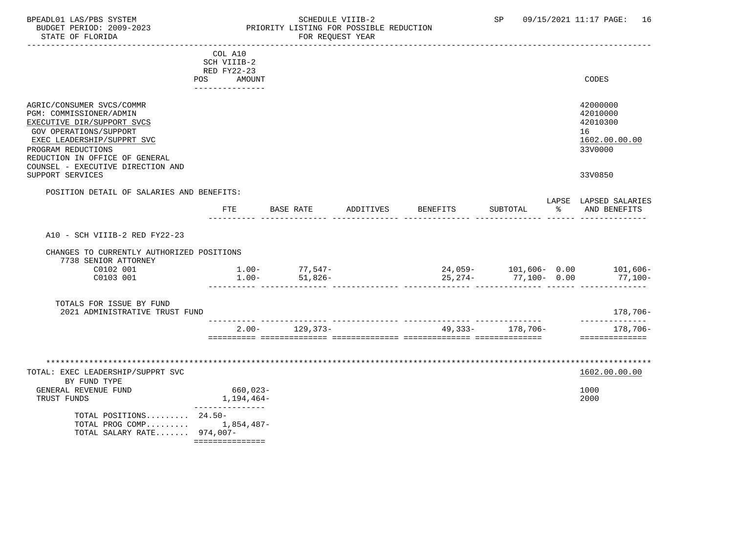# BPEADL01 LAS/PBS SYSTEM STRING THE SCHEDULE VIIIB-2 SCHEDULE VIIIB-2 SP 09/15/2021 11:17 PAGE: 16 BUDGET PERIOD: 2009-2023 PRIORITY LISTING FOR POSSIBLE REDUCTION FOR REQUEST YEAR

|                                                                                                                                                                                                                                         | COL A10<br>SCH VIIIB-2<br>RED FY22-23     |                                |                                             |                  |           |                                                                    |
|-----------------------------------------------------------------------------------------------------------------------------------------------------------------------------------------------------------------------------------------|-------------------------------------------|--------------------------------|---------------------------------------------|------------------|-----------|--------------------------------------------------------------------|
|                                                                                                                                                                                                                                         | POS AMOUNT<br>---------------             |                                |                                             |                  |           | CODES                                                              |
| AGRIC/CONSUMER SVCS/COMMR<br>PGM: COMMISSIONER/ADMIN<br>EXECUTIVE DIR/SUPPORT SVCS<br>GOV OPERATIONS/SUPPORT<br>EXEC LEADERSHIP/SUPPRT SVC<br>PROGRAM REDUCTIONS<br>REDUCTION IN OFFICE OF GENERAL<br>COUNSEL - EXECUTIVE DIRECTION AND |                                           |                                |                                             |                  |           | 42000000<br>42010000<br>42010300<br>16<br>1602.00.00.00<br>33V0000 |
| SUPPORT SERVICES                                                                                                                                                                                                                        |                                           |                                |                                             |                  |           | 33V0850                                                            |
| POSITION DETAIL OF SALARIES AND BENEFITS:                                                                                                                                                                                               | <b>FTE</b>                                | BASE RATE                      | ADDITIVES BENEFITS                          | SUBTOTAL         | ားမှာ အား | LAPSE LAPSED SALARIES<br>AND BENEFITS                              |
| A10 - SCH VIIIB-2 RED FY22-23                                                                                                                                                                                                           |                                           |                                |                                             |                  |           |                                                                    |
| CHANGES TO CURRENTLY AUTHORIZED POSITIONS<br>7738 SENIOR ATTORNEY                                                                                                                                                                       |                                           |                                |                                             |                  |           |                                                                    |
| C0102 001<br>C0103 001                                                                                                                                                                                                                  | $1.00 -$                                  | $1.00 - 77,547 -$<br>$51,826-$ | $24,059-101,606-0.00$ 101,606-<br>$25,274-$ | 77,100- 0.00     |           | 77,100-                                                            |
| TOTALS FOR ISSUE BY FUND<br>2021 ADMINISTRATIVE TRUST FUND                                                                                                                                                                              |                                           |                                |                                             |                  |           | 178,706-                                                           |
|                                                                                                                                                                                                                                         |                                           | $2.00 - 129.373 -$             |                                             | 49,333- 178,706- |           | ______________<br>178,706-<br>==============                       |
|                                                                                                                                                                                                                                         |                                           |                                |                                             |                  |           |                                                                    |
| TOTAL: EXEC LEADERSHIP/SUPPRT SVC<br>BY FUND TYPE                                                                                                                                                                                       |                                           |                                |                                             |                  |           | 1602.00.00.00                                                      |
| GENERAL REVENUE FUND<br>TRUST FUNDS                                                                                                                                                                                                     | 660,023-<br>1,194,464-<br>--------------- |                                |                                             |                  |           | 1000<br>2000                                                       |
| TOTAL POSITIONS 24.50-<br>TOTAL PROG COMP $1,854,487-$<br>TOTAL SALARY RATE 974,007-                                                                                                                                                    |                                           |                                |                                             |                  |           |                                                                    |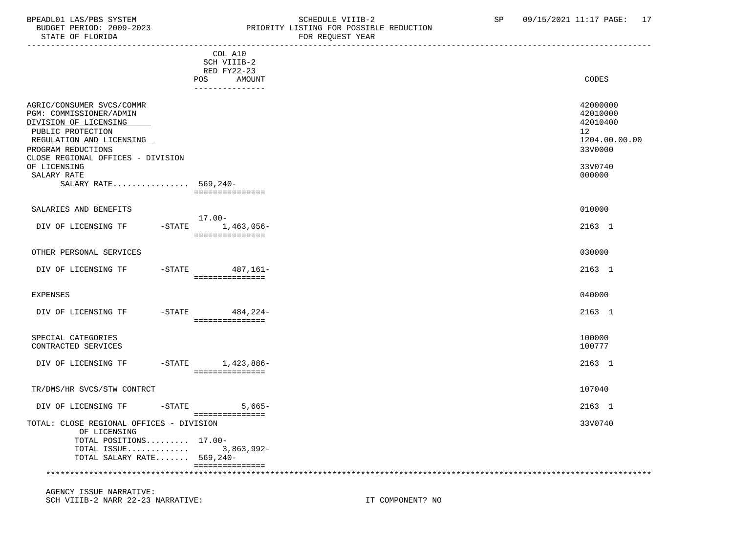# BPEADL01 LAS/PBS SYSTEM STRING THE SCHEDULE VIIIB-2 SP 09/15/2021 11:17 PAGE: 17<br>BUDGET PERIOD: 2009-2023 PRIORITY LISTING FOR POSSIBLE REDUCTION BUDGET PERIOD: 2009-2023 PRIORITY LISTING FOR POSSIBLE REDUCTION FOR REOUEST YEAR

|                                                                                                                                                                                                                                                  | COL A10<br>SCH VIIIB-2<br>RED FY22-23   |                                                                                         |
|--------------------------------------------------------------------------------------------------------------------------------------------------------------------------------------------------------------------------------------------------|-----------------------------------------|-----------------------------------------------------------------------------------------|
|                                                                                                                                                                                                                                                  | POS<br>AMOUNT<br>---------------        | CODES                                                                                   |
| AGRIC/CONSUMER SVCS/COMMR<br>PGM: COMMISSIONER/ADMIN<br>DIVISION OF LICENSING<br>PUBLIC PROTECTION<br>REGULATION AND LICENSING<br>PROGRAM REDUCTIONS<br>CLOSE REGIONAL OFFICES - DIVISION<br>OF LICENSING<br>SALARY RATE<br>SALARY RATE 569,240- | ===============                         | 42000000<br>42010000<br>42010400<br>12<br>1204.00.00.00<br>33V0000<br>33V0740<br>000000 |
| SALARIES AND BENEFITS                                                                                                                                                                                                                            | $17.00 -$                               | 010000                                                                                  |
| DIV OF LICENSING TF                                                                                                                                                                                                                              | $-STATE$ 1,463,056-<br>===============  | 2163 1                                                                                  |
| OTHER PERSONAL SERVICES                                                                                                                                                                                                                          |                                         | 030000                                                                                  |
| DIV OF LICENSING TF                                                                                                                                                                                                                              | -STATE 487,161-<br>===============      | 2163 1                                                                                  |
| <b>EXPENSES</b>                                                                                                                                                                                                                                  |                                         | 040000                                                                                  |
| DIV OF LICENSING TF                                                                                                                                                                                                                              | $-$ STATE 484, 224 -<br>=============== | 2163 1                                                                                  |
| SPECIAL CATEGORIES<br>CONTRACTED SERVICES                                                                                                                                                                                                        |                                         | 100000<br>100777                                                                        |
| DIV OF LICENSING TF                                                                                                                                                                                                                              | -STATE 1,423,886-<br>===============    | 2163 1                                                                                  |
| TR/DMS/HR SVCS/STW CONTRCT                                                                                                                                                                                                                       |                                         | 107040                                                                                  |
| DIV OF LICENSING TF<br>$-STATE$                                                                                                                                                                                                                  | $5,665-$                                | 2163 1                                                                                  |
| TOTAL: CLOSE REGIONAL OFFICES - DIVISION<br>OF LICENSING<br>TOTAL POSITIONS 17.00-<br>TOTAL ISSUE 3,863,992-<br>TOTAL SALARY RATE 569,240-                                                                                                       | ===============<br>===============      | 33V0740                                                                                 |
|                                                                                                                                                                                                                                                  |                                         |                                                                                         |

 AGENCY ISSUE NARRATIVE: SCH VIIIB-2 NARR 22-23 NARRATIVE: IT COMPONENT? NO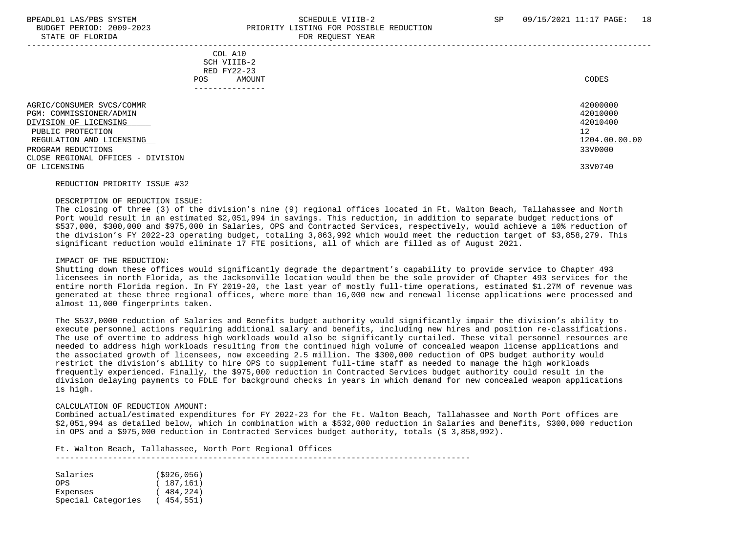STATE OF FLORIDA

# BPEADL01 LAS/PBS SYSTEM SALL SALL SOMEDULE VIIIB-2 SP 09/15/2021 11:17 PAGE: 18 BUDGET PERIOD: 2009-2023<br>
PRIORITY LISTING FOR POSSIBLE REDUCTION

| DIAIL OF FLORIDA                                                                                                                                                                                          |                                                                         | LAUT TEANGHAIL IRUT                                                           |  |
|-----------------------------------------------------------------------------------------------------------------------------------------------------------------------------------------------------------|-------------------------------------------------------------------------|-------------------------------------------------------------------------------|--|
|                                                                                                                                                                                                           | COL A10<br>SCH VIIIB-2<br>RED FY22-23<br>AMOUNT<br>POS.<br>------------ | CODES                                                                         |  |
| AGRIC/CONSUMER SVCS/COMMR<br>PGM: COMMISSIONER/ADMIN<br>DIVISION OF LICENSING<br>PUBLIC PROTECTION<br>REGULATION AND LICENSING<br>PROGRAM REDUCTIONS<br>CLOSE REGIONAL OFFICES - DIVISION<br>OF LICENSING |                                                                         | 42000000<br>42010000<br>42010400<br>12<br>1204.00.00.00<br>33V0000<br>33V0740 |  |

#### REDUCTION PRIORITY ISSUE #32

#### DESCRIPTION OF REDUCTION ISSUE:

 The closing of three (3) of the division's nine (9) regional offices located in Ft. Walton Beach, Tallahassee and North Port would result in an estimated \$2,051,994 in savings. This reduction, in addition to separate budget reductions of \$537,000, \$300,000 and \$975,000 in Salaries, OPS and Contracted Services, respectively, would achieve a 10% reduction of the division's FY 2022-23 operating budget, totaling 3,863,992 which would meet the reduction target of \$3,858,279. This significant reduction would eliminate 17 FTE positions, all of which are filled as of August 2021.

#### IMPACT OF THE REDUCTION:

 Shutting down these offices would significantly degrade the department's capability to provide service to Chapter 493 licensees in north Florida, as the Jacksonville location would then be the sole provider of Chapter 493 services for the entire north Florida region. In FY 2019-20, the last year of mostly full-time operations, estimated \$1.27M of revenue was generated at these three regional offices, where more than 16,000 new and renewal license applications were processed and almost 11,000 fingerprints taken.

 The \$537,0000 reduction of Salaries and Benefits budget authority would significantly impair the division's ability to execute personnel actions requiring additional salary and benefits, including new hires and position re-classifications. The use of overtime to address high workloads would also be significantly curtailed. These vital personnel resources are needed to address high workloads resulting from the continued high volume of concealed weapon license applications and the associated growth of licensees, now exceeding 2.5 million. The \$300,000 reduction of OPS budget authority would restrict the division's ability to hire OPS to supplement full-time staff as needed to manage the high workloads frequently experienced. Finally, the \$975,000 reduction in Contracted Services budget authority could result in the division delaying payments to FDLE for background checks in years in which demand for new concealed weapon applications is high.

#### CALCULATION OF REDUCTION AMOUNT:

 Combined actual/estimated expenditures for FY 2022-23 for the Ft. Walton Beach, Tallahassee and North Port offices are \$2,051,994 as detailed below, which in combination with a \$532,000 reduction in Salaries and Benefits, \$300,000 reduction in OPS and a \$975,000 reduction in Contracted Services budget authority, totals (\$ 3,858,992).

Ft. Walton Beach, Tallahassee, North Port Regional Offices

---------------------------------------------------------------------------------------

| Salaries           | ( \$926, 056) |
|--------------------|---------------|
| OPS.               | (187, 161)    |
| Expenses           | (484, 224)    |
| Special Categories | (454, 551)    |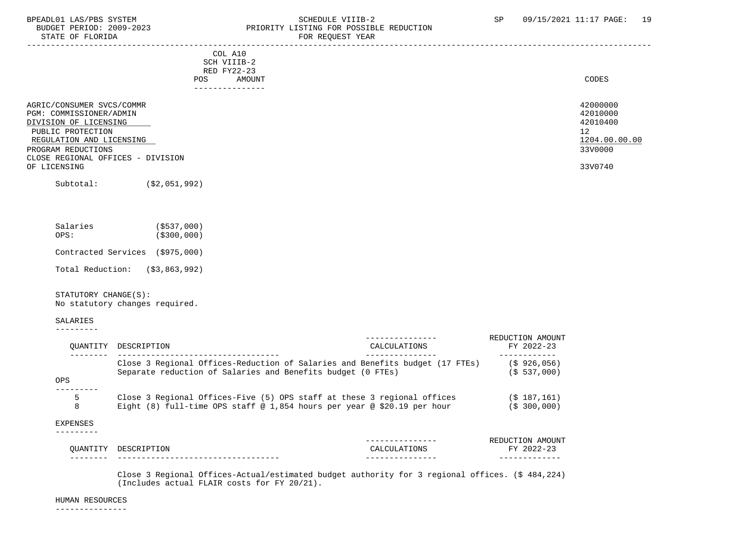# BPEADL01 LAS/PBS SYSTEM STRING THE SCHEDULE VIIIB-2 SP 09/15/2021 11:17 PAGE: 19<br>BUDGET PERIOD: 2009-2023 PRIORITY LISTING FOR POSSIBLE REDUCTION BUDGET PERIOD: 2009-2023<br>
STATE OF FLORIDA<br>
FOR REQUEST YEAR
FOR REQUEST TEAR FOR REQUEST YEAR

| COL A10<br>SCH VIIIB-2<br>RED FY22-23<br>AMOUNT<br><b>POS</b>                                                                                                                                             | CODES                                                                         |
|-----------------------------------------------------------------------------------------------------------------------------------------------------------------------------------------------------------|-------------------------------------------------------------------------------|
| -------------                                                                                                                                                                                             |                                                                               |
| AGRIC/CONSUMER SVCS/COMMR<br>PGM: COMMISSIONER/ADMIN<br>DIVISION OF LICENSING<br>PUBLIC PROTECTION<br>REGULATION AND LICENSING<br>PROGRAM REDUCTIONS<br>CLOSE REGIONAL OFFICES - DIVISION<br>OF LICENSING | 42000000<br>42010000<br>42010400<br>12<br>1204.00.00.00<br>33V0000<br>33V0740 |
| Subtotal:<br>( \$2,051,992)                                                                                                                                                                               |                                                                               |

| Salaries<br>OPS:                | ( \$537,000)<br>( \$300, 000) |
|---------------------------------|-------------------------------|
| Contracted Services (\$975,000) |                               |

Total Reduction: (\$3,863,992)

# STATUTORY CHANGE(S):

No statutory changes required.

#### SALARIES

---------

|          |                                                                              |              | REDUCTION AMOUNT |
|----------|------------------------------------------------------------------------------|--------------|------------------|
| OUANTITY | DESCRIPTION                                                                  | CALCULATIONS | FY 2022-23       |
|          |                                                                              |              |                  |
|          | Close 3 Regional Offices-Reduction of Salaries and Benefits budget (17 FTEs) |              | $(S$ 926,056)    |
|          | Separate reduction of Salaries and Benefits budget (0 FTEs)                  |              | (S 537,000)      |
| OPS      |                                                                              |              |                  |
| 5        | Close 3 Regional Offices-Five (5) OPS staff at these 3 regional offices      |              | $(S$ 187.161)    |
| 8        | Eight (8) full-time OPS staff @ 1,854 hours per year @ \$20.19 per hour      |              | (S, 300, 000)    |
| EXPENSES |                                                                              |              |                  |
|          |                                                                              |              |                  |
|          |                                                                              |              | REDUCTION AMOUNT |
| OUANTITY | DESCRIPTION                                                                  | CALCULATIONS | FY 2022-23       |

-------- ---------------------------------- --------------- -------------

 Close 3 Regional Offices-Actual/estimated budget authority for 3 regional offices. (\$ 484,224) (Includes actual FLAIR costs for FY 20/21).

#### HUMAN RESOURCES

---------------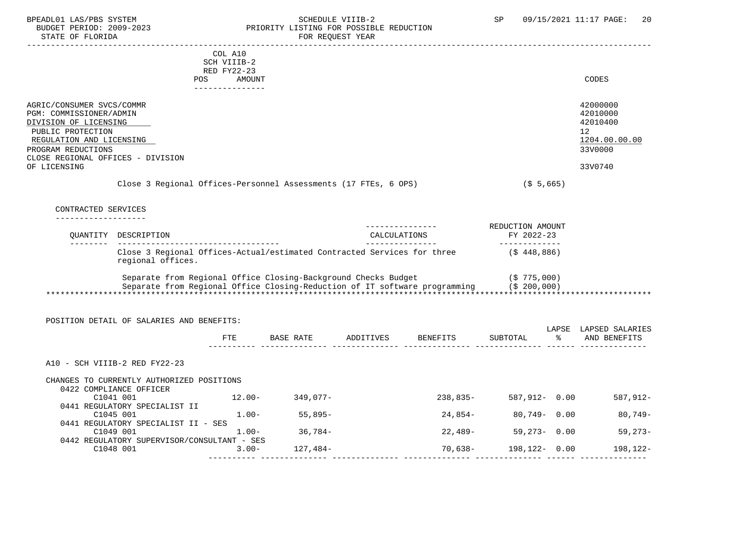# BPEADL01 LAS/PBS SYSTEM STRING THE SCHEDULE VIIIB-2 SP 09/15/2021 11:17 PAGE: 20<br>BUDGET PERIOD: 2009-2023 PRIORITY LISTING FOR POSSIBLE REDUCTION BUDGET PERIOD: 2009-2023 PRIORITY LISTING FOR POSSIBLE REDUCTION FOR REQUEST YEAR

|                                                      |                                                                                                           | COL A10                    |                     |                                                                                         |                              |                       |
|------------------------------------------------------|-----------------------------------------------------------------------------------------------------------|----------------------------|---------------------|-----------------------------------------------------------------------------------------|------------------------------|-----------------------|
|                                                      |                                                                                                           | SCH VIIIB-2<br>RED FY22-23 |                     |                                                                                         |                              |                       |
|                                                      |                                                                                                           | POS AMOUNT                 |                     |                                                                                         |                              | CODES                 |
|                                                      |                                                                                                           | ---------------            |                     |                                                                                         |                              |                       |
|                                                      |                                                                                                           |                            |                     |                                                                                         |                              |                       |
| AGRIC/CONSUMER SVCS/COMMR<br>PGM: COMMISSIONER/ADMIN |                                                                                                           |                            |                     |                                                                                         |                              | 42000000<br>42010000  |
| DIVISION OF LICENSING                                |                                                                                                           |                            |                     |                                                                                         |                              | 42010400              |
| PUBLIC PROTECTION                                    |                                                                                                           |                            |                     |                                                                                         |                              | 12                    |
| REGULATION AND LICENSING                             |                                                                                                           |                            |                     |                                                                                         |                              | 1204.00.00.00         |
| PROGRAM REDUCTIONS                                   |                                                                                                           |                            |                     |                                                                                         |                              | 33V0000               |
| CLOSE REGIONAL OFFICES - DIVISION                    |                                                                                                           |                            |                     |                                                                                         |                              |                       |
| OF LICENSING                                         |                                                                                                           |                            |                     |                                                                                         |                              | 33V0740               |
|                                                      | Close 3 Regional Offices-Personnel Assessments (17 FTEs, 6 OPS)                                           |                            |                     |                                                                                         | $($ \$ 5,665)                |                       |
|                                                      |                                                                                                           |                            |                     |                                                                                         |                              |                       |
| CONTRACTED SERVICES                                  |                                                                                                           |                            |                     |                                                                                         |                              |                       |
|                                                      |                                                                                                           |                            |                     |                                                                                         |                              |                       |
|                                                      |                                                                                                           |                            |                     |                                                                                         | REDUCTION AMOUNT             |                       |
| ---------                                            | OUANTITY DESCRIPTION                                                                                      |                            |                     | CALCULATIONS<br>_________________                                                       | FY 2022-23<br>______________ |                       |
|                                                      | Close 3 Regional Offices-Actual/estimated Contracted Services for three (\$ 448,886)<br>regional offices. |                            |                     |                                                                                         |                              |                       |
|                                                      | Separate from Regional Office Closing-Background Checks Budget                                            |                            |                     |                                                                                         | (S 775,000)                  |                       |
|                                                      |                                                                                                           |                            |                     | Separate from Regional Office Closing-Reduction of IT software programming (\$ 200,000) |                              |                       |
|                                                      |                                                                                                           |                            |                     |                                                                                         |                              |                       |
|                                                      |                                                                                                           |                            |                     |                                                                                         |                              |                       |
|                                                      | POSITION DETAIL OF SALARIES AND BENEFITS:                                                                 |                            |                     |                                                                                         |                              |                       |
|                                                      |                                                                                                           |                            |                     |                                                                                         |                              | LAPSE LAPSED SALARIES |
|                                                      |                                                                                                           |                            |                     | FTE BASE RATE ADDITIVES BENEFITS                                                        | SUBTOTAL                     | % AND BENEFITS        |
|                                                      |                                                                                                           |                            |                     |                                                                                         |                              |                       |
|                                                      | A10 - SCH VIIIB-2 RED FY22-23                                                                             |                            |                     |                                                                                         |                              |                       |
|                                                      | CHANGES TO CURRENTLY AUTHORIZED POSITIONS                                                                 |                            |                     |                                                                                         |                              |                       |
|                                                      | 0422 COMPLIANCE OFFICER                                                                                   |                            |                     |                                                                                         |                              |                       |
|                                                      | C1041 001                                                                                                 |                            | $12.00 - 349,077 -$ | 238,835-                                                                                | 587,912- 0.00                | 587,912-              |
|                                                      | 0441 REGULATORY SPECIALIST II                                                                             |                            |                     |                                                                                         |                              |                       |
|                                                      | C1045 001                                                                                                 |                            | $1.00 - 55,895 -$   | 24,854-                                                                                 | 80,749- 0.00                 | 80,749-               |
|                                                      | 0441 REGULATORY SPECIALIST II - SES                                                                       |                            |                     |                                                                                         |                              |                       |
|                                                      | C1049 001                                                                                                 | $1.00-$                    | 36,784-             | 22,489-                                                                                 | $59,273 - 0.00$              | $59,273-$             |
|                                                      | 0442 REGULATORY SUPERVISOR/CONSULTANT - SES                                                               |                            |                     |                                                                                         |                              |                       |
|                                                      | C1048 001                                                                                                 | $3.00 -$                   | 127,484-            | $70,638-$                                                                               | $198, 122 - 0.00$            | 198,122-              |

---------- -------------- -------------- -------------- -------------- ------ --------------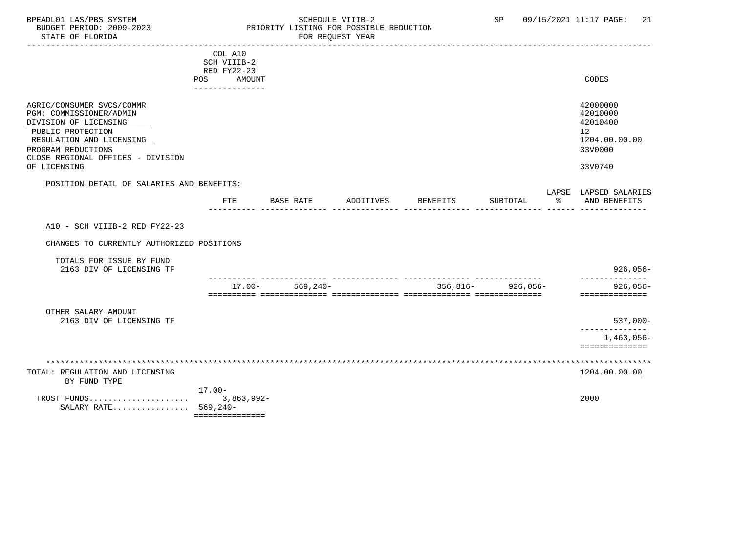# BPEADL01 LAS/PBS SYSTEM SALL SOME SCHEDULE VIIIB-2 SCHEDULE SP 09/15/2021 11:17 PAGE: 21 BUDGET PERIOD: 2009-2023 PRIORITY LISTING FOR POSSIBLE REDUCTION

|                                                                                                                                                                                                           | COL A10<br>SCH VIIIB-2                       |                     |           |          |                       |                                                                               |
|-----------------------------------------------------------------------------------------------------------------------------------------------------------------------------------------------------------|----------------------------------------------|---------------------|-----------|----------|-----------------------|-------------------------------------------------------------------------------|
|                                                                                                                                                                                                           | RED FY22-23<br>POS AMOUNT<br>--------------- |                     |           |          |                       | CODES                                                                         |
| AGRIC/CONSUMER SVCS/COMMR<br>PGM: COMMISSIONER/ADMIN<br>DIVISION OF LICENSING<br>PUBLIC PROTECTION<br>REGULATION AND LICENSING<br>PROGRAM REDUCTIONS<br>CLOSE REGIONAL OFFICES - DIVISION<br>OF LICENSING |                                              |                     |           |          |                       | 42000000<br>42010000<br>42010400<br>12<br>1204.00.00.00<br>33V0000<br>33V0740 |
| POSITION DETAIL OF SALARIES AND BENEFITS:                                                                                                                                                                 |                                              |                     |           |          |                       | LAPSE LAPSED SALARIES                                                         |
|                                                                                                                                                                                                           | <b>FTE</b>                                   | BASE RATE           | ADDITIVES | BENEFITS | SUBTOTAL              | % AND BENEFITS                                                                |
| A10 - SCH VIIIB-2 RED FY22-23<br>CHANGES TO CURRENTLY AUTHORIZED POSITIONS                                                                                                                                |                                              |                     |           |          |                       |                                                                               |
| TOTALS FOR ISSUE BY FUND<br>2163 DIV OF LICENSING TF                                                                                                                                                      |                                              |                     |           |          |                       | 926,056-                                                                      |
|                                                                                                                                                                                                           |                                              | $17.00 - 569.240 -$ |           |          | $356,816 - 926,056 -$ | 926,056-<br>==============                                                    |
| OTHER SALARY AMOUNT<br>2163 DIV OF LICENSING TF                                                                                                                                                           |                                              |                     |           |          |                       | $537,000-$<br>-------------                                                   |
|                                                                                                                                                                                                           |                                              |                     |           |          |                       | 1,463,056-<br>==============                                                  |
| TOTAL: REGULATION AND LICENSING<br>BY FUND TYPE                                                                                                                                                           |                                              |                     |           |          |                       | 1204.00.00.00                                                                 |
| TRUST FUNDS<br>SALARY RATE 569,240-                                                                                                                                                                       | $17.00 -$<br>$3,863,992-$<br>=============== |                     |           |          |                       | 2000                                                                          |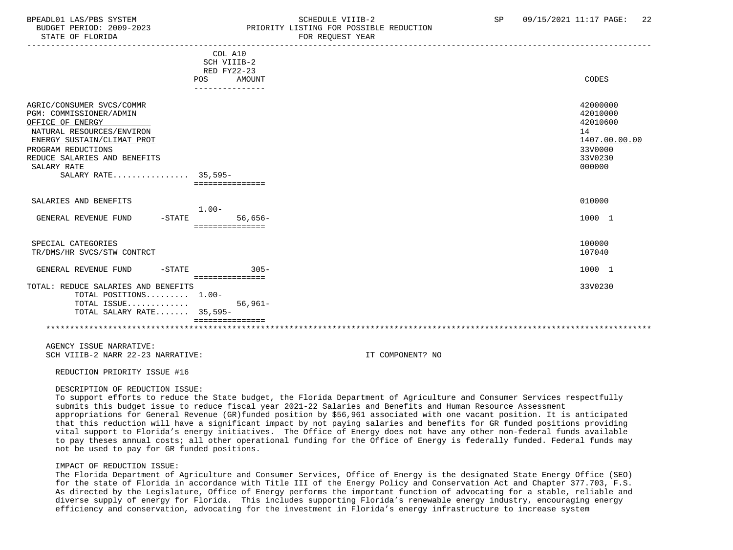# BPEADL01 LAS/PBS SYSTEM SALL SALL SOMEDULE VIIIB-2 SP 09/15/2021 11:17 PAGE: 22 BUDGET PERIOD: 2009-2023 PRIORITY LISTING FOR POSSIBLE REDUCTION

|                                                                                                                                                                                                                                 | COL A10<br>SCH VIIIB-2<br><b>RED FY22-23</b><br>AMOUNT<br><b>POS</b><br>--------------- | CODES                                                                                   |
|---------------------------------------------------------------------------------------------------------------------------------------------------------------------------------------------------------------------------------|-----------------------------------------------------------------------------------------|-----------------------------------------------------------------------------------------|
| AGRIC/CONSUMER SVCS/COMMR<br>PGM: COMMISSIONER/ADMIN<br>OFFICE OF ENERGY<br>NATURAL RESOURCES/ENVIRON<br>ENERGY SUSTAIN/CLIMAT PROT<br>PROGRAM REDUCTIONS<br>REDUCE SALARIES AND BENEFITS<br>SALARY RATE<br>SALARY RATE 35,595- | ===============                                                                         | 42000000<br>42010000<br>42010600<br>14<br>1407.00.00.00<br>33V0000<br>33V0230<br>000000 |
| SALARIES AND BENEFITS                                                                                                                                                                                                           | $1.00-$                                                                                 | 010000                                                                                  |
| GENERAL REVENUE FUND<br>$-$ STATE                                                                                                                                                                                               | $56,656-$<br>===============                                                            | 1000 1                                                                                  |
| SPECIAL CATEGORIES<br>TR/DMS/HR SVCS/STW CONTRCT                                                                                                                                                                                |                                                                                         | 100000<br>107040                                                                        |
| GENERAL REVENUE FUND<br>$-$ STATE                                                                                                                                                                                               | $305 -$<br>===============                                                              | 1000 1                                                                                  |
| TOTAL: REDUCE SALARIES AND BENEFITS<br>TOTAL POSITIONS 1.00-<br>TOTAL ISSUE<br>TOTAL SALARY RATE 35,595-                                                                                                                        | $56.961 -$                                                                              | 33V0230                                                                                 |
|                                                                                                                                                                                                                                 |                                                                                         |                                                                                         |

 AGENCY ISSUE NARRATIVE: SCH VIIIB-2 NARR 22-23 NARRATIVE: IT COMPONENT? NO

REDUCTION PRIORITY ISSUE #16

### DESCRIPTION OF REDUCTION ISSUE:

 To support efforts to reduce the State budget, the Florida Department of Agriculture and Consumer Services respectfully submits this budget issue to reduce fiscal year 2021-22 Salaries and Benefits and Human Resource Assessment appropriations for General Revenue (GR)funded position by \$56,961 associated with one vacant position. It is anticipated that this reduction will have a significant impact by not paying salaries and benefits for GR funded positions providing vital support to Florida's energy initiatives. The Office of Energy does not have any other non-federal funds available to pay theses annual costs; all other operational funding for the Office of Energy is federally funded. Federal funds may not be used to pay for GR funded positions.

### IMPACT OF REDUCTION ISSUE:

 The Florida Department of Agriculture and Consumer Services, Office of Energy is the designated State Energy Office (SEO) for the state of Florida in accordance with Title III of the Energy Policy and Conservation Act and Chapter 377.703, F.S. As directed by the Legislature, Office of Energy performs the important function of advocating for a stable, reliable and diverse supply of energy for Florida. This includes supporting Florida's renewable energy industry, encouraging energy efficiency and conservation, advocating for the investment in Florida's energy infrastructure to increase system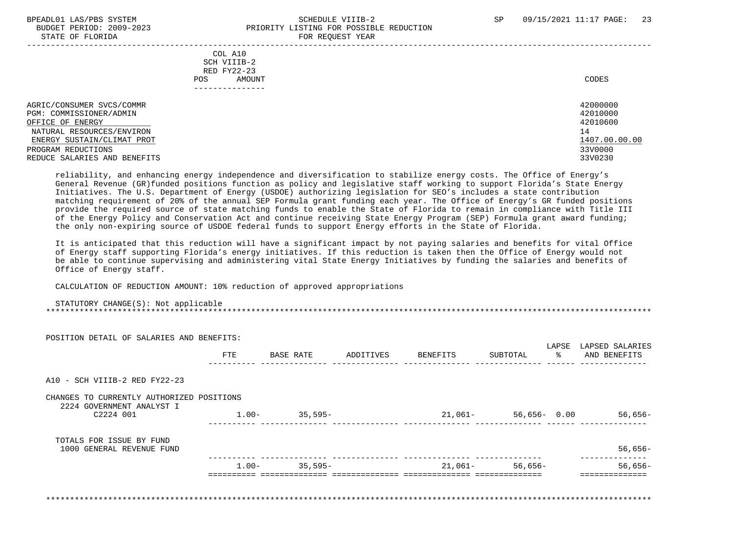# BPEADL01 LAS/PBS SYSTEM SALL SALL SOMEDULE VIIIB-2 SP 09/15/2021 11:17 PAGE: 23 BUDGET PERIOD: 2009-2023 PRIORITY LISTING FOR POSSIBLE REDUCTION STATE OF FLORIDA FOR STATE OF STATE OF STATE OF STATE OF STATE OF STATE OF STATE OF STATE OF STATE OF STATE OF STATE OF STATE OF STATE OF STATE OF STATE OF STATE OF STATE OF STATE OF STATE OF STATE OF STATE OF STATE OF STA

| COL A10<br>SCH VIIIB-2<br>RED FY22-23<br><b>POS</b><br>AMOUNT | CODES         |
|---------------------------------------------------------------|---------------|
| AGRIC/CONSUMER SVCS/COMMR                                     | 42000000      |
| PGM: COMMISSIONER/ADMIN                                       | 42010000      |
| OFFICE OF ENERGY                                              | 42010600      |
| NATURAL RESOURCES/ENVIRON                                     | 14            |
| ENERGY SUSTAIN/CLIMAT PROT                                    | 1407.00.00.00 |
| PROGRAM REDUCTIONS                                            | 33V0000       |
| REDUCE SALARIES AND BENEFITS                                  | 33V0230       |

 reliability, and enhancing energy independence and diversification to stabilize energy costs. The Office of Energy's General Revenue (GR)funded positions function as policy and legislative staff working to support Florida's State Energy Initiatives. The U.S. Department of Energy (USDOE) authorizing legislation for SEO's includes a state contribution matching requirement of 20% of the annual SEP Formula grant funding each year. The Office of Energy's GR funded positions provide the required source of state matching funds to enable the State of Florida to remain in compliance with Title III of the Energy Policy and Conservation Act and continue receiving State Energy Program (SEP) Formula grant award funding; the only non-expiring source of USDOE federal funds to support Energy efforts in the State of Florida.

 It is anticipated that this reduction will have a significant impact by not paying salaries and benefits for vital Office of Energy staff supporting Florida's energy initiatives. If this reduction is taken then the Office of Energy would not be able to continue supervising and administering vital State Energy Initiatives by funding the salaries and benefits of Office of Energy staff.

CALCULATION OF REDUCTION AMOUNT: 10% reduction of approved appropriations

#### STATUTORY CHANGE(S): Not applicable \*\*\*\*\*\*\*\*\*\*\*\*\*\*\*\*\*\*\*\*\*\*\*\*\*\*\*\*\*\*\*\*\*\*\*\*\*\*\*\*\*\*\*\*\*\*\*\*\*\*\*\*\*\*\*\*\*\*\*\*\*\*\*\*\*\*\*\*\*\*\*\*\*\*\*\*\*\*\*\*\*\*\*\*\*\*\*\*\*\*\*\*\*\*\*\*\*\*\*\*\*\*\*\*\*\*\*\*\*\*\*\*\*\*\*\*\*\*\*\*\*\*\*\*\*\*\*

| POSITION DETAIL OF SALARIES AND BENEFITS:                              |            |           |           |          |                         |                                 |
|------------------------------------------------------------------------|------------|-----------|-----------|----------|-------------------------|---------------------------------|
|                                                                        | <b>FTE</b> | BASE RATE | ADDITIVES | BENEFITS | LAPSE<br>ႜႂ<br>SUBTOTAL | LAPSED SALARIES<br>AND BENEFITS |
| A10 - SCH VIIIB-2 RED FY22-23                                          |            |           |           |          |                         |                                 |
| CHANGES TO CURRENTLY AUTHORIZED POSITIONS<br>2224 GOVERNMENT ANALYST I |            |           |           |          |                         |                                 |
| C2224 001                                                              | $1.00-$    | 35,595-   |           | 21,061–  | 56,656-0.00             | $56,656-$                       |
| TOTALS FOR ISSUE BY FUND                                               |            |           |           |          |                         |                                 |
| 1000 GENERAL REVENUE FUND                                              |            |           |           |          |                         | $56,656-$                       |
|                                                                        | $1.00-$    | $35,595-$ |           | 21,061–  | 56,656-                 | $56,656-$                       |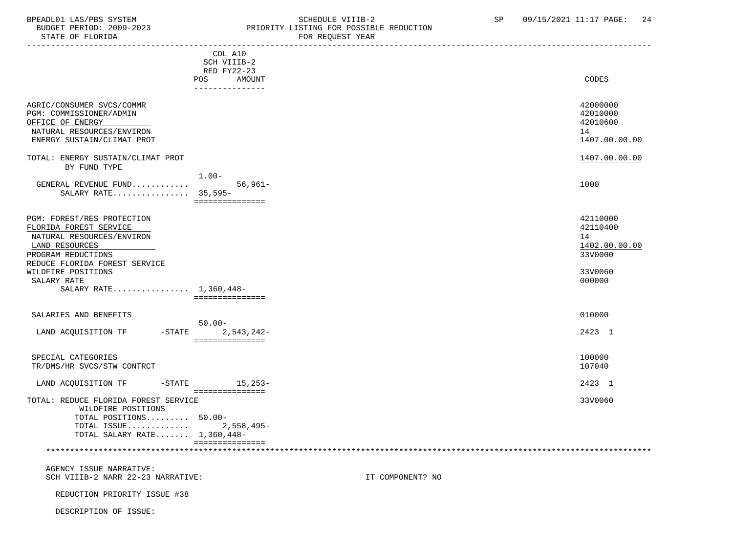# BPEADL01 LAS/PBS SYSTEM SALLE SOME SCHEDULE VIIIB-2 SCHEDULE VIIIB-2 SP 09/15/2021 11:17 PAGE: 24 BUDGET PERIOD: 2009-2023 PRIORITY LISTING FOR POSSIBLE REDUCTION<br>STATE OF FLORIDA POR REQUEST YEAR FOR REQUEST YEAR

|                                                                                                                                                            | COL A10<br>SCH VIIIB-2<br>RED FY22-23                             |                  |                                                         |
|------------------------------------------------------------------------------------------------------------------------------------------------------------|-------------------------------------------------------------------|------------------|---------------------------------------------------------|
|                                                                                                                                                            | AMOUNT<br>POS FOR THE POST OF THE STATE STATES<br>--------------- |                  | CODES                                                   |
| AGRIC/CONSUMER SVCS/COMMR<br>PGM: COMMISSIONER/ADMIN<br>OFFICE OF ENERGY<br>NATURAL RESOURCES/ENVIRON<br>ENERGY SUSTAIN/CLIMAT PROT                        |                                                                   |                  | 42000000<br>42010000<br>42010600<br>14<br>1407.00.00.00 |
| TOTAL: ENERGY SUSTAIN/CLIMAT PROT                                                                                                                          |                                                                   |                  | 1407.00.00.00                                           |
| BY FUND TYPE                                                                                                                                               |                                                                   |                  |                                                         |
| GENERAL REVENUE FUND<br>SALARY RATE 35,595-                                                                                                                | $1.00-$<br>$56,961-$<br>===============                           |                  | 1000                                                    |
| PGM: FOREST/RES PROTECTION<br>FLORIDA FOREST SERVICE<br>NATURAL RESOURCES/ENVIRON<br>LAND RESOURCES<br>PROGRAM REDUCTIONS<br>REDUCE FLORIDA FOREST SERVICE |                                                                   |                  | 42110000<br>42110400<br>14<br>1402.00.00.00<br>33V0000  |
| WILDFIRE POSITIONS                                                                                                                                         |                                                                   |                  | 33V0060                                                 |
| SALARY RATE<br>SALARY RATE 1,360,448-                                                                                                                      |                                                                   |                  | 000000                                                  |
|                                                                                                                                                            | ===============                                                   |                  |                                                         |
|                                                                                                                                                            |                                                                   |                  |                                                         |
| SALARIES AND BENEFITS                                                                                                                                      |                                                                   |                  | 010000                                                  |
|                                                                                                                                                            | $50.00 -$                                                         |                  |                                                         |
| LAND ACQUISITION TF -STATE 2,543,242-                                                                                                                      |                                                                   |                  | 2423 1                                                  |
|                                                                                                                                                            | ===============                                                   |                  |                                                         |
| SPECIAL CATEGORIES<br>TR/DMS/HR SVCS/STW CONTRCT                                                                                                           |                                                                   |                  | 100000<br>107040                                        |
| LAND ACQUISITION TF                                                                                                                                        | -STATE 15, 253-<br>===============                                |                  | 2423 1                                                  |
| TOTAL: REDUCE FLORIDA FOREST SERVICE<br>WILDFIRE POSITIONS<br>TOTAL POSITIONS 50.00-<br>TOTAL ISSUE 2,558,495-<br>TOTAL SALARY RATE $1,360,448-$           | ===============                                                   |                  | 33V0060                                                 |
| AGENCY ISSUE NARRATIVE:<br>SCH VIIIB-2 NARR 22-23 NARRATIVE:                                                                                               |                                                                   | IT COMPONENT? NO |                                                         |
| REDUCTION PRIORITY ISSUE #38                                                                                                                               |                                                                   |                  |                                                         |
| DESCRIPTION OF ISSUE:                                                                                                                                      |                                                                   |                  |                                                         |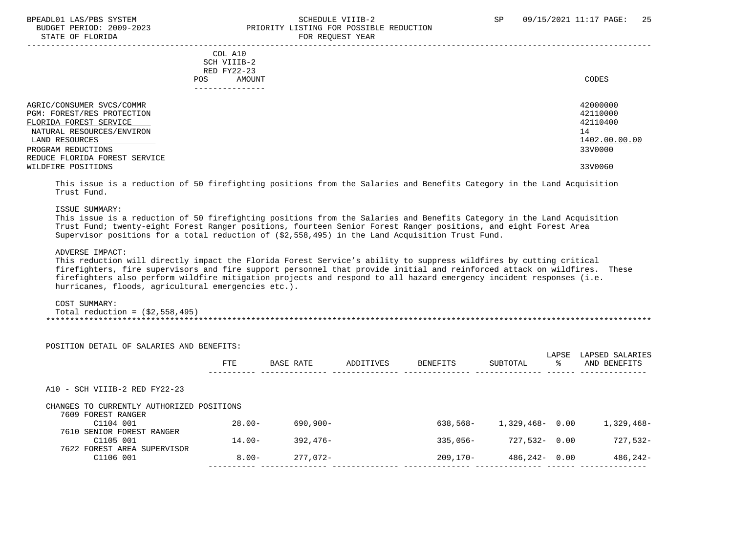## BPEADL01 LAS/PBS SYSTEM SOHEDULE VIIIB-2 SCHEDULE VIIIB-2 SP 09/15/2021 11:17 PAGE: 25 PRIORITY LISTING FOR POSSIBLE REDUCTION STATE OF FLORIDA FOR REQUEST YEAR

| COL A10<br>SCH VIIIB-2<br>RED FY22-23<br>AMOUNT<br>POS. | CODES         |
|---------------------------------------------------------|---------------|
| AGRIC/CONSUMER SVCS/COMMR                               | 42000000      |
| PGM: FOREST/RES PROTECTION                              | 42110000      |
| FLORIDA FOREST SERVICE                                  | 42110400      |
| NATURAL RESOURCES/ENVIRON                               | 14            |
| LAND RESOURCES                                          | 1402.00.00.00 |
| PROGRAM REDUCTIONS                                      | 33V0000       |
| REDUCE FLORIDA FOREST SERVICE                           |               |
| WILDFIRE POSITIONS                                      | 33V0060       |
|                                                         |               |

 This issue is a reduction of 50 firefighting positions from the Salaries and Benefits Category in the Land Acquisition Trust Fund.

#### ISSUE SUMMARY:

 This issue is a reduction of 50 firefighting positions from the Salaries and Benefits Category in the Land Acquisition Trust Fund; twenty-eight Forest Ranger positions, fourteen Senior Forest Ranger positions, and eight Forest Area Supervisor positions for a total reduction of (\$2,558,495) in the Land Acquisition Trust Fund.

### ADVERSE IMPACT:

 This reduction will directly impact the Florida Forest Service's ability to suppress wildfires by cutting critical firefighters, fire supervisors and fire support personnel that provide initial and reinforced attack on wildfires. These firefighters also perform wildfire mitigation projects and respond to all hazard emergency incident responses (i.e. hurricanes, floods, agricultural emergencies etc.).

#### COST SUMMARY:

Total reduction =  $(52, 558, 495)$ \*\*\*\*\*\*\*\*\*\*\*\*\*\*\*\*\*\*\*\*\*\*\*\*\*\*\*\*\*\*\*\*\*\*\*\*\*\*\*\*\*\*\*\*\*\*\*\*\*\*\*\*\*\*\*\*\*\*\*\*\*\*\*\*\*\*\*\*\*\*\*\*\*\*\*\*\*\*\*\*\*\*\*\*\*\*\*\*\*\*\*\*\*\*\*\*\*\*\*\*\*\*\*\*\*\*\*\*\*\*\*\*\*\*\*\*\*\*\*\*\*\*\*\*\*\*\*

|                                                                 | POSITION DETAIL OF SALARIES AND BENEFITS: |             |           |                 |                    | LAPSE | LAPSED SALARIES |
|-----------------------------------------------------------------|-------------------------------------------|-------------|-----------|-----------------|--------------------|-------|-----------------|
|                                                                 | FTE                                       | BASE RATE   | ADDITIVES | <b>BENEFITS</b> | SUBTOTAL           | ႜႜ    | AND BENEFITS    |
| $A10 - SCH VIIIB-2 RED FY22-23$                                 |                                           |             |           |                 |                    |       |                 |
| CHANGES TO CURRENTLY AUTHORIZED POSITIONS<br>7609 FOREST RANGER |                                           |             |           |                 |                    |       |                 |
| C1104 001                                                       | $28.00 -$                                 | $690.900 -$ |           | $638.568 -$     | $1,329.468 - 0.00$ |       | 1,329,468-      |
| 7610 SENIOR FOREST RANGER                                       |                                           |             |           |                 |                    |       |                 |
|                                                                 |                                           |             |           |                 |                    |       |                 |
| C1105 001                                                       | $14.00 -$                                 | $392.476-$  |           | $335.056-$      | $727,532 - 0.00$   |       | $727,532-$      |
| 7622 FOREST AREA SUPERVISOR<br>C1106 001                        | $8.00 -$                                  | $277.072 -$ |           | $209.170 -$     | $486, 242 - 0.00$  |       | 486,242-        |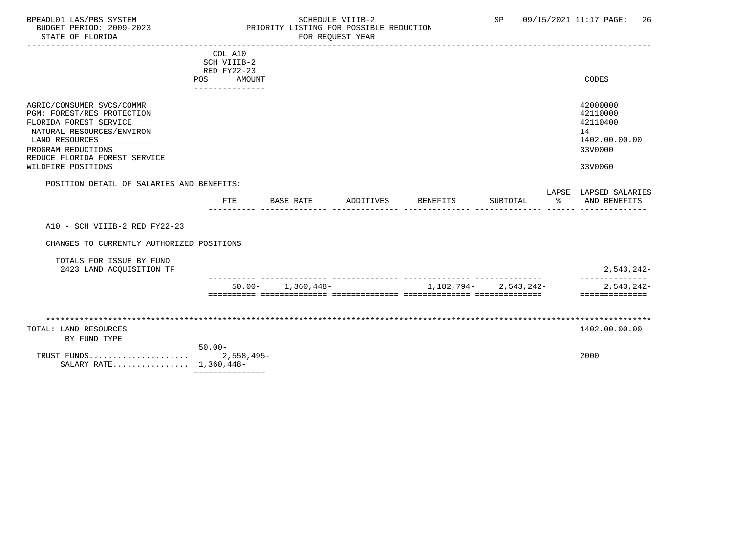# BPEADL01 LAS/PBS SYSTEM STRING THE SCHEDULE VIIIB-2 SP 09/15/2021 11:17 PAGE: 26<br>BUDGET PERIOD: 2009-2023 PRIORITY LISTING FOR POSSIBLE REDUCTION BUDGET PERIOD: 2009-2023 PRIORITY LISTING FOR POSSIBLE REDUCTION FOR REQUEST YEAR

|                                                                                                                                                                                                               | COL A10<br>SCH VIIIB-2<br>RED FY22-23<br>AMOUNT<br>POS |                       |                    |                           |               | CODES                                                                         |
|---------------------------------------------------------------------------------------------------------------------------------------------------------------------------------------------------------------|--------------------------------------------------------|-----------------------|--------------------|---------------------------|---------------|-------------------------------------------------------------------------------|
| AGRIC/CONSUMER SVCS/COMMR<br>PGM: FOREST/RES PROTECTION<br>FLORIDA FOREST SERVICE<br>NATURAL RESOURCES/ENVIRON<br>LAND RESOURCES<br>PROGRAM REDUCTIONS<br>REDUCE FLORIDA FOREST SERVICE<br>WILDFIRE POSITIONS | ---------------                                        |                       |                    |                           |               | 42000000<br>42110000<br>42110400<br>14<br>1402.00.00.00<br>33V0000<br>33V0060 |
| POSITION DETAIL OF SALARIES AND BENEFITS:                                                                                                                                                                     | <b>FTE</b>                                             | BASE RATE             | ADDITIVES BENEFITS | SUBTOTAL                  | $\sim$ $\sim$ | LAPSE LAPSED SALARIES<br>AND BENEFITS                                         |
| A10 - SCH VIIIB-2 RED FY22-23                                                                                                                                                                                 |                                                        |                       |                    |                           |               |                                                                               |
| CHANGES TO CURRENTLY AUTHORIZED POSITIONS                                                                                                                                                                     |                                                        |                       |                    |                           |               |                                                                               |
| TOTALS FOR ISSUE BY FUND<br>2423 LAND ACQUISITION TF                                                                                                                                                          |                                                        |                       |                    |                           |               | 2,543,242-                                                                    |
|                                                                                                                                                                                                               |                                                        | $50.00 - 1,360,448 -$ |                    | $1,182,794 - 2,543,242 -$ |               | 2,543,242-<br>==============                                                  |
| TOTAL: LAND RESOURCES                                                                                                                                                                                         |                                                        |                       |                    |                           |               | 1402.00.00.00                                                                 |
| BY FUND TYPE<br>SALARY RATE 1,360,448-                                                                                                                                                                        | $50.00 -$                                              |                       |                    |                           |               | 2000                                                                          |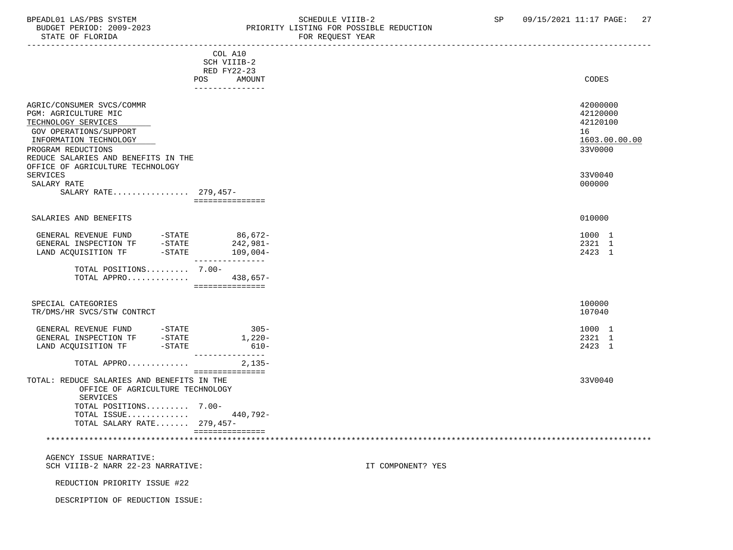### BPEADL01 LAS/PBS SYSTEM STRING THE SCHEDULE VIIIB-2 SP 09/15/2021 11:17 PAGE: 27<br>BUDGET PERIOD: 2009-2023 PRIORITY LISTING FOR POSSIBLE REDUCTION BUDGET PERIOD: 2009-2023<br>STATE OF FLORIDA STATE OF FLORIDA FOR REQUEST YEAR

|                                                                                                                                                                                                                                                                                 |                                                                                  | LAUT TEAN VIA YOJ |                                                                    |
|---------------------------------------------------------------------------------------------------------------------------------------------------------------------------------------------------------------------------------------------------------------------------------|----------------------------------------------------------------------------------|-------------------|--------------------------------------------------------------------|
|                                                                                                                                                                                                                                                                                 | COL A10<br>SCH VIIIB-2<br>RED FY22-23<br><b>POS</b><br>AMOUNT<br>--------------- |                   | CODES                                                              |
| AGRIC/CONSUMER SVCS/COMMR<br>PGM: AGRICULTURE MIC<br>TECHNOLOGY SERVICES<br>GOV OPERATIONS/SUPPORT<br>INFORMATION TECHNOLOGY<br>PROGRAM REDUCTIONS<br>REDUCE SALARIES AND BENEFITS IN THE                                                                                       |                                                                                  |                   | 42000000<br>42120000<br>42120100<br>16<br>1603.00.00.00<br>33V0000 |
| OFFICE OF AGRICULTURE TECHNOLOGY<br><b>SERVICES</b><br>SALARY RATE<br>SALARY RATE 279,457-                                                                                                                                                                                      | ===============                                                                  |                   | 33V0040<br>000000                                                  |
| SALARIES AND BENEFITS                                                                                                                                                                                                                                                           |                                                                                  |                   | 010000                                                             |
| $\begin{tabular}{llllll} \multicolumn{2}{l}{{\small\bf GENERAL}} & {\small\bf REVEND} & & -{\small\bf STATE} & & 86\,,672-\\ {\small\bf GENERAL} & {\small\bf INSPECTION} & {\small\bf TF} & & -{\small\bf STATE} & & 242\,,981-\\ \end{tabular}$<br>LAND ACQUISITION TF -STATE | $109,004-$<br>---------------                                                    |                   | 1000 1<br>2321 1<br>2423 1                                         |
| TOTAL POSITIONS 7.00-<br>TOTAL APPRO                                                                                                                                                                                                                                            | 438,657-<br>================                                                     |                   |                                                                    |
| SPECIAL CATEGORIES<br>TR/DMS/HR SVCS/STW CONTRCT                                                                                                                                                                                                                                |                                                                                  |                   | 100000<br>107040                                                   |
| GENERAL REVENUE FUND -STATE<br>GENERAL INSPECTION TF -STATE<br>LAND ACQUISITION TF -STATE                                                                                                                                                                                       | $305 -$<br>$1,220-$<br>$610 -$<br>_______________                                |                   | 1000 1<br>2321 1<br>2423 1                                         |
| TOTAL APPRO                                                                                                                                                                                                                                                                     | $2,135-$<br>===============                                                      |                   |                                                                    |
| TOTAL: REDUCE SALARIES AND BENEFITS IN THE<br>OFFICE OF AGRICULTURE TECHNOLOGY<br>SERVICES<br>TOTAL POSITIONS 7.00-<br>TOTAL ISSUE<br>TOTAL SALARY RATE 279,457-                                                                                                                | 440,792-                                                                         |                   | 33V0040                                                            |
|                                                                                                                                                                                                                                                                                 | ===============                                                                  |                   |                                                                    |
| AGENCY ISSUE NARRATIVE:<br>SCH VIIIB-2 NARR 22-23 NARRATIVE:                                                                                                                                                                                                                    |                                                                                  | IT COMPONENT? YES |                                                                    |
| REDUCTION PRIORITY ISSUE #22                                                                                                                                                                                                                                                    |                                                                                  |                   |                                                                    |

DESCRIPTION OF REDUCTION ISSUE: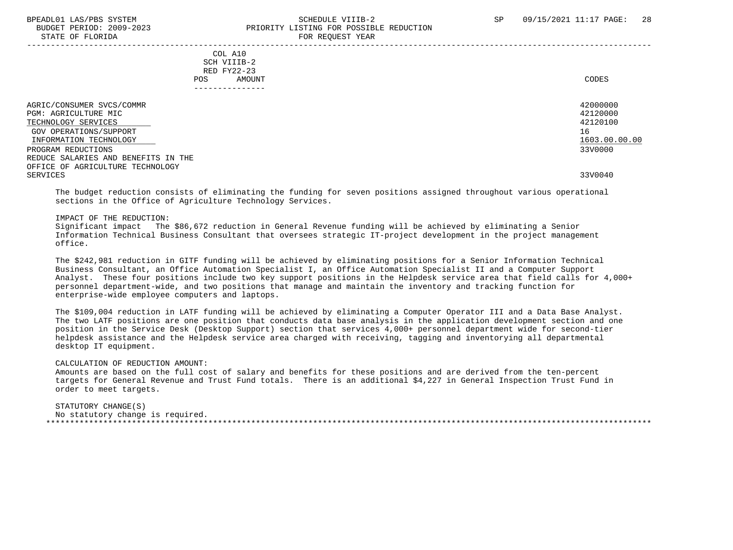## BPEADL01 LAS/PBS SYSTEM SALL SALL SOMEDULE VIIIB-2 SP 09/15/2021 11:17 PAGE: 28 BUDGET PERIOD: 2009-2023 PRIORITY LISTING FOR POSSIBLE REDUCTION STATE OF FLORIDA **FOR REQUEST YEAR**

 ----------------------------------------------------------------------------------------------------------------------------------- COL A10 SCH VIIIB-2 RED FY22-23 POS AMOUNT NOTES AND RESERVE AND RESERVE AND RESERVE AND RESERVE AND RESERVE AND RESERVE AND RESERVE AND RESERVE AND RESERVE AND RESERVE A LODGE STATES OF A LODGE STATES OF A LODGE STATES OF A LODGE STATES OF A LODGE STATE --------------- AGRIC/CONSUMER SVCS/COMMR<br>PGM: AGRIC/ILTIER MIC 421200000 PGM: AGRICULTURE MIC 42120000 PGM: 42120000 PGM: 42120000 PGM: 42120000 PGM: 42120000 PGM: 42120000 PGM: 42120100 PGM: 42120100 PGM: 42120100 PGM: 42120100 PGM: 42120100 PGM: 42120100 PGM: 42120100 PGM: 42120100 PGM: 42120 TECHNOLOGY SERVICES And the contract of the contract of the contract of the contract of the contract of the contract of the contract of the contract of the contract of the contract of the contract of the contract of the co GOV OPERATIONS/SUPPORT 16<br>
INFORMATION TECHNOLOGY 1603.00.00 POLOGY 1603.00.00 POLOGY 1603.00.00 POLOGY 1603.00.00 INFORMATION TECHNOLOGY 1603.00.00.00 \_\_\_\_\_\_\_\_\_\_\_\_\_\_\_\_\_\_\_\_\_\_\_\_\_\_ \_\_\_\_\_\_\_\_\_\_\_\_\_ PROGRAM REDUCTIONS REDUCE SALARIES AND BENEFITS IN THE OFFICE OF AGRICULTURE TECHNOLOGY SERVICES 33V0040

 The budget reduction consists of eliminating the funding for seven positions assigned throughout various operational sections in the Office of Agriculture Technology Services.

#### IMPACT OF THE REDUCTION:

 Significant impact The \$86,672 reduction in General Revenue funding will be achieved by eliminating a Senior Information Technical Business Consultant that oversees strategic IT-project development in the project management office.

 The \$242,981 reduction in GITF funding will be achieved by eliminating positions for a Senior Information Technical Business Consultant, an Office Automation Specialist I, an Office Automation Specialist II and a Computer Support Analyst. These four positions include two key support positions in the Helpdesk service area that field calls for 4,000+ personnel department-wide, and two positions that manage and maintain the inventory and tracking function for enterprise-wide employee computers and laptops.

 The \$109,004 reduction in LATF funding will be achieved by eliminating a Computer Operator III and a Data Base Analyst. The two LATF positions are one position that conducts data base analysis in the application development section and one position in the Service Desk (Desktop Support) section that services 4,000+ personnel department wide for second-tier helpdesk assistance and the Helpdesk service area charged with receiving, tagging and inventorying all departmental desktop IT equipment.

## CALCULATION OF REDUCTION AMOUNT:

 Amounts are based on the full cost of salary and benefits for these positions and are derived from the ten-percent targets for General Revenue and Trust Fund totals. There is an additional \$4,227 in General Inspection Trust Fund in order to meet targets.

#### STATUTORY CHANGE(S) No statutory change is required. \*\*\*\*\*\*\*\*\*\*\*\*\*\*\*\*\*\*\*\*\*\*\*\*\*\*\*\*\*\*\*\*\*\*\*\*\*\*\*\*\*\*\*\*\*\*\*\*\*\*\*\*\*\*\*\*\*\*\*\*\*\*\*\*\*\*\*\*\*\*\*\*\*\*\*\*\*\*\*\*\*\*\*\*\*\*\*\*\*\*\*\*\*\*\*\*\*\*\*\*\*\*\*\*\*\*\*\*\*\*\*\*\*\*\*\*\*\*\*\*\*\*\*\*\*\*\*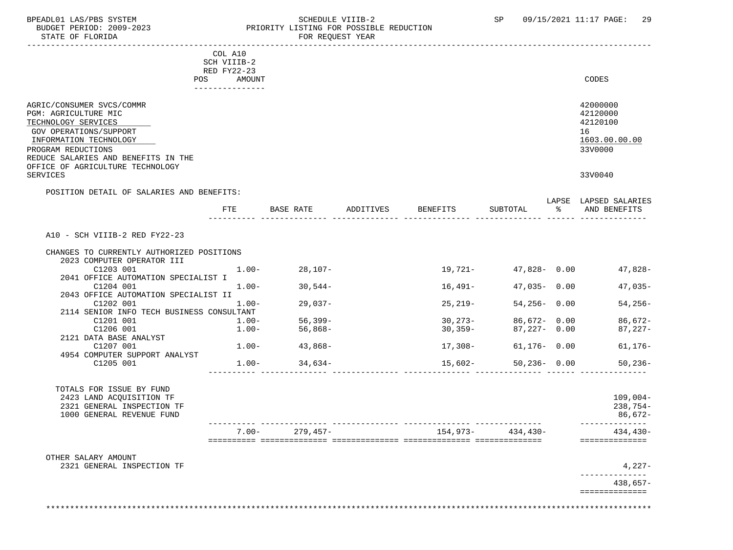## BPEADL01 LAS/PBS SYSTEM SALLE SOME SCHEDULE VIIIB-2 SCHEDULE VIIIB-2 SP 09/15/2021 11:17 PAGE: 29<br>BUDGET PERIOD: 2009-2023 SP PRIORITY LISTING FOR POSSIBLE REDUCTION BUDGET PERIOD: 2009-2023 PRIORITY LISTING FOR POSSIBLE REDUCTION FOR REQUEST YEAR

|                                                                                                                                                                                           | COL A10<br>SCH VIIIB-2<br>RED FY22-23<br>POS AMOUNT<br>_______________ |                         |             |                      | CODES                                                              |
|-------------------------------------------------------------------------------------------------------------------------------------------------------------------------------------------|------------------------------------------------------------------------|-------------------------|-------------|----------------------|--------------------------------------------------------------------|
| AGRIC/CONSUMER SVCS/COMMR<br>PGM: AGRICULTURE MIC<br>TECHNOLOGY SERVICES<br>GOV OPERATIONS/SUPPORT<br>INFORMATION TECHNOLOGY<br>PROGRAM REDUCTIONS<br>REDUCE SALARIES AND BENEFITS IN THE |                                                                        |                         |             |                      | 42000000<br>42120000<br>42120100<br>16<br>1603.00.00.00<br>33V0000 |
| OFFICE OF AGRICULTURE TECHNOLOGY<br><b>SERVICES</b>                                                                                                                                       |                                                                        |                         |             |                      | 33V0040                                                            |
|                                                                                                                                                                                           |                                                                        |                         |             |                      |                                                                    |
| POSITION DETAIL OF SALARIES AND BENEFITS:                                                                                                                                                 |                                                                        |                         |             |                      |                                                                    |
|                                                                                                                                                                                           |                                                                        | FTE BASE RATE ADDITIVES | BENEFITS    | SUBTOTAL             | LAPSE LAPSED SALARIES<br>% AND BENEFITS                            |
|                                                                                                                                                                                           |                                                                        |                         |             |                      |                                                                    |
| A10 - SCH VIIIB-2 RED FY22-23                                                                                                                                                             |                                                                        |                         |             |                      |                                                                    |
| CHANGES TO CURRENTLY AUTHORIZED POSITIONS                                                                                                                                                 |                                                                        |                         |             |                      |                                                                    |
| 2023 COMPUTER OPERATOR III                                                                                                                                                                |                                                                        |                         |             |                      |                                                                    |
| C1203 001                                                                                                                                                                                 |                                                                        | $1.00 - 28,107 -$       |             | 19,721- 47,828- 0.00 | 47,828-                                                            |
| 2041 OFFICE AUTOMATION SPECIALIST I                                                                                                                                                       |                                                                        |                         |             |                      |                                                                    |
| C1204 001                                                                                                                                                                                 | $1.00-$                                                                | $30,544-$               | 16,491–     | $47,035 - 0.00$      | $47,035-$                                                          |
| 2043 OFFICE AUTOMATION SPECIALIST II                                                                                                                                                      |                                                                        |                         |             |                      |                                                                    |
| C1202 001<br>2114 SENIOR INFO TECH BUSINESS CONSULTANT                                                                                                                                    | $1.00 -$                                                               | 29,037-                 | $25, 219 -$ | $54,256 - 0.00$      | $54, 256 -$                                                        |
| C1201 001                                                                                                                                                                                 | $1.00-$                                                                | 56,399-                 | $30,273-$   | 86,672- 0.00         | $86,672-$                                                          |
| C1206 001                                                                                                                                                                                 | $1.00 -$                                                               | $56,868-$               | $30,359-$   | 87,227- 0.00         | $87,227-$                                                          |
| 2121 DATA BASE ANALYST                                                                                                                                                                    |                                                                        |                         |             |                      |                                                                    |
| C1207 001                                                                                                                                                                                 | $1.00 -$                                                               | 43,868-                 | 17,308-     | 61,176- 0.00         | $61, 176 -$                                                        |
| 4954 COMPUTER SUPPORT ANALYST                                                                                                                                                             |                                                                        |                         |             |                      |                                                                    |
| C1205 001                                                                                                                                                                                 | $1.00 -$                                                               | $34,634-$               |             | $15,602-50,236-0.00$ | $50, 236 -$                                                        |
| TOTALS FOR ISSUE BY FUND                                                                                                                                                                  |                                                                        |                         |             |                      |                                                                    |
| 2423 LAND ACQUISITION TF                                                                                                                                                                  |                                                                        |                         |             |                      | $109,004-$                                                         |
| 2321 GENERAL INSPECTION TF                                                                                                                                                                |                                                                        |                         |             |                      | 238,754-                                                           |
| 1000 GENERAL REVENUE FUND                                                                                                                                                                 |                                                                        |                         |             |                      | 86,672-                                                            |
|                                                                                                                                                                                           |                                                                        |                         |             |                      | --------------                                                     |
|                                                                                                                                                                                           |                                                                        | $7.00 - 279,457 -$      |             | 154,973- 434,430-    | $434, 430 -$                                                       |
|                                                                                                                                                                                           |                                                                        |                         |             |                      | ==============                                                     |
| OTHER SALARY AMOUNT                                                                                                                                                                       |                                                                        |                         |             |                      |                                                                    |
| 2321 GENERAL INSPECTION TF                                                                                                                                                                |                                                                        |                         |             |                      | 4,227-                                                             |
|                                                                                                                                                                                           |                                                                        |                         |             |                      | $438,657-$                                                         |
|                                                                                                                                                                                           |                                                                        |                         |             |                      |                                                                    |

==============

\*\*\*\*\*\*\*\*\*\*\*\*\*\*\*\*\*\*\*\*\*\*\*\*\*\*\*\*\*\*\*\*\*\*\*\*\*\*\*\*\*\*\*\*\*\*\*\*\*\*\*\*\*\*\*\*\*\*\*\*\*\*\*\*\*\*\*\*\*\*\*\*\*\*\*\*\*\*\*\*\*\*\*\*\*\*\*\*\*\*\*\*\*\*\*\*\*\*\*\*\*\*\*\*\*\*\*\*\*\*\*\*\*\*\*\*\*\*\*\*\*\*\*\*\*\*\*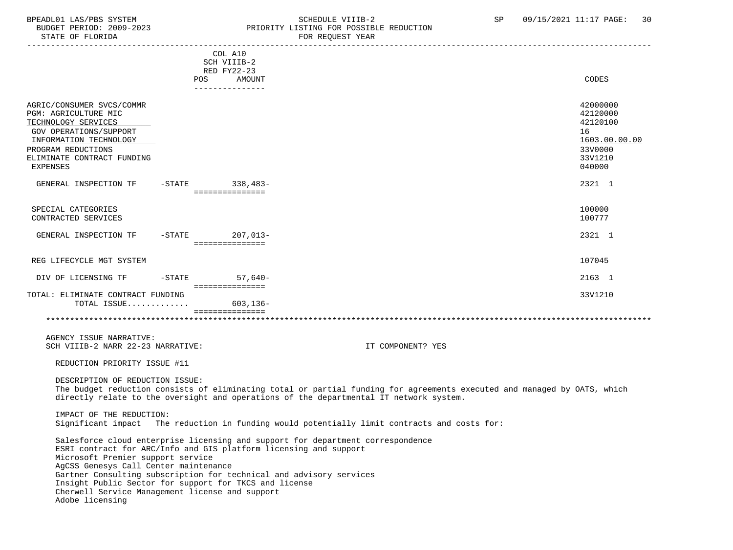STATE OF FLORIDA

# BPEADL01 LAS/PBS SYSTEM SOHEDULE VIIIB-2 SCHEDULE VIIIB-2 SP 09/15/2021 11:17 PAGE: 30<br>BUDGET PERIOD: 2009-2023 PRIORITY LISTING FOR POSSIBLE REDUCTION PRIORITY LISTING FOR POSSIBLE REDUCTION<br>FOR REQUEST YEAR

|                                                                                                                                                                                                                                                                                                                                                        |                                                                                                                | COL A10<br>SCH VIIIB-2                         |                                                                                                                                                                                                                    |    |                                                                         |
|--------------------------------------------------------------------------------------------------------------------------------------------------------------------------------------------------------------------------------------------------------------------------------------------------------------------------------------------------------|----------------------------------------------------------------------------------------------------------------|------------------------------------------------|--------------------------------------------------------------------------------------------------------------------------------------------------------------------------------------------------------------------|----|-------------------------------------------------------------------------|
|                                                                                                                                                                                                                                                                                                                                                        |                                                                                                                | RED FY22-23                                    |                                                                                                                                                                                                                    |    |                                                                         |
|                                                                                                                                                                                                                                                                                                                                                        | POS FOR THE POST OF THE STATE STATE STATE STATE STATE STATE STATE STATE STATE STATE STATE STATE STATE STATE ST | AMOUNT<br>---------------                      |                                                                                                                                                                                                                    |    | CODES                                                                   |
| AGRIC/CONSUMER SVCS/COMMR<br>PGM: AGRICULTURE MIC<br>TECHNOLOGY SERVICES<br><b>GOV OPERATIONS/SUPPORT</b><br>INFORMATION TECHNOLOGY<br>PROGRAM REDUCTIONS<br>ELIMINATE CONTRACT FUNDING                                                                                                                                                                |                                                                                                                |                                                |                                                                                                                                                                                                                    | 16 | 42000000<br>42120000<br>42120100<br>1603.00.00.00<br>33V0000<br>33V1210 |
| EXPENSES                                                                                                                                                                                                                                                                                                                                               |                                                                                                                |                                                |                                                                                                                                                                                                                    |    | 040000                                                                  |
| GENERAL INSPECTION TF                                                                                                                                                                                                                                                                                                                                  | -STATE 338,483-                                                                                                | ===============                                |                                                                                                                                                                                                                    |    | 2321 1                                                                  |
| SPECIAL CATEGORIES<br>CONTRACTED SERVICES                                                                                                                                                                                                                                                                                                              |                                                                                                                |                                                |                                                                                                                                                                                                                    |    | 100000<br>100777                                                        |
| GENERAL INSPECTION TF -STATE 207,013-                                                                                                                                                                                                                                                                                                                  |                                                                                                                | ===============                                |                                                                                                                                                                                                                    |    | 2321 1                                                                  |
| REG LIFECYCLE MGT SYSTEM                                                                                                                                                                                                                                                                                                                               |                                                                                                                |                                                |                                                                                                                                                                                                                    |    | 107045                                                                  |
| DIV OF LICENSING TF                                                                                                                                                                                                                                                                                                                                    | $-STATE$ 57.640-                                                                                               |                                                |                                                                                                                                                                                                                    |    | 2163 1                                                                  |
| TOTAL: ELIMINATE CONTRACT FUNDING<br>TOTAL ISSUE                                                                                                                                                                                                                                                                                                       |                                                                                                                | ===============<br>603,136-<br>=============== |                                                                                                                                                                                                                    |    | 33V1210                                                                 |
|                                                                                                                                                                                                                                                                                                                                                        |                                                                                                                |                                                |                                                                                                                                                                                                                    |    |                                                                         |
| AGENCY ISSUE NARRATIVE:<br>SCH VIIIB-2 NARR 22-23 NARRATIVE:                                                                                                                                                                                                                                                                                           |                                                                                                                |                                                | IT COMPONENT? YES                                                                                                                                                                                                  |    |                                                                         |
| REDUCTION PRIORITY ISSUE #11                                                                                                                                                                                                                                                                                                                           |                                                                                                                |                                                |                                                                                                                                                                                                                    |    |                                                                         |
| DESCRIPTION OF REDUCTION ISSUE:                                                                                                                                                                                                                                                                                                                        |                                                                                                                |                                                | The budget reduction consists of eliminating total or partial funding for agreements executed and managed by OATS, which<br>directly relate to the oversight and operations of the departmental IT network system. |    |                                                                         |
| IMPACT OF THE REDUCTION:                                                                                                                                                                                                                                                                                                                               |                                                                                                                |                                                | Significant impact The reduction in funding would potentially limit contracts and costs for:                                                                                                                       |    |                                                                         |
| ESRI contract for ARC/Info and GIS platform licensing and support<br>Microsoft Premier support service<br>AgCSS Genesys Call Center maintenance<br>Gartner Consulting subscription for technical and advisory services<br>Insight Public Sector for support for TKCS and license<br>Cherwell Service Management license and support<br>Adobe licensing |                                                                                                                |                                                | Salesforce cloud enterprise licensing and support for department correspondence                                                                                                                                    |    |                                                                         |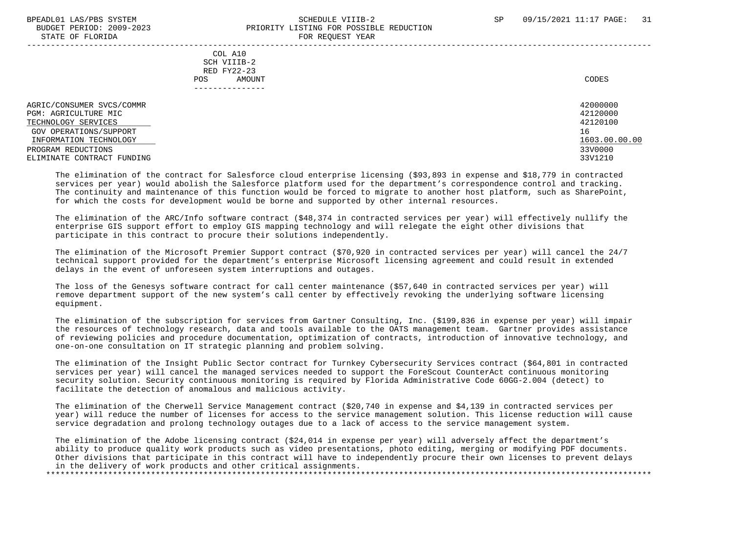# BPEADL01 LAS/PBS SYSTEM SALL SALL SOMEDULE VIIIB-2 SP 09/15/2021 11:17 PAGE: 31 BUDGET PERIOD: 2009-2023 PRIORITY LISTING FOR POSSIBLE REDUCTION STATE OF FLORIDA FOR REQUEST YEAR

 COL A10 SCH VIIIB-2 RED FY22-23 POS AMOUNT NOTES AND RESERVE AND RESERVE AND RESERVE AND RESERVE AND RESERVE AND RESERVE AND RESERVE AND RESERVE AND RESERVE AND RESERVE A LODGE STATES OF A LODGE STATES OF A LODGE STATES OF A LODGE STATES OF A LODGE STATE ---------------

AGRIC/CONSUMER SVCS/COMMR<br>PGM: AGRIC/ILTIER MIC 421200000 PGM: AGRICULTURE MIC 42120000 PGM: 42120000 PGM: 42120000 PGM: 42120000 PGM: 42120000 PGM: 42120000 PGM: 42120100 PGM: 42120100 PGM: 42120100 PGM: 42120100 PGM: 42120100 PGM: 42120100 PGM: 42120100 PGM: 42120100 PGM: 42120 TECHNOLOGY SERVICES And the contract of the contract of the contract of the contract of the contract of the contract of the contract of the contract of the contract of the contract of the contract of the contract of the co GOV OPERATIONS/SUPPORT 16<br>
INFORMATION TECHNOLOGY 1603.00.00 POLOGY 1603.00.00 POLOGY 1603.00.00 POLOGY 1603.00.00 INFORMATION TECHNOLOGY 1603.00.00.00 \_\_\_\_\_\_\_\_\_\_\_\_\_\_\_\_\_\_\_\_\_\_\_\_\_\_ \_\_\_\_\_\_\_\_\_\_\_\_\_ PROGRAM REDUCTIONS ELIMINATE CONTRACT FUNDING 33V1210

 The elimination of the contract for Salesforce cloud enterprise licensing (\$93,893 in expense and \$18,779 in contracted services per year) would abolish the Salesforce platform used for the department's correspondence control and tracking. The continuity and maintenance of this function would be forced to migrate to another host platform, such as SharePoint, for which the costs for development would be borne and supported by other internal resources.

 The elimination of the ARC/Info software contract (\$48,374 in contracted services per year) will effectively nullify the enterprise GIS support effort to employ GIS mapping technology and will relegate the eight other divisions that participate in this contract to procure their solutions independently.

 The elimination of the Microsoft Premier Support contract (\$70,920 in contracted services per year) will cancel the 24/7 technical support provided for the department's enterprise Microsoft licensing agreement and could result in extended delays in the event of unforeseen system interruptions and outages.

 The loss of the Genesys software contract for call center maintenance (\$57,640 in contracted services per year) will remove department support of the new system's call center by effectively revoking the underlying software licensing equipment.

 The elimination of the subscription for services from Gartner Consulting, Inc. (\$199,836 in expense per year) will impair the resources of technology research, data and tools available to the OATS management team. Gartner provides assistance of reviewing policies and procedure documentation, optimization of contracts, introduction of innovative technology, and one-on-one consultation on IT strategic planning and problem solving.

 The elimination of the Insight Public Sector contract for Turnkey Cybersecurity Services contract (\$64,801 in contracted services per year) will cancel the managed services needed to support the ForeScout CounterAct continuous monitoring security solution. Security continuous monitoring is required by Florida Administrative Code 60GG-2.004 (detect) to facilitate the detection of anomalous and malicious activity.

 The elimination of the Cherwell Service Management contract (\$20,740 in expense and \$4,139 in contracted services per year) will reduce the number of licenses for access to the service management solution. This license reduction will cause service degradation and prolong technology outages due to a lack of access to the service management system.

 The elimination of the Adobe licensing contract (\$24,014 in expense per year) will adversely affect the department's ability to produce quality work products such as video presentations, photo editing, merging or modifying PDF documents. Other divisions that participate in this contract will have to independently procure their own licenses to prevent delays in the delivery of work products and other critical assignments. \*\*\*\*\*\*\*\*\*\*\*\*\*\*\*\*\*\*\*\*\*\*\*\*\*\*\*\*\*\*\*\*\*\*\*\*\*\*\*\*\*\*\*\*\*\*\*\*\*\*\*\*\*\*\*\*\*\*\*\*\*\*\*\*\*\*\*\*\*\*\*\*\*\*\*\*\*\*\*\*\*\*\*\*\*\*\*\*\*\*\*\*\*\*\*\*\*\*\*\*\*\*\*\*\*\*\*\*\*\*\*\*\*\*\*\*\*\*\*\*\*\*\*\*\*\*\*

-----------------------------------------------------------------------------------------------------------------------------------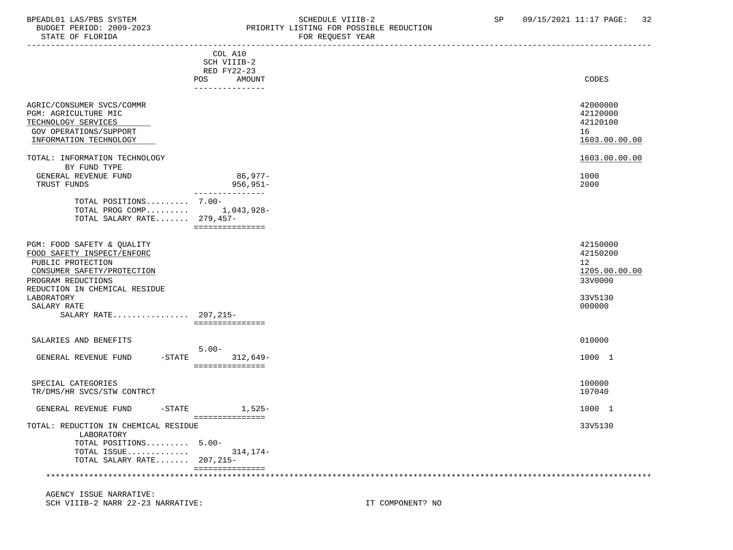# BPEADL01 LAS/PBS SYSTEM SCHEDULE VIIIB-2 SCHEDULE VIIIB-2 SP 09/15/2021 11:17 PAGE: 32<br>BUDGET PERIOD: 2009-2023 PRIORITY LISTING FOR POSSIBLE REDUCTION PRIORITY LISTING FOR POSSIBLE REDUCTION

| STATE OF FLORIDA                                                                                                                                                                                                                           | FOR REQUEST YEAR                                                            |
|--------------------------------------------------------------------------------------------------------------------------------------------------------------------------------------------------------------------------------------------|-----------------------------------------------------------------------------|
| COL A10<br>SCH VIIIB-2<br>RED FY22-23<br>POS AMOUNT<br>_______________                                                                                                                                                                     | CODES                                                                       |
| AGRIC/CONSUMER SVCS/COMMR<br>PGM: AGRICULTURE MIC<br>TECHNOLOGY SERVICES<br><b>GOV OPERATIONS/SUPPORT</b><br>INFORMATION TECHNOLOGY                                                                                                        | 42000000<br>42120000<br>42120100<br>16<br>1603.00.00.00                     |
| TOTAL: INFORMATION TECHNOLOGY<br>BY FUND TYPE<br>86,977-<br>GENERAL REVENUE FUND<br>$956, 951 -$<br>TRUST FUNDS<br>---------------<br>TOTAL POSITIONS 7.00-<br>TOTAL PROG COMP 1,043,928-<br>TOTAL SALARY RATE 279,457-<br>=============== | 1603.00.00.00<br>1000<br>2000                                               |
| PGM: FOOD SAFETY & QUALITY<br>FOOD SAFETY INSPECT/ENFORC<br>PUBLIC PROTECTION<br>CONSUMER SAFETY/PROTECTION<br>PROGRAM REDUCTIONS<br>REDUCTION IN CHEMICAL RESIDUE<br>LABORATORY<br>SALARY RATE<br>SALARY RATE 207,215-<br>=============== | 42150000<br>42150200<br>12<br>1205.00.00.00<br>33V0000<br>33V5130<br>000000 |
| SALARIES AND BENEFITS<br>$5.00 -$<br>GENERAL REVENUE FUND<br>$-STATE$<br>312,649-<br>===============                                                                                                                                       | 010000<br>1000 1                                                            |
| SPECIAL CATEGORIES<br>TR/DMS/HR SVCS/STW CONTRCT                                                                                                                                                                                           | 100000<br>107040                                                            |
| $1,525-$<br>GENERAL REVENUE FUND<br>$-$ STATE                                                                                                                                                                                              | 1000 1                                                                      |
| ===============<br>TOTAL: REDUCTION IN CHEMICAL RESIDUE<br>LABORATORY<br>TOTAL POSITIONS 5.00-<br>TOTAL ISSUE<br>314,174-<br>TOTAL SALARY RATE 207,215-<br>===============                                                                 | 33V5130                                                                     |
|                                                                                                                                                                                                                                            |                                                                             |

 AGENCY ISSUE NARRATIVE: SCH VIIIB-2 NARR 22-23 NARRATIVE: IT COMPONENT? NO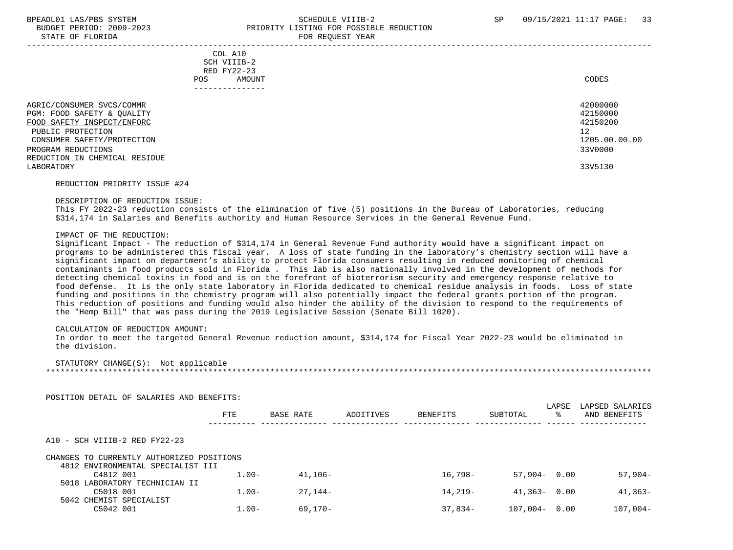# BPEADL01 LAS/PBS SYSTEM SALL SALL SOMEDULE VIIIB-2 SP 09/15/2021 11:17 PAGE: 33 BUDGET PERIOD: 2009-2023 PRIORITY LISTING FOR POSSIBLE REDUCTION STATE OF FLORIDA FOR REQUEST YEAR FOR REQUEST YEAR

| COL A10<br>SCH VIIIB-2<br>RED FY22-23<br>AMOUNT<br>POS.<br>-------------                                                                 | CODES                                                   |
|------------------------------------------------------------------------------------------------------------------------------------------|---------------------------------------------------------|
| AGRIC/CONSUMER SVCS/COMMR<br>PGM: FOOD SAFETY & QUALITY<br>FOOD SAFETY INSPECT/ENFORC<br>PUBLIC PROTECTION<br>CONSUMER SAFETY/PROTECTION | 42000000<br>42150000<br>42150200<br>12<br>1205.00.00.00 |
| PROGRAM REDUCTIONS                                                                                                                       | 33V0000                                                 |

 REDUCTION IN CHEMICAL RESIDUE LABORATORY 33V5130

#### REDUCTION PRIORITY ISSUE #24

#### DESCRIPTION OF REDUCTION ISSUE:

 This FY 2022-23 reduction consists of the elimination of five (5) positions in the Bureau of Laboratories, reducing \$314,174 in Salaries and Benefits authority and Human Resource Services in the General Revenue Fund.

### IMPACT OF THE REDUCTION:

 Significant Impact - The reduction of \$314,174 in General Revenue Fund authority would have a significant impact on programs to be administered this fiscal year. A loss of state funding in the laboratory's chemistry section will have a significant impact on department's ability to protect Florida consumers resulting in reduced monitoring of chemical contaminants in food products sold in Florida . This lab is also nationally involved in the development of methods for detecting chemical toxins in food and is on the forefront of bioterrorism security and emergency response relative to food defense. It is the only state laboratory in Florida dedicated to chemical residue analysis in foods. Loss of state funding and positions in the chemistry program will also potentially impact the federal grants portion of the program. This reduction of positions and funding would also hinder the ability of the division to respond to the requirements of the "Hemp Bill" that was pass during the 2019 Legislative Session (Senate Bill 1020).

#### CALCULATION OF REDUCTION AMOUNT:

 In order to meet the targeted General Revenue reduction amount, \$314,174 for Fiscal Year 2022-23 would be eliminated in the division.

### STATUTORY CHANGE(S): Not applicable

\*\*\*\*\*\*\*\*\*\*\*\*\*\*\*\*\*\*\*\*\*\*\*\*\*\*\*\*\*\*\*\*\*\*\*\*\*\*\*\*\*\*\*\*\*\*\*\*\*\*\*\*\*\*\*\*\*\*\*\*\*\*\*\*\*\*\*\*\*\*\*\*\*\*\*\*\*\*\*\*\*\*\*\*\*\*\*\*\*\*\*\*\*\*\*\*\*\*\*\*\*\*\*\*\*\*\*\*\*\*\*\*\*\*\*\*\*\*\*\*\*\*\*\*\*\*\*

POSITION DETAIL OF SALARIES AND BENEFITS:

|                                                                                | <b>FTE</b> | <b>BASE RATE</b> | ADDITIVES | <b>BENEFITS</b> | SUBTOTAL         | LAPSE<br>° | LAPSED SALARIES<br>AND BENEFITS |
|--------------------------------------------------------------------------------|------------|------------------|-----------|-----------------|------------------|------------|---------------------------------|
| A10 - SCH VIIIB-2 RED FY22-23                                                  |            |                  |           |                 |                  |            |                                 |
| CHANGES TO CURRENTLY AUTHORIZED POSITIONS<br>4812 ENVIRONMENTAL SPECIALIST III |            |                  |           |                 |                  |            |                                 |
| C4812 001                                                                      | $1.00 -$   | $41.106-$        |           | $16.798-$       | $57.904 - 0.00$  |            | $57,904-$                       |
| 5018 LABORATORY TECHNICIAN II                                                  |            |                  |           |                 |                  |            |                                 |
| C5018 001<br>5042 CHEMIST SPECIALIST                                           | $1.00 -$   | 27.144-          |           | $14.219-$       | $41,363 - 0.00$  |            | 41,363-                         |
| C5042 001                                                                      | $1.00 -$   | $69.170 -$       |           | $37.834-$       | $107,004 - 0.00$ |            | $107,004-$                      |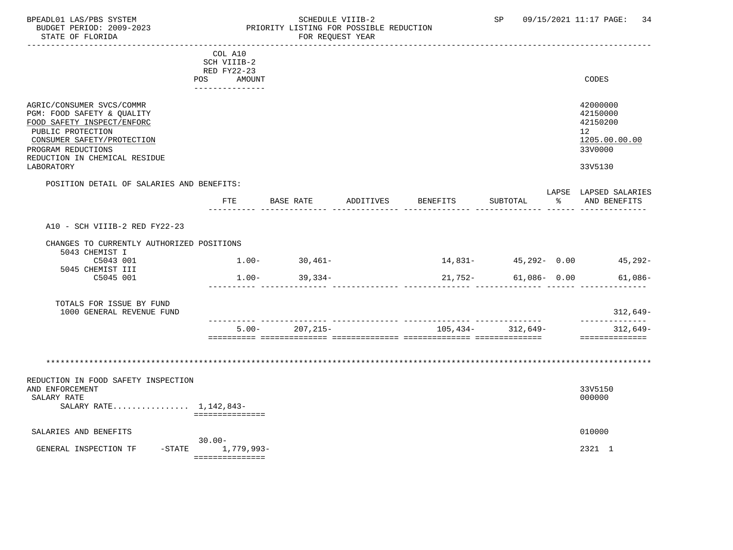# BPEADL01 LAS/PBS SYSTEM SALL SOME SCHEDULE VIIIB-2 SCHEDULE SP 09/15/2021 11:17 PAGE: 34 BUDGET PERIOD: 2009-2023 PRIORITY LISTING FOR POSSIBLE REDUCTION

|                                                                                                                                                                                                               | COL A10<br>SCH VIIIB-2<br>RED FY22-23<br>POS AMOUNT |                   |           |          |                          |               | CODES                                                                         |
|---------------------------------------------------------------------------------------------------------------------------------------------------------------------------------------------------------------|-----------------------------------------------------|-------------------|-----------|----------|--------------------------|---------------|-------------------------------------------------------------------------------|
| AGRIC/CONSUMER SVCS/COMMR<br>PGM: FOOD SAFETY & QUALITY<br>FOOD SAFETY INSPECT/ENFORC<br>PUBLIC PROTECTION<br>CONSUMER SAFETY/PROTECTION<br>PROGRAM REDUCTIONS<br>REDUCTION IN CHEMICAL RESIDUE<br>LABORATORY | _______________                                     |                   |           |          |                          |               | 42000000<br>42150000<br>42150200<br>12<br>1205.00.00.00<br>33V0000<br>33V5130 |
| POSITION DETAIL OF SALARIES AND BENEFITS:                                                                                                                                                                     | FTE                                                 | BASE RATE         | ADDITIVES | BENEFITS | SUBTOTAL                 | $\sim$ $\sim$ | LAPSE LAPSED SALARIES<br>AND BENEFITS                                         |
| A10 - SCH VIIIB-2 RED FY22-23                                                                                                                                                                                 |                                                     |                   |           |          |                          |               |                                                                               |
| CHANGES TO CURRENTLY AUTHORIZED POSITIONS<br>5043 CHEMIST I<br>C5043 001<br>5045 CHEMIST III                                                                                                                  |                                                     | $1.00 - 30,461 -$ |           |          | $14,831 45,292-$ 0.00    |               | 45,292-                                                                       |
| C5045 001                                                                                                                                                                                                     |                                                     | $1.00 - 39.334 -$ |           |          | $21,752 - 61,086 - 0.00$ |               | 61,086-                                                                       |
| TOTALS FOR ISSUE BY FUND<br>1000 GENERAL REVENUE FUND                                                                                                                                                         |                                                     |                   |           |          |                          |               | 312,649-<br>--------------                                                    |
|                                                                                                                                                                                                               | $5.00 -$                                            | 207,215-          |           |          | $105,434-312,649-$       |               | $312,649-$<br>==============                                                  |
|                                                                                                                                                                                                               |                                                     |                   |           |          |                          |               |                                                                               |
| REDUCTION IN FOOD SAFETY INSPECTION<br>AND ENFORCEMENT<br>SALARY RATE<br>SALARY RATE 1,142,843-                                                                                                               | ===============                                     |                   |           |          |                          |               | 33V5150<br>000000                                                             |
| SALARIES AND BENEFITS                                                                                                                                                                                         | $30.00 -$                                           |                   |           |          |                          |               | 010000                                                                        |
| GENERAL INSPECTION TF                                                                                                                                                                                         | -STATE 1,779,993-<br>===============                |                   |           |          |                          |               | 2321 1                                                                        |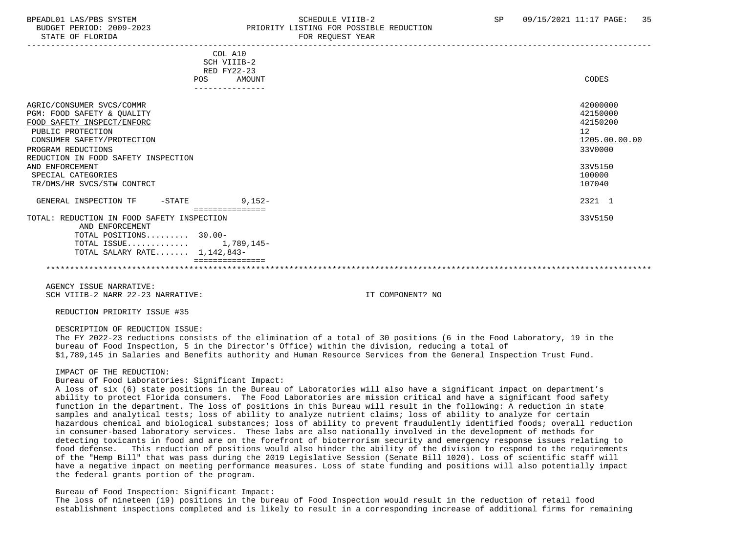# BPEADL01 LAS/PBS SYSTEM SALL SALL SOMEDULE VIIIB-2 SP 09/15/2021 11:17 PAGE: 35 BUDGET PERIOD: 2009-2023 PRIORITY LISTING FOR POSSIBLE REDUCTION STATE OF FLORIDA FOR STATE OF STATE OF STATE OF STATE OF STATE OF STATE OF STATE OF STATE OF STATE OF STATE OF STATE OF STATE OF STATE OF STATE OF STATE OF STATE OF STATE OF STATE OF STATE OF STATE OF STATE OF STATE OF STA

| COL A10<br>SCH VIIIB-2<br>RED FY22-23                                                                                                                                                                                                                                        |                                                                                                   |
|------------------------------------------------------------------------------------------------------------------------------------------------------------------------------------------------------------------------------------------------------------------------------|---------------------------------------------------------------------------------------------------|
| AMOUNT<br>POS                                                                                                                                                                                                                                                                | CODES                                                                                             |
| AGRIC/CONSUMER SVCS/COMMR<br>PGM: FOOD SAFETY & QUALITY<br>FOOD SAFETY INSPECT/ENFORC<br>PUBLIC PROTECTION<br>CONSUMER SAFETY/PROTECTION<br>PROGRAM REDUCTIONS<br>REDUCTION IN FOOD SAFETY INSPECTION<br>AND ENFORCEMENT<br>SPECIAL CATEGORIES<br>TR/DMS/HR SVCS/STW CONTRCT | 42000000<br>42150000<br>42150200<br>12<br>1205.00.00.00<br>33V0000<br>33V5150<br>100000<br>107040 |
| 9,152-<br>GENERAL INSPECTION TF<br>$-$ STATE<br>----------------                                                                                                                                                                                                             | 2321 1                                                                                            |
| TOTAL: REDUCTION IN FOOD SAFETY INSPECTION<br>AND ENFORCEMENT<br>TOTAL POSITIONS 30.00-<br>TOTAL ISSUE 1,789,145-<br>TOTAL SALARY RATE 1,142,843-                                                                                                                            | 33V5150                                                                                           |
|                                                                                                                                                                                                                                                                              |                                                                                                   |

AGENCY ISSUE NARRATIVE: SCH VIIIB-2 NARR 22-23 NARRATIVE: IT COMPONENT? NO

REDUCTION PRIORITY ISSUE #35

DESCRIPTION OF REDUCTION ISSUE:

 The FY 2022-23 reductions consists of the elimination of a total of 30 positions (6 in the Food Laboratory, 19 in the bureau of Food Inspection, 5 in the Director's Office) within the division, reducing a total of \$1,789,145 in Salaries and Benefits authority and Human Resource Services from the General Inspection Trust Fund.

#### IMPACT OF THE REDUCTION:

Bureau of Food Laboratories: Significant Impact:

 A loss of six (6) state positions in the Bureau of Laboratories will also have a significant impact on department's ability to protect Florida consumers. The Food Laboratories are mission critical and have a significant food safety function in the department. The loss of positions in this Bureau will result in the following: A reduction in state samples and analytical tests; loss of ability to analyze nutrient claims; loss of ability to analyze for certain hazardous chemical and biological substances; loss of ability to prevent fraudulently identified foods; overall reduction in consumer-based laboratory services. These labs are also nationally involved in the development of methods for detecting toxicants in food and are on the forefront of bioterrorism security and emergency response issues relating to food defense. This reduction of positions would also hinder the ability of the division to respond to the requirements of the "Hemp Bill" that was pass during the 2019 Legislative Session (Senate Bill 1020). Loss of scientific staff will have a negative impact on meeting performance measures. Loss of state funding and positions will also potentially impact the federal grants portion of the program.

### Bureau of Food Inspection: Significant Impact:

 The loss of nineteen (19) positions in the bureau of Food Inspection would result in the reduction of retail food establishment inspections completed and is likely to result in a corresponding increase of additional firms for remaining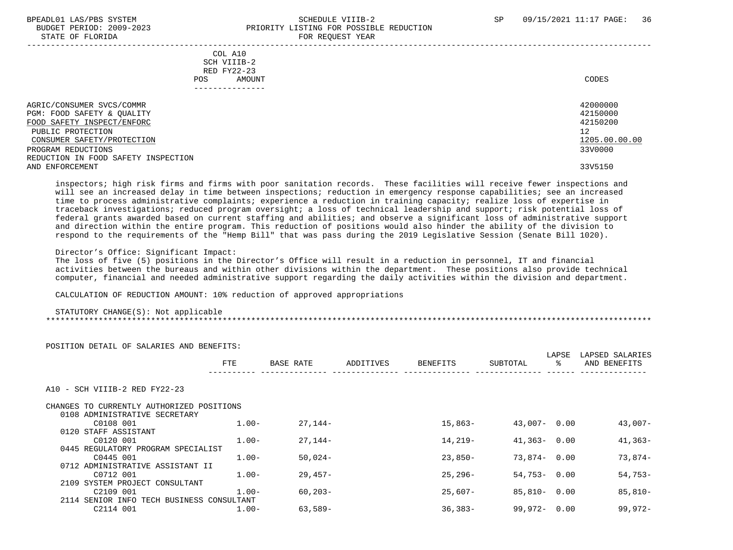## BPEADL01 LAS/PBS SYSTEM SALL SALL SOMEDULE VIIIB-2 SP 09/15/2021 11:17 PAGE: 36 BUDGET PERIOD: 2009-2023 PRIORITY LISTING FOR POSSIBLE REDUCTION STATE OF FLORIDA **FOR REQUEST YEAR**

| COL A10<br>SCH VIIIB-2<br>RED FY22-23<br>AMOUNT<br>POS.                                                                                                        | CODES                                                              |
|----------------------------------------------------------------------------------------------------------------------------------------------------------------|--------------------------------------------------------------------|
| AGRIC/CONSUMER SVCS/COMMR<br>PGM: FOOD SAFETY & QUALITY<br>FOOD SAFETY INSPECT/ENFORC<br>PUBLIC PROTECTION<br>CONSUMER SAFETY/PROTECTION<br>PROGRAM REDUCTIONS | 42000000<br>42150000<br>42150200<br>12<br>1205.00.00.00<br>33V0000 |
| REDUCTION IN FOOD SAFETY INSPECTION<br>AND ENFORCEMENT                                                                                                         | 33V5150                                                            |

 inspectors; high risk firms and firms with poor sanitation records. These facilities will receive fewer inspections and will see an increased delay in time between inspections; reduction in emergency response capabilities; see an increased time to process administrative complaints; experience a reduction in training capacity; realize loss of expertise in traceback investigations; reduced program oversight; a loss of technical leadership and support; risk potential loss of federal grants awarded based on current staffing and abilities; and observe a significant loss of administrative support and direction within the entire program. This reduction of positions would also hinder the ability of the division to respond to the requirements of the "Hemp Bill" that was pass during the 2019 Legislative Session (Senate Bill 1020).

Director's Office: Significant Impact:

 The loss of five (5) positions in the Director's Office will result in a reduction in personnel, IT and financial activities between the bureaus and within other divisions within the department. These positions also provide technical computer, financial and needed administrative support regarding the daily activities within the division and department.

CALCULATION OF REDUCTION AMOUNT: 10% reduction of approved appropriations

 STATUTORY CHANGE(S): Not applicable \*\*\*\*\*\*\*\*\*\*\*\*\*\*\*\*\*\*\*\*\*\*\*\*\*\*\*\*\*\*\*\*\*\*\*\*\*\*\*\*\*\*\*\*\*\*\*\*\*\*\*\*\*\*\*\*\*\*\*\*\*\*\*\*\*\*\*\*\*\*\*\*\*\*\*\*\*\*\*\*\*\*\*\*\*\*\*\*\*\*\*\*\*\*\*\*\*\*\*\*\*\*\*\*\*\*\*\*\*\*\*\*\*\*\*\*\*\*\*\*\*\*\*\*\*\*\*

| ROSIIION DEIAIL OF SALAKIES AND BENEFIIS. |          |             |           |                 |                 |       |                 |
|-------------------------------------------|----------|-------------|-----------|-----------------|-----------------|-------|-----------------|
|                                           |          |             |           |                 |                 | LAPSE | LAPSED SALARIES |
|                                           | FTE      | BASE RATE   | ADDITIVES | <b>BENEFITS</b> | SUBTOTAL        | ະ     | AND BENEFITS    |
|                                           |          |             |           |                 |                 |       |                 |
| A10 - SCH VIIIB-2 RED FY22-23             |          |             |           |                 |                 |       |                 |
| CHANGES TO CURRENTLY AUTHORIZED POSITIONS |          |             |           |                 |                 |       |                 |
| 0108 ADMINISTRATIVE SECRETARY             |          |             |           |                 |                 |       |                 |
| C0108 001                                 | $1.00 -$ | $27.144-$   |           | 15,863-         | $43,007 - 0.00$ |       | $43,007-$       |
| 0120 STAFF ASSISTANT                      |          |             |           |                 |                 |       |                 |
| C0120 001                                 | $1.00 -$ | $27.144-$   |           | 14,219-         | $41,363 - 0.00$ |       | $41,363-$       |
| 0445 REGULATORY PROGRAM SPECIALIST        |          |             |           |                 |                 |       |                 |
| C0445 001                                 | $1.00 -$ | $50,024-$   |           | $23,850-$       | 73,874-0.00     |       | $73,874-$       |
| 0712 ADMINISTRATIVE ASSISTANT II          |          |             |           |                 |                 |       |                 |
| C0712 001                                 | $1.00-$  | 29,457-     |           | $25,296-$       | $54,753 - 0.00$ |       | $54,753-$       |
| 2109 SYSTEM PROJECT CONSULTANT            |          |             |           |                 |                 |       |                 |
| C2109 001                                 | $1.00-$  | $60, 203 -$ |           | 25,607-         | 85,810- 0.00    |       | $85,810-$       |
| 2114 SENIOR INFO TECH BUSINESS CONSULTANT |          |             |           |                 |                 |       |                 |
| C2114 001                                 | $1.00 -$ | $63,589-$   |           | $36,383-$       | $99.972 - 0.00$ |       | $99,972-$       |

# POSITION DETAIL OF SALARIES AND BENEFITS: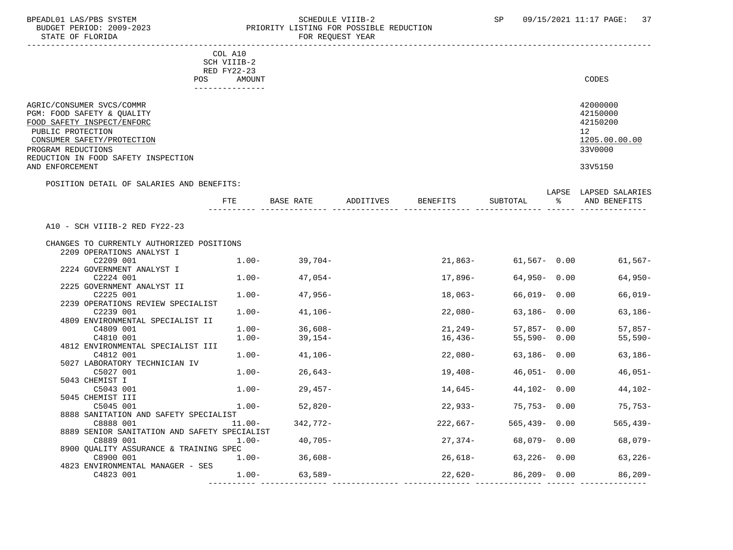#### BPEADL01 LAS/PBS SYSTEM STRING THE SCHEDULE VIIIB-2 SCHEDULE SCHEDULE SP 09/15/2021 11:17 PAGE: 37 BUDGET PERIOD: 2009-2023 PRIORITY LISTING FOR POSSIBLE REDUCTION FOR REQUEST YEAR

|                                                                                                                                                                                                                          | COL A10<br>SCH VIIIB-2        |                   |                    |                  |   |                                                                               |
|--------------------------------------------------------------------------------------------------------------------------------------------------------------------------------------------------------------------------|-------------------------------|-------------------|--------------------|------------------|---|-------------------------------------------------------------------------------|
|                                                                                                                                                                                                                          | RED FY22-23<br>POS.<br>AMOUNT |                   |                    |                  |   | CODES                                                                         |
| AGRIC/CONSUMER SVCS/COMMR<br>PGM: FOOD SAFETY & QUALITY<br>FOOD SAFETY INSPECT/ENFORC<br>PUBLIC PROTECTION<br>CONSUMER SAFETY/PROTECTION<br>PROGRAM REDUCTIONS<br>REDUCTION IN FOOD SAFETY INSPECTION<br>AND ENFORCEMENT |                               |                   |                    |                  |   | 42000000<br>42150000<br>42150200<br>12<br>1205.00.00.00<br>33V0000<br>33V5150 |
| POSITION DETAIL OF SALARIES AND BENEFITS:                                                                                                                                                                                | <b>FTE</b>                    | BASE RATE         | ADDITIVES BENEFITS | SUBTOTAL         | ಿ | LAPSE LAPSED SALARIES<br>AND BENEFITS                                         |
|                                                                                                                                                                                                                          |                               |                   |                    |                  |   |                                                                               |
| A10 - SCH VIIIB-2 RED FY22-23                                                                                                                                                                                            |                               |                   |                    |                  |   |                                                                               |
|                                                                                                                                                                                                                          |                               |                   |                    |                  |   |                                                                               |
| CHANGES TO CURRENTLY AUTHORIZED POSITIONS<br>2209 OPERATIONS ANALYST I                                                                                                                                                   |                               |                   |                    |                  |   |                                                                               |
| C2209 001                                                                                                                                                                                                                |                               | $1.00 - 39,704 -$ | $21,863-$          |                  |   | $61,567 - 0.00$ 61,567-                                                       |
| 2224 GOVERNMENT ANALYST I                                                                                                                                                                                                |                               |                   |                    |                  |   |                                                                               |
| C2224 001                                                                                                                                                                                                                | $1.00-$                       | $47,054-$         | 17,896-            | $64,950 - 0.00$  |   | $64,950-$                                                                     |
| 2225 GOVERNMENT ANALYST II                                                                                                                                                                                               |                               |                   |                    |                  |   |                                                                               |
| C2225 001                                                                                                                                                                                                                | $1.00-$                       | 47,956-           | 18,063-            | 66,019- 0.00     |   | $66,019-$                                                                     |
| 2239 OPERATIONS REVIEW SPECIALIST                                                                                                                                                                                        |                               |                   |                    |                  |   |                                                                               |
| C2239 001                                                                                                                                                                                                                | $1.00-$                       | $41,106-$         | 22,080-            | $63,186 - 0.00$  |   | $63,186-$                                                                     |
| 4809 ENVIRONMENTAL SPECIALIST II                                                                                                                                                                                         |                               |                   |                    |                  |   |                                                                               |
| C4809 001                                                                                                                                                                                                                | $1.00-$                       | $36,608-$         | $21, 249-$         | $57,857 - 0.00$  |   | $57,857-$                                                                     |
| C4810 001                                                                                                                                                                                                                | $1.00-$                       | 39,154-           | 16,436-            | $55,590 - 0.00$  |   | $55,590-$                                                                     |
| 4812 ENVIRONMENTAL SPECIALIST III                                                                                                                                                                                        |                               |                   |                    |                  |   |                                                                               |
| C4812 001                                                                                                                                                                                                                | $1.00-$                       | 41,106-           | 22,080-            | $63,186 - 0.00$  |   | $63,186-$                                                                     |
| 5027 LABORATORY TECHNICIAN IV                                                                                                                                                                                            |                               |                   |                    |                  |   |                                                                               |
| C5027 001                                                                                                                                                                                                                | $1.00 -$                      | $26,643-$         | 19,408-            | 46,051- 0.00     |   | $46,051-$                                                                     |
| 5043 CHEMIST I                                                                                                                                                                                                           |                               |                   |                    |                  |   |                                                                               |
| C5043 001                                                                                                                                                                                                                | $1.00-$                       | 29,457-           | 14,645-            | 44,102- 0.00     |   | 44,102-                                                                       |
| 5045 CHEMIST III                                                                                                                                                                                                         |                               |                   |                    |                  |   |                                                                               |
| C5045 001                                                                                                                                                                                                                | $1.00-$                       | $52,820-$         | 22,933-            | 75,753-0.00      |   | $75,753-$                                                                     |
| 8888 SANITATION AND SAFETY SPECIALIST                                                                                                                                                                                    |                               |                   |                    |                  |   |                                                                               |
| C8888 001                                                                                                                                                                                                                | 11.00-                        | $342,772-$        | 222,667-           | $565,439 - 0.00$ |   | $565, 439 -$                                                                  |
| 8889 SENIOR SANITATION AND SAFETY SPECIALIST                                                                                                                                                                             |                               |                   |                    |                  |   |                                                                               |
| C8889 001                                                                                                                                                                                                                | $1.00 -$                      | 40,705-           | $27,374-$          | 68,079-0.00      |   | $68,079-$                                                                     |
| 8900 QUALITY ASSURANCE & TRAINING SPEC                                                                                                                                                                                   |                               |                   |                    |                  |   |                                                                               |
| C8900 001                                                                                                                                                                                                                |                               | $1.00 - 36,608 -$ | 26,618–            | $63,226 - 0.00$  |   | $63,226-$                                                                     |
| 4823 ENVIRONMENTAL MANAGER - SES                                                                                                                                                                                         |                               |                   |                    |                  |   |                                                                               |
| C4823 001                                                                                                                                                                                                                | $1.00-$                       | 63,589-           | $22,620-$          | $86,209 - 0.00$  |   | $86,209-$                                                                     |

---------- -------------- -------------- -------------- -------------- ------ --------------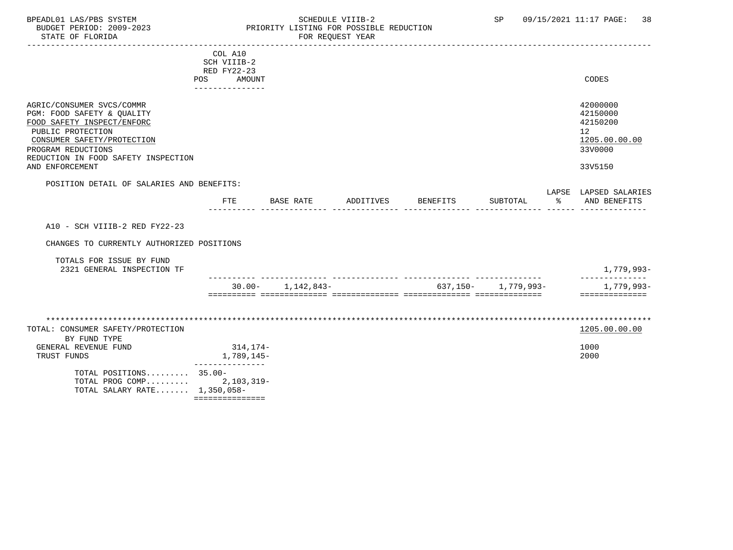### BPEADL01 LAS/PBS SYSTEM STRING THE SCHEDULE VIIIB-2 SP 09/15/2021 11:17 PAGE: 38<br>BUDGET PERIOD: 2009-2023 PRIORITY LISTING FOR POSSIBLE REDUCTION BUDGET PERIOD: 2009-2023<br>BUDGET PERIOD: 2009-2023 PRIORITY LISTING FOR POSSIBLE REDUCTION<br>FOR REQUEST YEAR FOR REQUEST YEAR

|                                                                                                                                                                                                                          | COL A10<br>SCH VIIIB-2<br>RED FY22-23<br>POS<br>AMOUNT<br>_______________ |                       |           |          |                         |                | CODES                                                                         |
|--------------------------------------------------------------------------------------------------------------------------------------------------------------------------------------------------------------------------|---------------------------------------------------------------------------|-----------------------|-----------|----------|-------------------------|----------------|-------------------------------------------------------------------------------|
| AGRIC/CONSUMER SVCS/COMMR<br>PGM: FOOD SAFETY & QUALITY<br>FOOD SAFETY INSPECT/ENFORC<br>PUBLIC PROTECTION<br>CONSUMER SAFETY/PROTECTION<br>PROGRAM REDUCTIONS<br>REDUCTION IN FOOD SAFETY INSPECTION<br>AND ENFORCEMENT |                                                                           |                       |           |          |                         |                | 42000000<br>42150000<br>42150200<br>12<br>1205.00.00.00<br>33V0000<br>33V5150 |
| POSITION DETAIL OF SALARIES AND BENEFITS:                                                                                                                                                                                |                                                                           |                       |           |          |                         |                |                                                                               |
|                                                                                                                                                                                                                          | FTE                                                                       | BASE RATE             | ADDITIVES | BENEFITS | SUBTOTAL                | $\frac{8}{10}$ | LAPSE LAPSED SALARIES<br>AND BENEFITS                                         |
| A10 - SCH VIIIB-2 RED FY22-23                                                                                                                                                                                            |                                                                           |                       |           |          |                         |                |                                                                               |
| CHANGES TO CURRENTLY AUTHORIZED POSITIONS<br>TOTALS FOR ISSUE BY FUND<br>2321 GENERAL INSPECTION TF                                                                                                                      |                                                                           |                       |           |          |                         |                | 1,779,993-                                                                    |
|                                                                                                                                                                                                                          |                                                                           | $30.00 - 1,142,843 -$ |           |          | $637.150 - 1.779.993 -$ |                | 1,779,993-<br>==============                                                  |
| TOTAL: CONSUMER SAFETY/PROTECTION<br>BY FUND TYPE<br>GENERAL REVENUE FUND<br>TRUST FUNDS<br>TOTAL POSITIONS 35.00-<br>TOTAL PROG COMP<br>TOTAL SALARY RATE 1,350,058-                                                    | 314,174-<br>1,789,145-<br>$2,103,319-$<br>===============                 |                       |           |          |                         |                | 1205.00.00.00<br>1000<br>2000                                                 |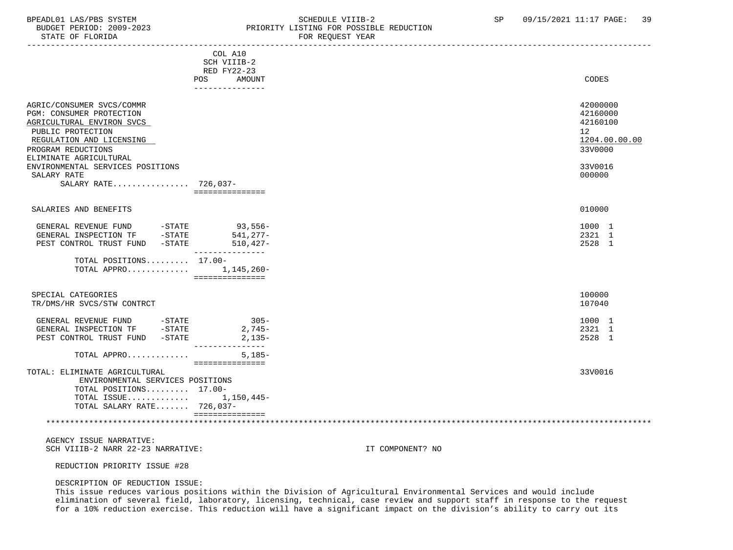# BPEADL01 LAS/PBS SYSTEM SALL SOLLEDULE VIIIB-2 SCHEDULE VIIIB-2 SP 09/15/2021 11:17 PAGE: 39

| 2009–<br>DGF.<br><b>DER 11</b><br>$\cdots$ | TSTING FOR F.<br>T msr<br>POSSTRLE<br>DR<br>REDIK |  |
|--------------------------------------------|---------------------------------------------------|--|
| FLORIDA<br>OF.<br>תיד∆ידי                  | <b>REOULGL</b><br>YEAR                            |  |

|                                                                                                                                                                                                                         | COL A10<br>SCH VIIIB-2<br>RED FY22-23    |                                                                               |
|-------------------------------------------------------------------------------------------------------------------------------------------------------------------------------------------------------------------------|------------------------------------------|-------------------------------------------------------------------------------|
|                                                                                                                                                                                                                         | <b>AMOUNT</b><br>POS.<br>--------------- | CODES                                                                         |
| AGRIC/CONSUMER SVCS/COMMR<br>PGM: CONSUMER PROTECTION<br>AGRICULTURAL ENVIRON SVCS<br>PUBLIC PROTECTION<br>REGULATION AND LICENSING<br>PROGRAM REDUCTIONS<br>ELIMINATE AGRICULTURAL<br>ENVIRONMENTAL SERVICES POSITIONS |                                          | 42000000<br>42160000<br>42160100<br>12<br>1204.00.00.00<br>33V0000<br>33V0016 |
| SALARY RATE<br>SALARY RATE 726,037-                                                                                                                                                                                     | ===============                          | 000000                                                                        |
| SALARIES AND BENEFITS                                                                                                                                                                                                   |                                          | 010000                                                                        |
| GENERAL REVENUE FUND<br>$-$ STATE<br>$-STATE$<br>GENERAL INSPECTION TF<br>PEST CONTROL TRUST FUND<br>$-$ STATE                                                                                                          | 93,556-<br>$541,277-$<br>$510,427-$      | 1000 1<br>2321 1<br>2528 1                                                    |
| TOTAL POSITIONS 17.00-<br>TOTAL APPRO                                                                                                                                                                                   | 1,145,260-<br>===============            |                                                                               |
| SPECIAL CATEGORIES<br>TR/DMS/HR SVCS/STW CONTRCT                                                                                                                                                                        |                                          | 100000<br>107040                                                              |
| GENERAL REVENUE FUND<br>$-$ STATE<br>GENERAL INSPECTION TF<br>$-STATE$<br>PEST CONTROL TRUST FUND<br>-STATE                                                                                                             | $305 -$<br>$2,745-$<br>$2,135-$          | 1000 1<br>2321 1<br>2528 1                                                    |
| TOTAL APPRO                                                                                                                                                                                                             | $5,185-$<br>===============              |                                                                               |
| TOTAL: ELIMINATE AGRICULTURAL<br>ENVIRONMENTAL SERVICES POSITIONS<br>TOTAL POSITIONS 17.00-<br>TOTAL ISSUE $1,150,445-$<br>TOTAL SALARY RATE 726,037-                                                                   | ===============                          | 33V0016                                                                       |
|                                                                                                                                                                                                                         |                                          |                                                                               |

 AGENCY ISSUE NARRATIVE: SCH VIIIB-2 NARR 22-23 NARRATIVE: IT COMPONENT? NO

REDUCTION PRIORITY ISSUE #28

#### DESCRIPTION OF REDUCTION ISSUE:

 This issue reduces various positions within the Division of Agricultural Environmental Services and would include elimination of several field, laboratory, licensing, technical, case review and support staff in response to the request for a 10% reduction exercise. This reduction will have a significant impact on the division's ability to carry out its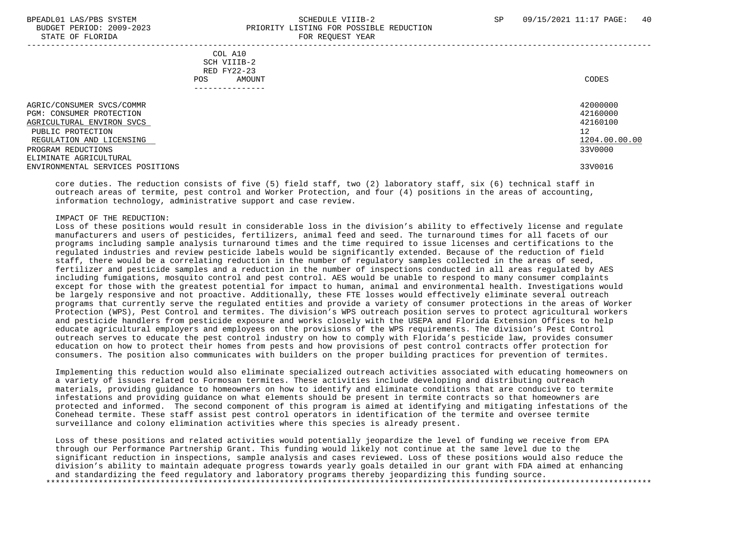#### BPEADL01 LAS/PBS SYSTEM SALL SOLUTION SCHEDULE VIIIB-2 SP 09/15/2021 11:17 PAGE: 40 BUDGET PERIOD: 2009-2023 PRIORITY LISTING FOR POSSIBLE REDUCTION STATE OF FLORIDA **FOR REQUEST YEAR** -----------------------------------------------------------------------------------------------------------------------------------

 COL A10 SCH VIIIB-2 RED FY22-23 POS AMOUNT NOTES AND AND A RESERVE AND A RESERVE AND LODGED AND LODGED AND LODGED AND LODGED AND LODGED AND LODGED AT A LODGED AND LODGED AT A LODGED AND LODGED AT A LODGED AND LODGED AT A LODGED AND LODGED AT A LODGED AND ---------------

AGRIC/CONSUMER SVCS/COMMR<br>PGM: CONSUMER PROTECTION 42160000 PGM: CONSUMER PROTECTION 42160000<br>AGRICULTURAL ENVIRON SVCS 42160100 AGRICULTURAL ENVIRON SVCS PUBLIC PROTECTION 12<br>REGULATION AND LICENSING NEWSLAUDS AND REGULATION AND LICENSING 1204.00.00.00  $R$ EGULATION AND LICENSING  $\frac{1204.00}{3300000}$ PROGRAM REDUCTIONS ELIMINATE AGRICULTURAL ENVIRONMENTAL SERVICES POSITIONS 33V0016

 core duties. The reduction consists of five (5) field staff, two (2) laboratory staff, six (6) technical staff in outreach areas of termite, pest control and Worker Protection, and four (4) positions in the areas of accounting, information technology, administrative support and case review.

#### IMPACT OF THE REDUCTION:

 Loss of these positions would result in considerable loss in the division's ability to effectively license and regulate manufacturers and users of pesticides, fertilizers, animal feed and seed. The turnaround times for all facets of our programs including sample analysis turnaround times and the time required to issue licenses and certifications to the regulated industries and review pesticide labels would be significantly extended. Because of the reduction of field staff, there would be a correlating reduction in the number of regulatory samples collected in the areas of seed, fertilizer and pesticide samples and a reduction in the number of inspections conducted in all areas regulated by AES including fumigations, mosquito control and pest control. AES would be unable to respond to many consumer complaints except for those with the greatest potential for impact to human, animal and environmental health. Investigations would be largely responsive and not proactive. Additionally, these FTE losses would effectively eliminate several outreach programs that currently serve the regulated entities and provide a variety of consumer protections in the areas of Worker Protection (WPS), Pest Control and termites. The division's WPS outreach position serves to protect agricultural workers and pesticide handlers from pesticide exposure and works closely with the USEPA and Florida Extension Offices to help educate agricultural employers and employees on the provisions of the WPS requirements. The division's Pest Control outreach serves to educate the pest control industry on how to comply with Florida's pesticide law, provides consumer education on how to protect their homes from pests and how provisions of pest control contracts offer protection for consumers. The position also communicates with builders on the proper building practices for prevention of termites.

 Implementing this reduction would also eliminate specialized outreach activities associated with educating homeowners on a variety of issues related to Formosan termites. These activities include developing and distributing outreach materials, providing guidance to homeowners on how to identify and eliminate conditions that are conducive to termite infestations and providing guidance on what elements should be present in termite contracts so that homeowners are protected and informed. The second component of this program is aimed at identifying and mitigating infestations of the Conehead termite. These staff assist pest control operators in identification of the termite and oversee termite surveillance and colony elimination activities where this species is already present.

 Loss of these positions and related activities would potentially jeopardize the level of funding we receive from EPA through our Performance Partnership Grant. This funding would likely not continue at the same level due to the significant reduction in inspections, sample analysis and cases reviewed. Loss of these positions would also reduce the division's ability to maintain adequate progress towards yearly goals detailed in our grant with FDA aimed at enhancing and standardizing the feed regulatory and laboratory programs thereby jeopardizing this funding source. \*\*\*\*\*\*\*\*\*\*\*\*\*\*\*\*\*\*\*\*\*\*\*\*\*\*\*\*\*\*\*\*\*\*\*\*\*\*\*\*\*\*\*\*\*\*\*\*\*\*\*\*\*\*\*\*\*\*\*\*\*\*\*\*\*\*\*\*\*\*\*\*\*\*\*\*\*\*\*\*\*\*\*\*\*\*\*\*\*\*\*\*\*\*\*\*\*\*\*\*\*\*\*\*\*\*\*\*\*\*\*\*\*\*\*\*\*\*\*\*\*\*\*\*\*\*\*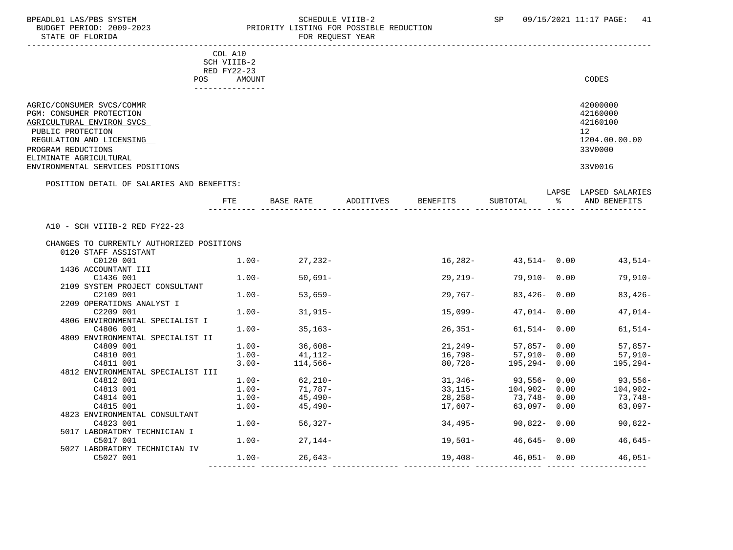#### BPEADL01 LAS/PBS SYSTEM STRING THE SCHEDULE VIIIB-2 SP 09/15/2021 11:17 PAGE: 41 BUDGET PERIOD: 2009-2023 PRIORITY LISTING FOR POSSIBLE REDUCTION FOR REOUEST YEAR

|                                                            | COL A10                         |            |           |           |                   |   |                       |
|------------------------------------------------------------|---------------------------------|------------|-----------|-----------|-------------------|---|-----------------------|
|                                                            | SCH VIIIB-2                     |            |           |           |                   |   |                       |
|                                                            | RED FY22-23                     |            |           |           |                   |   |                       |
|                                                            | POS<br>AMOUNT<br>-------------- |            |           |           |                   |   | CODES                 |
|                                                            |                                 |            |           |           |                   |   |                       |
| AGRIC/CONSUMER SVCS/COMMR                                  |                                 |            |           |           |                   |   | 42000000              |
| PGM: CONSUMER PROTECTION                                   |                                 |            |           |           |                   |   | 42160000              |
| AGRICULTURAL ENVIRON SVCS                                  |                                 |            |           |           |                   |   | 42160100              |
| PUBLIC PROTECTION                                          |                                 |            |           |           |                   |   | 12                    |
| REGULATION AND LICENSING                                   |                                 |            |           |           |                   |   | 1204.00.00.00         |
| PROGRAM REDUCTIONS                                         |                                 |            |           |           |                   |   | 33V0000               |
| ELIMINATE AGRICULTURAL<br>ENVIRONMENTAL SERVICES POSITIONS |                                 |            |           |           |                   |   | 33V0016               |
|                                                            |                                 |            |           |           |                   |   |                       |
| POSITION DETAIL OF SALARIES AND BENEFITS:                  |                                 |            |           |           |                   |   | LAPSE LAPSED SALARIES |
|                                                            | <b>FTE</b>                      | BASE RATE  | ADDITIVES | BENEFITS  | SUBTOTAL          | ႜ | AND BENEFITS          |
|                                                            |                                 |            |           |           |                   |   |                       |
| A10 - SCH VIIIB-2 RED FY22-23                              |                                 |            |           |           |                   |   |                       |
|                                                            |                                 |            |           |           |                   |   |                       |
| CHANGES TO CURRENTLY AUTHORIZED POSITIONS                  |                                 |            |           |           |                   |   |                       |
| 0120 STAFF ASSISTANT                                       |                                 |            |           |           |                   |   |                       |
| C0120 001                                                  | $1.00-$                         | 27,232-    |           | 16,282-   | 43,514-0.00       |   | $43,514-$             |
| 1436 ACCOUNTANT III                                        |                                 |            |           |           |                   |   |                       |
| C1436 001                                                  | $1.00 -$                        | $50,691-$  |           | $29,219-$ | $79,910 - 0.00$   |   | $79,910-$             |
| 2109 SYSTEM PROJECT CONSULTANT                             |                                 |            |           |           |                   |   |                       |
| C2109 001                                                  | $1.00 -$                        | $53,659-$  |           | $29,767-$ | $83,426 - 0.00$   |   | $83,426-$             |
| 2209 OPERATIONS ANALYST I                                  |                                 |            |           |           |                   |   |                       |
| C2209 001                                                  | $1.00-$                         | $31,915-$  |           | 15,099-   | $47,014 - 0.00$   |   | $47,014-$             |
| 4806 ENVIRONMENTAL SPECIALIST I                            |                                 |            |           |           |                   |   |                       |
| C4806 001                                                  | $1.00 -$                        | $35,163-$  |           | $26,351-$ | $61,514 - 0.00$   |   | $61,514-$             |
| 4809 ENVIRONMENTAL SPECIALIST II<br>C4809 001              | $1.00-$                         | $36,608-$  |           | 21,249-   | $57,857 - 0.00$   |   | $57,857-$             |
| C4810 001                                                  | $1.00-$                         | 41,112-    |           | 16,798-   | 57,910- 0.00      |   | $57,910-$             |
| C4811 001                                                  | $3.00 -$                        | $114,566-$ |           | 80,728-   | $195, 294 - 0.00$ |   | $195, 294 -$          |
| 4812 ENVIRONMENTAL SPECIALIST III                          |                                 |            |           |           |                   |   |                       |
| C4812 001                                                  | $1.00-$                         | 62,210-    |           | 31,346-   | 93,556-0.00       |   | 93,556-               |
| C4813 001                                                  | $1.00-$                         | 71,787-    |           | $33,115-$ | $104,902 - 0.00$  |   | $104,902-$            |
| C4814 001                                                  | $1.00-$                         | 45,490-    |           | 28,258-   | 73,748-0.00       |   | 73,748-               |
| C4815 001                                                  | $1.00-$                         | 45,490-    |           | 17,607-   | $63,097 - 0.00$   |   | $63,097-$             |
| 4823 ENVIRONMENTAL CONSULTANT                              |                                 |            |           |           |                   |   |                       |
| C4823 001                                                  | $1.00-$                         | $56,327-$  |           | 34,495-   | $90,822 - 0.00$   |   | $90,822-$             |
| 5017 LABORATORY TECHNICIAN I                               |                                 |            |           |           |                   |   |                       |
| C5017 001                                                  | $1.00-$                         | 27,144-    |           | 19,501–   | $46,645 - 0.00$   |   | $46,645-$             |
| 5027 LABORATORY TECHNICIAN IV                              |                                 |            |           |           |                   |   |                       |
| C5027 001                                                  | $1.00 -$                        | $26,643-$  |           | 19,408-   | $46,051 - 0.00$   |   | $46,051-$             |

---------- -------------- -------------- -------------- -------------- ------ --------------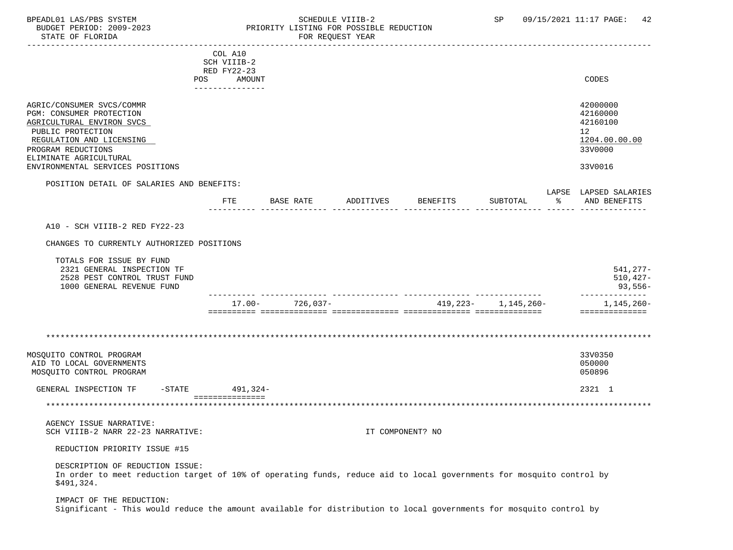### BPEADL01 LAS/PBS SYSTEM SALLE STREDULE VIIIB-2 SCHEDULE VIIIB-2 SP 09/15/2021 11:17 PAGE: 42 PRIORITY LISTING FOR POSSIBLE REDUCTION<br>FOR PEOURST YEAR

| SIAIL UP PLUKIDH                                                                                                                                                                    |                                          |                                              | LOW WEAGREET IEAW |                              |                         |   |                                                                                 |
|-------------------------------------------------------------------------------------------------------------------------------------------------------------------------------------|------------------------------------------|----------------------------------------------|-------------------|------------------------------|-------------------------|---|---------------------------------------------------------------------------------|
|                                                                                                                                                                                     | COL A10<br>SCH VIIIB-2                   |                                              |                   |                              |                         |   |                                                                                 |
| POS                                                                                                                                                                                 | RED FY22-23<br>AMOUNT<br>--------------- |                                              |                   |                              |                         |   | CODES                                                                           |
| AGRIC/CONSUMER SVCS/COMMR<br>PGM: CONSUMER PROTECTION<br>AGRICULTURAL ENVIRON SVCS<br>PUBLIC PROTECTION<br>REGULATION AND LICENSING<br>PROGRAM REDUCTIONS<br>ELIMINATE AGRICULTURAL |                                          |                                              |                   |                              |                         |   | 42000000<br>42160000<br>42160100<br>12 <sup>°</sup><br>1204.00.00.00<br>33V0000 |
| ENVIRONMENTAL SERVICES POSITIONS                                                                                                                                                    |                                          |                                              |                   |                              |                         |   | 33V0016                                                                         |
| POSITION DETAIL OF SALARIES AND BENEFITS:                                                                                                                                           |                                          |                                              |                   |                              |                         |   | LAPSE LAPSED SALARIES                                                           |
|                                                                                                                                                                                     | <b>FTE</b>                               | BASE RATE                                    | ADDITIVES         | BENEFITS                     | SUBTOTAL                | ႜ | AND BENEFITS                                                                    |
| A10 - SCH VIIIB-2 RED FY22-23                                                                                                                                                       |                                          |                                              |                   |                              |                         |   |                                                                                 |
| CHANGES TO CURRENTLY AUTHORIZED POSITIONS                                                                                                                                           |                                          |                                              |                   |                              |                         |   |                                                                                 |
| TOTALS FOR ISSUE BY FUND<br>2321 GENERAL INSPECTION TF<br>2528 PEST CONTROL TRUST FUND<br>1000 GENERAL REVENUE FUND                                                                 |                                          |                                              |                   |                              |                         |   | $541, 277 -$<br>510,427-<br>93,556-                                             |
|                                                                                                                                                                                     |                                          | ---- -------------- -<br>$17.00 - 726.037 -$ |                   | ------------ --------------- | $419,223 - 1,145,260 -$ |   | 1,145,260-                                                                      |
|                                                                                                                                                                                     |                                          |                                              |                   |                              |                         |   | ==============                                                                  |
|                                                                                                                                                                                     |                                          |                                              |                   |                              |                         |   |                                                                                 |
| MOSQUITO CONTROL PROGRAM<br>AID TO LOCAL GOVERNMENTS<br>MOSQUITO CONTROL PROGRAM                                                                                                    |                                          |                                              |                   |                              |                         |   | 33V0350<br>050000<br>050896                                                     |
| GENERAL INSPECTION TF<br>$-$ STATE                                                                                                                                                  | 491,324-                                 |                                              |                   |                              |                         |   | 2321 1                                                                          |
|                                                                                                                                                                                     | ===============                          |                                              |                   |                              |                         |   |                                                                                 |
| AGENCY ISSUE NARRATIVE:<br>SCH VIIIB-2 NARR 22-23 NARRATIVE:                                                                                                                        |                                          |                                              |                   | IT COMPONENT? NO             |                         |   |                                                                                 |
| REDUCTION PRIORITY ISSUE #15                                                                                                                                                        |                                          |                                              |                   |                              |                         |   |                                                                                 |
| DESCRIPTION OF REDUCTION ISSUE:<br>In order to meet reduction target of 10% of operating funds, reduce aid to local governments for mosquito control by<br>\$491,324.               |                                          |                                              |                   |                              |                         |   |                                                                                 |
| IMPACT OF THE REDUCTION:<br>Significant - This would reduce the amount available for distribution to local governments for mosquito control by                                      |                                          |                                              |                   |                              |                         |   |                                                                                 |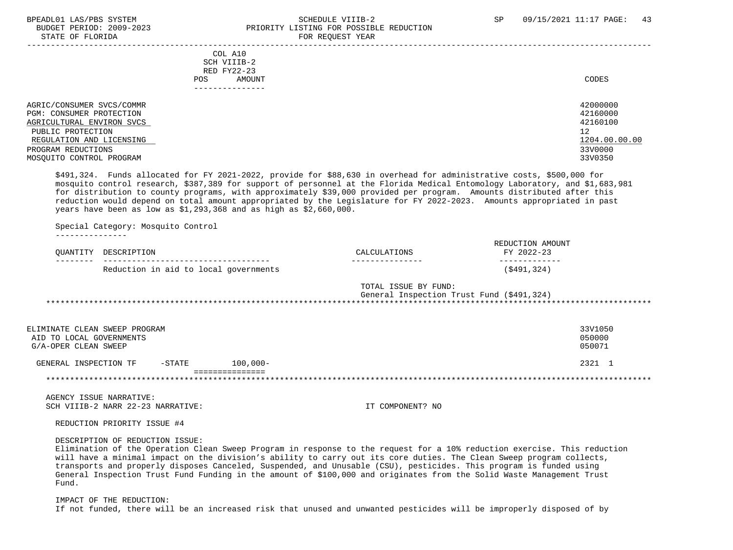#### BPEADL01 LAS/PBS SYSTEM SALL SALL SOMEDULE VIIIB-2 SP 09/15/2021 11:17 PAGE: 43 BUDGET PERIOD: 2009-2023 PRIORITY LISTING FOR POSSIBLE REDUCTION STATE OF FLORIDA **FOR REQUEST YEAR**

|                                                                                                                                                                                       | COL A10<br>SCH VIIIB-2<br>RED FY22-23<br>AMOUNT<br>POS.<br>------------ | CODES                                                                         |
|---------------------------------------------------------------------------------------------------------------------------------------------------------------------------------------|-------------------------------------------------------------------------|-------------------------------------------------------------------------------|
| AGRIC/CONSUMER SVCS/COMMR<br>PGM: CONSUMER PROTECTION<br>AGRICULTURAL ENVIRON SVCS<br>PUBLIC PROTECTION<br>REGULATION AND LICENSING<br>PROGRAM REDUCTIONS<br>MOSOUITO CONTROL PROGRAM |                                                                         | 42000000<br>42160000<br>42160100<br>12<br>1204.00.00.00<br>33V0000<br>33V0350 |

 \$491,324. Funds allocated for FY 2021-2022, provide for \$88,630 in overhead for administrative costs, \$500,000 for mosquito control research, \$387,389 for support of personnel at the Florida Medical Entomology Laboratory, and \$1,683,981 for distribution to county programs, with approximately \$39,000 provided per program. Amounts distributed after this reduction would depend on total amount appropriated by the Legislature for FY 2022-2023. Amounts appropriated in past years have been as low as \$1,293,368 and as high as \$2,660,000.

Special Category: Mosquito Control

---------------

| OUANTITY                                                                          | DESCRIPTION |           |                                       | CALCULATIONS                                                      | REDUCTION AMOUNT<br>FY 2022-23 |                             |
|-----------------------------------------------------------------------------------|-------------|-----------|---------------------------------------|-------------------------------------------------------------------|--------------------------------|-----------------------------|
|                                                                                   |             |           | Reduction in aid to local governments |                                                                   | (S491, 324)                    |                             |
|                                                                                   |             |           |                                       | TOTAL ISSUE BY FUND:<br>General Inspection Trust Fund (\$491,324) |                                |                             |
| ELIMINATE CLEAN SWEEP PROGRAM<br>AID TO LOCAL GOVERNMENTS<br>G/A-OPER CLEAN SWEEP |             |           |                                       |                                                                   |                                | 33V1050<br>050000<br>050071 |
| GENERAL INSPECTION TF                                                             |             | $-$ STATE | $100.000 -$                           |                                                                   |                                | 2321 1                      |
|                                                                                   |             |           |                                       |                                                                   |                                |                             |

 AGENCY ISSUE NARRATIVE: SCH VIIIB-2 NARR 22-23 NARRATIVE: IT COMPONENT? NO

REDUCTION PRIORITY ISSUE #4

#### DESCRIPTION OF REDUCTION ISSUE:

 Elimination of the Operation Clean Sweep Program in response to the request for a 10% reduction exercise. This reduction will have a minimal impact on the division's ability to carry out its core duties. The Clean Sweep program collects, transports and properly disposes Canceled, Suspended, and Unusable (CSU), pesticides. This program is funded using General Inspection Trust Fund Funding in the amount of \$100,000 and originates from the Solid Waste Management Trust Fund.

 IMPACT OF THE REDUCTION: If not funded, there will be an increased risk that unused and unwanted pesticides will be improperly disposed of by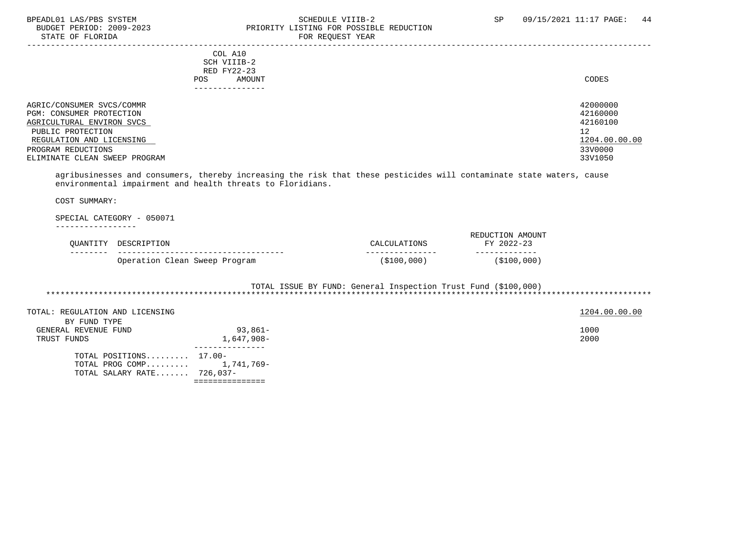#### BPEADL01 LAS/PBS SYSTEM SOHEDULE VIIIB-2 SCHEDULE VIIIB-2 SP 09/15/2021 11:17 PAGE: 44 BUDGET PERIOD: 2009-2023 PRIORITY LISTING FOR POSSIBLE REDUCTION<br>FOR REQUEST YEAR FOR REQUEST YEAR

| POS.                                                                                                                                                                                       | COL A10<br>SCH VIIIB-2<br>RED FY22-23<br>AMOUNT | CODES                                                                         |
|--------------------------------------------------------------------------------------------------------------------------------------------------------------------------------------------|-------------------------------------------------|-------------------------------------------------------------------------------|
| AGRIC/CONSUMER SVCS/COMMR<br>PGM: CONSUMER PROTECTION<br>AGRICULTURAL ENVIRON SVCS<br>PUBLIC PROTECTION<br>REGULATION AND LICENSING<br>PROGRAM REDUCTIONS<br>ELIMINATE CLEAN SWEEP PROGRAM | ------------                                    | 42000000<br>42160000<br>42160100<br>12<br>1204.00.00.00<br>33V0000<br>33V1050 |

 agribusinesses and consumers, thereby increasing the risk that these pesticides will contaminate state waters, cause environmental impairment and health threats to Floridians.

COST SUMMARY:

#### SPECIAL CATEGORY - 050071

-----------------

| OUANTITY DESCRIPTION          | CALCULATIONS | REDUCTION AMOUNT<br>FY 2022-23 |
|-------------------------------|--------------|--------------------------------|
|                               |              |                                |
| Operation Clean Sweep Program | (\$100,000)  | (\$100,000)                    |

 TOTAL ISSUE BY FUND: General Inspection Trust Fund (\$100,000) \*\*\*\*\*\*\*\*\*\*\*\*\*\*\*\*\*\*\*\*\*\*\*\*\*\*\*\*\*\*\*\*\*\*\*\*\*\*\*\*\*\*\*\*\*\*\*\*\*\*\*\*\*\*\*\*\*\*\*\*\*\*\*\*\*\*\*\*\*\*\*\*\*\*\*\*\*\*\*\*\*\*\*\*\*\*\*\*\*\*\*\*\*\*\*\*\*\*\*\*\*\*\*\*\*\*\*\*\*\*\*\*\*\*\*\*\*\*\*\*\*\*\*\*\*\*\*

| TOTAL: REGULATION AND LICENSING |                            | 1204.00.00.00 |
|---------------------------------|----------------------------|---------------|
| BY FUND TYPE                    |                            |               |
| GENERAL REVENUE FUND            | $93,861-$                  | 1000          |
| TRUST FUNDS                     | 1,647,908-                 | 2000          |
|                                 |                            |               |
| TOTAL POSITIONS $17.00-$        |                            |               |
|                                 | TOTAL PROG COMP 1,741,769- |               |
| TOTAL SALARY RATE 726,037-      |                            |               |
|                                 |                            |               |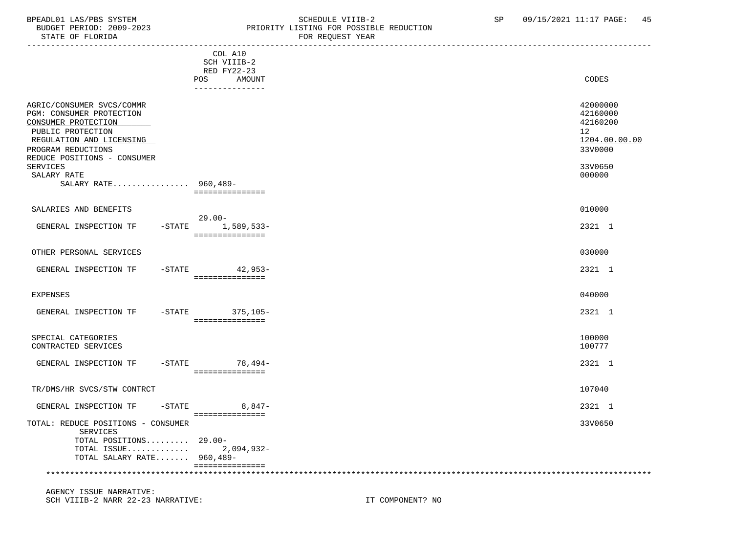#### BPEADL01 LAS/PBS SYSTEM STRING THE SCHEDULE VIIIB-2 SP 09/15/2021 11:17 PAGE: 45 BUDGET PERIOD: 2009-2023 PRIORITY LISTING FOR POSSIBLE REDUCTION FOR REQUEST YEAR

|                                                                                                                                                                                    |                                       | rok koğunur roman |                                                                    |
|------------------------------------------------------------------------------------------------------------------------------------------------------------------------------------|---------------------------------------|-------------------|--------------------------------------------------------------------|
|                                                                                                                                                                                    | COL A10<br>SCH VIIIB-2<br>RED FY22-23 |                   |                                                                    |
|                                                                                                                                                                                    | POS<br>AMOUNT<br>---------------      |                   | CODES                                                              |
| AGRIC/CONSUMER SVCS/COMMR<br>PGM: CONSUMER PROTECTION<br>CONSUMER PROTECTION<br>PUBLIC PROTECTION<br>REGULATION AND LICENSING<br>PROGRAM REDUCTIONS<br>REDUCE POSITIONS - CONSUMER |                                       |                   | 42000000<br>42160000<br>42160200<br>12<br>1204.00.00.00<br>33V0000 |
| <b>SERVICES</b><br>SALARY RATE                                                                                                                                                     |                                       |                   | 33V0650<br>000000                                                  |
| SALARY RATE 960,489-                                                                                                                                                               | ===============                       |                   |                                                                    |
| SALARIES AND BENEFITS                                                                                                                                                              | $29.00 -$                             |                   | 010000                                                             |
| GENERAL INSPECTION TF                                                                                                                                                              | -STATE 1,589,533-<br>===============  |                   | 2321 1                                                             |
| OTHER PERSONAL SERVICES                                                                                                                                                            |                                       |                   | 030000                                                             |
| GENERAL INSPECTION TF                                                                                                                                                              | $-STATE$ 42,953-<br>===============   |                   | 2321 1                                                             |
| <b>EXPENSES</b>                                                                                                                                                                    |                                       |                   | 040000                                                             |
| GENERAL INSPECTION TF                                                                                                                                                              | -STATE 375,105-<br>===============    |                   | 2321 1                                                             |
| SPECIAL CATEGORIES<br>CONTRACTED SERVICES                                                                                                                                          |                                       |                   | 100000<br>100777                                                   |
| GENERAL INSPECTION TF                                                                                                                                                              | $-STATE$ 78,494-<br>===============   |                   | 2321 1                                                             |
| TR/DMS/HR SVCS/STW CONTRCT                                                                                                                                                         |                                       |                   | 107040                                                             |
| GENERAL INSPECTION TF<br>$-STATE$                                                                                                                                                  | $8,847-$                              |                   | 2321 1                                                             |
| TOTAL: REDUCE POSITIONS - CONSUMER<br>SERVICES                                                                                                                                     | ===============                       |                   | 33V0650                                                            |
| TOTAL POSITIONS 29.00-<br>TOTAL SALARY RATE 960,489-                                                                                                                               |                                       |                   |                                                                    |
|                                                                                                                                                                                    | ===============                       |                   |                                                                    |

 AGENCY ISSUE NARRATIVE: SCH VIIIB-2 NARR 22-23 NARRATIVE: IT COMPONENT? NO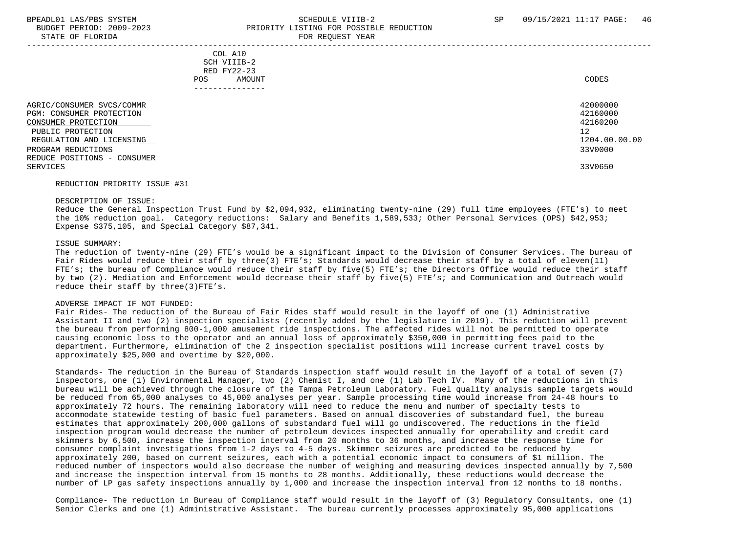#### BPEADL01 LAS/PBS SYSTEM SALL SALL SOMEDULE VIIIB-2 SP 09/15/2021 11:17 PAGE: 46 BUDGET PERIOD: 2009-2023 PRIORITY LISTING FOR POSSIBLE REDUCTION STATE OF FLORIDA FOR REQUEST YEAR FOR REQUEST THAT THE STATE OF STATE OF STATE OF STATE OF STATE OF STATE OF STATE OF STATE OF STATE OF STATE OF STATE OF STATE OF STATE OF STATE OF STATE OF STATE OF STATE OF STATE OF STATE

 ----------------------------------------------------------------------------------------------------------------------------------- COL A10 SCH VIIIB-2 RED FY22-23 POS AMOUNT NOTES AND AND A RESERVE AND A RESERVE AND LODGED AND LODGED AND LODGED AND LODGED AND LODGED AND LODGED AT A LODGED AND LODGED AT A LODGED AND LODGED AT A LODGED AND LODGED AT A LODGED AND LODGED AT A LODGED AND --------------- AGRIC/CONSUMER SVCS/COMMR<br>PGM: CONSUMER PROTECTION 42160000 PGM: CONSUMER PROTECTION 42160000<br>CONSUMER PROTECTION 42160200  $\sqrt{2}$   $\sqrt{42160200}$   $\sqrt{42160200}$   $\sqrt{42160200}$   $\sqrt{42160200}$   $\sqrt{42160200}$   $\sqrt{42160200}$   $\sqrt{42160200}$   $\sqrt{42160200}$   $\sqrt{42160200}$   $\sqrt{42160200}$   $\sqrt{42160200}$   $\sqrt{42160200}$   $\sqrt{42160200}$   $\sqrt{42160200}$   $\sqrt$ PUBLIC PROTECTION 12<br>REGULATION AND LICENSING NEWSLAUDS AND REGULATION AND LICENSING 1204.00.00.00 REGULATION AND LICENSING  $\frac{1204.00}{3300000}$ PROGRAM REDUCTIONS REDUCE POSITIONS - CONSUMER SERVICES 33V0650

#### REDUCTION PRIORITY ISSUE #31

#### DESCRIPTION OF ISSUE:

 Reduce the General Inspection Trust Fund by \$2,094,932, eliminating twenty-nine (29) full time employees (FTE's) to meet the 10% reduction goal. Category reductions: Salary and Benefits 1,589,533; Other Personal Services (OPS) \$42,953; Expense \$375,105, and Special Category \$87,341.

#### ISSUE SUMMARY:

 The reduction of twenty-nine (29) FTE's would be a significant impact to the Division of Consumer Services. The bureau of Fair Rides would reduce their staff by three(3) FTE's; Standards would decrease their staff by a total of eleven(11) FTE's; the bureau of Compliance would reduce their staff by five(5) FTE's; the Directors Office would reduce their staff by two (2). Mediation and Enforcement would decrease their staff by five(5) FTE's; and Communication and Outreach would reduce their staff by three(3)FTE's.

#### ADVERSE IMPACT IF NOT FUNDED:

 Fair Rides- The reduction of the Bureau of Fair Rides staff would result in the layoff of one (1) Administrative Assistant II and two (2) inspection specialists (recently added by the legislature in 2019). This reduction will prevent the bureau from performing 800-1,000 amusement ride inspections. The affected rides will not be permitted to operate causing economic loss to the operator and an annual loss of approximately \$350,000 in permitting fees paid to the department. Furthermore, elimination of the 2 inspection specialist positions will increase current travel costs by approximately \$25,000 and overtime by \$20,000.

 Standards- The reduction in the Bureau of Standards inspection staff would result in the layoff of a total of seven (7) inspectors, one (1) Environmental Manager, two (2) Chemist I, and one (1) Lab Tech IV. Many of the reductions in this bureau will be achieved through the closure of the Tampa Petroleum Laboratory. Fuel quality analysis sample targets would be reduced from 65,000 analyses to 45,000 analyses per year. Sample processing time would increase from 24-48 hours to approximately 72 hours. The remaining laboratory will need to reduce the menu and number of specialty tests to accommodate statewide testing of basic fuel parameters. Based on annual discoveries of substandard fuel, the bureau estimates that approximately 200,000 gallons of substandard fuel will go undiscovered. The reductions in the field inspection program would decrease the number of petroleum devices inspected annually for operability and credit card skimmers by 6,500, increase the inspection interval from 20 months to 36 months, and increase the response time for consumer complaint investigations from 1-2 days to 4-5 days. Skimmer seizures are predicted to be reduced by approximately 200, based on current seizures, each with a potential economic impact to consumers of \$1 million. The reduced number of inspectors would also decrease the number of weighing and measuring devices inspected annually by 7,500 and increase the inspection interval from 15 months to 28 months. Additionally, these reductions would decrease the number of LP gas safety inspections annually by 1,000 and increase the inspection interval from 12 months to 18 months.

 Compliance- The reduction in Bureau of Compliance staff would result in the layoff of (3) Regulatory Consultants, one (1) Senior Clerks and one (1) Administrative Assistant. The bureau currently processes approximately 95,000 applications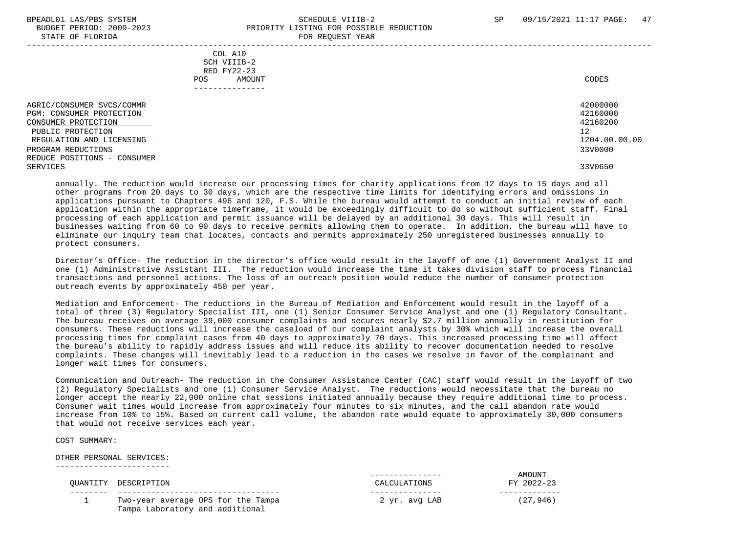#### BPEADL01 LAS/PBS SYSTEM SALL SALL SOMEDULE VIIIB-2 SP 09/15/2021 11:17 PAGE: 47 BUDGET PERIOD: 2009-2023 PRIORITY LISTING FOR POSSIBLE REDUCTION STATE OF FLORIDA FOR REQUEST YEAR FOR REQUEST YEAR

|                                                                                                                                                                                                | - --- --- <u>-</u> ---- -----                                          |                                                                               |
|------------------------------------------------------------------------------------------------------------------------------------------------------------------------------------------------|------------------------------------------------------------------------|-------------------------------------------------------------------------------|
|                                                                                                                                                                                                | COL A10<br>SCH VIIIB-2<br>RED FY22-23<br>AMOUNT<br>POS<br>------------ | CODES                                                                         |
| AGRIC/CONSUMER SVCS/COMMR<br>PGM: CONSUMER PROTECTION<br>CONSUMER PROTECTION<br>PUBLIC PROTECTION<br>REGULATION AND LICENSING<br>PROGRAM REDUCTIONS<br>REDUCE POSITIONS - CONSUMER<br>SERVICES |                                                                        | 42000000<br>42160000<br>42160200<br>12<br>1204.00.00.00<br>33V0000<br>33V0650 |

 annually. The reduction would increase our processing times for charity applications from 12 days to 15 days and all other programs from 20 days to 30 days, which are the respective time limits for identifying errors and omissions in applications pursuant to Chapters 496 and 120, F.S. While the bureau would attempt to conduct an initial review of each application within the appropriate timeframe, it would be exceedingly difficult to do so without sufficient staff. Final processing of each application and permit issuance will be delayed by an additional 30 days. This will result in businesses waiting from 60 to 90 days to receive permits allowing them to operate. In addition, the bureau will have to eliminate our inquiry team that locates, contacts and permits approximately 250 unregistered businesses annually to protect consumers.

 Director's Office- The reduction in the director's office would result in the layoff of one (1) Government Analyst II and one (1) Administrative Assistant III. The reduction would increase the time it takes division staff to process financial transactions and personnel actions. The loss of an outreach position would reduce the number of consumer protection outreach events by approximately 450 per year.

 Mediation and Enforcement- The reductions in the Bureau of Mediation and Enforcement would result in the layoff of a total of three (3) Regulatory Specialist III, one (1) Senior Consumer Service Analyst and one (1) Regulatory Consultant. The bureau receives on average 39,000 consumer complaints and secures nearly \$2.7 million annually in restitution for consumers. These reductions will increase the caseload of our complaint analysts by 30% which will increase the overall processing times for complaint cases from 40 days to approximately 70 days. This increased processing time will affect the bureau's ability to rapidly address issues and will reduce its ability to recover documentation needed to resolve complaints. These changes will inevitably lead to a reduction in the cases we resolve in favor of the complainant and longer wait times for consumers.

 Communication and Outreach- The reduction in the Consumer Assistance Center (CAC) staff would result in the layoff of two (2) Regulatory Specialists and one (1) Consumer Service Analyst. The reductions would necessitate that the bureau no longer accept the nearly 22,000 online chat sessions initiated annually because they require additional time to process. Consumer wait times would increase from approximately four minutes to six minutes, and the call abandon rate would increase from 10% to 15%. Based on current call volume, the abandon rate would equate to approximately 30,000 consumers that would not receive services each year.

COST SUMMARY:

 OTHER PERSONAL SERVICES: ------------------------

 -------- ---------------------------------- --------------- ------------- 1 Two-year average OPS for the Tampa 2 yr. avg LAB (27,946) Tampa Laboratory and additional

 --------------- AMOUNT QUANTITY DESCRIPTION CALCULATIONS FY 2022-23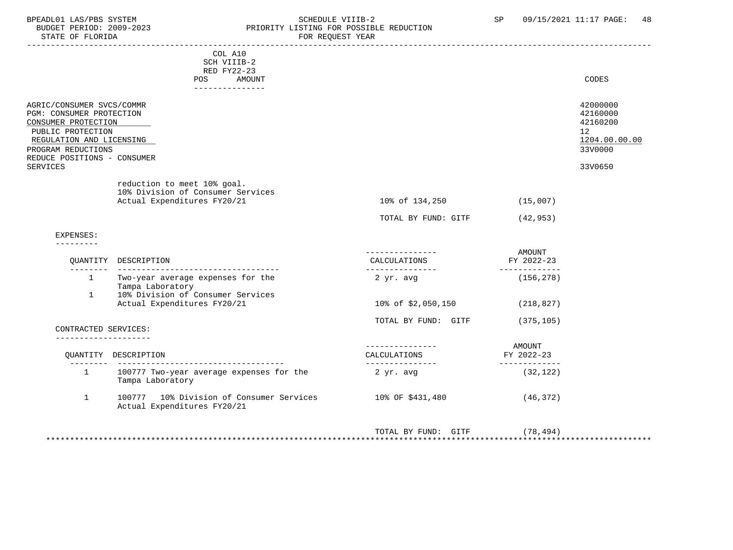### BPEADL01 LAS/PBS SYSTEM STRING THE SCHEDULE VIIIB-2 SP 09/15/2021 11:17 PAGE: 48 BUDGET PERIOD: 2009-2023 PRIORITY LISTING FOR POSSIBLE REDUCTION<br>STATE OF FLORIDA POR REQUEST YEAR FOR REQUEST YEAR

|                                                                                                                                                                                                       | COL A10<br>SCH VIIIB-2<br>RED FY22-23                                                           |                                                     |                                       |                                                                                            |
|-------------------------------------------------------------------------------------------------------------------------------------------------------------------------------------------------------|-------------------------------------------------------------------------------------------------|-----------------------------------------------------|---------------------------------------|--------------------------------------------------------------------------------------------|
|                                                                                                                                                                                                       | AMOUNT<br>POS<br>----------------                                                               |                                                     |                                       | CODES                                                                                      |
| AGRIC/CONSUMER SVCS/COMMR<br>PGM: CONSUMER PROTECTION<br>CONSUMER PROTECTION<br>PUBLIC PROTECTION<br>REGULATION AND LICENSING<br>PROGRAM REDUCTIONS<br>REDUCE POSITIONS - CONSUMER<br><b>SERVICES</b> |                                                                                                 |                                                     |                                       | 42000000<br>42160000<br>42160200<br>12 <sup>°</sup><br>1204.00.00.00<br>33V0000<br>33V0650 |
|                                                                                                                                                                                                       | reduction to meet 10% goal.<br>10% Division of Consumer Services<br>Actual Expenditures FY20/21 | 10% of 134,250                                      | (15,007)                              |                                                                                            |
|                                                                                                                                                                                                       |                                                                                                 | TOTAL BY FUND: GITF                                 | (42, 953)                             |                                                                                            |
| EXPENSES:                                                                                                                                                                                             |                                                                                                 |                                                     |                                       |                                                                                            |
|                                                                                                                                                                                                       | OUANTITY DESCRIPTION                                                                            | ----------------<br>CALCULATIONS<br>_______________ | AMOUNT<br>FY 2022-23<br>------------- |                                                                                            |
| $\mathbf{1}$                                                                                                                                                                                          | 1 Two-year average expenses for the<br>Tampa Laboratory<br>10% Division of Consumer Services    | 2 yr. avg                                           | (156, 278)                            |                                                                                            |
|                                                                                                                                                                                                       | Actual Expenditures FY20/21                                                                     | 10% of \$2,050,150                                  | (218, 827)                            |                                                                                            |
| CONTRACTED SERVICES:<br>-------------------                                                                                                                                                           |                                                                                                 | TOTAL BY FUND: GITF                                 | (375, 105)                            |                                                                                            |
|                                                                                                                                                                                                       | OUANTITY DESCRIPTION                                                                            | CALCULATIONS<br>----------------                    | AMOUNT<br>FY 2022-23<br>------------- |                                                                                            |
| $\mathbf{1}$                                                                                                                                                                                          | 100777 Two-year average expenses for the<br>Tampa Laboratory                                    | 2 yr. avg                                           | (32, 122)                             |                                                                                            |
| $\mathbf{1}$                                                                                                                                                                                          | 100777 10% Division of Consumer Services<br>Actual Expenditures FY20/21                         | 10% OF \$431,480                                    | (46, 372)                             |                                                                                            |
|                                                                                                                                                                                                       |                                                                                                 | TOTAL BY FUND: GITF                                 | (78, 494)                             |                                                                                            |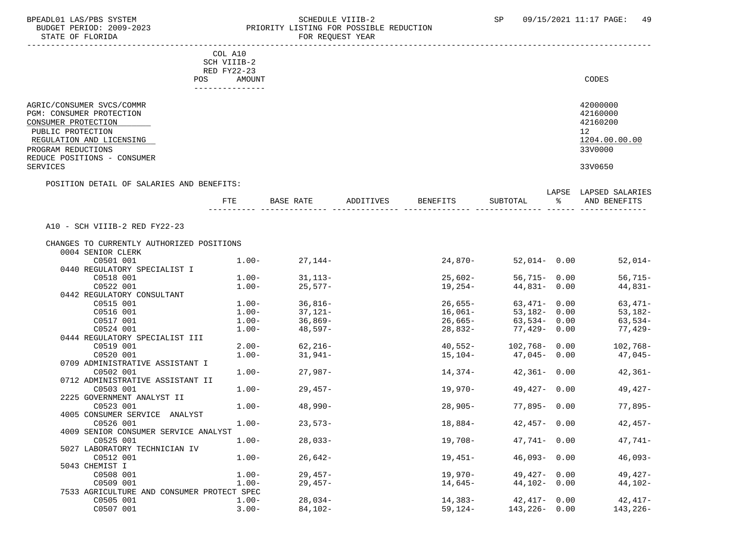STATE OF FLORIDA

## BPEADL01 LAS/PBS SYSTEM SALLE STREDULE VIIIB-2 SCHEDULE VIIIB-2 SP 09/15/2021 11:17 PAGE: 49 PRIORITY LISTING FOR POSSIBLE REDUCTION<br>FOR REQUEST YEAR

|                                                       | COL A10     |                                        |           |                 |                            |               |                          |
|-------------------------------------------------------|-------------|----------------------------------------|-----------|-----------------|----------------------------|---------------|--------------------------|
|                                                       | SCH VIIIB-2 |                                        |           |                 |                            |               |                          |
|                                                       | RED FY22-23 |                                        |           |                 |                            |               |                          |
| POS                                                   | AMOUNT      |                                        |           |                 |                            |               | CODES                    |
|                                                       |             |                                        |           |                 |                            |               |                          |
| AGRIC/CONSUMER SVCS/COMMR<br>PGM: CONSUMER PROTECTION |             |                                        |           |                 |                            |               | 42000000<br>42160000     |
| CONSUMER PROTECTION                                   |             |                                        |           |                 |                            |               | 42160200                 |
| PUBLIC PROTECTION                                     |             |                                        |           |                 |                            |               | 12 <sup>°</sup>          |
| REGULATION AND LICENSING                              |             |                                        |           |                 |                            |               | 1204.00.00.00            |
| PROGRAM REDUCTIONS                                    |             |                                        |           |                 |                            |               | 33V0000                  |
| REDUCE POSITIONS - CONSUMER                           |             |                                        |           |                 |                            |               |                          |
| SERVICES                                              |             |                                        |           |                 |                            |               | 33V0650                  |
| POSITION DETAIL OF SALARIES AND BENEFITS:             |             |                                        |           |                 |                            |               |                          |
|                                                       |             |                                        |           |                 |                            |               | LAPSE LAPSED SALARIES    |
|                                                       | FTE         | BASE RATE                              | ADDITIVES | <b>BENEFITS</b> | SUBTOTAL                   | $\sim$ $\sim$ | AND BENEFITS             |
|                                                       |             |                                        |           |                 |                            |               |                          |
| A10 - SCH VIIIB-2 RED FY22-23                         |             |                                        |           |                 |                            |               |                          |
| CHANGES TO CURRENTLY AUTHORIZED POSITIONS             |             |                                        |           |                 |                            |               |                          |
| 0004 SENIOR CLERK                                     |             |                                        |           |                 |                            |               |                          |
| C0501 001                                             |             | $1.00 - 27,144 -$                      |           | 24,870-         |                            |               | 52,014-0.00<br>$52,014-$ |
| 0440 REGULATORY SPECIALIST I                          |             |                                        |           |                 |                            |               |                          |
| C0518 001                                             |             | $1.00 - 31.113 -$                      |           | $25,602-$       | 56,715- 0.00               |               | 56,715-                  |
| C0522 001                                             | $1.00-$     | $25,577-$                              |           | $19, 254 -$     | $44,831 - 0.00$            |               | 44,831-                  |
| 0442 REGULATORY CONSULTANT                            |             |                                        |           |                 |                            |               |                          |
| C0515 001                                             |             | $1.00 - 36,816 -$                      |           | $26,655-$       | 63,471- 0.00               |               | $63,471-$                |
| C0516 001                                             | $1.00-$     | $37,121-$                              |           | 16,061–         | 53,182- 0.00               |               | 53,182-                  |
| C0517 001                                             | $1.00-$     | 36,869-                                |           | 26,665-         | $63,534 - 0.00$            |               | 63,534-                  |
| C0524 001                                             | $1.00-$     | 48,597-                                |           | 28,832-         | 77,429-0.00                |               | 77,429-                  |
| 0444 REGULATORY SPECIALIST III                        |             |                                        |           |                 |                            |               |                          |
| C0519 001                                             |             | $2.00 - 62,216 -$<br>$1.00 - 31,941 -$ |           | $40,552-$       | 102,768- 0.00              |               | $102,768-$               |
| C0520 001                                             |             |                                        |           |                 | $15, 104 - 47, 045 - 0.00$ |               | 47,045-                  |
| 0709 ADMINISTRATIVE ASSISTANT I<br>C0502 001          |             | $1.00 -$<br>$27,987-$                  |           | 14,374-         | $42,361 - 0.00$            |               | $42,361-$                |
| 0712 ADMINISTRATIVE ASSISTANT II                      |             |                                        |           |                 |                            |               |                          |
| C0503 001                                             | $1.00 -$    | 29,457-                                |           | 19,970-         | $49,427 - 0.00$            |               | 49,427-                  |
| 2225 GOVERNMENT ANALYST II                            |             |                                        |           |                 |                            |               |                          |
| C0523 001                                             | $1.00-$     | 48,990-                                |           | 28,905-         | 77,895- 0.00               |               | $77,895-$                |
| 4005 CONSUMER SERVICE ANALYST                         |             |                                        |           |                 |                            |               |                          |
| C0526 001                                             | $1.00 -$    | $23,573-$                              |           | 18,884-         | $42,457 - 0.00$            |               | 42,457-                  |
| 4009 SENIOR CONSUMER SERVICE ANALYST                  |             |                                        |           |                 |                            |               |                          |
| C0525 001                                             | $1.00-$     | $28,033-$                              |           | $19,708-$       | $47,741 - 0.00$            |               | $47,741-$                |
| 5027 LABORATORY TECHNICIAN IV                         |             |                                        |           |                 |                            |               |                          |
| C0512 001                                             | $1.00 -$    | $26,642-$                              |           | $19,451-$       | $46,093 - 0.00$            |               | $46,093-$                |
| 5043 CHEMIST I                                        |             |                                        |           |                 |                            |               |                          |
| C0508 001                                             | $1.00 -$    | $29,457-$                              |           | $19,970-$       | $49,427 - 0.00$            |               | $49,427-$                |
| C0509 001                                             | $1.00-$     | $29,457-$                              |           | $14,645-$       | $44,102 - 0.00$            |               | 44,102-                  |
| 7533 AGRICULTURE AND CONSUMER PROTECT SPEC            |             |                                        |           |                 |                            |               |                          |
| C0505 001                                             | $1.00 -$    | $28,034-$                              |           | $14,383-$       | $42,417 - 0.00$            |               | $42, 417-$               |

C0507 001 3.00- 84,102- 59,124- 143,226- 0.00 143,226-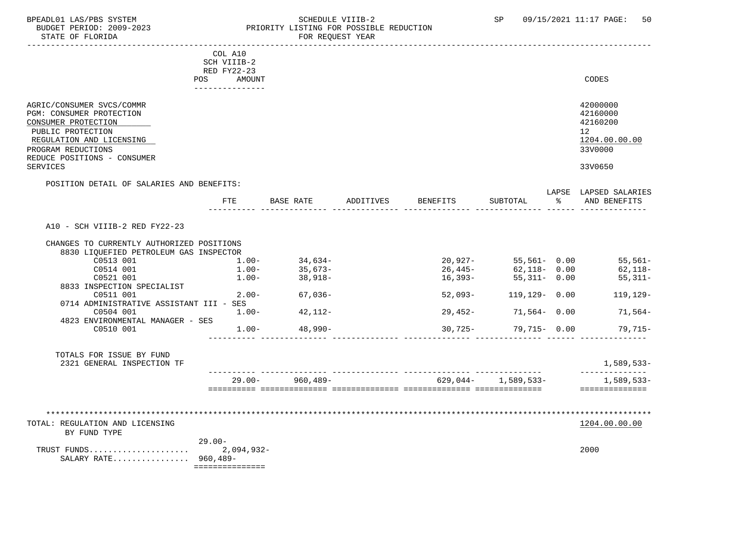### BPEADL01 LAS/PBS SYSTEM SOHEDULE VIIIB-2 SCHEDULE VIIIB-2 SP 09/15/2021 11:17 PAGE: 50<br>BUDGET PERIOD: 2009-2023 PRIORITY LISTING FOR POSSIBLE REDUCTION BUDGET PERIOD: 2009-2023 PRIORITY LISTING FOR POSSIBLE REDUCTION FOR REQUEST YEAR

|                                                                                                                                                                                    | COL A10<br>SCH VIIIB-2                                 |                     |           |           |                           |                                                                    |
|------------------------------------------------------------------------------------------------------------------------------------------------------------------------------------|--------------------------------------------------------|---------------------|-----------|-----------|---------------------------|--------------------------------------------------------------------|
|                                                                                                                                                                                    | RED FY22-23<br><b>POS</b><br>AMOUNT<br>--------------- |                     |           |           |                           | CODES                                                              |
| AGRIC/CONSUMER SVCS/COMMR<br>PGM: CONSUMER PROTECTION<br>CONSUMER PROTECTION<br>PUBLIC PROTECTION<br>REGULATION AND LICENSING<br>PROGRAM REDUCTIONS<br>REDUCE POSITIONS - CONSUMER |                                                        |                     |           |           |                           | 42000000<br>42160000<br>42160200<br>12<br>1204.00.00.00<br>33V0000 |
| <b>SERVICES</b>                                                                                                                                                                    |                                                        |                     |           |           |                           | 33V0650                                                            |
| POSITION DETAIL OF SALARIES AND BENEFITS:                                                                                                                                          | <b>FTE</b>                                             | BASE RATE           | ADDITIVES | BENEFITS  | SUBTOTAL                  | LAPSE LAPSED SALARIES<br>% AND BENEFITS                            |
| A10 - SCH VIIIB-2 RED FY22-23<br>CHANGES TO CURRENTLY AUTHORIZED POSITIONS                                                                                                         |                                                        |                     |           |           |                           |                                                                    |
| 8830 LIQUEFIED PETROLEUM GAS INSPECTOR<br>C0513 001                                                                                                                                | $1.00-$                                                |                     |           |           | $20,927 - 55,561 - 0.00$  | $55,561-$                                                          |
| C0514 001                                                                                                                                                                          | $1.00 -$                                               | 34,634–<br>35,673–  |           | $26,445-$ | $62,118 - 0.00$           | 62,118-                                                            |
| C0521 001<br>8833 INSPECTION SPECIALIST                                                                                                                                            |                                                        | $1.00 - 38.918 -$   |           | $16,393-$ | 55,311- 0.00              | $55,311-$                                                          |
| C0511 001                                                                                                                                                                          | $2.00 -$                                               | 67,036-             |           |           | $52,093 - 119,129 - 0.00$ | 119,129-                                                           |
| 0714 ADMINISTRATIVE ASSISTANT III - SES                                                                                                                                            |                                                        |                     |           |           |                           |                                                                    |
| C0504 001                                                                                                                                                                          | $1.00 -$                                               | 42,112-             |           | 29,452-   | 71,564- 0.00              | 71,564–                                                            |
| 4823 ENVIRONMENTAL MANAGER - SES<br>C0510 001                                                                                                                                      | $1.00-$                                                | $48,990-$           |           | 30,725-   | 79,715- 0.00              | 79,715-                                                            |
| TOTALS FOR ISSUE BY FUND<br>2321 GENERAL INSPECTION TF                                                                                                                             |                                                        |                     |           |           |                           | 1,589,533-                                                         |
|                                                                                                                                                                                    |                                                        |                     |           |           |                           | --------------                                                     |
|                                                                                                                                                                                    |                                                        | $29.00 - 960,489 -$ |           |           | $629,044 - 1,589,533 -$   | 1,589,533-<br>===============                                      |
| TOTAL: REGULATION AND LICENSING<br>BY FUND TYPE<br>SALARY RATE 960,489-                                                                                                            | $29.00 -$                                              |                     |           |           |                           | 1204.00.00.00<br>2000                                              |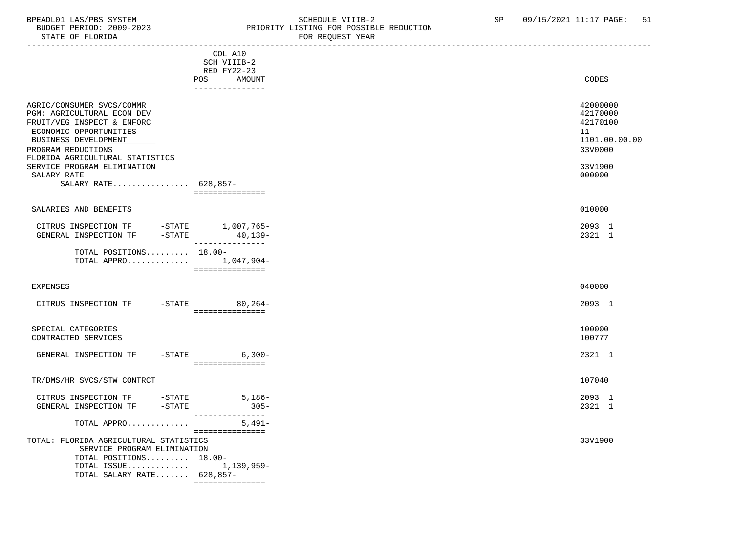### BPEADL01 LAS/PBS SYSTEM SALL SOME SCHEDULE VIIIB-2 SCHEDULE SP 09/15/2021 11:17 PAGE: 51 BUDGET PERIOD: 2009-2023 PRIORITY LISTING FOR POSSIBLE REDUCTION

| STATE OF FLORIDA                                                                                                                                                                                                                                                                                                        |                                                                        | FOR REQUEST YEAR |                                                                                         |
|-------------------------------------------------------------------------------------------------------------------------------------------------------------------------------------------------------------------------------------------------------------------------------------------------------------------------|------------------------------------------------------------------------|------------------|-----------------------------------------------------------------------------------------|
|                                                                                                                                                                                                                                                                                                                         | COL A10<br>SCH VIIIB-2<br>RED FY22-23<br>POS AMOUNT<br>_______________ |                  | CODES                                                                                   |
| AGRIC/CONSUMER SVCS/COMMR<br>PGM: AGRICULTURAL ECON DEV<br>FRUIT/VEG INSPECT & ENFORC<br>ECONOMIC OPPORTUNITIES<br>BUSINESS DEVELOPMENT<br>PROGRAM REDUCTIONS<br>FLORIDA AGRICULTURAL STATISTICS<br>SERVICE PROGRAM ELIMINATION<br>SALARY RATE<br>SALARY RATE 628,857-                                                  | ===============                                                        |                  | 42000000<br>42170000<br>42170100<br>11<br>1101.00.00.00<br>33V0000<br>33V1900<br>000000 |
| SALARIES AND BENEFITS                                                                                                                                                                                                                                                                                                   |                                                                        |                  | 010000                                                                                  |
| $\begin{tabular}{llllll} \multicolumn{2}{l}{{\small \texttt{CITRUS}}}\quad}{\small \texttt{INSPECTION TF}} & & \multicolumn{2}{l}{-STATE}& & 1,007,765-\\ \multicolumn{2}{l}{\small \texttt{GENERAL}} & & \multicolumn{2}{l}{\small \texttt{INSPECTION TF}} & & \multicolumn{2}{l}{-STATE} & & 40,139-\\ \end{tabular}$ |                                                                        |                  | 2093 1<br>2321 1                                                                        |
| TOTAL POSITIONS 18.00-<br>TOTAL APPRO 1,047,904-                                                                                                                                                                                                                                                                        | _________________                                                      |                  |                                                                                         |
| EXPENSES                                                                                                                                                                                                                                                                                                                |                                                                        |                  | 040000                                                                                  |
| CITRUS INSPECTION TF -STATE 80,264-                                                                                                                                                                                                                                                                                     | - ================                                                     |                  | 2093 1                                                                                  |
| SPECIAL CATEGORIES<br>CONTRACTED SERVICES                                                                                                                                                                                                                                                                               |                                                                        |                  | 100000<br>100777                                                                        |
| GENERAL INSPECTION TF                                                                                                                                                                                                                                                                                                   | -STATE 6,300-<br>================                                      |                  | 2321 1                                                                                  |
| TR/DMS/HR SVCS/STW CONTRCT                                                                                                                                                                                                                                                                                              |                                                                        |                  | 107040                                                                                  |
| CITRUS INSPECTION TF -STATE 5,186-<br>$-STATE$<br>GENERAL INSPECTION TF                                                                                                                                                                                                                                                 | $305 -$<br>________________                                            |                  | 2093 1<br>2321 1                                                                        |
| TOTAL APPRO                                                                                                                                                                                                                                                                                                             | $5,491-$<br>===============                                            |                  |                                                                                         |
| TOTAL: FLORIDA AGRICULTURAL STATISTICS<br>SERVICE PROGRAM ELIMINATION<br>TOTAL POSITIONS 18.00-<br>TOTAL ISSUE 1,139,959-<br>TOTAL SALARY RATE 628,857-                                                                                                                                                                 | ================                                                       |                  | 33V1900                                                                                 |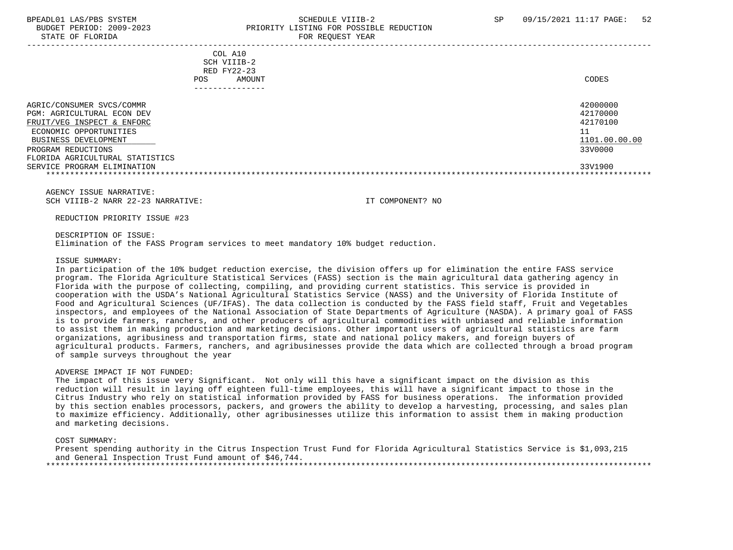#### BPEADL01 LAS/PBS SYSTEM SALL SOLUTION SCHEDULE VIIIB-2 SP 09/15/2021 11:17 PAGE: 52 BUDGET PERIOD: 2009-2023 PRIORITY LISTING FOR POSSIBLE REDUCTION STATE OF FLORIDA FOR REQUEST YEAR

 ----------------------------------------------------------------------------------------------------------------------------------- COL A10 SCH VIIIB-2 RED FY22-23 POS AMOUNT NOTES AND AND A RESERVE AND A RESERVE AND LODGED AND LODGED AND LODGED AND LODGED AND LODGED AND LODGED AT A LODGED AND LODGED AT A LODGED AND LODGED AT A LODGED AND LODGED AT A LODGED AND LODGED AT A LODGED AND --------------- AGRIC/CONSUMER SVCS/COMMR 42000000 PGM: AGRICULTURAL ECON DEV 42170000<br>PRUIT/VEG INSPECT & ENFORC FRUIT/VEG INSPECT & ENFORC ECONOMIC OPPORTUNITIES 11<br>BUSINESS DEVELOPMENT 1101.00.00.00 BUSINESS DEVELOPMENT PROGRAM REDUCTIONS 33V0000 FLORIDA AGRICULTURAL STATISTICS SERVICE PROGRAM ELIMINATION 33V1900 \*\*\*\*\*\*\*\*\*\*\*\*\*\*\*\*\*\*\*\*\*\*\*\*\*\*\*\*\*\*\*\*\*\*\*\*\*\*\*\*\*\*\*\*\*\*\*\*\*\*\*\*\*\*\*\*\*\*\*\*\*\*\*\*\*\*\*\*\*\*\*\*\*\*\*\*\*\*\*\*\*\*\*\*\*\*\*\*\*\*\*\*\*\*\*\*\*\*\*\*\*\*\*\*\*\*\*\*\*\*\*\*\*\*\*\*\*\*\*\*\*\*\*\*\*\*\*

 AGENCY ISSUE NARRATIVE: SCH VIIIB-2 NARR 22-23 NARRATIVE: IT COMPONENT? NO

REDUCTION PRIORITY ISSUE #23

DESCRIPTION OF ISSUE:

Elimination of the FASS Program services to meet mandatory 10% budget reduction.

#### ISSUE SUMMARY:

 In participation of the 10% budget reduction exercise, the division offers up for elimination the entire FASS service program. The Florida Agriculture Statistical Services (FASS) section is the main agricultural data gathering agency in Florida with the purpose of collecting, compiling, and providing current statistics. This service is provided in cooperation with the USDA's National Agricultural Statistics Service (NASS) and the University of Florida Institute of Food and Agricultural Sciences (UF/IFAS). The data collection is conducted by the FASS field staff, Fruit and Vegetables inspectors, and employees of the National Association of State Departments of Agriculture (NASDA). A primary goal of FASS is to provide farmers, ranchers, and other producers of agricultural commodities with unbiased and reliable information to assist them in making production and marketing decisions. Other important users of agricultural statistics are farm organizations, agribusiness and transportation firms, state and national policy makers, and foreign buyers of agricultural products. Farmers, ranchers, and agribusinesses provide the data which are collected through a broad program of sample surveys throughout the year

#### ADVERSE IMPACT IF NOT FUNDED:

 The impact of this issue very Significant. Not only will this have a significant impact on the division as this reduction will result in laying off eighteen full-time employees, this will have a significant impact to those in the Citrus Industry who rely on statistical information provided by FASS for business operations. The information provided by this section enables processors, packers, and growers the ability to develop a harvesting, processing, and sales plan to maximize efficiency. Additionally, other agribusinesses utilize this information to assist them in making production and marketing decisions.

#### COST SUMMARY:

 Present spending authority in the Citrus Inspection Trust Fund for Florida Agricultural Statistics Service is \$1,093,215 and General Inspection Trust Fund amount of \$46,744. \*\*\*\*\*\*\*\*\*\*\*\*\*\*\*\*\*\*\*\*\*\*\*\*\*\*\*\*\*\*\*\*\*\*\*\*\*\*\*\*\*\*\*\*\*\*\*\*\*\*\*\*\*\*\*\*\*\*\*\*\*\*\*\*\*\*\*\*\*\*\*\*\*\*\*\*\*\*\*\*\*\*\*\*\*\*\*\*\*\*\*\*\*\*\*\*\*\*\*\*\*\*\*\*\*\*\*\*\*\*\*\*\*\*\*\*\*\*\*\*\*\*\*\*\*\*\*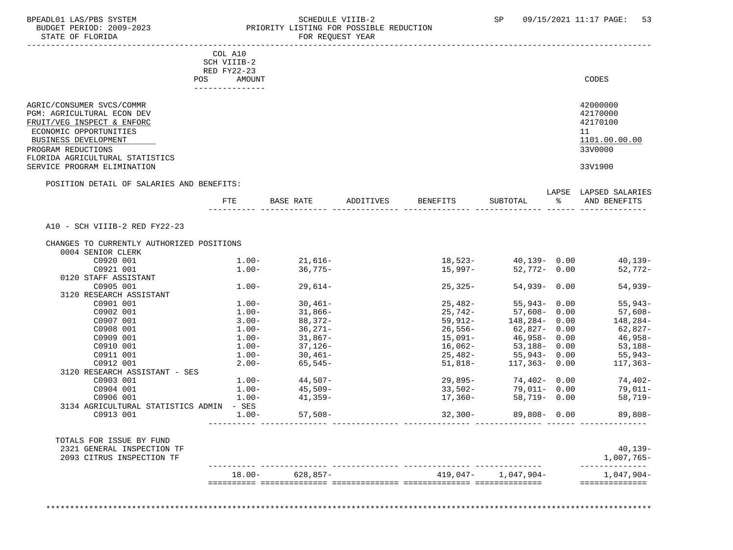#### BPEADL01 LAS/PBS SYSTEM SALLE SUBDOOT SOMEDULE VIIIB-2 SP 09/15/2021 11:17 PAGE: 53<br>BUDGET PERIOD: 2009-2023 PRIORITY LISTING FOR POSSIBLE REDUCTION BUDGET PERIOD: 2009-2023 PRIORITY LISTING FOR POSSIBLE REDUCTION<br>FOR REQUEST YEAR FOR REQUEST YEAR

|                                                                                                                                         | COL A10       |                                                                                                                                                                                                                                                            |           |                 |                                                                        |               |                                                                |
|-----------------------------------------------------------------------------------------------------------------------------------------|---------------|------------------------------------------------------------------------------------------------------------------------------------------------------------------------------------------------------------------------------------------------------------|-----------|-----------------|------------------------------------------------------------------------|---------------|----------------------------------------------------------------|
|                                                                                                                                         | SCH VIIIB-2   |                                                                                                                                                                                                                                                            |           |                 |                                                                        |               |                                                                |
|                                                                                                                                         | RED FY22-23   |                                                                                                                                                                                                                                                            |           |                 |                                                                        |               |                                                                |
|                                                                                                                                         | AMOUNT<br>POS |                                                                                                                                                                                                                                                            |           |                 |                                                                        |               | CODES                                                          |
|                                                                                                                                         |               |                                                                                                                                                                                                                                                            |           |                 |                                                                        |               |                                                                |
| AGRIC/CONSUMER SVCS/COMMR<br>PGM: AGRICULTURAL ECON DEV<br>FRUIT/VEG INSPECT & ENFORC<br>ECONOMIC OPPORTUNITIES<br>BUSINESS DEVELOPMENT |               |                                                                                                                                                                                                                                                            |           |                 |                                                                        |               | 42000000<br>42170000<br>42170100<br>11<br>1101.00.00.00        |
| PROGRAM REDUCTIONS                                                                                                                      |               |                                                                                                                                                                                                                                                            |           |                 |                                                                        |               | 33V0000                                                        |
| FLORIDA AGRICULTURAL STATISTICS                                                                                                         |               |                                                                                                                                                                                                                                                            |           |                 |                                                                        |               |                                                                |
| SERVICE PROGRAM ELIMINATION                                                                                                             |               |                                                                                                                                                                                                                                                            |           |                 |                                                                        |               | 33V1900                                                        |
| POSITION DETAIL OF SALARIES AND BENEFITS:                                                                                               |               |                                                                                                                                                                                                                                                            |           |                 |                                                                        |               |                                                                |
|                                                                                                                                         |               |                                                                                                                                                                                                                                                            |           |                 |                                                                        |               | LAPSE LAPSED SALARIES                                          |
|                                                                                                                                         | <b>FTE</b>    | BASE RATE                                                                                                                                                                                                                                                  | ADDITIVES | <b>BENEFITS</b> | SUBTOTAL                                                               | $\sim$ $\sim$ | AND BENEFITS                                                   |
|                                                                                                                                         |               |                                                                                                                                                                                                                                                            |           |                 |                                                                        |               |                                                                |
| A10 - SCH VIIIB-2 RED FY22-23                                                                                                           |               |                                                                                                                                                                                                                                                            |           |                 |                                                                        |               |                                                                |
| CHANGES TO CURRENTLY AUTHORIZED POSITIONS                                                                                               |               |                                                                                                                                                                                                                                                            |           |                 |                                                                        |               |                                                                |
| 0004 SENIOR CLERK                                                                                                                       |               |                                                                                                                                                                                                                                                            |           |                 |                                                                        |               |                                                                |
| C0920 001                                                                                                                               |               | $1.00 - 21,616 -$                                                                                                                                                                                                                                          |           |                 |                                                                        |               | $18,523-40,139-0.00$ $40,139-40,139-$                          |
| C0921 001                                                                                                                               | $1.00 -$      | 36,775-                                                                                                                                                                                                                                                    |           | 15,997-         | 52,772- 0.00                                                           |               | 52,772-                                                        |
| 0120 STAFF ASSISTANT                                                                                                                    |               |                                                                                                                                                                                                                                                            |           |                 |                                                                        |               |                                                                |
| C0905 001                                                                                                                               |               | $1.00 - 29,614 -$                                                                                                                                                                                                                                          |           | $25,325-$       | 54,939- 0.00                                                           |               | $54,939-$                                                      |
| 3120 RESEARCH ASSISTANT                                                                                                                 |               |                                                                                                                                                                                                                                                            |           |                 |                                                                        |               |                                                                |
| C0901 001                                                                                                                               |               | $1.00 - 30,461 - 1.00 - 31,866 -$                                                                                                                                                                                                                          |           |                 | 25,482-<br>25,742-<br>57,608-<br>59,912-<br>26,556-<br>62,827-<br>0.00 |               | $55, 943-$                                                     |
| C0902 001                                                                                                                               | $1.00 -$      | $31,866-$                                                                                                                                                                                                                                                  |           |                 |                                                                        |               | 57,608-                                                        |
| C0907 001                                                                                                                               |               | $3.00  88,372 -$<br>$1.00  36,271 -$                                                                                                                                                                                                                       |           |                 |                                                                        |               | 148,284-                                                       |
| C0908 001                                                                                                                               |               |                                                                                                                                                                                                                                                            |           |                 |                                                                        |               | 62,827-                                                        |
| C0909 001                                                                                                                               |               |                                                                                                                                                                                                                                                            |           | 15,091–         |                                                                        |               | 46,958-                                                        |
| C0910 001                                                                                                                               |               | $1.00 - 31,867 - 1.00 - 37,126 - 37,126 - 37,126 - 37,126 - 37,126 - 37,126 - 37,126 - 37,126 - 37,126 - 37,126 - 37,126 - 37,126 - 37,126 - 37,126 - 37,126 - 37,126 - 37,126 - 37,126 - 37,126 - 37,126 - 37,126 - 37,126 - 37,126 - 37,126 - 37,126 - $ |           | 16,062-         | 46,958-0.00<br>53,188-0.00                                             |               | $53,188-$                                                      |
| C0911 001                                                                                                                               | $1.00 -$      | $30,461-$                                                                                                                                                                                                                                                  |           |                 |                                                                        |               | 55,943-                                                        |
| C0912 001                                                                                                                               |               | $2.00 - 65,545 -$                                                                                                                                                                                                                                          |           |                 | $25,482-$<br>$55,943-$<br>$0.00$<br>$51,818-$<br>$117,363-$<br>$0.00$  |               | $117, 363 -$                                                   |
| 3120 RESEARCH ASSISTANT - SES                                                                                                           |               |                                                                                                                                                                                                                                                            |           |                 |                                                                        |               |                                                                |
| C0903 001                                                                                                                               |               |                                                                                                                                                                                                                                                            |           |                 |                                                                        |               |                                                                |
| C0904 001                                                                                                                               |               | $1.00 - 44,507 -$<br>$1.00 - 45,509 -$                                                                                                                                                                                                                     |           |                 |                                                                        |               | $29,895$ -<br>33,502-<br>79,011-<br>79,011-<br>0.00<br>79,011- |
|                                                                                                                                         |               |                                                                                                                                                                                                                                                            |           |                 |                                                                        |               |                                                                |
| C0906 001                                                                                                                               | $1.00 -$      | 41,359-                                                                                                                                                                                                                                                    |           | 17,360-         | 58,719- 0.00                                                           |               | 58,719-                                                        |
| 3134 AGRICULTURAL STATISTICS ADMIN - SES                                                                                                |               |                                                                                                                                                                                                                                                            |           |                 |                                                                        |               |                                                                |
| C0913 001                                                                                                                               | $1.00-$       | $57,508-$                                                                                                                                                                                                                                                  |           | 32,300-         | 89,808- 0.00                                                           |               | $89,808-$                                                      |
|                                                                                                                                         |               |                                                                                                                                                                                                                                                            |           |                 |                                                                        |               |                                                                |
| TOTALS FOR ISSUE BY FUND                                                                                                                |               |                                                                                                                                                                                                                                                            |           |                 |                                                                        |               |                                                                |
| 2321 GENERAL INSPECTION TF                                                                                                              |               |                                                                                                                                                                                                                                                            |           |                 |                                                                        |               | $40, 139 -$                                                    |
| 2093 CITRUS INSPECTION TF                                                                                                               |               |                                                                                                                                                                                                                                                            |           |                 |                                                                        |               | 1,007,765-                                                     |
|                                                                                                                                         |               | $18.00 - 628,857 -$                                                                                                                                                                                                                                        |           |                 | 419,047- 1,047,904-                                                    |               | ______________<br>1,047,904-                                   |
|                                                                                                                                         |               |                                                                                                                                                                                                                                                            |           |                 |                                                                        |               | ==============                                                 |
|                                                                                                                                         |               |                                                                                                                                                                                                                                                            |           |                 |                                                                        |               |                                                                |

\*\*\*\*\*\*\*\*\*\*\*\*\*\*\*\*\*\*\*\*\*\*\*\*\*\*\*\*\*\*\*\*\*\*\*\*\*\*\*\*\*\*\*\*\*\*\*\*\*\*\*\*\*\*\*\*\*\*\*\*\*\*\*\*\*\*\*\*\*\*\*\*\*\*\*\*\*\*\*\*\*\*\*\*\*\*\*\*\*\*\*\*\*\*\*\*\*\*\*\*\*\*\*\*\*\*\*\*\*\*\*\*\*\*\*\*\*\*\*\*\*\*\*\*\*\*\*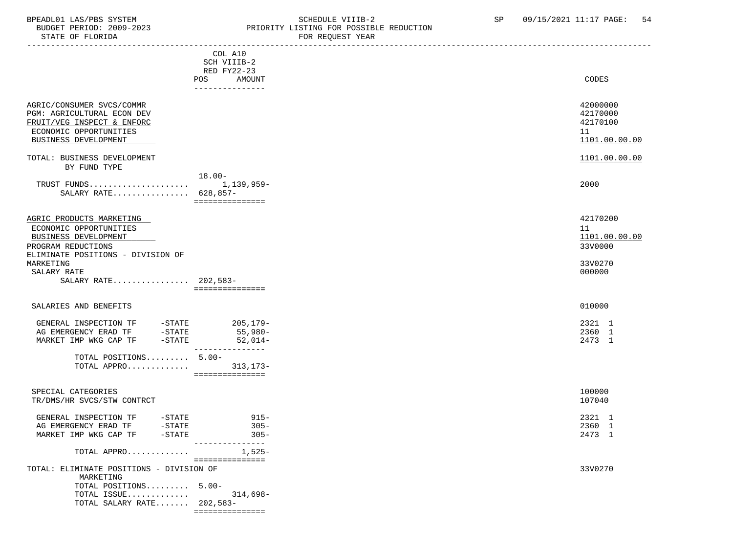#### BPEADL01 LAS/PBS SYSTEM STRING THE SCHEDULE VIIIB-2 SP 09/15/2021 11:17 PAGE: 54<br>BUDGET PERIOD: 2009-2023 PRIORITY LISTING FOR POSSIBLE REDUCTION BUDGET PERIOD: 2009-2023<br>STATE OF FLORIDA STATE OF FLORIDA FOR REQUEST YEAR

| PIAIE OF FLOKIDA                                                                                                                                                  |                                                                                  | FOR REQUEST IEAR |                                                                 |
|-------------------------------------------------------------------------------------------------------------------------------------------------------------------|----------------------------------------------------------------------------------|------------------|-----------------------------------------------------------------|
|                                                                                                                                                                   | COL A10<br>SCH VIIIB-2<br><b>RED FY22-23</b><br>POS<br>AMOUNT<br>--------------- |                  | CODES                                                           |
| AGRIC/CONSUMER SVCS/COMMR<br>PGM: AGRICULTURAL ECON DEV<br>FRUIT/VEG INSPECT & ENFORC<br>ECONOMIC OPPORTUNITIES<br>BUSINESS DEVELOPMENT                           |                                                                                  |                  | 42000000<br>42170000<br>42170100<br>11<br>1101.00.00.00         |
| TOTAL: BUSINESS DEVELOPMENT<br>BY FUND TYPE                                                                                                                       |                                                                                  |                  | 1101.00.00.00                                                   |
| SALARY RATE 628,857-                                                                                                                                              | $18.00 -$<br>===============                                                     |                  | 2000                                                            |
| AGRIC PRODUCTS MARKETING<br>ECONOMIC OPPORTUNITIES<br>BUSINESS DEVELOPMENT<br>PROGRAM REDUCTIONS<br>ELIMINATE POSITIONS - DIVISION OF<br>MARKETING<br>SALARY RATE |                                                                                  |                  | 42170200<br>11<br>1101.00.00.00<br>33V0000<br>33V0270<br>000000 |
| SALARY RATE 202,583-                                                                                                                                              | ===============                                                                  |                  |                                                                 |
| SALARIES AND BENEFITS                                                                                                                                             |                                                                                  |                  | 010000                                                          |
| GENERAL INSPECTION TF<br>-STATE<br>-STATE<br>AG EMERGENCY ERAD TF<br>$-$ STATE<br>MARKET IMP WKG CAP TF<br>TOTAL POSITIONS 5.00-                                  | $205, 179-$<br>55,980-<br>52,014-<br>---------------                             |                  | 2321 1<br>2360 1<br>2473 1                                      |
|                                                                                                                                                                   | ===============                                                                  |                  |                                                                 |
| SPECIAL CATEGORIES<br>TR/DMS/HR SVCS/STW CONTRCT                                                                                                                  |                                                                                  |                  | 100000<br>107040                                                |
| GENERAL INSPECTION TF<br>-STATE<br>AG EMERGENCY ERAD TF<br>$-$ STATE<br>MARKET IMP WKG CAP TF -STATE                                                              | $915-$<br>$305 -$<br>$305 -$<br>---------------                                  |                  | 2321 1<br>2360 1<br>2473 1                                      |
| TOTAL APPRO                                                                                                                                                       | $1,525-$                                                                         |                  |                                                                 |
| TOTAL: ELIMINATE POSITIONS - DIVISION OF<br>MARKETING<br>TOTAL POSITIONS 5.00-<br>TOTAL ISSUE<br>TOTAL SALARY RATE 202,583-                                       | ===============<br>314,698–<br>_________________                                 |                  | 33V0270                                                         |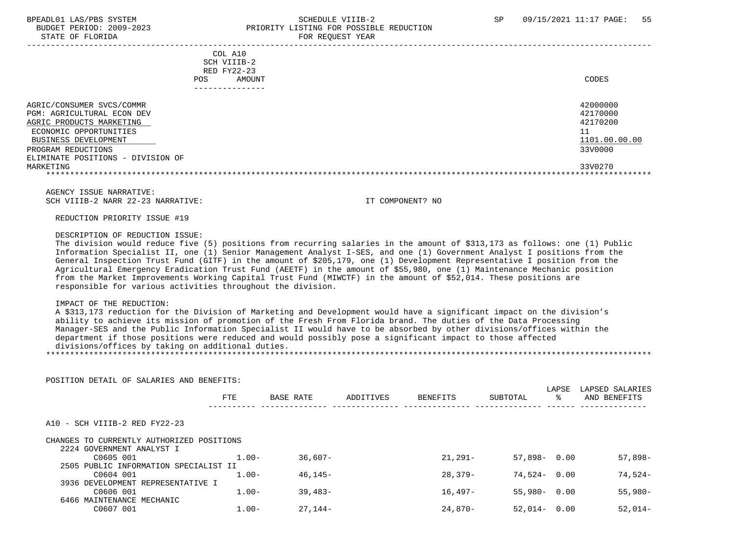LAPSE LAPSED SALARIES

### BPEADL01 LAS/PBS SYSTEM STRAND SCHEDULE VIIIB-2 SP 09/15/2021 11:17 PAGE: 55 BUDGET PERIOD: 2009-2023 PRIORITY LISTING FOR POSSIBLE REDUCTION

STATE OF FLORIDA FOR REQUEST YEAR FOR REQUEST YEAR

| COL A10<br>SCH VIIIB-2<br>RED FY22-23<br>AMOUNT<br>POS.                                                                                                                                                       | CODES                                                                         |
|---------------------------------------------------------------------------------------------------------------------------------------------------------------------------------------------------------------|-------------------------------------------------------------------------------|
|                                                                                                                                                                                                               |                                                                               |
| AGRIC/CONSUMER SVCS/COMMR<br>PGM: AGRICULTURAL ECON DEV<br>AGRIC PRODUCTS MARKETING<br>ECONOMIC OPPORTUNITIES<br>BUSINESS DEVELOPMENT<br>PROGRAM REDUCTIONS<br>ELIMINATE POSITIONS - DIVISION OF<br>MARKETING | 42000000<br>42170000<br>42170200<br>11<br>1101.00.00.00<br>33V0000<br>33V0270 |
|                                                                                                                                                                                                               |                                                                               |
|                                                                                                                                                                                                               |                                                                               |

 AGENCY ISSUE NARRATIVE: SCH VIIIB-2 NARR 22-23 NARRATIVE: IT COMPONENT? NO

REDUCTION PRIORITY ISSUE #19

#### DESCRIPTION OF REDUCTION ISSUE:

 The division would reduce five (5) positions from recurring salaries in the amount of \$313,173 as follows: one (1) Public Information Specialist II, one (1) Senior Management Analyst I-SES, and one (1) Government Analyst I positions from the General Inspection Trust Fund (GITF) in the amount of \$205,179, one (1) Development Representative I position from the Agricultural Emergency Eradication Trust Fund (AEETF) in the amount of \$55,980, one (1) Maintenance Mechanic position from the Market Improvements Working Capital Trust Fund (MIWCTF) in the amount of \$52,014. These positions are responsible for various activities throughout the division.

#### IMPACT OF THE REDUCTION:

 A \$313,173 reduction for the Division of Marketing and Development would have a significant impact on the division's ability to achieve its mission of promotion of the Fresh From Florida brand. The duties of the Data Processing Manager-SES and the Public Information Specialist II would have to be absorbed by other divisions/offices within the department if those positions were reduced and would possibly pose a significant impact to those affected divisions/offices by taking on additional duties.

#### \*\*\*\*\*\*\*\*\*\*\*\*\*\*\*\*\*\*\*\*\*\*\*\*\*\*\*\*\*\*\*\*\*\*\*\*\*\*\*\*\*\*\*\*\*\*\*\*\*\*\*\*\*\*\*\*\*\*\*\*\*\*\*\*\*\*\*\*\*\*\*\*\*\*\*\*\*\*\*\*\*\*\*\*\*\*\*\*\*\*\*\*\*\*\*\*\*\*\*\*\*\*\*\*\*\*\*\*\*\*\*\*\*\*\*\*\*\*\*\*\*\*\*\*\*\*\*

POSITION DETAIL OF SALARIES AND BENEFITS:

|                                           | <b>FTE</b> | <b>BASE RATE</b> | ADDITIVES | BENEFITS   | SUBTOTAL        | ႜ | AND BENEFITS |
|-------------------------------------------|------------|------------------|-----------|------------|-----------------|---|--------------|
| A10 - SCH VIIIB-2 RED FY22-23             |            |                  |           |            |                 |   |              |
| CHANGES TO CURRENTLY AUTHORIZED POSITIONS |            |                  |           |            |                 |   |              |
| 2224 GOVERNMENT ANALYST I                 |            |                  |           |            |                 |   |              |
| C0605 001                                 | $1.00 -$   | $36.607 -$       |           | $21.291 -$ | $57.898 - 0.00$ |   | $57.898 -$   |
| 2505 PUBLIC INFORMATION SPECIALIST II     |            |                  |           |            |                 |   |              |
| C0604 001                                 | $1.00 -$   | $46.145-$        |           | 28,379-    | $74.524 - 0.00$ |   | $74.524-$    |
| 3936 DEVELOPMENT REPRESENTATIVE I         |            |                  |           |            |                 |   |              |
| C0606 001                                 | $1.00 -$   | $39.483-$        |           | $16.497-$  | $55.980 - 0.00$ |   | $55,980-$    |
| 6466 MAINTENANCE MECHANIC                 |            |                  |           |            |                 |   |              |
| C0607 001                                 | $1.00-$    | $27.144-$        |           | $24.870-$  | $52.014 - 0.00$ |   | $52.014-$    |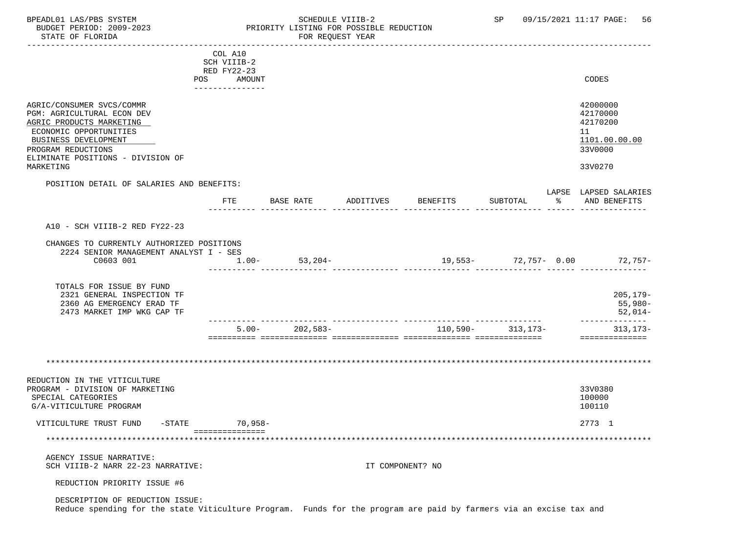----------------------------------------------------------------------------------------------------------------------------------- COL A10 SCH VIIIB-2 RED FY22-23 POS AMOUNT NOTES AND AND A RESERVE AND A RESERVE AND LODGED AND LODGED AND LODGED AND LODGED AND LODGED AND LODGED AT A LODGED AND LODGED AT A LODGED AND LODGED AT A LODGED AND LODGED AT A LODGED AND LODGED AT A LODGED AND --------------- AGRIC/CONSUMER SVCS/COMMR 42000000 PGM: AGRICULTURAL ECON DEV 42170000<br>AGRIC PRODUCTS MARKETING 42170200 AGRIC PRODUCTS MARKETING ECONOMIC OPPORTUNITIES 11<br>BUSINESS DEVELOPMENT 1101.00.00.00 BUSINESS DEVELOPMENT 1101.00.00.00 \_\_\_\_\_\_\_\_\_\_\_\_\_\_\_\_\_\_\_\_\_\_\_\_\_\_ \_\_\_\_\_\_\_\_\_\_\_\_\_ PROGRAM REDUCTIONS ELIMINATE POSITIONS - DIVISION OF MARKETING 33V0270 POSITION DETAIL OF SALARIES AND BENEFITS: LAPSE LAPSED SALARIES FTE BASE RATE ADDITIVES BENEFITS SUBTOTAL % AND BENEFITS ---------- -------------- -------------- -------------- -------------- ------ -------------- A10 - SCH VIIIB-2 RED FY22-23 CHANGES TO CURRENTLY AUTHORIZED POSITIONS 2224 SENIOR MANAGEMENT ANALYST I - SES C0603 001 1.00- 53,204- 19,553- 72,757- 0.00 72,757- ---------- -------------- -------------- -------------- -------------- ------ -------------- TOTALS FOR ISSUE BY FUND 2321 GENERAL INSPECTION TF 205,179- 2360 AG EMERGENCY ERAD TF 55,980- 2473 MARKET IMP WKG CAP TF ---------- -------------- -------------- -------------- -------------- -------------- 5.00- 202,583- 110,590- 313,173- 313,173- ========== ============== ============== ============== ============== ============== \*\*\*\*\*\*\*\*\*\*\*\*\*\*\*\*\*\*\*\*\*\*\*\*\*\*\*\*\*\*\*\*\*\*\*\*\*\*\*\*\*\*\*\*\*\*\*\*\*\*\*\*\*\*\*\*\*\*\*\*\*\*\*\*\*\*\*\*\*\*\*\*\*\*\*\*\*\*\*\*\*\*\*\*\*\*\*\*\*\*\*\*\*\*\*\*\*\*\*\*\*\*\*\*\*\*\*\*\*\*\*\*\*\*\*\*\*\*\*\*\*\*\*\*\*\*\* REDUCTION IN THE VITICULTURE PROGRAM - DIVISION OF MARKETING 33V0380 SPECIAL CATEGORIES 100000 POSTAGORIES 20000 POSTAGORIES 20000 POSTAGORIES 20000 POSTAGORIES 20000 POSTAGORIES G/A-VITICULTURE PROGRAM 100110 VITICULTURE TRUST FUND -STATE 70,958- 2773 1 =============== \*\*\*\*\*\*\*\*\*\*\*\*\*\*\*\*\*\*\*\*\*\*\*\*\*\*\*\*\*\*\*\*\*\*\*\*\*\*\*\*\*\*\*\*\*\*\*\*\*\*\*\*\*\*\*\*\*\*\*\*\*\*\*\*\*\*\*\*\*\*\*\*\*\*\*\*\*\*\*\*\*\*\*\*\*\*\*\*\*\*\*\*\*\*\*\*\*\*\*\*\*\*\*\*\*\*\*\*\*\*\*\*\*\*\*\*\*\*\*\*\*\*\*\*\*\*\* AGENCY ISSUE NARRATIVE: SCH VIIIB-2 NARR 22-23 NARRATIVE: IT COMPONENT? NO REDUCTION PRIORITY ISSUE #6 DESCRIPTION OF REDUCTION ISSUE: Reduce spending for the state Viticulture Program. Funds for the program are paid by farmers via an excise tax and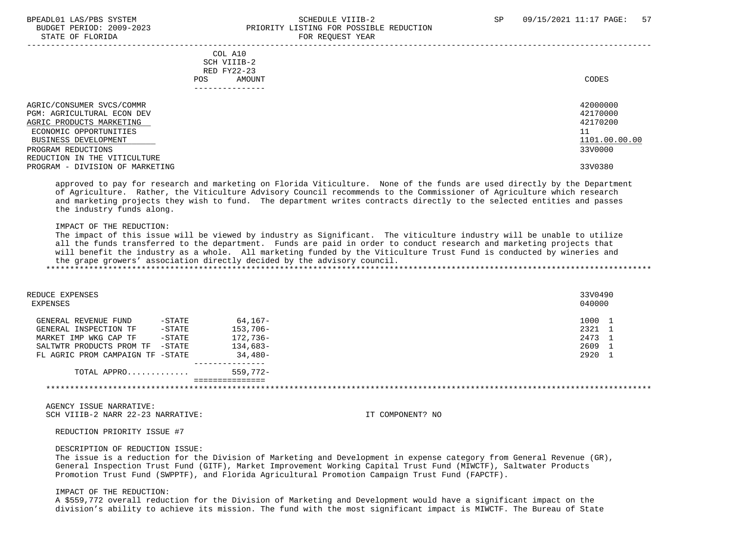#### BPEADL01 LAS/PBS SYSTEM STREADLE SOMEDULE VIIIB-2 SCHEDULE VIIIB-2 SP 09/15/2021 11:17 PAGE: 57 BUDGET PERIOD: 2009-2023 PRIORITY LISTING FOR POSSIBLE REDUCTION STATE OF FLORIDA FOR REQUEST YEAR

| COL A10<br>SCH VIIIB-2<br>RED FY22-23<br>AMOUNT<br>POS. | CODES                |
|---------------------------------------------------------|----------------------|
| AGRIC/CONSUMER SVCS/COMMR<br>PGM: AGRICULTURAL ECON DEV | 42000000<br>42170000 |
| AGRIC PRODUCTS MARKETING                                | 42170200             |
| ECONOMIC OPPORTUNITIES                                  | 11                   |
| BUSINESS DEVELOPMENT                                    | 1101.00.00.00        |
| PROGRAM REDUCTIONS                                      | 33V0000              |
| REDUCTION IN THE VITICULTURE                            |                      |
| PROGRAM - DIVISION OF MARKETING                         | 33V0380              |

 approved to pay for research and marketing on Florida Viticulture. None of the funds are used directly by the Department of Agriculture. Rather, the Viticulture Advisory Council recommends to the Commissioner of Agriculture which research and marketing projects they wish to fund. The department writes contracts directly to the selected entities and passes the industry funds along.

#### IMPACT OF THE REDUCTION:

 The impact of this issue will be viewed by industry as Significant. The viticulture industry will be unable to utilize all the funds transferred to the department. Funds are paid in order to conduct research and marketing projects that will benefit the industry as a whole. All marketing funded by the Viticulture Trust Fund is conducted by wineries and the grape growers' association directly decided by the advisory council. \*\*\*\*\*\*\*\*\*\*\*\*\*\*\*\*\*\*\*\*\*\*\*\*\*\*\*\*\*\*\*\*\*\*\*\*\*\*\*\*\*\*\*\*\*\*\*\*\*\*\*\*\*\*\*\*\*\*\*\*\*\*\*\*\*\*\*\*\*\*\*\*\*\*\*\*\*\*\*\*\*\*\*\*\*\*\*\*\*\*\*\*\*\*\*\*\*\*\*\*\*\*\*\*\*\*\*\*\*\*\*\*\*\*\*\*\*\*\*\*\*\*\*\*\*\*\*

| REDUCE EXPENSES<br>EXPENSES           |             | 33V0490<br>040000 |
|---------------------------------------|-------------|-------------------|
| $-$ STATE<br>GENERAL REVENUE FUND     | 64,167-     | 1000              |
| $-$ STATE<br>GENERAL INSPECTION TF    | $153,706-$  | 2321 1            |
| $-$ STATE<br>MARKET IMP WKG CAP TF    | 172,736-    | 2473 1            |
| $-$ STATE<br>SALTWTR PRODUCTS PROM TF | 134,683-    | 2609 1            |
| FL AGRIC PROM CAMPAIGN TF -STATE      | 34,480-     | 2920 1            |
| TOTAL APPRO                           | $559.772 -$ |                   |
|                                       |             |                   |

 AGENCY ISSUE NARRATIVE: SCH VIIIB-2 NARR 22-23 NARRATIVE: IT COMPONENT? NO

#### REDUCTION PRIORITY ISSUE #7

#### DESCRIPTION OF REDUCTION ISSUE:

 The issue is a reduction for the Division of Marketing and Development in expense category from General Revenue (GR), General Inspection Trust Fund (GITF), Market Improvement Working Capital Trust Fund (MIWCTF), Saltwater Products Promotion Trust Fund (SWPPTF), and Florida Agricultural Promotion Campaign Trust Fund (FAPCTF).

#### IMPACT OF THE REDUCTION:

 A \$559,772 overall reduction for the Division of Marketing and Development would have a significant impact on the division's ability to achieve its mission. The fund with the most significant impact is MIWCTF. The Bureau of State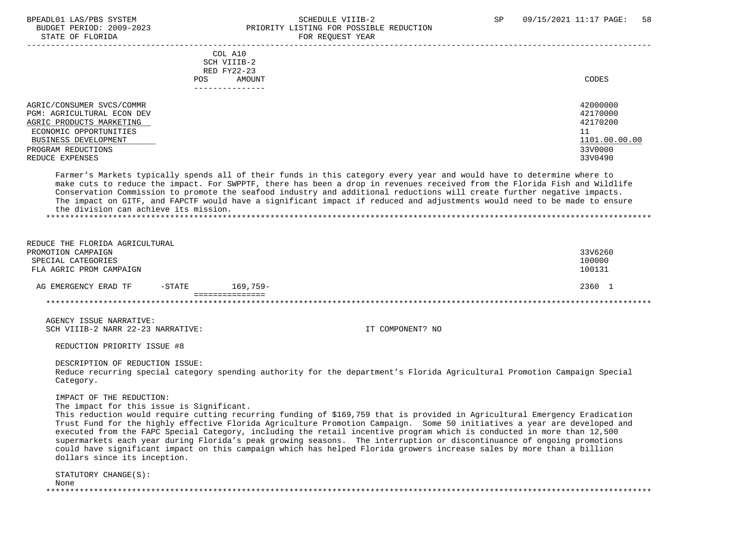#### BPEADL01 LAS/PBS SYSTEM SALL SALL SOMEDULE VIIIB-2 SP 09/15/2021 11:17 PAGE: 58 BUDGET PERIOD: 2009-2023 PRIORITY LISTING FOR POSSIBLE REDUCTION STATE OF FLORIDA FOR STATE OF  $\sim$  FOR REQUEST YEAR

|                                                                                                                                                                                | COL A10<br>SCH VIIIB-2<br>RED FY22-23<br>AMOUNT<br>POS.<br>------------- | CODES                                                                         |
|--------------------------------------------------------------------------------------------------------------------------------------------------------------------------------|--------------------------------------------------------------------------|-------------------------------------------------------------------------------|
| AGRIC/CONSUMER SVCS/COMMR<br>PGM: AGRICULTURAL ECON DEV<br>AGRIC PRODUCTS MARKETING<br>ECONOMIC OPPORTUNITIES<br>BUSINESS DEVELOPMENT<br>PROGRAM REDUCTIONS<br>REDUCE EXPENSES |                                                                          | 42000000<br>42170000<br>42170200<br>11<br>1101.00.00.00<br>33V0000<br>33V0490 |

 Farmer's Markets typically spends all of their funds in this category every year and would have to determine where to make cuts to reduce the impact. For SWPPTF, there has been a drop in revenues received from the Florida Fish and Wildlife Conservation Commission to promote the seafood industry and additional reductions will create further negative impacts. The impact on GITF, and FAPCTF would have a significant impact if reduced and adjustments would need to be made to ensure the division can achieve its mission. \*\*\*\*\*\*\*\*\*\*\*\*\*\*\*\*\*\*\*\*\*\*\*\*\*\*\*\*\*\*\*\*\*\*\*\*\*\*\*\*\*\*\*\*\*\*\*\*\*\*\*\*\*\*\*\*\*\*\*\*\*\*\*\*\*\*\*\*\*\*\*\*\*\*\*\*\*\*\*\*\*\*\*\*\*\*\*\*\*\*\*\*\*\*\*\*\*\*\*\*\*\*\*\*\*\*\*\*\*\*\*\*\*\*\*\*\*\*\*\*\*\*\*\*\*\*\*

 REDUCE THE FLORIDA AGRICULTURAL PROMOTION CAMPAIGN 33V6260 SPECIAL CATEGORIES 100000 FLA AGRIC PROM CAMPAIGN 100131 AG EMERGENCY ERAD TF -STATE 169,759- 2360 1 =============== \*\*\*\*\*\*\*\*\*\*\*\*\*\*\*\*\*\*\*\*\*\*\*\*\*\*\*\*\*\*\*\*\*\*\*\*\*\*\*\*\*\*\*\*\*\*\*\*\*\*\*\*\*\*\*\*\*\*\*\*\*\*\*\*\*\*\*\*\*\*\*\*\*\*\*\*\*\*\*\*\*\*\*\*\*\*\*\*\*\*\*\*\*\*\*\*\*\*\*\*\*\*\*\*\*\*\*\*\*\*\*\*\*\*\*\*\*\*\*\*\*\*\*\*\*\*\*

 AGENCY ISSUE NARRATIVE: SCH VIIIB-2 NARR 22-23 NARRATIVE: IT COMPONENT? NO

REDUCTION PRIORITY ISSUE #8

 DESCRIPTION OF REDUCTION ISSUE: Reduce recurring special category spending authority for the department's Florida Agricultural Promotion Campaign Special Category.

IMPACT OF THE REDUCTION:

The impact for this issue is Significant.

 This reduction would require cutting recurring funding of \$169,759 that is provided in Agricultural Emergency Eradication Trust Fund for the highly effective Florida Agriculture Promotion Campaign. Some 50 initiatives a year are developed and executed from the FAPC Special Category, including the retail incentive program which is conducted in more than 12,500 supermarkets each year during Florida's peak growing seasons. The interruption or discontinuance of ongoing promotions could have significant impact on this campaign which has helped Florida growers increase sales by more than a billion dollars since its inception.

 STATUTORY CHANGE(S): None \*\*\*\*\*\*\*\*\*\*\*\*\*\*\*\*\*\*\*\*\*\*\*\*\*\*\*\*\*\*\*\*\*\*\*\*\*\*\*\*\*\*\*\*\*\*\*\*\*\*\*\*\*\*\*\*\*\*\*\*\*\*\*\*\*\*\*\*\*\*\*\*\*\*\*\*\*\*\*\*\*\*\*\*\*\*\*\*\*\*\*\*\*\*\*\*\*\*\*\*\*\*\*\*\*\*\*\*\*\*\*\*\*\*\*\*\*\*\*\*\*\*\*\*\*\*\*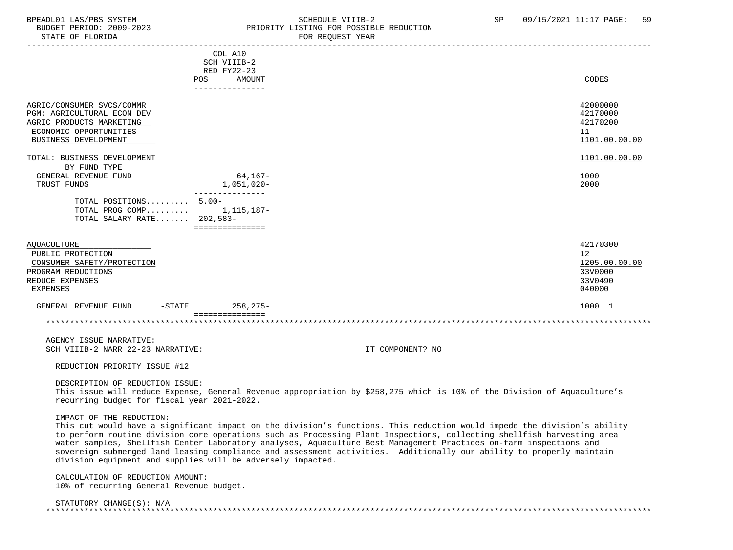#### BPEADL01 LAS/PBS SYSTEM STRING THE SCHEDULE VIIIB-2 SCHEDULE SP 09/15/2021 11:17 PAGE: 59<br>BUDGET PERIOD: 2009-2023 SP PRIORITY LISTING FOR POSSIBLE REDUCTION BUDGET PERIOD: 2009-2023<br>STATE OF FLORIDA STATE OF FLORIDA FOR REQUEST YEAR

| PIATE AL L'IOVIDH                                                                                                                     |                                                             | LOW VEÄNDIT IEHW                                                                                                                                                                                                                                                                                                                                                                                                                                                                                 |                                                         |
|---------------------------------------------------------------------------------------------------------------------------------------|-------------------------------------------------------------|--------------------------------------------------------------------------------------------------------------------------------------------------------------------------------------------------------------------------------------------------------------------------------------------------------------------------------------------------------------------------------------------------------------------------------------------------------------------------------------------------|---------------------------------------------------------|
|                                                                                                                                       | COL A10<br>SCH VIIIB-2<br>RED FY22-23<br>POS<br>AMOUNT      |                                                                                                                                                                                                                                                                                                                                                                                                                                                                                                  | CODES                                                   |
|                                                                                                                                       | ---------------                                             |                                                                                                                                                                                                                                                                                                                                                                                                                                                                                                  |                                                         |
| AGRIC/CONSUMER SVCS/COMMR<br>PGM: AGRICULTURAL ECON DEV<br>AGRIC PRODUCTS MARKETING<br>ECONOMIC OPPORTUNITIES<br>BUSINESS DEVELOPMENT |                                                             |                                                                                                                                                                                                                                                                                                                                                                                                                                                                                                  | 42000000<br>42170000<br>42170200<br>11<br>1101.00.00.00 |
| TOTAL: BUSINESS DEVELOPMENT                                                                                                           |                                                             |                                                                                                                                                                                                                                                                                                                                                                                                                                                                                                  | 1101.00.00.00                                           |
| BY FUND TYPE                                                                                                                          |                                                             |                                                                                                                                                                                                                                                                                                                                                                                                                                                                                                  |                                                         |
| GENERAL REVENUE FUND                                                                                                                  | 64,167-                                                     |                                                                                                                                                                                                                                                                                                                                                                                                                                                                                                  | 1000                                                    |
| TRUST FUNDS                                                                                                                           | 1,051,020-                                                  |                                                                                                                                                                                                                                                                                                                                                                                                                                                                                                  | 2000                                                    |
| TOTAL POSITIONS 5.00-<br>TOTAL PROG COMP $1,115,187-$<br>TOTAL SALARY RATE 202,583-                                                   | ---------------<br>===============                          |                                                                                                                                                                                                                                                                                                                                                                                                                                                                                                  |                                                         |
| <b>AQUACULTURE</b>                                                                                                                    |                                                             |                                                                                                                                                                                                                                                                                                                                                                                                                                                                                                  | 42170300                                                |
| PUBLIC PROTECTION                                                                                                                     |                                                             |                                                                                                                                                                                                                                                                                                                                                                                                                                                                                                  | $12 \overline{ }$                                       |
| CONSUMER SAFETY/PROTECTION                                                                                                            |                                                             |                                                                                                                                                                                                                                                                                                                                                                                                                                                                                                  | 1205.00.00.00                                           |
| PROGRAM REDUCTIONS                                                                                                                    |                                                             |                                                                                                                                                                                                                                                                                                                                                                                                                                                                                                  | 33V0000                                                 |
| REDUCE EXPENSES                                                                                                                       |                                                             |                                                                                                                                                                                                                                                                                                                                                                                                                                                                                                  | 33V0490                                                 |
| EXPENSES                                                                                                                              |                                                             |                                                                                                                                                                                                                                                                                                                                                                                                                                                                                                  | 040000                                                  |
| -STATE<br>GENERAL REVENUE FUND                                                                                                        | $258, 275 -$                                                |                                                                                                                                                                                                                                                                                                                                                                                                                                                                                                  | 1000 1                                                  |
|                                                                                                                                       | ===============                                             |                                                                                                                                                                                                                                                                                                                                                                                                                                                                                                  |                                                         |
|                                                                                                                                       |                                                             |                                                                                                                                                                                                                                                                                                                                                                                                                                                                                                  |                                                         |
| AGENCY ISSUE NARRATIVE:                                                                                                               |                                                             |                                                                                                                                                                                                                                                                                                                                                                                                                                                                                                  |                                                         |
| SCH VIIIB-2 NARR 22-23 NARRATIVE:                                                                                                     |                                                             | IT COMPONENT? NO                                                                                                                                                                                                                                                                                                                                                                                                                                                                                 |                                                         |
|                                                                                                                                       |                                                             |                                                                                                                                                                                                                                                                                                                                                                                                                                                                                                  |                                                         |
| REDUCTION PRIORITY ISSUE #12                                                                                                          |                                                             |                                                                                                                                                                                                                                                                                                                                                                                                                                                                                                  |                                                         |
| DESCRIPTION OF REDUCTION ISSUE:<br>recurring budget for fiscal year 2021-2022.                                                        |                                                             | This issue will reduce Expense, General Revenue appropriation by \$258,275 which is 10% of the Division of Aquaculture's                                                                                                                                                                                                                                                                                                                                                                         |                                                         |
| IMPACT OF THE REDUCTION:                                                                                                              | division equipment and supplies will be adversely impacted. | This cut would have a significant impact on the division's functions. This reduction would impede the division's ability<br>to perform routine division core operations such as Processing Plant Inspections, collecting shellfish harvesting area<br>water samples, Shellfish Center Laboratory analyses, Aquaculture Best Management Practices on-farm inspections and<br>sovereign submerged land leasing compliance and assessment activities. Additionally our ability to properly maintain |                                                         |
| CALCULATION OF REDUCTION AMOUNT:<br>10% of recurring General Revenue budget.                                                          |                                                             |                                                                                                                                                                                                                                                                                                                                                                                                                                                                                                  |                                                         |
| STATUTORY CHANGE(S): N/A                                                                                                              |                                                             |                                                                                                                                                                                                                                                                                                                                                                                                                                                                                                  |                                                         |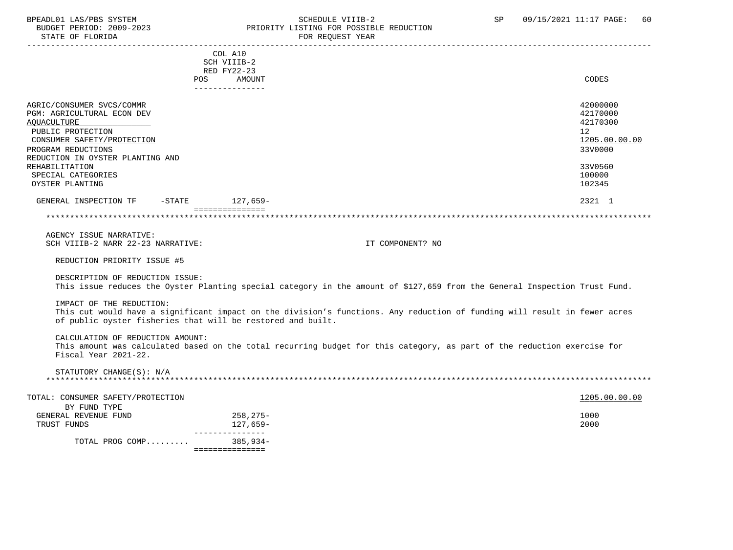### BPEADL01 LAS/PBS SYSTEM SOHEDULE VIIIB-2 SCHEDULE VIIIB-2 SP 09/15/2021 11:17 PAGE: 60 BUDGET PERIOD: 2009-2023 PRIORITY LISTING FOR POSSIBLE REDUCTION<br>FOR REQUEST YEAR FOR REQUEST YEAR

|                                                             | COL A10<br>SCH VIIIB-2<br>RED FY22-23 |                                                                                                                            |               |
|-------------------------------------------------------------|---------------------------------------|----------------------------------------------------------------------------------------------------------------------------|---------------|
|                                                             | AMOUNT<br>POS                         |                                                                                                                            | CODES         |
|                                                             | ---------------                       |                                                                                                                            |               |
|                                                             |                                       |                                                                                                                            |               |
| AGRIC/CONSUMER SVCS/COMMR                                   |                                       |                                                                                                                            | 42000000      |
| PGM: AGRICULTURAL ECON DEV                                  |                                       |                                                                                                                            | 42170000      |
| AQUACULTURE                                                 |                                       |                                                                                                                            | 42170300      |
| PUBLIC PROTECTION                                           |                                       | 12                                                                                                                         |               |
| CONSUMER SAFETY/PROTECTION                                  |                                       |                                                                                                                            | 1205.00.00.00 |
| PROGRAM REDUCTIONS                                          |                                       |                                                                                                                            | 33V0000       |
| REDUCTION IN OYSTER PLANTING AND                            |                                       |                                                                                                                            |               |
| REHABILITATION                                              |                                       |                                                                                                                            | 33V0560       |
| SPECIAL CATEGORIES                                          |                                       |                                                                                                                            | 100000        |
|                                                             |                                       |                                                                                                                            | 102345        |
| OYSTER PLANTING                                             |                                       |                                                                                                                            |               |
| GENERAL INSPECTION TF -STATE 127,659-                       |                                       |                                                                                                                            | 2321 1        |
|                                                             | ===============                       |                                                                                                                            |               |
|                                                             |                                       |                                                                                                                            |               |
|                                                             |                                       |                                                                                                                            |               |
| AGENCY ISSUE NARRATIVE:                                     |                                       |                                                                                                                            |               |
| SCH VIIIB-2 NARR 22-23 NARRATIVE:                           |                                       | IT COMPONENT? NO                                                                                                           |               |
|                                                             |                                       |                                                                                                                            |               |
| REDUCTION PRIORITY ISSUE #5                                 |                                       |                                                                                                                            |               |
|                                                             |                                       |                                                                                                                            |               |
| DESCRIPTION OF REDUCTION ISSUE:                             |                                       |                                                                                                                            |               |
|                                                             |                                       | This issue reduces the Oyster Planting special category in the amount of \$127,659 from the General Inspection Trust Fund. |               |
|                                                             |                                       |                                                                                                                            |               |
| IMPACT OF THE REDUCTION:                                    |                                       |                                                                                                                            |               |
|                                                             |                                       |                                                                                                                            |               |
|                                                             |                                       | This cut would have a significant impact on the division's functions. Any reduction of funding will result in fewer acres  |               |
| of public oyster fisheries that will be restored and built. |                                       |                                                                                                                            |               |
|                                                             |                                       |                                                                                                                            |               |
| CALCULATION OF REDUCTION AMOUNT:                            |                                       |                                                                                                                            |               |
|                                                             |                                       | This amount was calculated based on the total recurring budget for this category, as part of the reduction exercise for    |               |
| Fiscal Year 2021-22.                                        |                                       |                                                                                                                            |               |
|                                                             |                                       |                                                                                                                            |               |
| STATUTORY CHANGE(S): N/A                                    |                                       |                                                                                                                            |               |
|                                                             |                                       |                                                                                                                            |               |
|                                                             |                                       |                                                                                                                            |               |
| TOTAL: CONSUMER SAFETY/PROTECTION                           |                                       |                                                                                                                            | 1205.00.00.00 |
| BY FUND TYPE                                                |                                       |                                                                                                                            |               |
| GENERAL REVENUE FUND                                        | 258,275-                              |                                                                                                                            | 1000          |
| TRUST FUNDS                                                 | 127,659-                              |                                                                                                                            | 2000          |
|                                                             | ________________                      |                                                                                                                            |               |
| TOTAL PROG COMP                                             | 385,934-                              |                                                                                                                            |               |
|                                                             | - ================                    |                                                                                                                            |               |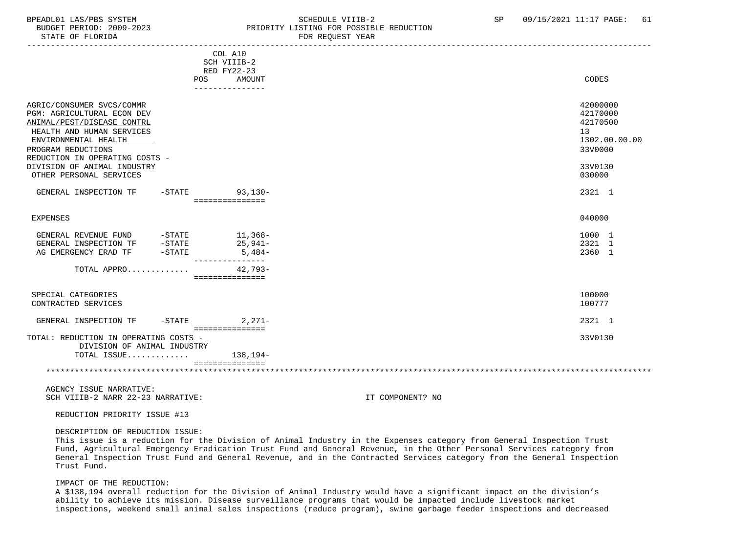#### BPEADL01 LAS/PBS SYSTEM STRING THE SCHEDULE VIIIB-2 SCHEDULE VIIIB-2 SP 09/15/2021 11:17 PAGE: 61 BUDGET PERIOD: 2009-2023 PRIORITY LISTING FOR POSSIBLE REDUCTION STATE OF FLORIDA FOR REQUEST YEAR

|                                                                                                                                                                                                    |                                                 | FOR RECOEDI IEAR                                                   |
|----------------------------------------------------------------------------------------------------------------------------------------------------------------------------------------------------|-------------------------------------------------|--------------------------------------------------------------------|
| POS                                                                                                                                                                                                | COL A10<br>SCH VIIIB-2<br>RED FY22-23<br>AMOUNT | CODES                                                              |
|                                                                                                                                                                                                    | ---------------                                 |                                                                    |
| AGRIC/CONSUMER SVCS/COMMR<br>PGM: AGRICULTURAL ECON DEV<br>ANIMAL/PEST/DISEASE CONTRL<br>HEALTH AND HUMAN SERVICES<br>ENVIRONMENTAL HEALTH<br>PROGRAM REDUCTIONS<br>REDUCTION IN OPERATING COSTS - |                                                 | 42000000<br>42170000<br>42170500<br>13<br>1302.00.00.00<br>33V0000 |
| DIVISION OF ANIMAL INDUSTRY<br>OTHER PERSONAL SERVICES                                                                                                                                             |                                                 | 33V0130<br>030000                                                  |
| GENERAL INSPECTION TF                                                                                                                                                                              | -STATE 93,130-<br>===============               | 2321 1                                                             |
| EXPENSES                                                                                                                                                                                           |                                                 | 040000                                                             |
| GENERAL REVENUE FUND -STATE 11,368-                                                                                                                                                                | 25,941-<br>$5,484-$                             | 1000 1<br>2321 1<br>2360 1                                         |
| TOTAL APPRO                                                                                                                                                                                        | $42.793-$<br>===============                    |                                                                    |
| SPECIAL CATEGORIES<br>CONTRACTED SERVICES                                                                                                                                                          |                                                 | 100000<br>100777                                                   |
| GENERAL INSPECTION TF                                                                                                                                                                              | $-$ STATE 2, 271 –                              | 2321 1                                                             |
| TOTAL: REDUCTION IN OPERATING COSTS -<br>DIVISION OF ANIMAL INDUSTRY                                                                                                                               | ===============                                 | 33V0130                                                            |
| TOTAL ISSUE $138,194-$                                                                                                                                                                             |                                                 |                                                                    |
|                                                                                                                                                                                                    | ===============                                 |                                                                    |

 AGENCY ISSUE NARRATIVE: SCH VIIIB-2 NARR 22-23 NARRATIVE: IT COMPONENT? NO

REDUCTION PRIORITY ISSUE #13

DESCRIPTION OF REDUCTION ISSUE:

 This issue is a reduction for the Division of Animal Industry in the Expenses category from General Inspection Trust Fund, Agricultural Emergency Eradication Trust Fund and General Revenue, in the Other Personal Services category from General Inspection Trust Fund and General Revenue, and in the Contracted Services category from the General Inspection Trust Fund.

#### IMPACT OF THE REDUCTION:

 A \$138,194 overall reduction for the Division of Animal Industry would have a significant impact on the division's ability to achieve its mission. Disease surveillance programs that would be impacted include livestock market inspections, weekend small animal sales inspections (reduce program), swine garbage feeder inspections and decreased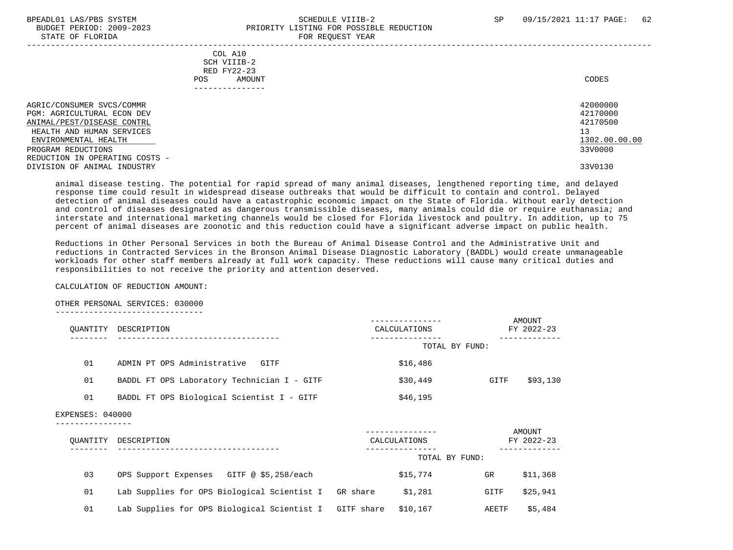#### BPEADL01 LAS/PBS SYSTEM SALL SALL SOMEDULE VIIIB-2 SP 09/15/2021 11:17 PAGE: 62 BUDGET PERIOD: 2009-2023<br>
STATE OF FLORIDA STATE OF FLORIDA FOR REQUEST YEAR

| $0.1111$ $01$ $1.01111$                                        | rok koğunur rum                                                           |                      |
|----------------------------------------------------------------|---------------------------------------------------------------------------|----------------------|
|                                                                | COL A10<br>SCH VIIIB-2<br>RED FY22-23<br>AMOUNT<br>POS.<br>-------------- | CODES                |
| AGRIC/CONSUMER SVCS/COMMR<br><b>PGM: AGRICULTURAL ECON DEV</b> |                                                                           | 42000000<br>42170000 |
| ANIMAL/PEST/DISEASE CONTRL                                     |                                                                           | 42170500             |
| HEALTH AND HUMAN SERVICES                                      |                                                                           | 13                   |
| ENVIRONMENTAL HEALTH                                           |                                                                           | 1302.00.00.00        |
| PROGRAM REDUCTIONS                                             |                                                                           | 33V0000              |
| REDUCTION IN OPERATING COSTS -                                 |                                                                           |                      |
| DIVISION OF ANIMAL INDUSTRY                                    |                                                                           | 33V0130              |

 animal disease testing. The potential for rapid spread of many animal diseases, lengthened reporting time, and delayed response time could result in widespread disease outbreaks that would be difficult to contain and control. Delayed detection of animal diseases could have a catastrophic economic impact on the State of Florida. Without early detection and control of diseases designated as dangerous transmissible diseases, many animals could die or require euthanasia; and interstate and international marketing channels would be closed for Florida livestock and poultry. In addition, up to 75 percent of animal diseases are zoonotic and this reduction could have a significant adverse impact on public health.

 Reductions in Other Personal Services in both the Bureau of Animal Disease Control and the Administrative Unit and reductions in Contracted Services in the Bronson Animal Disease Diagnostic Laboratory (BADDL) would create unmanageable workloads for other staff members already at full work capacity. These reductions will cause many critical duties and responsibilities to not receive the priority and attention deserved.

#### CALCULATION OF REDUCTION AMOUNT:

#### OTHER PERSONAL SERVICES: 030000

-------------------------------

| OUANTITY | DESCRIPTION                                 | CALCULATIONS   | AMOUNT<br>FY 2022-23 |
|----------|---------------------------------------------|----------------|----------------------|
|          |                                             | TOTAL BY FUND: |                      |
| 01       | ADMIN PT OPS Administrative<br>GITF         | \$16,486       |                      |
| 01       | BADDL FT OPS Laboratory Technician I - GITF | \$30,449       | \$93,130<br>GITF     |
| 01       | BADDL FT OPS Biological Scientist I - GITF  | \$46,195       |                      |
|          |                                             |                |                      |

### EXPENSES: 040000

----------------

| OUANTITY | DESCRIPTION                                            |          | CALCULATIONS   |       | AMOUNT<br>FY 2022-23 |
|----------|--------------------------------------------------------|----------|----------------|-------|----------------------|
|          |                                                        |          | TOTAL BY FUND: |       |                      |
| 03       | GITF @ \$5,258/each<br>OPS Support Expenses            |          | \$15,774       | GR    | \$11,368             |
| 01       | Lab Supplies for OPS Biological Scientist I            | GR share | \$1,281        | GITF  | \$25,941             |
| 01       | Lab Supplies for OPS Biological Scientist I GITF share |          | \$10,167       | AEETF | \$5,484              |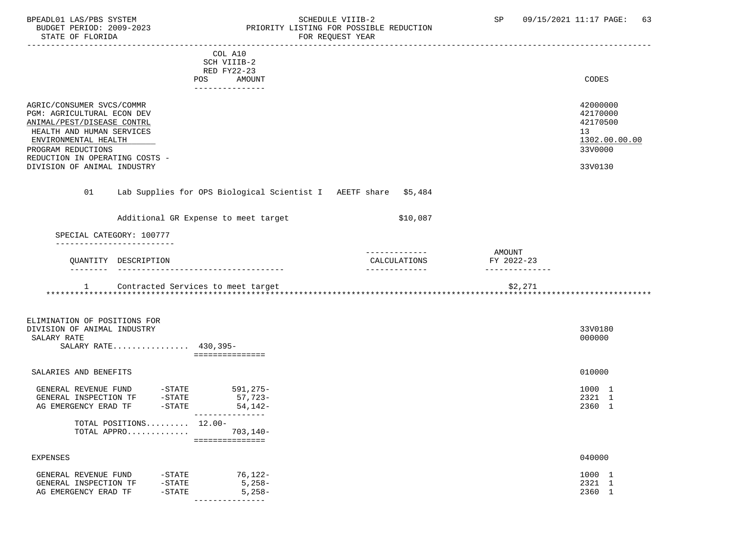### BPEADL01 LAS/PBS SYSTEM SALL SOME SCHEDULE VIIIB-2 SCHEDULE SP 09/15/2021 11:17 PAGE: 63 BUDGET PERIOD: 2009-2023 PRIORITY LISTING FOR POSSIBLE REDUCTION

|                                                             |                      |                        | COL A10                                                         |                               |                      |                  |
|-------------------------------------------------------------|----------------------|------------------------|-----------------------------------------------------------------|-------------------------------|----------------------|------------------|
|                                                             |                      |                        | SCH VIIIB-2                                                     |                               |                      |                  |
|                                                             |                      |                        | RED FY22-23                                                     |                               |                      |                  |
|                                                             |                      |                        | POS AMOUNT                                                      |                               |                      | CODES            |
|                                                             |                      |                        | ---------------                                                 |                               |                      |                  |
| AGRIC/CONSUMER SVCS/COMMR                                   |                      |                        |                                                                 |                               |                      | 42000000         |
| PGM: AGRICULTURAL ECON DEV                                  |                      |                        |                                                                 |                               |                      | 42170000         |
| ANIMAL/PEST/DISEASE CONTRL                                  |                      |                        |                                                                 |                               |                      | 42170500         |
| HEALTH AND HUMAN SERVICES                                   |                      |                        |                                                                 |                               |                      | 13               |
| ENVIRONMENTAL HEALTH                                        |                      |                        |                                                                 |                               |                      | 1302.00.00.00    |
| PROGRAM REDUCTIONS                                          |                      |                        |                                                                 |                               |                      | 33V0000          |
| REDUCTION IN OPERATING COSTS -                              |                      |                        |                                                                 |                               |                      |                  |
| DIVISION OF ANIMAL INDUSTRY                                 |                      |                        |                                                                 |                               |                      | 33V0130          |
| 01                                                          |                      |                        | Lab Supplies for OPS Biological Scientist I AEETF share \$5,484 |                               |                      |                  |
|                                                             |                      |                        | Additional GR Expense to meet target                            | \$10,087                      |                      |                  |
| SPECIAL CATEGORY: 100777                                    |                      |                        |                                                                 |                               |                      |                  |
|                                                             |                      |                        |                                                                 |                               |                      |                  |
|                                                             |                      |                        |                                                                 |                               |                      |                  |
|                                                             | QUANTITY DESCRIPTION |                        |                                                                 | -------------<br>CALCULATIONS | AMOUNT<br>FY 2022-23 |                  |
|                                                             |                      |                        |                                                                 | -------------                 | --------------       |                  |
|                                                             |                      |                        |                                                                 |                               |                      |                  |
|                                                             |                      |                        | 1 Contracted Services to meet target                            |                               | \$2,271              |                  |
|                                                             |                      |                        |                                                                 |                               |                      |                  |
|                                                             |                      |                        |                                                                 |                               |                      |                  |
|                                                             |                      |                        |                                                                 |                               |                      |                  |
| ELIMINATION OF POSITIONS FOR<br>DIVISION OF ANIMAL INDUSTRY |                      |                        |                                                                 |                               |                      | 33V0180          |
| SALARY RATE                                                 |                      |                        |                                                                 |                               |                      | 000000           |
| SALARY RATE 430,395-                                        |                      |                        | ===============                                                 |                               |                      |                  |
|                                                             |                      |                        |                                                                 |                               |                      |                  |
| SALARIES AND BENEFITS                                       |                      |                        |                                                                 |                               |                      | 010000           |
|                                                             |                      |                        |                                                                 |                               |                      |                  |
| GENERAL REVENUE FUND -STATE 591,275-                        |                      |                        |                                                                 |                               |                      | 1000 1           |
| GENERAL INSPECTION TF -STATE                                |                      |                        | 57,723-                                                         |                               |                      | 2321 1           |
| AG EMERGENCY ERAD TF                                        |                      | $-$ STATE              | $54,142-$<br>---------------                                    |                               |                      | 2360 1           |
|                                                             |                      |                        |                                                                 |                               |                      |                  |
|                                                             |                      | TOTAL POSITIONS 12.00- |                                                                 |                               |                      |                  |
|                                                             |                      | TOTAL APPRO            | 703,140-<br>===============                                     |                               |                      |                  |
| <b>EXPENSES</b>                                             |                      |                        |                                                                 |                               |                      | 040000           |
|                                                             |                      |                        |                                                                 |                               |                      |                  |
| GENERAL REVENUE FUND                                        |                      | $-$ STATE              | $76,122-$                                                       |                               |                      | 1000 1           |
| GENERAL INSPECTION TF<br>AG EMERGENCY ERAD TF               |                      | $-$ STATE<br>$-STATE$  | $5,258-$<br>$5,258-$                                            |                               |                      | 2321 1<br>2360 1 |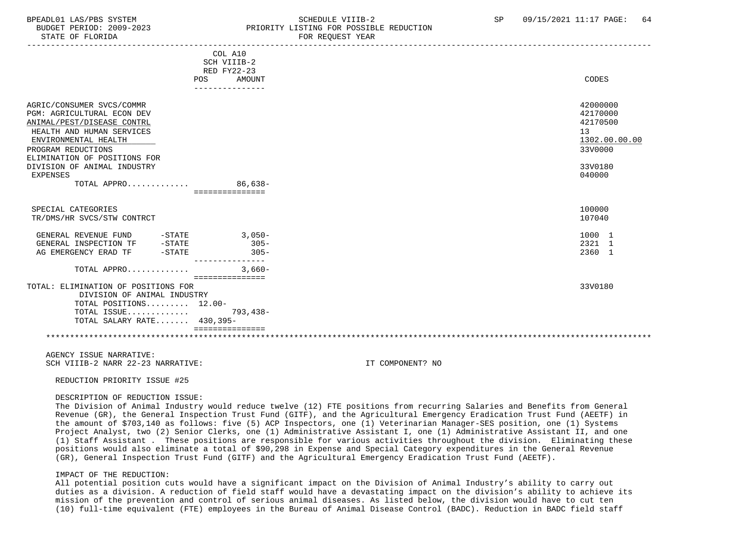STATE OF FLORIDA FOR STATE OF STATE OF STATE OF STATE OF STATE OF STATE OF STATE OF STATE OF STATE OF STATE OF STATE OF STATE OF STATE OF STATE OF STATE OF STATE OF STATE OF STATE OF STATE OF STATE OF STATE OF STATE OF STA

### BPEADL01 LAS/PBS SYSTEM SALL SALL SOMEDULE VIIIB-2 SP 09/15/2021 11:17 PAGE: 64 BUDGET PERIOD: 2009-2023 PRIORITY LISTING FOR POSSIBLE REDUCTION

|                                                                                       | COL A10<br>SCH VIIIB-2 |                                  |  |
|---------------------------------------------------------------------------------------|------------------------|----------------------------------|--|
|                                                                                       | RED FY22-23            |                                  |  |
|                                                                                       |                        |                                  |  |
|                                                                                       | AMOUNT<br><b>POS</b>   | CODES                            |  |
|                                                                                       | ---------------        |                                  |  |
| AGRIC/CONSUMER SVCS/COMMR<br>PGM: AGRICULTURAL ECON DEV<br>ANIMAL/PEST/DISEASE CONTRL |                        | 42000000<br>42170000<br>42170500 |  |
| HEALTH AND HUMAN SERVICES                                                             |                        | 13                               |  |
| ENVIRONMENTAL HEALTH                                                                  |                        | 1302.00.00.00                    |  |
| PROGRAM REDUCTIONS                                                                    |                        | 33V0000                          |  |
|                                                                                       |                        |                                  |  |
| ELIMINATION OF POSITIONS FOR                                                          |                        |                                  |  |
| DIVISION OF ANIMAL INDUSTRY                                                           |                        | 33V0180                          |  |
| EXPENSES                                                                              |                        | 040000                           |  |
| TOTAL APPRO                                                                           | $86,638-$              |                                  |  |
|                                                                                       | ===============        |                                  |  |
|                                                                                       |                        |                                  |  |
| SPECIAL CATEGORIES                                                                    |                        | 100000                           |  |
| TR/DMS/HR SVCS/STW CONTRCT                                                            |                        | 107040                           |  |
|                                                                                       |                        |                                  |  |
| GENERAL REVENUE FUND<br>$-STATE$                                                      | $3.050-$               | 1000 1                           |  |
| $-STATE$<br>GENERAL INSPECTION TF                                                     | $305 -$                | 2321 1                           |  |
| AG EMERGENCY ERAD TF<br>$-\mathtt{STATE}$                                             | $305 -$                | 2360 1                           |  |
| TOTAL APPRO                                                                           | $3.660-$               |                                  |  |
|                                                                                       | ===============        |                                  |  |
| TOTAL: ELIMINATION OF POSITIONS FOR                                                   |                        | 33V0180                          |  |
| DIVISION OF ANIMAL INDUSTRY                                                           |                        |                                  |  |
| TOTAL POSITIONS 12.00-                                                                |                        |                                  |  |
| TOTAL ISSUE                                                                           | 793,438-               |                                  |  |
| TOTAL SALARY RATE 430,395-                                                            |                        |                                  |  |
|                                                                                       |                        |                                  |  |
|                                                                                       |                        |                                  |  |
|                                                                                       |                        |                                  |  |

 AGENCY ISSUE NARRATIVE: SCH VIIIR-2 NARR 22-23 NARRATIVE: IT COMPONENT? NO

REDUCTION PRIORITY ISSUE #25

#### DESCRIPTION OF REDUCTION ISSUE:

 The Division of Animal Industry would reduce twelve (12) FTE positions from recurring Salaries and Benefits from General Revenue (GR), the General Inspection Trust Fund (GITF), and the Agricultural Emergency Eradication Trust Fund (AEETF) in the amount of \$703,140 as follows: five (5) ACP Inspectors, one (1) Veterinarian Manager-SES position, one (1) Systems Project Analyst, two (2) Senior Clerks, one (1) Administrative Assistant I, one (1) Administrative Assistant II, and one (1) Staff Assistant . These positions are responsible for various activities throughout the division. Eliminating these positions would also eliminate a total of \$90,298 in Expense and Special Category expenditures in the General Revenue (GR), General Inspection Trust Fund (GITF) and the Agricultural Emergency Eradication Trust Fund (AEETF).

#### IMPACT OF THE REDUCTION:

 All potential position cuts would have a significant impact on the Division of Animal Industry's ability to carry out duties as a division. A reduction of field staff would have a devastating impact on the division's ability to achieve its mission of the prevention and control of serious animal diseases. As listed below, the division would have to cut ten (10) full-time equivalent (FTE) employees in the Bureau of Animal Disease Control (BADC). Reduction in BADC field staff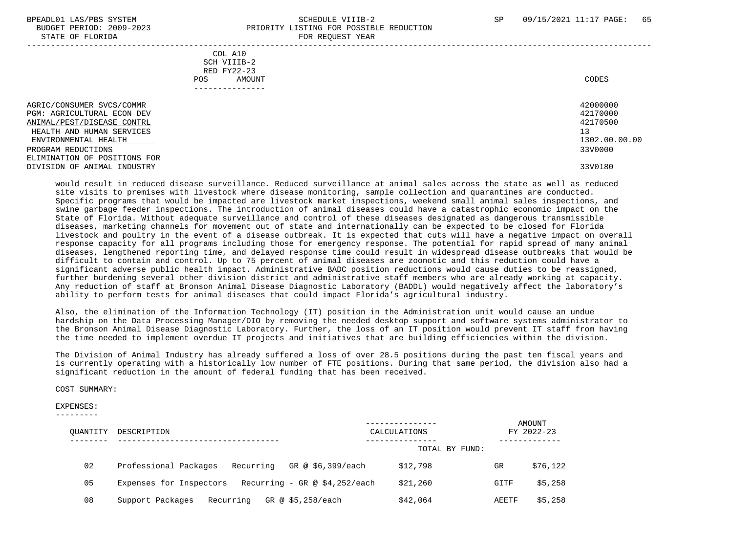#### BPEADL01 LAS/PBS SYSTEM SALL SALL SOMEDULE VIIIB-2 SP 09/15/2021 11:17 PAGE: 65 BUDGET PERIOD: 2009-2023 PRIORITY LISTING FOR POSSIBLE REDUCTION STATE OF FLORIDA **FOR REQUEST YEAR**

| COL A10<br>SCH VIIIB-2<br>RED FY22-23<br>POS.                                                                                                                                                                                          | AMOUNT<br>------------ | CODES                                                                         |
|----------------------------------------------------------------------------------------------------------------------------------------------------------------------------------------------------------------------------------------|------------------------|-------------------------------------------------------------------------------|
| AGRIC/CONSUMER SVCS/COMMR<br><b>PGM: AGRICULTURAL ECON DEV</b><br>ANIMAL/PEST/DISEASE CONTRL<br>HEALTH AND HUMAN SERVICES<br>ENVIRONMENTAL HEALTH<br>PROGRAM REDUCTIONS<br>ELIMINATION OF POSITIONS FOR<br>DIVISION OF ANIMAL INDUSTRY |                        | 42000000<br>42170000<br>42170500<br>13<br>1302.00.00.00<br>33V0000<br>33V0180 |

 would result in reduced disease surveillance. Reduced surveillance at animal sales across the state as well as reduced site visits to premises with livestock where disease monitoring, sample collection and quarantines are conducted. Specific programs that would be impacted are livestock market inspections, weekend small animal sales inspections, and swine garbage feeder inspections. The introduction of animal diseases could have a catastrophic economic impact on the State of Florida. Without adequate surveillance and control of these diseases designated as dangerous transmissible diseases, marketing channels for movement out of state and internationally can be expected to be closed for Florida livestock and poultry in the event of a disease outbreak. It is expected that cuts will have a negative impact on overall response capacity for all programs including those for emergency response. The potential for rapid spread of many animal diseases, lengthened reporting time, and delayed response time could result in widespread disease outbreaks that would be difficult to contain and control. Up to 75 percent of animal diseases are zoonotic and this reduction could have a significant adverse public health impact. Administrative BADC position reductions would cause duties to be reassigned, further burdening several other division district and administrative staff members who are already working at capacity. Any reduction of staff at Bronson Animal Disease Diagnostic Laboratory (BADDL) would negatively affect the laboratory's ability to perform tests for animal diseases that could impact Florida's agricultural industry.

 Also, the elimination of the Information Technology (IT) position in the Administration unit would cause an undue hardship on the Data Processing Manager/DIO by removing the needed desktop support and software systems administrator to the Bronson Animal Disease Diagnostic Laboratory. Further, the loss of an IT position would prevent IT staff from having the time needed to implement overdue IT projects and initiatives that are building efficiencies within the division.

 The Division of Animal Industry has already suffered a loss of over 28.5 positions during the past ten fiscal years and is currently operating with a historically low number of FTE positions. During that same period, the division also had a significant reduction in the amount of federal funding that has been received.

COST SUMMARY:

EXPENSES:

|  |  |  |  | _________ |  |
|--|--|--|--|-----------|--|
|  |  |  |  |           |  |

| OUANTITY | DESCRIPTION                                                  | CALCULATIONS                  |              | AMOUNT<br>FY 2022-23 |
|----------|--------------------------------------------------------------|-------------------------------|--------------|----------------------|
|          |                                                              | TOTAL BY FUND:                |              |                      |
| 02       | Professional Packages<br>Recurring                           | GR @ \$6,399/each<br>\$12,798 | <b>GR</b>    | \$76,122             |
| 05       | Expenses for Inspectors Recurring - GR $\omega$ \$4,252/each | \$21,260                      | GITF         | \$5,258              |
| 08       | Recurring<br>Support Packages                                | GR @ \$5,258/each<br>\$42,064 | <b>AEETF</b> | \$5,258              |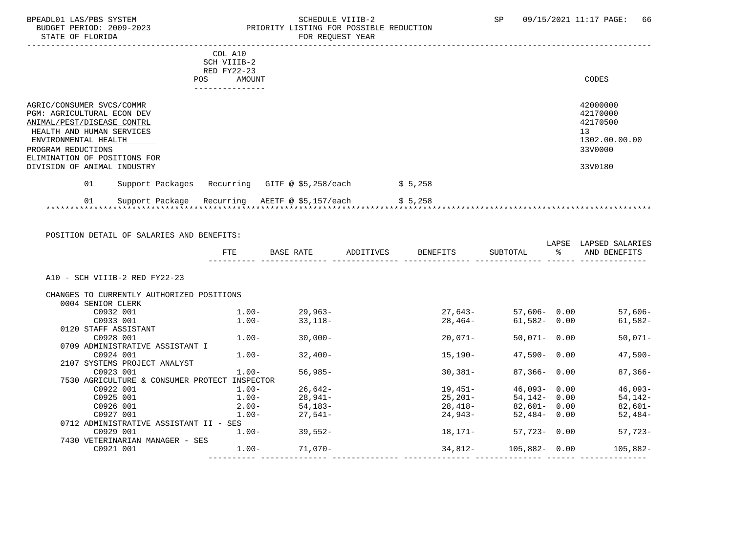#### BPEADL01 LAS/PBS SYSTEM SALLE SOMEDULE VIIIB-2 SCHEDULE VIIIB-2 SP 09/15/2021 11:17 PAGE: 66<br>BUDGET PERIOD: 2009-2023 PRIORITY LISTING FOR POSSIBLE REDUCTION BUDGET PERIOD: 2009-2023 PRIORITY LISTING FOR POSSIBLE REDUCTION<br>FOR REQUEST YEAR FOR REQUEST YEAR

|                                                                                                                                                                                                         | COL A10<br>SCH VIIIB-2<br>RED FY22-23 |         |                                                                    |
|---------------------------------------------------------------------------------------------------------------------------------------------------------------------------------------------------------|---------------------------------------|---------|--------------------------------------------------------------------|
|                                                                                                                                                                                                         | AMOUNT<br><b>POS</b>                  |         | CODES                                                              |
|                                                                                                                                                                                                         | . _ _ _ _ _ _ _ _ _ _ _ _ _ _         |         |                                                                    |
| AGRIC/CONSUMER SVCS/COMMR<br><b>PGM: AGRICULTURAL ECON DEV</b><br>ANIMAL/PEST/DISEASE CONTRL<br>HEALTH AND HUMAN SERVICES<br>ENVIRONMENTAL HEALTH<br>PROGRAM REDUCTIONS<br>ELIMINATION OF POSITIONS FOR |                                       |         | 42000000<br>42170000<br>42170500<br>13<br>1302.00.00.00<br>33V0000 |
| DIVISION OF ANIMAL INDUSTRY                                                                                                                                                                             |                                       |         | 33V0180                                                            |
| 01<br>Support Packages                                                                                                                                                                                  | Recurring GITF @ \$5,258/each         | \$5,258 |                                                                    |
| 01<br>Support Package                                                                                                                                                                                   | AEETF @ \$5,157/each<br>Recurring     | \$5,258 |                                                                    |

POSITION DETAIL OF SALARIES AND BENEFITS:

|                                           | <b>FTE</b> | BASE RATE | ADDITIVES | BENEFITS | SUBTOTAL         | LAPSE<br>ႜၟ | LAPSED SALARIES<br>AND BENEFITS |
|-------------------------------------------|------------|-----------|-----------|----------|------------------|-------------|---------------------------------|
| A10 - SCH VIIIB-2 RED FY22-23             |            |           |           |          |                  |             |                                 |
| CHANGES TO CURRENTLY AUTHORIZED POSITIONS |            |           |           |          |                  |             |                                 |
| 0004 SENIOR CLERK                         |            |           |           |          |                  |             |                                 |
| C0932 001                                 | $1.00-$    | 29,963-   |           | 27,643-  | 57,606-0.00      |             | $57,606-$                       |
| C0933 001                                 | 1.00-      | 33,118-   |           | 28,464-  | 61,582- 0.00     |             | 61,582-                         |
| 0120 STAFF ASSISTANT                      |            |           |           |          |                  |             |                                 |
| C0928 001                                 | $1.00-$    | $30,000-$ |           | 20,071-  | 50,071- 0.00     |             | $50,071-$                       |
| 0709 ADMINISTRATIVE ASSISTANT I           |            |           |           |          |                  |             |                                 |
| C0924 001                                 | $1.00-$    | 32,400-   |           | 15,190-  | $47,590 - 0.00$  |             | 47,590-                         |
| 2107 SYSTEMS PROJECT ANALYST              |            |           |           |          |                  |             |                                 |
| C0923 001                                 | $1.00 -$   | $56,985-$ |           | 30,381-  | $87,366 - 0.00$  |             | $87,366-$                       |
| 7530 AGRICULTURE & CONSUMER PROTECT       | INSPECTOR  |           |           |          |                  |             |                                 |
| C0922 001                                 | $1.00-$    | 26,642-   |           | 19,451-  | 46,093-0.00      |             | $46,093-$                       |
| C0925 001                                 | 1.00-      | 28,941-   |           | 25,201-  | 54,142- 0.00     |             | 54,142-                         |
| C0926 001                                 | $2.00-$    | 54,183-   |           | 28,418-  | 82,601- 0.00     |             | $82,601-$                       |
| C0927 001                                 | $1.00-$    | 27,541-   |           | 24,943-  | $52,484 - 0.00$  |             | 52,484-                         |
| 0712 ADMINISTRATIVE ASSISTANT II - SES    |            |           |           |          |                  |             |                                 |
| C0929 001                                 | $1.00-$    | 39,552-   |           | 18,171–  | 57,723- 0.00     |             | $57,723-$                       |
| 7430 VETERINARIAN MANAGER - SES           |            |           |           |          |                  |             |                                 |
| C0921 001                                 | $1.00-$    | 71,070-   |           | 34,812-  | $105,882 - 0.00$ |             | $105,882-$                      |
|                                           |            |           |           |          |                  |             |                                 |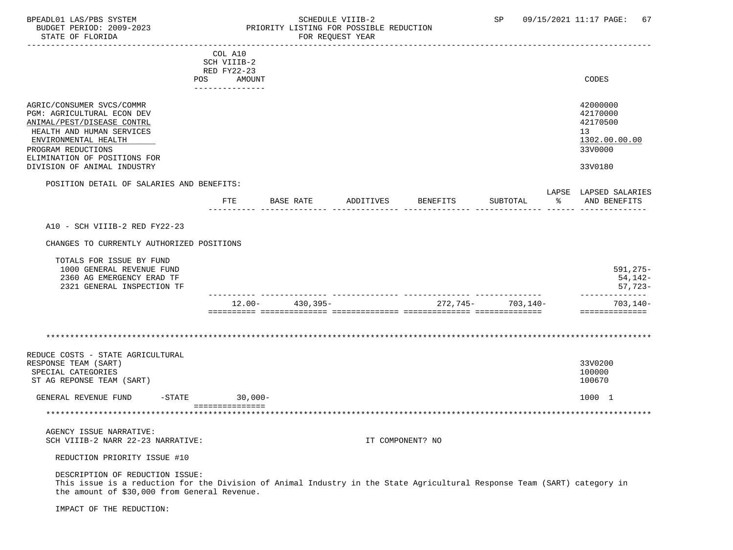STATE OF FLORIDA FOR STATE OF STATE OF STATE OF STATE OF STATE OF STATE OF STATE OF STATE OF STATE OF STATE OF STATE OF STATE OF STATE OF STATE OF STATE OF STATE OF STATE OF STATE OF STATE OF STATE OF STATE OF STATE OF STA

### BPEADL01 LAS/PBS SYSTEM SALL SALL SOMEDULE VIIIB-2 SP 09/15/2021 11:17 PAGE: 67 BUDGET PERIOD: 2009-2023 PRIORITY LISTING FOR POSSIBLE REDUCTION

 ----------------------------------------------------------------------------------------------------------------------------------- COL A10 SCH VIIIB-2 RED FY22-23 POS AMOUNT NOTES AND RESERVE AND RESERVE AND RESERVE AND RESERVE AND RESERVE AND RESERVE AND RESERVE AND RESERVE AND RESERVE AND RESERVE A LODGE STATES OF A LODGE STATES OF A LODGE STATES OF A LODGE STATES OF A LODGE STATE --------------- AGRIC/CONSUMER SVCS/COMMR 42000000 PGM: AGRICULTURAL ECON DEV 42170000<br>ANIMAL/PEST/DISEASE CONTRL 42170500 ANIMAL/PEST/DISEASE CONTRL HEALTH AND HUMAN SERVICES 13<br>ENVIRONMENTAL HEALTH 1302.00.00.00  $\frac{\rm{ENVIROMMENTAL}~HEALTH}{3300000} \sim 1302.00$ PROGRAM REDUCTIONS ELIMINATION OF POSITIONS FOR DIVISION OF ANIMAL INDUSTRY 33V0180 POSITION DETAIL OF SALARIES AND BENEFITS: LAPSE LAPSED SALARIES FTE BASE RATE ADDITIVES BENEFITS SUBTOTAL % AND BENEFITS ---------- -------------- -------------- -------------- -------------- ------ -------------- A10 - SCH VIIIB-2 RED FY22-23 CHANGES TO CURRENTLY AUTHORIZED POSITIONS TOTALS FOR ISSUE BY FUND 1000 GENERAL REVENUE FUND 591,275- 2360 AG EMERGENCY ERAD TF 54,142- 2321 GENERAL INSPECTION TF ---------- -------------- -------------- -------------- -------------- -------------- 12.00- 430,395- 272,745- 703,140- 703,140- ========== ============== ============== ============== ============== ============== \*\*\*\*\*\*\*\*\*\*\*\*\*\*\*\*\*\*\*\*\*\*\*\*\*\*\*\*\*\*\*\*\*\*\*\*\*\*\*\*\*\*\*\*\*\*\*\*\*\*\*\*\*\*\*\*\*\*\*\*\*\*\*\*\*\*\*\*\*\*\*\*\*\*\*\*\*\*\*\*\*\*\*\*\*\*\*\*\*\*\*\*\*\*\*\*\*\*\*\*\*\*\*\*\*\*\*\*\*\*\*\*\*\*\*\*\*\*\*\*\*\*\*\*\*\*\* REDUCE COSTS - STATE AGRICULTURAL RESPONSE TEAM (SART) 33V0200 SPECIAL CATEGORIES 100000 POSTAGORIES AND SERVICE SUPERINTING SUPERINT AND SERVICE SUPERINT OF THE SERVICE SUPERINT OF THE SERVICE SUPERINT OF THE SERVICE SUPERINT OF THE SERVICE SUPERINT OF THE SERVICE SUPERINT OF THE SER ST AG REPONSE TEAM (SART) GENERAL REVENUE FUND -STATE 30,000- 1000 1 =============== \*\*\*\*\*\*\*\*\*\*\*\*\*\*\*\*\*\*\*\*\*\*\*\*\*\*\*\*\*\*\*\*\*\*\*\*\*\*\*\*\*\*\*\*\*\*\*\*\*\*\*\*\*\*\*\*\*\*\*\*\*\*\*\*\*\*\*\*\*\*\*\*\*\*\*\*\*\*\*\*\*\*\*\*\*\*\*\*\*\*\*\*\*\*\*\*\*\*\*\*\*\*\*\*\*\*\*\*\*\*\*\*\*\*\*\*\*\*\*\*\*\*\*\*\*\*\* AGENCY ISSUE NARRATIVE: SCH VIIIB-2 NARR 22-23 NARRATIVE: IT COMPONENT? NO REDUCTION PRIORITY ISSUE #10 DESCRIPTION OF REDUCTION ISSUE: This issue is a reduction for the Division of Animal Industry in the State Agricultural Response Team (SART) category in the amount of \$30,000 from General Revenue. IMPACT OF THE REDUCTION: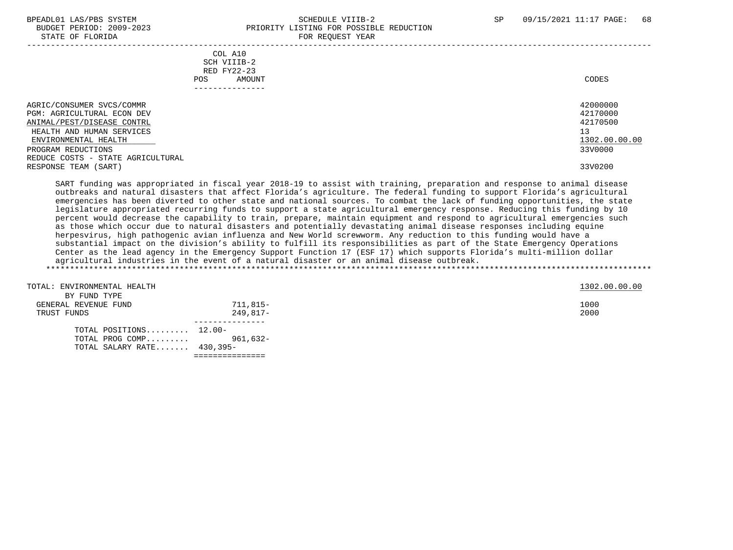#### BPEADL01 LAS/PBS SYSTEM SALL SALL SOMEDULE VIIIB-2 SP 09/15/2021 11:17 PAGE: 68 BUDGET PERIOD: 2009-2023 PRIORITY LISTING FOR POSSIBLE REDUCTION STATE OF FLORIDA FOR REQUEST YEAR

| COL A10<br>SCH VIIIB-2<br>RED FY22-23<br>AMOUNT<br>POS.                                                                                                                                                      | CODES                                                              |
|--------------------------------------------------------------------------------------------------------------------------------------------------------------------------------------------------------------|--------------------------------------------------------------------|
| AGRIC/CONSUMER SVCS/COMMR<br><b>PGM: AGRICULTURAL ECON DEV</b><br>ANIMAL/PEST/DISEASE CONTRL<br>HEALTH AND HUMAN SERVICES<br>ENVIRONMENTAL HEALTH<br>PROGRAM REDUCTIONS<br>REDUCE COSTS - STATE AGRICULTURAL | 42000000<br>42170000<br>42170500<br>13<br>1302.00.00.00<br>33V0000 |
| RESPONSE TEAM (SART)                                                                                                                                                                                         | 33V0200                                                            |

 SART funding was appropriated in fiscal year 2018-19 to assist with training, preparation and response to animal disease outbreaks and natural disasters that affect Florida's agriculture. The federal funding to support Florida's agricultural emergencies has been diverted to other state and national sources. To combat the lack of funding opportunities, the state legislature appropriated recurring funds to support a state agricultural emergency response. Reducing this funding by 10 percent would decrease the capability to train, prepare, maintain equipment and respond to agricultural emergencies such as those which occur due to natural disasters and potentially devastating animal disease responses including equine herpesvirus, high pathogenic avian influenza and New World screwworm. Any reduction to this funding would have a substantial impact on the division's ability to fulfill its responsibilities as part of the State Emergency Operations Center as the lead agency in the Emergency Support Function 17 (ESF 17) which supports Florida's multi-million dollar agricultural industries in the event of a natural disaster or an animal disease outbreak. \*\*\*\*\*\*\*\*\*\*\*\*\*\*\*\*\*\*\*\*\*\*\*\*\*\*\*\*\*\*\*\*\*\*\*\*\*\*\*\*\*\*\*\*\*\*\*\*\*\*\*\*\*\*\*\*\*\*\*\*\*\*\*\*\*\*\*\*\*\*\*\*\*\*\*\*\*\*\*\*\*\*\*\*\*\*\*\*\*\*\*\*\*\*\*\*\*\*\*\*\*\*\*\*\*\*\*\*\*\*\*\*\*\*\*\*\*\*\*\*\*\*\*\*\*\*\*

| TOTAL: ENVIRONMENTAL HEALTH<br>BY FUND TYPE |          | 1302.00.00.00 |
|---------------------------------------------|----------|---------------|
| GENERAL REVENUE FUND                        | 711,815- | 1000          |
|                                             |          | 2000          |
| TRUST FUNDS                                 | 249,817- |               |
| TOTAL POSITIONS $12.00-$                    |          |               |
| TOTAL PROG COMP 961,632-                    |          |               |
| TOTAL SALARY RATE $430,395-$                |          |               |

===============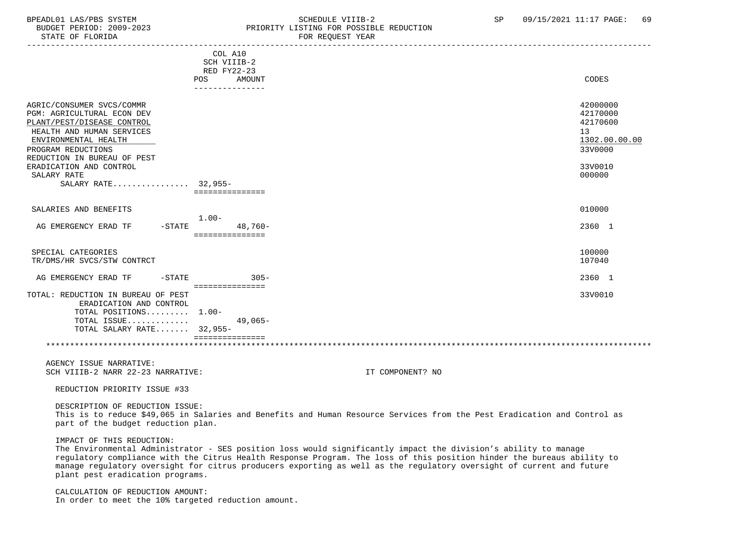#### BPEADL01 LAS/PBS SYSTEM STRIM SCHEDULE VIIIB-2 SCHEDULE VIIIB-2 SP 09/15/2021 11:17 PAGE: 69 BUDGET PERIOD: 2009-2023 PRIORITY LISTING FOR POSSIBLE REDUCTION STATE OF FLORIDA **FOR STATE OF STATE OF STATE OF STATE OF STATE ASS**

|                                                                                                                                                                  | COL A10                                         |                                                                                                                                                                                                                                                                                                                                                                   |                                                                                 |
|------------------------------------------------------------------------------------------------------------------------------------------------------------------|-------------------------------------------------|-------------------------------------------------------------------------------------------------------------------------------------------------------------------------------------------------------------------------------------------------------------------------------------------------------------------------------------------------------------------|---------------------------------------------------------------------------------|
|                                                                                                                                                                  | SCH VIIIB-2                                     |                                                                                                                                                                                                                                                                                                                                                                   |                                                                                 |
|                                                                                                                                                                  | RED FY22-23                                     |                                                                                                                                                                                                                                                                                                                                                                   |                                                                                 |
|                                                                                                                                                                  | POS<br>AMOUNT                                   |                                                                                                                                                                                                                                                                                                                                                                   | CODES                                                                           |
|                                                                                                                                                                  | ---------------                                 |                                                                                                                                                                                                                                                                                                                                                                   |                                                                                 |
| AGRIC/CONSUMER SVCS/COMMR<br>PGM: AGRICULTURAL ECON DEV<br>PLANT/PEST/DISEASE CONTROL<br>HEALTH AND HUMAN SERVICES<br>ENVIRONMENTAL HEALTH<br>PROGRAM REDUCTIONS |                                                 |                                                                                                                                                                                                                                                                                                                                                                   | 42000000<br>42170000<br>42170600<br>13 <sup>°</sup><br>1302.00.00.00<br>33V0000 |
| REDUCTION IN BUREAU OF PEST<br>ERADICATION AND CONTROL<br>SALARY RATE<br>SALARY RATE 32,955-                                                                     |                                                 |                                                                                                                                                                                                                                                                                                                                                                   | 33V0010<br>000000                                                               |
|                                                                                                                                                                  | ===============                                 |                                                                                                                                                                                                                                                                                                                                                                   |                                                                                 |
| SALARIES AND BENEFITS                                                                                                                                            | $1.00-$                                         |                                                                                                                                                                                                                                                                                                                                                                   | 010000                                                                          |
| $-STATE$<br>AG EMERGENCY ERAD TF                                                                                                                                 | 48,760-<br>===============                      |                                                                                                                                                                                                                                                                                                                                                                   | 2360 1                                                                          |
| SPECIAL CATEGORIES<br>TR/DMS/HR SVCS/STW CONTRCT                                                                                                                 |                                                 |                                                                                                                                                                                                                                                                                                                                                                   | 100000<br>107040                                                                |
| AG EMERGENCY ERAD TF<br>$-STATE$                                                                                                                                 | $305 -$                                         |                                                                                                                                                                                                                                                                                                                                                                   | 2360 1                                                                          |
| TOTAL: REDUCTION IN BUREAU OF PEST<br>ERADICATION AND CONTROL<br>TOTAL POSITIONS 1.00-<br>TOTAL ISSUE<br>TOTAL SALARY RATE 32,955-                               | ===============<br>$49,065-$<br>=============== |                                                                                                                                                                                                                                                                                                                                                                   | 33V0010                                                                         |
|                                                                                                                                                                  |                                                 |                                                                                                                                                                                                                                                                                                                                                                   |                                                                                 |
| AGENCY ISSUE NARRATIVE:<br>SCH VIIIB-2 NARR 22-23 NARRATIVE:                                                                                                     |                                                 | IT COMPONENT? NO                                                                                                                                                                                                                                                                                                                                                  |                                                                                 |
| REDUCTION PRIORITY ISSUE #33                                                                                                                                     |                                                 |                                                                                                                                                                                                                                                                                                                                                                   |                                                                                 |
| DESCRIPTION OF REDUCTION ISSUE:<br>part of the budget reduction plan.                                                                                            |                                                 | This is to reduce \$49,065 in Salaries and Benefits and Human Resource Services from the Pest Eradication and Control as                                                                                                                                                                                                                                          |                                                                                 |
| IMPACT OF THIS REDUCTION:<br>plant pest eradication programs.                                                                                                    |                                                 | The Environmental Administrator - SES position loss would significantly impact the division's ability to manage<br>requlatory compliance with the Citrus Health Response Program. The loss of this position hinder the bureaus ability to<br>manage regulatory oversight for citrus producers exporting as well as the regulatory oversight of current and future |                                                                                 |
| CALCULATION OF REDUCTION AMOUNT:<br>In order to meet the 10% targeted reduction amount.                                                                          |                                                 |                                                                                                                                                                                                                                                                                                                                                                   |                                                                                 |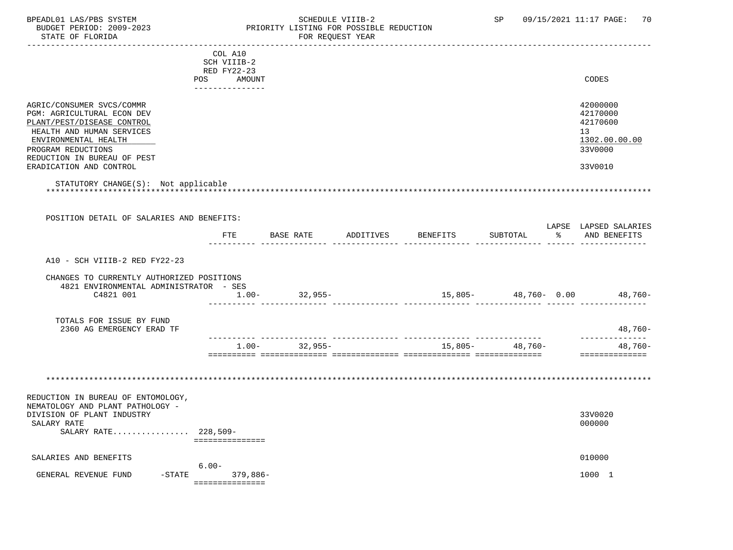### BPEADL01 LAS/PBS SYSTEM SOHEDULE VIIIB-2 SCHEDULE VIIIB-2 SP 09/15/2021 11:17 PAGE: 70 BUDGET PERIOD: 2009-2023 PRIORITY LISTING FOR POSSIBLE REDUCTION FOR REQUEST YEAR

|                                                         | COL A10           |                                  |  |                   |                                |
|---------------------------------------------------------|-------------------|----------------------------------|--|-------------------|--------------------------------|
|                                                         | SCH VIIIB-2       |                                  |  |                   |                                |
|                                                         | RED FY22-23       |                                  |  |                   |                                |
|                                                         | POS<br>AMOUNT     |                                  |  |                   | CODES                          |
|                                                         | ---------------   |                                  |  |                   |                                |
|                                                         |                   |                                  |  |                   |                                |
| AGRIC/CONSUMER SVCS/COMMR                               |                   |                                  |  |                   | 42000000                       |
| PGM: AGRICULTURAL ECON DEV                              |                   |                                  |  |                   | 42170000<br>42170600           |
| PLANT/PEST/DISEASE CONTROL<br>HEALTH AND HUMAN SERVICES |                   |                                  |  |                   | 13                             |
| ENVIRONMENTAL HEALTH                                    |                   |                                  |  |                   | 1302.00.00.00                  |
| PROGRAM REDUCTIONS                                      |                   |                                  |  |                   | 33V0000                        |
| REDUCTION IN BUREAU OF PEST                             |                   |                                  |  |                   |                                |
| ERADICATION AND CONTROL                                 |                   |                                  |  |                   | 33V0010                        |
|                                                         |                   |                                  |  |                   |                                |
| STATUTORY CHANGE(S): Not applicable                     |                   |                                  |  |                   |                                |
|                                                         |                   |                                  |  |                   |                                |
|                                                         |                   |                                  |  |                   |                                |
| POSITION DETAIL OF SALARIES AND BENEFITS:               |                   |                                  |  |                   |                                |
|                                                         |                   |                                  |  |                   | LAPSE LAPSED SALARIES          |
|                                                         |                   | FTE BASE RATE ADDITIVES BENEFITS |  | SUBTOTAL          | % AND BENEFITS                 |
|                                                         |                   |                                  |  |                   |                                |
| A10 - SCH VIIIB-2 RED FY22-23                           |                   |                                  |  |                   |                                |
|                                                         |                   |                                  |  |                   |                                |
| CHANGES TO CURRENTLY AUTHORIZED POSITIONS               |                   |                                  |  |                   |                                |
| 4821 ENVIRONMENTAL ADMINISTRATOR - SES                  |                   |                                  |  |                   |                                |
| C4821 001                                               | $1\ldots00-$      | 32,955-                          |  |                   | $15,805-$ 48,760- 0.00 48,760- |
|                                                         |                   |                                  |  |                   |                                |
| TOTALS FOR ISSUE BY FUND                                |                   |                                  |  |                   |                                |
| 2360 AG EMERGENCY ERAD TF                               |                   |                                  |  |                   | 48,760-                        |
|                                                         |                   |                                  |  |                   | ___________                    |
|                                                         | $1.00 -$          | 32,955-                          |  | $15,805-$ 48,760- | $48,760-$                      |
|                                                         |                   |                                  |  |                   | ==============                 |
|                                                         |                   |                                  |  |                   |                                |
|                                                         |                   |                                  |  |                   |                                |
|                                                         |                   |                                  |  |                   |                                |
| REDUCTION IN BUREAU OF ENTOMOLOGY,                      |                   |                                  |  |                   |                                |
| NEMATOLOGY AND PLANT PATHOLOGY -                        |                   |                                  |  |                   |                                |
| DIVISION OF PLANT INDUSTRY                              |                   |                                  |  |                   | 33V0020                        |
| SALARY RATE                                             |                   |                                  |  |                   | 000000                         |
| SALARY RATE 228,509-                                    |                   |                                  |  |                   |                                |
|                                                         | ===============   |                                  |  |                   |                                |
| SALARIES AND BENEFITS                                   |                   |                                  |  |                   | 010000                         |
|                                                         | $6.00 -$          |                                  |  |                   |                                |
| GENERAL REVENUE FUND                                    | -STATE 379,886-   |                                  |  |                   | 1000 1                         |
|                                                         | ----------------- |                                  |  |                   |                                |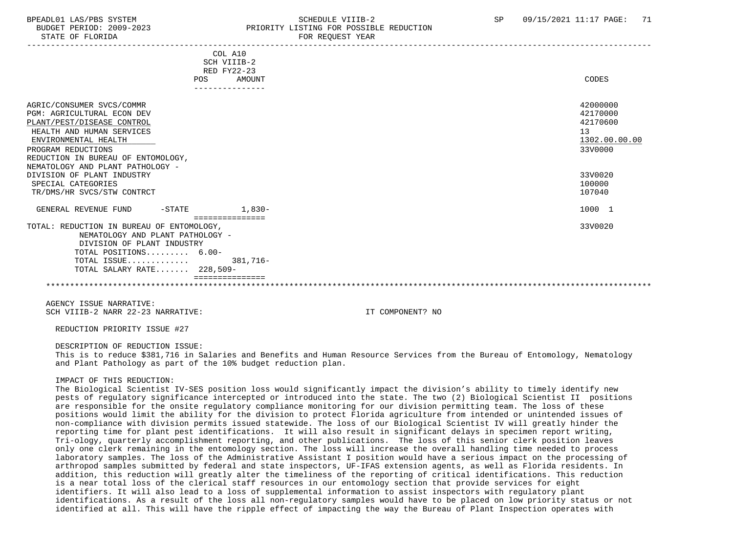STATE OF FLORIDA FOR STATE OF STATE OF STATE OF STATE OF STATE OF STATE OF STATE OF STATE OF STATE OF STATE OF STATE OF STATE OF STATE OF STATE OF STATE OF STATE OF STATE OF STATE OF STATE OF STATE OF STATE OF STATE OF STA

### BPEADL01 LAS/PBS SYSTEM SALL SALL SOMEDULE VIIIB-2 SP 09/15/2021 11:17 PAGE: 71 BUDGET PERIOD: 2009-2023 PRIORITY LISTING FOR POSSIBLE REDUCTION

| COL A10<br>SCH VIIIB-2<br>RED FY22-23                                    |               |
|--------------------------------------------------------------------------|---------------|
| POS<br>AMOUNT                                                            | CODES         |
| ---------------                                                          |               |
| AGRIC/CONSUMER SVCS/COMMR                                                | 42000000      |
| PGM: AGRICULTURAL ECON DEV                                               | 42170000      |
| PLANT/PEST/DISEASE CONTROL                                               | 42170600      |
| HEALTH AND HUMAN SERVICES                                                | 13            |
| ENVIRONMENTAL HEALTH                                                     | 1302.00.00.00 |
| PROGRAM REDUCTIONS                                                       | 33V0000       |
| REDUCTION IN BUREAU OF ENTOMOLOGY,                                       |               |
| NEMATOLOGY AND PLANT PATHOLOGY -                                         |               |
| DIVISION OF PLANT INDUSTRY                                               | 33V0020       |
| SPECIAL CATEGORIES                                                       | 100000        |
| TR/DMS/HR SVCS/STW CONTRCT                                               | 107040        |
| GENERAL REVENUE FUND<br>$1,830-$<br>$-\mathtt{STATE}$<br>=============== | 1000 1        |
| TOTAL: REDUCTION IN BUREAU OF ENTOMOLOGY,                                | 33V0020       |
| NEMATOLOGY AND PLANT PATHOLOGY -                                         |               |
| DIVISION OF PLANT INDUSTRY                                               |               |
| TOTAL POSITIONS 6.00-                                                    |               |
| TOTAL ISSUE<br>381,716-                                                  |               |
| TOTAL SALARY RATE 228,509-                                               |               |
|                                                                          |               |
|                                                                          |               |
|                                                                          |               |

 AGENCY ISSUE NARRATIVE: SCH VIIIB-2 NARR 22-23 NARRATIVE: IT COMPONENT? NO

REDUCTION PRIORITY ISSUE #27

#### DESCRIPTION OF REDUCTION ISSUE:

 This is to reduce \$381,716 in Salaries and Benefits and Human Resource Services from the Bureau of Entomology, Nematology and Plant Pathology as part of the 10% budget reduction plan.

#### IMPACT OF THIS REDUCTION:

 The Biological Scientist IV-SES position loss would significantly impact the division's ability to timely identify new pests of regulatory significance intercepted or introduced into the state. The two (2) Biological Scientist II positions are responsible for the onsite regulatory compliance monitoring for our division permitting team. The loss of these positions would limit the ability for the division to protect Florida agriculture from intended or unintended issues of non-compliance with division permits issued statewide. The loss of our Biological Scientist IV will greatly hinder the reporting time for plant pest identifications. It will also result in significant delays in specimen report writing, Tri-ology, quarterly accomplishment reporting, and other publications. The loss of this senior clerk position leaves only one clerk remaining in the entomology section. The loss will increase the overall handling time needed to process laboratory samples. The loss of the Administrative Assistant I position would have a serious impact on the processing of arthropod samples submitted by federal and state inspectors, UF-IFAS extension agents, as well as Florida residents. In addition, this reduction will greatly alter the timeliness of the reporting of critical identifications. This reduction is a near total loss of the clerical staff resources in our entomology section that provide services for eight identifiers. It will also lead to a loss of supplemental information to assist inspectors with regulatory plant identifications. As a result of the loss all non-regulatory samples would have to be placed on low priority status or not identified at all. This will have the ripple effect of impacting the way the Bureau of Plant Inspection operates with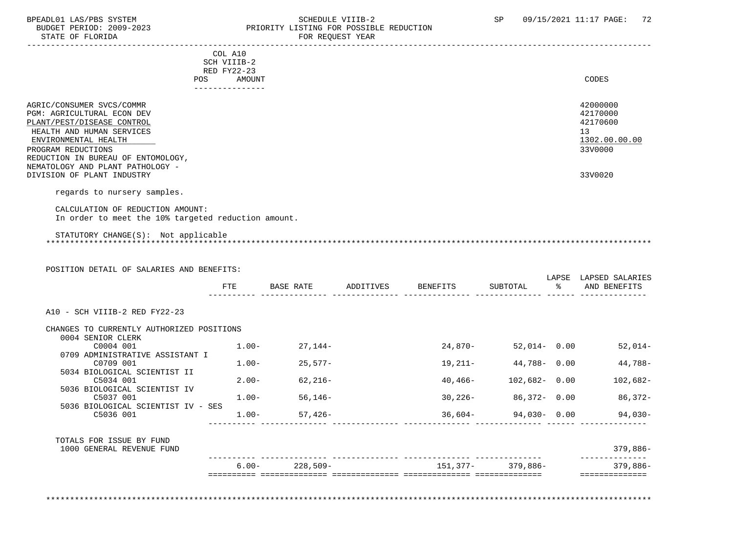#### BPEADL01 LAS/PBS SYSTEM SALLE STREDULE VIIIB-2 SCHEDULE VIIIB-2 SP 09/15/2021 11:17 PAGE: 72 BUDGET PERIOD: 2009-2023 PRIORITY LISTING FOR POSSIBLE REDUCTION<br>FOR REQUEST YEAR FOR REQUEST YEAR

|                                                     | COL A10              |                  |           |                 |          |       |                 |
|-----------------------------------------------------|----------------------|------------------|-----------|-----------------|----------|-------|-----------------|
|                                                     | SCH VIIIB-2          |                  |           |                 |          |       |                 |
|                                                     | RED FY22-23          |                  |           |                 |          |       |                 |
|                                                     | POS<br><b>AMOUNT</b> |                  |           |                 |          |       | CODES           |
|                                                     |                      |                  |           |                 |          |       |                 |
| AGRIC/CONSUMER SVCS/COMMR                           |                      |                  |           |                 |          |       | 42000000        |
| <b>PGM: AGRICULTURAL ECON DEV</b>                   |                      |                  |           |                 |          |       | 42170000        |
| PLANT/PEST/DISEASE CONTROL                          |                      |                  |           |                 |          |       | 42170600        |
| HEALTH AND HUMAN SERVICES                           |                      |                  |           |                 |          |       | 13              |
| ENVIRONMENTAL HEALTH                                |                      |                  |           |                 |          |       | 1302.00.00.00   |
| PROGRAM REDUCTIONS                                  |                      |                  |           |                 |          |       | 33V0000         |
| REDUCTION IN BUREAU OF ENTOMOLOGY,                  |                      |                  |           |                 |          |       |                 |
| NEMATOLOGY AND PLANT PATHOLOGY -                    |                      |                  |           |                 |          |       |                 |
| DIVISION OF PLANT INDUSTRY                          |                      |                  |           |                 |          |       | 33V0020         |
|                                                     |                      |                  |           |                 |          |       |                 |
| regards to nursery samples.                         |                      |                  |           |                 |          |       |                 |
| CALCULATION OF REDUCTION AMOUNT:                    |                      |                  |           |                 |          |       |                 |
| In order to meet the 10% targeted reduction amount. |                      |                  |           |                 |          |       |                 |
|                                                     |                      |                  |           |                 |          |       |                 |
| STATUTORY CHANGE(S): Not applicable                 |                      |                  |           |                 |          |       |                 |
|                                                     |                      |                  |           |                 |          |       |                 |
|                                                     |                      |                  |           |                 |          |       |                 |
|                                                     |                      |                  |           |                 |          |       |                 |
| POSITION DETAIL OF SALARIES AND BENEFITS:           |                      |                  |           |                 |          |       |                 |
|                                                     |                      |                  |           |                 |          | LAPSE | LAPSED SALARIES |
|                                                     | FTE                  | <b>BASE RATE</b> | ADDITIVES | <b>BENEFITS</b> | SUBTOTAL | ႜ     | AND BENEFITS    |

| CHANGES TO CURRENTLY AUTHORIZED POSITIONS<br>0004 SENIOR CLERK |          |                    |             |                  |            |
|----------------------------------------------------------------|----------|--------------------|-------------|------------------|------------|
| C0004 001                                                      | $1.00-$  | 27,144–            | 24,870-     | 52,014- 0.00     | $52,014-$  |
| 0709 ADMINISTRATIVE ASSISTANT I                                |          |                    |             |                  |            |
| C0709 001                                                      | $1.00 -$ | 25,577-            | 19,211-     | 44,788- 0.00     | 44,788-    |
| 5034 BIOLOGICAL SCIENTIST II<br>C5034 001                      | $2.00 -$ | 62,216-            | 40,466-     | $102,682 - 0.00$ | $102,682-$ |
| 5036 BIOLOGICAL SCIENTIST IV                                   |          |                    |             |                  |            |
| C5037 001                                                      | $1.00 -$ | 56,146–            | $30,226-$   | 86,372- 0.00     | 86,372-    |
| 5036 BIOLOGICAL SCIENTIST IV - SES                             |          |                    |             |                  |            |
| C5036 001                                                      | $1.00-$  | $57,426-$          | $36,604-$   | 94,030- 0.00     | 94,030-    |
|                                                                |          |                    |             |                  |            |
| TOTALS FOR ISSUE BY FUND<br>1000 GENERAL REVENUE FUND          |          |                    |             |                  | $379,886-$ |
|                                                                |          |                    |             |                  |            |
|                                                                |          | $6.00 - 228,509 -$ | $151,377$ - | 379,886-         | 379,886-   |

\*\*\*\*\*\*\*\*\*\*\*\*\*\*\*\*\*\*\*\*\*\*\*\*\*\*\*\*\*\*\*\*\*\*\*\*\*\*\*\*\*\*\*\*\*\*\*\*\*\*\*\*\*\*\*\*\*\*\*\*\*\*\*\*\*\*\*\*\*\*\*\*\*\*\*\*\*\*\*\*\*\*\*\*\*\*\*\*\*\*\*\*\*\*\*\*\*\*\*\*\*\*\*\*\*\*\*\*\*\*\*\*\*\*\*\*\*\*\*\*\*\*\*\*\*\*\*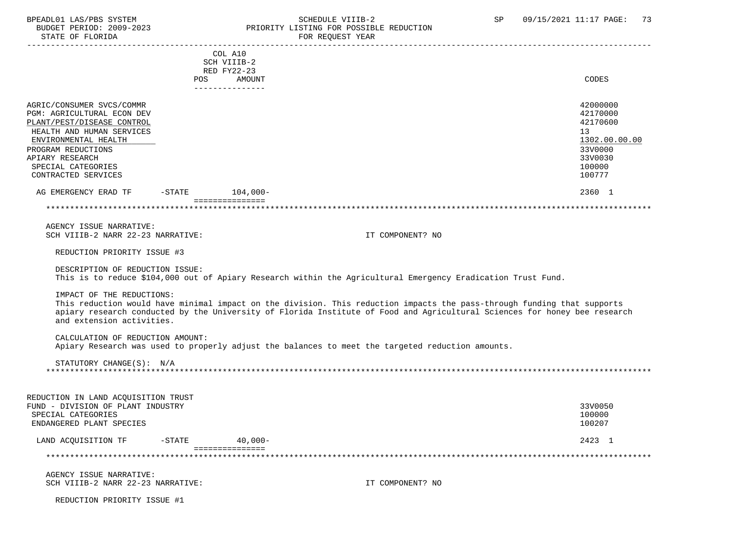### BPEADL01 LAS/PBS SYSTEM STRING THE SCHEDULE VIIIB-2 SP 09/15/2021 11:17 PAGE: 73<br>BUDGET PERIOD: 2009-2023 PRIORITY LISTING FOR POSSIBLE REDUCTION BUDGET PERIOD: 2009-2023 PRIORITY LISTING FOR POSSIBLE REDUCTION FOR REQUEST YEAR

|                                     |                 | COL A10         |                                                                                                                         |                                                                                                                           |
|-------------------------------------|-----------------|-----------------|-------------------------------------------------------------------------------------------------------------------------|---------------------------------------------------------------------------------------------------------------------------|
|                                     |                 | SCH VIIIB-2     |                                                                                                                         |                                                                                                                           |
|                                     |                 |                 |                                                                                                                         |                                                                                                                           |
|                                     |                 | RED FY22-23     |                                                                                                                         |                                                                                                                           |
|                                     |                 | POS AMOUNT      |                                                                                                                         | CODES                                                                                                                     |
|                                     |                 | _______________ |                                                                                                                         |                                                                                                                           |
|                                     |                 |                 |                                                                                                                         |                                                                                                                           |
| AGRIC/CONSUMER SVCS/COMMR           |                 |                 |                                                                                                                         | 42000000                                                                                                                  |
| PGM: AGRICULTURAL ECON DEV          |                 |                 |                                                                                                                         | 42170000                                                                                                                  |
| PLANT/PEST/DISEASE CONTROL          |                 |                 |                                                                                                                         | 42170600                                                                                                                  |
| HEALTH AND HUMAN SERVICES           |                 |                 |                                                                                                                         | 13                                                                                                                        |
| ENVIRONMENTAL HEALTH                |                 |                 |                                                                                                                         | 1302.00.00.00                                                                                                             |
| PROGRAM REDUCTIONS                  |                 |                 |                                                                                                                         | 33V0000                                                                                                                   |
|                                     |                 |                 |                                                                                                                         |                                                                                                                           |
| APIARY RESEARCH                     |                 |                 |                                                                                                                         | 33V0030                                                                                                                   |
| SPECIAL CATEGORIES                  |                 |                 |                                                                                                                         | 100000                                                                                                                    |
| CONTRACTED SERVICES                 |                 |                 |                                                                                                                         | 100777                                                                                                                    |
|                                     |                 |                 |                                                                                                                         |                                                                                                                           |
| AG EMERGENCY ERAD TF                | -STATE 104,000- |                 |                                                                                                                         | 2360 1                                                                                                                    |
|                                     |                 | =============== |                                                                                                                         |                                                                                                                           |
|                                     |                 |                 |                                                                                                                         |                                                                                                                           |
|                                     |                 |                 |                                                                                                                         |                                                                                                                           |
| AGENCY ISSUE NARRATIVE:             |                 |                 |                                                                                                                         |                                                                                                                           |
| SCH VIIIB-2 NARR 22-23 NARRATIVE:   |                 |                 | IT COMPONENT? NO                                                                                                        |                                                                                                                           |
|                                     |                 |                 |                                                                                                                         |                                                                                                                           |
| REDUCTION PRIORITY ISSUE #3         |                 |                 |                                                                                                                         |                                                                                                                           |
|                                     |                 |                 |                                                                                                                         |                                                                                                                           |
| DESCRIPTION OF REDUCTION ISSUE:     |                 |                 |                                                                                                                         |                                                                                                                           |
|                                     |                 |                 | This is to reduce \$104,000 out of Apiary Research within the Agricultural Emergency Eradication Trust Fund.            |                                                                                                                           |
|                                     |                 |                 |                                                                                                                         |                                                                                                                           |
| IMPACT OF THE REDUCTIONS:           |                 |                 |                                                                                                                         |                                                                                                                           |
|                                     |                 |                 |                                                                                                                         |                                                                                                                           |
|                                     |                 |                 | This reduction would have minimal impact on the division. This reduction impacts the pass-through funding that supports |                                                                                                                           |
|                                     |                 |                 |                                                                                                                         | apiary research conducted by the University of Florida Institute of Food and Agricultural Sciences for honey bee research |
| and extension activities.           |                 |                 |                                                                                                                         |                                                                                                                           |
|                                     |                 |                 |                                                                                                                         |                                                                                                                           |
| CALCULATION OF REDUCTION AMOUNT:    |                 |                 |                                                                                                                         |                                                                                                                           |
|                                     |                 |                 | Apiary Research was used to properly adjust the balances to meet the targeted reduction amounts.                        |                                                                                                                           |
|                                     |                 |                 |                                                                                                                         |                                                                                                                           |
| STATUTORY CHANGE(S): N/A            |                 |                 |                                                                                                                         |                                                                                                                           |
|                                     |                 |                 |                                                                                                                         |                                                                                                                           |
|                                     |                 |                 |                                                                                                                         |                                                                                                                           |
|                                     |                 |                 |                                                                                                                         |                                                                                                                           |
| REDUCTION IN LAND ACQUISITION TRUST |                 |                 |                                                                                                                         |                                                                                                                           |
| FUND - DIVISION OF PLANT INDUSTRY   |                 |                 |                                                                                                                         | 33V0050                                                                                                                   |
|                                     |                 |                 |                                                                                                                         |                                                                                                                           |
| SPECIAL CATEGORIES                  |                 |                 |                                                                                                                         | 100000                                                                                                                    |
| ENDANGERED PLANT SPECIES            |                 |                 |                                                                                                                         | 100207                                                                                                                    |
|                                     |                 |                 |                                                                                                                         |                                                                                                                           |
| LAND ACQUISITION TF                 | $-STATE$        | $40,000-$       |                                                                                                                         | 2423 1                                                                                                                    |
|                                     |                 | =============== |                                                                                                                         |                                                                                                                           |
|                                     |                 |                 |                                                                                                                         |                                                                                                                           |
|                                     |                 |                 |                                                                                                                         |                                                                                                                           |
| AGENCY ISSUE NARRATIVE:             |                 |                 |                                                                                                                         |                                                                                                                           |
| SCH VIIIB-2 NARR 22-23 NARRATIVE:   |                 |                 | IT COMPONENT? NO                                                                                                        |                                                                                                                           |
|                                     |                 |                 |                                                                                                                         |                                                                                                                           |
| REDUCTION PRIORITY ISSUE #1         |                 |                 |                                                                                                                         |                                                                                                                           |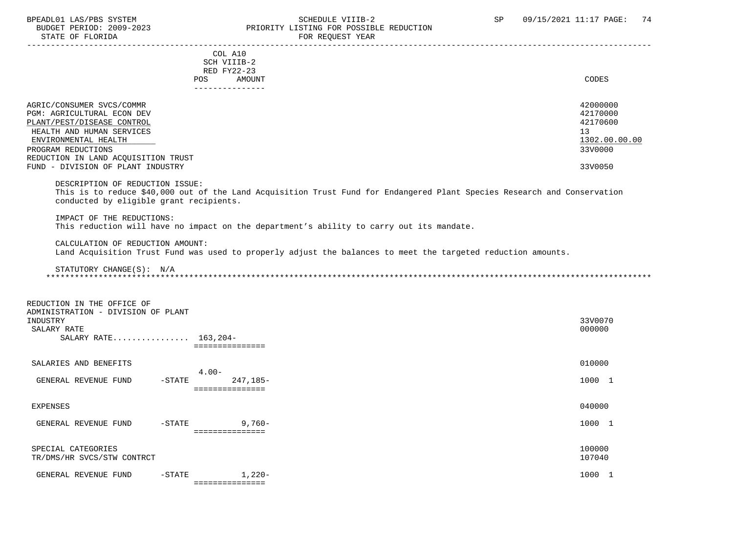STATE OF FLORIDA

# BPEADL01 LAS/PBS SYSTEM STRING THE SCHEDULE VIIIB-2 SP 09/15/2021 11:17 PAGE: 74<br>BUDGET PERIOD: 2009-2023 PRIORITY LISTING FOR POSSIBLE REDUCTION PRIORITY LISTING FOR POSSIBLE REDUCTION

| STATE OF FLORIDA                                                                                                                                                                                                                             | FOR REQUEST YEAR                                                                                                                                                                                                     |                                                                               |
|----------------------------------------------------------------------------------------------------------------------------------------------------------------------------------------------------------------------------------------------|----------------------------------------------------------------------------------------------------------------------------------------------------------------------------------------------------------------------|-------------------------------------------------------------------------------|
|                                                                                                                                                                                                                                              | COL A10<br>SCH VIIIB-2<br>RED FY22-23<br>AMOUNT<br>POS<br>---------------                                                                                                                                            | CODES                                                                         |
| AGRIC/CONSUMER SVCS/COMMR<br>PGM: AGRICULTURAL ECON DEV<br>PLANT/PEST/DISEASE CONTROL<br>HEALTH AND HUMAN SERVICES<br>ENVIRONMENTAL HEALTH<br>PROGRAM REDUCTIONS<br>REDUCTION IN LAND ACQUISITION TRUST<br>FUND - DIVISION OF PLANT INDUSTRY |                                                                                                                                                                                                                      | 42000000<br>42170000<br>42170600<br>13<br>1302.00.00.00<br>33V0000<br>33V0050 |
| DESCRIPTION OF REDUCTION ISSUE:<br>conducted by eligible grant recipients.<br>IMPACT OF THE REDUCTIONS:<br>CALCULATION OF REDUCTION AMOUNT:                                                                                                  | This is to reduce \$40,000 out of the Land Acquisition Trust Fund for Endangered Plant Species Research and Conservation<br>This reduction will have no impact on the department's ability to carry out its mandate. |                                                                               |
| STATUTORY CHANGE(S): N/A                                                                                                                                                                                                                     | Land Acquisition Trust Fund was used to properly adjust the balances to meet the targeted reduction amounts.                                                                                                         |                                                                               |
| REDUCTION IN THE OFFICE OF<br>ADMINISTRATION - DIVISION OF PLANT<br>INDUSTRY<br>SALARY RATE<br>SALARY RATE 163.204-                                                                                                                          | ===============                                                                                                                                                                                                      | 33V0070<br>000000                                                             |
| SALARIES AND BENEFITS                                                                                                                                                                                                                        |                                                                                                                                                                                                                      | 010000                                                                        |
| GENERAL REVENUE FUND<br>$-STATE$                                                                                                                                                                                                             | $4.00 -$<br>247,185-<br>===============                                                                                                                                                                              | 1000 1                                                                        |

EXPENSES 040000

| FUNL<br>-- <i>-</i> --- <i>-</i> --<br>. .<br>÷EN⊧<br>'IN I F<br>$\overline{H}$ | $G$ ma $\pi$ m $\pi$<br>$\overline{\phantom{0}}$<br>------ | טסי                                | 1000 |  |
|---------------------------------------------------------------------------------|------------------------------------------------------------|------------------------------------|------|--|
|                                                                                 |                                                            | ---------------<br>--------------- |      |  |

### SPECIAL CATEGORIES 100000 100000 100000 100000 100000 100000 100000 100000 100000 100000 100000 100000 100000 1 TR/DMS/HR SVCS/STW CONTRCT

| تتعد                              | <u>.</u>                                          | ________________<br>--------------- |      |
|-----------------------------------|---------------------------------------------------|-------------------------------------|------|
| GENERAI<br>FUNL<br><b>REVENUE</b> | $G$ m $\lambda$ m $E$<br>$\overline{\phantom{0}}$ | $\overline{1}$ , 220-               | 1000 |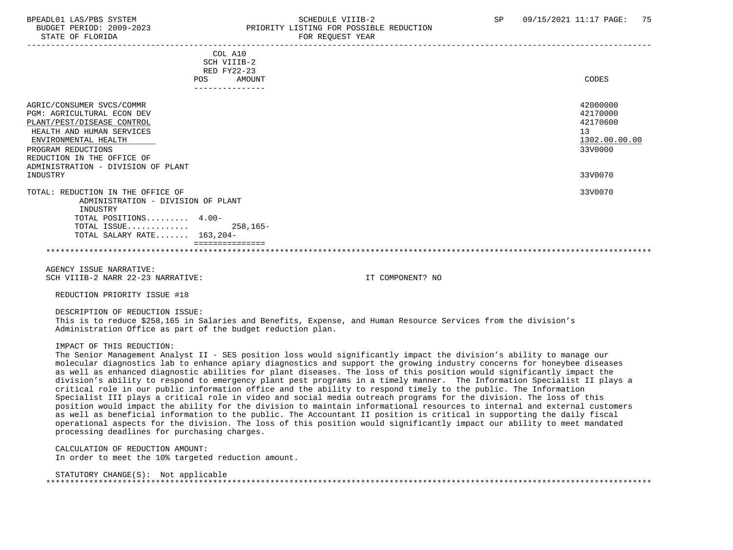STATE OF FLORIDA FOR REQUEST YEAR FOR REQUEST YEAR

## BPEADL01 LAS/PBS SYSTEM SALL SALL SOMEDULE VIIIB-2 SP 09/15/2021 11:17 PAGE: 75 BUDGET PERIOD: 2009-2023 PRIORITY LISTING FOR POSSIBLE REDUCTION

| COL A10                            |               |
|------------------------------------|---------------|
| SCH VIIIB-2                        |               |
| RED FY22-23                        |               |
| AMOUNT<br>POS                      | CODES         |
| ----------------                   |               |
| AGRIC/CONSUMER SVCS/COMMR          | 42000000      |
| PGM: AGRICULTURAL ECON DEV         | 42170000      |
| PLANT/PEST/DISEASE CONTROL         | 42170600      |
| HEALTH AND HUMAN SERVICES          | 13            |
| ENVIRONMENTAL HEALTH               | 1302.00.00.00 |
| PROGRAM REDUCTIONS                 | 33V0000       |
| REDUCTION IN THE OFFICE OF         |               |
| ADMINISTRATION - DIVISION OF PLANT |               |
| INDUSTRY                           | 33V0070       |
| TOTAL: REDUCTION IN THE OFFICE OF  | 33V0070       |
| ADMINISTRATION - DIVISION OF PLANT |               |
| INDUSTRY                           |               |
| TOTAL POSITIONS 4.00-              |               |
| $258, 165 -$<br>TOTAL ISSUE        |               |
| TOTAL SALARY RATE $163,204-$       |               |
|                                    |               |
|                                    |               |

 AGENCY ISSUE NARRATIVE: SCH VIIIB-2 NARR 22-23 NARRATIVE: IT COMPONENT? NO

REDUCTION PRIORITY ISSUE #18

DESCRIPTION OF REDUCTION ISSUE:

 This is to reduce \$258,165 in Salaries and Benefits, Expense, and Human Resource Services from the division's Administration Office as part of the budget reduction plan.

IMPACT OF THIS REDUCTION:

 The Senior Management Analyst II - SES position loss would significantly impact the division's ability to manage our molecular diagnostics lab to enhance apiary diagnostics and support the growing industry concerns for honeybee diseases as well as enhanced diagnostic abilities for plant diseases. The loss of this position would significantly impact the division's ability to respond to emergency plant pest programs in a timely manner. The Information Specialist II plays a critical role in our public information office and the ability to respond timely to the public. The Information Specialist III plays a critical role in video and social media outreach programs for the division. The loss of this position would impact the ability for the division to maintain informational resources to internal and external customers as well as beneficial information to the public. The Accountant II position is critical in supporting the daily fiscal operational aspects for the division. The loss of this position would significantly impact our ability to meet mandated processing deadlines for purchasing charges.

 CALCULATION OF REDUCTION AMOUNT: In order to meet the 10% targeted reduction amount.

| STATUTORY CHANGE(S): | Not applicable |
|----------------------|----------------|
|                      |                |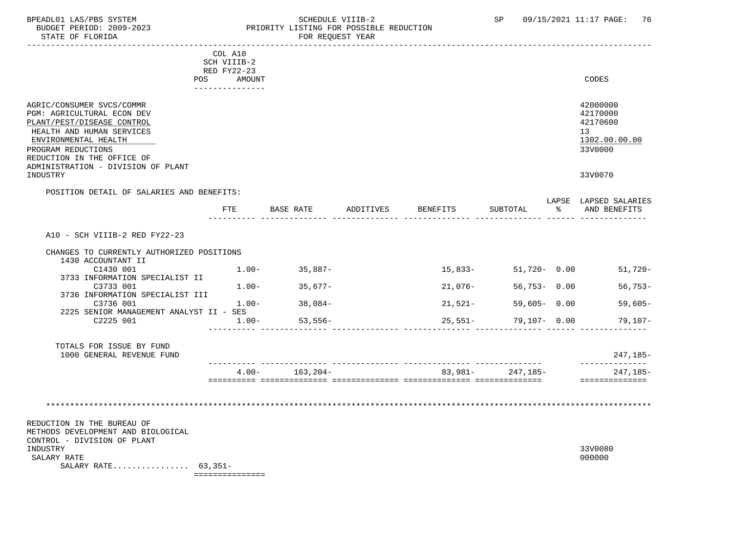STATE OF FLORIDA

# BPEADL01 LAS/PBS SYSTEM STRING THE SCHEDULE VIIIB-2 SCHEDULE VIIIB-2 SP 09/15/2021 11:17 PAGE: 76 PRIORITY LISTING FOR POSSIBLE REDUCTION<br>FOR REQUEST YEAR

| COL A10<br>SCH VIIIB-2<br>RED FY22-23<br>POS AMOUNT<br>______________<br>AGRIC/CONSUMER SVCS/COMMR<br>PGM: AGRICULTURAL ECON DEV<br>PLANT/PEST/DISEASE CONTROL<br>HEALTH AND HUMAN SERVICES<br>ENVIRONMENTAL HEALTH<br>PROGRAM REDUCTIONS<br>REDUCTION IN THE OFFICE OF<br>ADMINISTRATION - DIVISION OF PLANT | <b>CODES</b><br>42000000<br>42170000<br>42170600<br>13<br>1302.00.00.00 |
|---------------------------------------------------------------------------------------------------------------------------------------------------------------------------------------------------------------------------------------------------------------------------------------------------------------|-------------------------------------------------------------------------|
|                                                                                                                                                                                                                                                                                                               |                                                                         |
|                                                                                                                                                                                                                                                                                                               |                                                                         |
|                                                                                                                                                                                                                                                                                                               |                                                                         |
|                                                                                                                                                                                                                                                                                                               |                                                                         |
|                                                                                                                                                                                                                                                                                                               |                                                                         |
|                                                                                                                                                                                                                                                                                                               |                                                                         |
|                                                                                                                                                                                                                                                                                                               |                                                                         |
|                                                                                                                                                                                                                                                                                                               |                                                                         |
|                                                                                                                                                                                                                                                                                                               | 33V0000                                                                 |
|                                                                                                                                                                                                                                                                                                               |                                                                         |
| INDUSTRY                                                                                                                                                                                                                                                                                                      | 33V0070                                                                 |
| POSITION DETAIL OF SALARIES AND BENEFITS:                                                                                                                                                                                                                                                                     | LAPSE LAPSED SALARIES                                                   |
| FTE<br>BASE RATE<br>ADDITIVES<br>BENEFITS<br>SUBTOTAL                                                                                                                                                                                                                                                         | AND BENEFITS                                                            |
|                                                                                                                                                                                                                                                                                                               |                                                                         |
| A10 - SCH VIIIB-2 RED FY22-23                                                                                                                                                                                                                                                                                 |                                                                         |
|                                                                                                                                                                                                                                                                                                               |                                                                         |
| CHANGES TO CURRENTLY AUTHORIZED POSITIONS                                                                                                                                                                                                                                                                     |                                                                         |
| 1430 ACCOUNTANT II<br>$1.00-$<br>$35,887-$<br>15,833- 51,720- 0.00<br>C1430 001                                                                                                                                                                                                                               | $51,720-$                                                               |
| 3733 INFORMATION SPECIALIST II                                                                                                                                                                                                                                                                                |                                                                         |
| $56,753 - 0.00$<br>$1.00 - 35.677 -$<br>21,076-<br>C3733 001                                                                                                                                                                                                                                                  | $56,753-$                                                               |
| 3736 INFORMATION SPECIALIST III                                                                                                                                                                                                                                                                               |                                                                         |
| $1.00-$<br>38,084-<br>21,521-<br>$59,605 - 0.00$<br>C3736 001<br>2225 SENIOR MANAGEMENT ANALYST II - SES                                                                                                                                                                                                      | $59,605-$                                                               |
| 25,551- 79,107- 0.00<br>C2225 001<br>$1.00 -$<br>53,556-                                                                                                                                                                                                                                                      | 79,107-                                                                 |
|                                                                                                                                                                                                                                                                                                               |                                                                         |
| TOTALS FOR ISSUE BY FUND                                                                                                                                                                                                                                                                                      |                                                                         |
| 1000 GENERAL REVENUE FUND                                                                                                                                                                                                                                                                                     | 247,185-<br>--------------                                              |
| 163,204-<br>83,981-247,185-<br>$4.00 -$                                                                                                                                                                                                                                                                       | 247,185-                                                                |
|                                                                                                                                                                                                                                                                                                               | ---------------                                                         |
|                                                                                                                                                                                                                                                                                                               |                                                                         |
|                                                                                                                                                                                                                                                                                                               |                                                                         |
|                                                                                                                                                                                                                                                                                                               |                                                                         |
| REDUCTION IN THE BUREAU OF<br>METHODS DEVELOPMENT AND BIOLOGICAL                                                                                                                                                                                                                                              |                                                                         |
| CONTROL - DIVISION OF PLANT                                                                                                                                                                                                                                                                                   |                                                                         |
| INDUSTRY                                                                                                                                                                                                                                                                                                      | 33V0080                                                                 |
| SALARY RATE                                                                                                                                                                                                                                                                                                   | 000000                                                                  |
| SALARY RATE $63,351-$<br>===============                                                                                                                                                                                                                                                                      |                                                                         |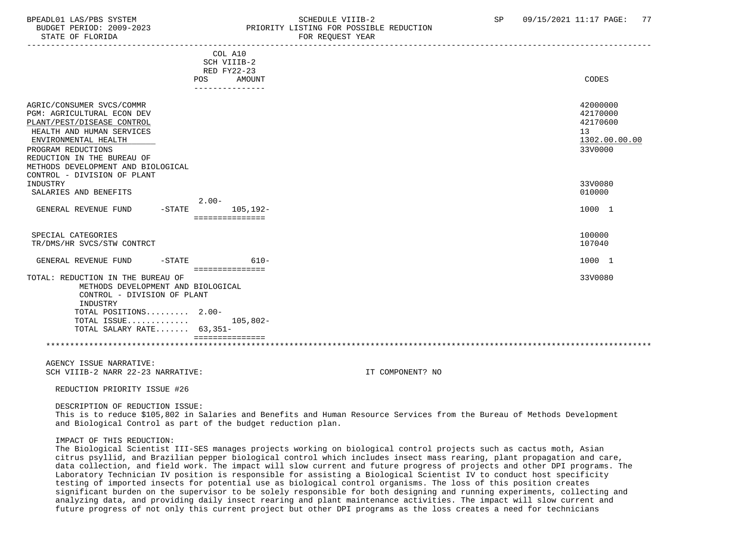## BPEADL01 LAS/PBS SYSTEM STRING THE SCHEDULE VIIIB-2 SCHEDULE SCHEDULE SENSIBLE REDUCTION SP 09/15/2021 11:17 PAGE: 77 PRIORITY LISTING FOR POSSIBLE REDUCTION

| STATE OF FLORIDA                                                                                                                                                                          | FOR REQUEST YEAR                                                                                                                                                                                                                               |                                                                                 |
|-------------------------------------------------------------------------------------------------------------------------------------------------------------------------------------------|------------------------------------------------------------------------------------------------------------------------------------------------------------------------------------------------------------------------------------------------|---------------------------------------------------------------------------------|
|                                                                                                                                                                                           | COL A10<br>SCH VIIIB-2                                                                                                                                                                                                                         |                                                                                 |
|                                                                                                                                                                                           | RED FY22-23<br><b>POS</b><br>AMOUNT<br>---------------                                                                                                                                                                                         | CODES                                                                           |
| AGRIC/CONSUMER SVCS/COMMR<br>PGM: AGRICULTURAL ECON DEV<br>PLANT/PEST/DISEASE CONTROL<br>HEALTH AND HUMAN SERVICES<br>ENVIRONMENTAL HEALTH<br>PROGRAM REDUCTIONS                          |                                                                                                                                                                                                                                                | 42000000<br>42170000<br>42170600<br>13 <sup>°</sup><br>1302.00.00.00<br>33V0000 |
| REDUCTION IN THE BUREAU OF<br>METHODS DEVELOPMENT AND BIOLOGICAL<br>CONTROL - DIVISION OF PLANT<br>INDUSTRY                                                                               |                                                                                                                                                                                                                                                | 33V0080                                                                         |
| SALARIES AND BENEFITS                                                                                                                                                                     |                                                                                                                                                                                                                                                | 010000                                                                          |
| GENERAL REVENUE FUND                                                                                                                                                                      | $2.00 -$<br>$105, 192 -$<br>-STATE<br>===============                                                                                                                                                                                          | 1000 1                                                                          |
| SPECIAL CATEGORIES<br>TR/DMS/HR SVCS/STW CONTRCT                                                                                                                                          |                                                                                                                                                                                                                                                | 100000<br>107040                                                                |
| GENERAL REVENUE FUND                                                                                                                                                                      | $-$ STATE<br>$610-$                                                                                                                                                                                                                            | 1000 1                                                                          |
| TOTAL: REDUCTION IN THE BUREAU OF<br>METHODS DEVELOPMENT AND BIOLOGICAL<br>CONTROL - DIVISION OF PLANT<br>INDUSTRY<br>TOTAL POSITIONS 2.00-<br>TOTAL ISSUE<br>TOTAL SALARY RATE $63,351-$ | ===============<br>$105,802-$<br>===============                                                                                                                                                                                               | 33V0080                                                                         |
|                                                                                                                                                                                           |                                                                                                                                                                                                                                                |                                                                                 |
| AGENCY ISSUE NARRATIVE:<br>SCH VIIIB-2 NARR 22-23 NARRATIVE:                                                                                                                              | IT COMPONENT? NO                                                                                                                                                                                                                               |                                                                                 |
| REDUCTION PRIORITY ISSUE #26                                                                                                                                                              |                                                                                                                                                                                                                                                |                                                                                 |
| DESCRIPTION OF REDUCTION ISSUE:                                                                                                                                                           | This is to reduce \$105,802 in Salaries and Benefits and Human Resource Services from the Bureau of Methods Development<br>and Biological Control as part of the budget reduction plan.                                                        |                                                                                 |
| IMPACT OF THIS REDUCTION:                                                                                                                                                                 | The Biological Scientist III-SES manages projects working on biological control projects such as cactus moth, Asian<br>citrus psyllid, and Brazilian pepper biological control which includes insect mass rearing, plant propagation and care, |                                                                                 |

 data collection, and field work. The impact will slow current and future progress of projects and other DPI programs. The Laboratory Technician IV position is responsible for assisting a Biological Scientist IV to conduct host specificity testing of imported insects for potential use as biological control organisms. The loss of this position creates significant burden on the supervisor to be solely responsible for both designing and running experiments, collecting and analyzing data, and providing daily insect rearing and plant maintenance activities. The impact will slow current and future progress of not only this current project but other DPI programs as the loss creates a need for technicians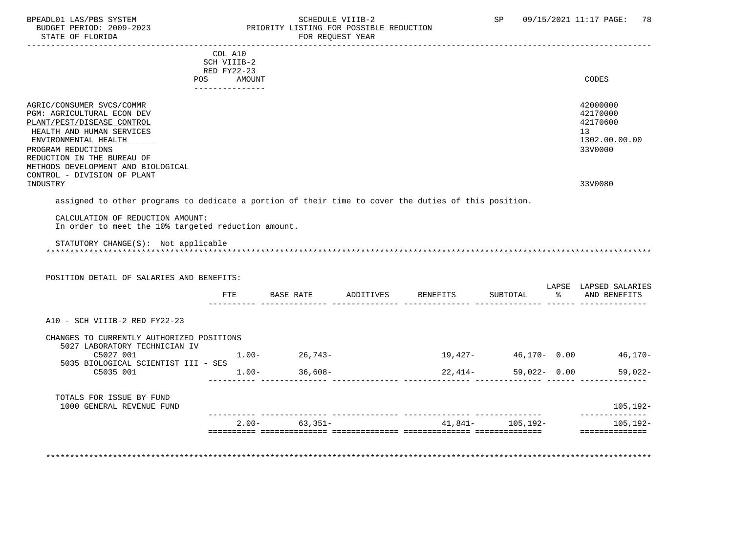### BPEADL01 LAS/PBS SYSTEM SALLE STREDULE VIIIB-2 SCHEDULE VIIIB-2 SP 09/15/2021 11:17 PAGE: 78 BUDGET PERIOD: 2009-2023 PRIORITY LISTING FOR POSSIBLE REDUCTION<br>
FOR REQUEST YEAR FOR REQUEST YEAR

|                                                                                                                                                                                                                                      | COL A10<br>SCH VIIIB-2                       |                       |                    |              |    |                                                                                 |
|--------------------------------------------------------------------------------------------------------------------------------------------------------------------------------------------------------------------------------------|----------------------------------------------|-----------------------|--------------------|--------------|----|---------------------------------------------------------------------------------|
|                                                                                                                                                                                                                                      | RED FY22-23<br>POS AMOUNT<br>--------------- |                       |                    |              |    | CODES                                                                           |
| AGRIC/CONSUMER SVCS/COMMR<br>PGM: AGRICULTURAL ECON DEV<br>PLANT/PEST/DISEASE CONTROL<br>HEALTH AND HUMAN SERVICES<br>ENVIRONMENTAL HEALTH<br>PROGRAM REDUCTIONS<br>REDUCTION IN THE BUREAU OF<br>METHODS DEVELOPMENT AND BIOLOGICAL |                                              |                       |                    |              |    | 42000000<br>42170000<br>42170600<br>13 <sup>°</sup><br>1302.00.00.00<br>33V0000 |
| CONTROL - DIVISION OF PLANT<br>INDUSTRY                                                                                                                                                                                              |                                              |                       |                    |              |    | 33V0080                                                                         |
| assigned to other programs to dedicate a portion of their time to cover the duties of this position.                                                                                                                                 |                                              |                       |                    |              |    |                                                                                 |
| CALCULATION OF REDUCTION AMOUNT:<br>In order to meet the 10% targeted reduction amount.<br>STATUTORY CHANGE(S): Not applicable                                                                                                       |                                              |                       |                    |              |    |                                                                                 |
|                                                                                                                                                                                                                                      |                                              |                       |                    |              |    |                                                                                 |
| POSITION DETAIL OF SALARIES AND BENEFITS:                                                                                                                                                                                            | FTE                                          | BASE RATE             | ADDITIVES BENEFITS | SUBTOTAL     | ႜೢ | LAPSE LAPSED SALARIES<br>AND BENEFITS                                           |
| A10 - SCH VIIIB-2 RED FY22-23                                                                                                                                                                                                        |                                              |                       |                    |              |    |                                                                                 |
| CHANGES TO CURRENTLY AUTHORIZED POSITIONS                                                                                                                                                                                            |                                              |                       |                    |              |    |                                                                                 |
| 5027 LABORATORY TECHNICIAN IV<br>C5027 001                                                                                                                                                                                           |                                              | $1.00 - 26,743 -$     |                    |              |    | $19,427 46,170-$ 0.00 $46,170-$                                                 |
| 5035 BIOLOGICAL SCIENTIST III - SES<br>C5035 001                                                                                                                                                                                     |                                              | $36,608-$<br>$1.00 -$ | $22,414-$          | 59,022- 0.00 |    |                                                                                 |
| TOTALS FOR ISSUE BY FUND<br>1000 GENERAL REVENUE FUND                                                                                                                                                                                |                                              |                       |                    |              |    | $59,022-$<br>105,192-<br>--------------                                         |

\*\*\*\*\*\*\*\*\*\*\*\*\*\*\*\*\*\*\*\*\*\*\*\*\*\*\*\*\*\*\*\*\*\*\*\*\*\*\*\*\*\*\*\*\*\*\*\*\*\*\*\*\*\*\*\*\*\*\*\*\*\*\*\*\*\*\*\*\*\*\*\*\*\*\*\*\*\*\*\*\*\*\*\*\*\*\*\*\*\*\*\*\*\*\*\*\*\*\*\*\*\*\*\*\*\*\*\*\*\*\*\*\*\*\*\*\*\*\*\*\*\*\*\*\*\*\*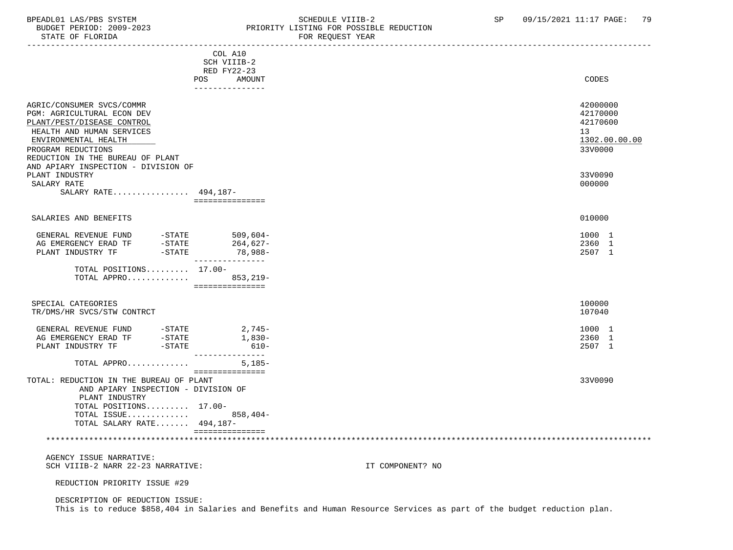## BPEADL01 LAS/PBS SYSTEM STREM SCHEDULE VIIIB-2 SCHEDULE VIIIB-2 SP 09/15/2021 11:17 PAGE: 79<br>BUDGET PERIOD: 2009-2023 PRIORITY LISTING FOR POSSIBLE REDUCTION BUDGET PERIOD: 2009-2023 PRIORITY LISTING FOR POSSIBLE REDUCTION

| STATE OF FLORIDA                                                                                                                                                                                                                            |                  |                                                                        | FOR REQUEST YEAR |                                                                    |
|---------------------------------------------------------------------------------------------------------------------------------------------------------------------------------------------------------------------------------------------|------------------|------------------------------------------------------------------------|------------------|--------------------------------------------------------------------|
|                                                                                                                                                                                                                                             |                  | COL A10<br>SCH VIIIB-2<br>RED FY22-23<br>POS AMOUNT<br>--------------- |                  | CODES                                                              |
| AGRIC/CONSUMER SVCS/COMMR<br>PGM: AGRICULTURAL ECON DEV<br>PLANT/PEST/DISEASE CONTROL<br>HEALTH AND HUMAN SERVICES<br>ENVIRONMENTAL HEALTH<br>PROGRAM REDUCTIONS<br>REDUCTION IN THE BUREAU OF PLANT<br>AND APIARY INSPECTION - DIVISION OF |                  |                                                                        |                  | 42000000<br>42170000<br>42170600<br>13<br>1302.00.00.00<br>33V0000 |
| PLANT INDUSTRY<br>SALARY RATE<br>SALARY RATE 494,187-                                                                                                                                                                                       |                  |                                                                        |                  | 33V0090<br>000000                                                  |
|                                                                                                                                                                                                                                             |                  | ===============                                                        |                  |                                                                    |
| SALARIES AND BENEFITS                                                                                                                                                                                                                       |                  |                                                                        |                  | 010000                                                             |
| GENERAL REVENUE FUND<br>AG EMERGENCY ERAD TF<br>PLANT INDUSTRY TF                                                                                                                                                                           | -STATE<br>-STATE | $509,604-$<br>264,627-<br>-STATE 78,988-                               |                  | 1000 1<br>2360 1<br>2507 1                                         |
| TOTAL POSITIONS $17.00-$<br>TOTAL APPRO 853,219-                                                                                                                                                                                            |                  | ---------------<br>===============                                     |                  |                                                                    |
| SPECIAL CATEGORIES<br>TR/DMS/HR SVCS/STW CONTRCT                                                                                                                                                                                            |                  |                                                                        |                  | 100000<br>107040                                                   |
| GENERAL REVENUE FUND -STATE                                                                                                                                                                                                                 |                  | 2,745-<br>1,830-<br>$610-$                                             |                  | 1000 1<br>2360 1<br>2507 1                                         |
| TOTAL APPRO                                                                                                                                                                                                                                 |                  | ---------------<br>$5,185-$                                            |                  |                                                                    |
| TOTAL: REDUCTION IN THE BUREAU OF PLANT<br>AND APIARY INSPECTION - DIVISION OF<br>PLANT INDUSTRY<br>TOTAL POSITIONS 17.00-<br>TOTAL ISSUE 858,404-<br>TOTAL SALARY RATE 494,187-                                                            |                  | ===============                                                        |                  | 33V0090                                                            |
|                                                                                                                                                                                                                                             |                  | ===============                                                        |                  |                                                                    |
| AGENCY ISSUE NARRATIVE:<br>SCH VIIIB-2 NARR 22-23 NARRATIVE:                                                                                                                                                                                |                  |                                                                        | IT COMPONENT? NO |                                                                    |
| REDUCTION PRIORITY ISSUE #29                                                                                                                                                                                                                |                  |                                                                        |                  |                                                                    |

 DESCRIPTION OF REDUCTION ISSUE: This is to reduce \$858,404 in Salaries and Benefits and Human Resource Services as part of the budget reduction plan.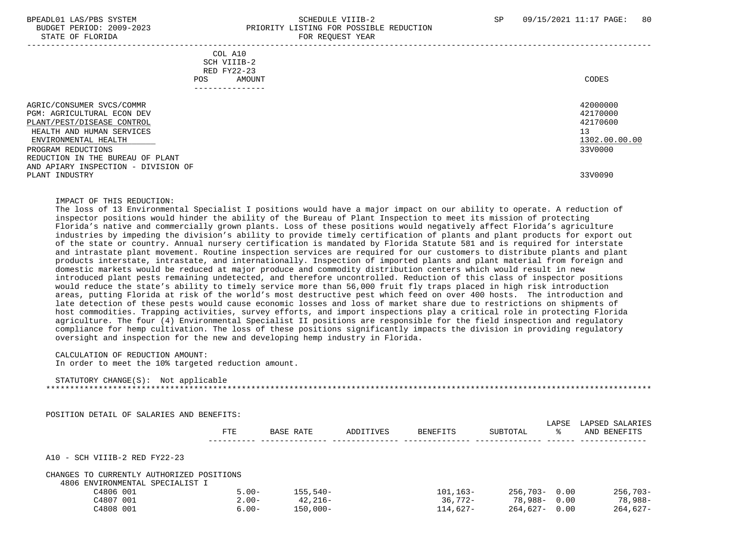### BPEADL01 LAS/PBS SYSTEM SALL SALL SOMEDULE VIIIB-2 SP 09/15/2021 11:17 PAGE: 80 BUDGET PERIOD: 2009-2023 PRIORITY LISTING FOR POSSIBLE REDUCTION STATE OF FLORIDA FOR REQUEST YEAR FOR REQUEST YEAR

| COL A10<br>SCH VIIIB-2<br>RED FY22-23<br>POS.<br>AMOUNT<br>. _ _ _ _ _ _ _ _ _ _ _ _ _                                                                                                                                                                        | CODES                                                                         |
|---------------------------------------------------------------------------------------------------------------------------------------------------------------------------------------------------------------------------------------------------------------|-------------------------------------------------------------------------------|
| AGRIC/CONSUMER SVCS/COMMR<br>PGM: AGRICULTURAL ECON DEV<br>PLANT/PEST/DISEASE CONTROL<br>HEALTH AND HUMAN SERVICES<br>ENVIRONMENTAL HEALTH<br>PROGRAM REDUCTIONS<br>REDUCTION IN THE BUREAU OF PLANT<br>AND APIARY INSPECTION - DIVISION OF<br>PLANT INDUSTRY | 42000000<br>42170000<br>42170600<br>13<br>1302.00.00.00<br>33V0000<br>33V0090 |
|                                                                                                                                                                                                                                                               |                                                                               |

#### IMPACT OF THIS REDUCTION:

 The loss of 13 Environmental Specialist I positions would have a major impact on our ability to operate. A reduction of inspector positions would hinder the ability of the Bureau of Plant Inspection to meet its mission of protecting Florida's native and commercially grown plants. Loss of these positions would negatively affect Florida's agriculture industries by impeding the division's ability to provide timely certification of plants and plant products for export out of the state or country. Annual nursery certification is mandated by Florida Statute 581 and is required for interstate and intrastate plant movement. Routine inspection services are required for our customers to distribute plants and plant products interstate, intrastate, and internationally. Inspection of imported plants and plant material from foreign and domestic markets would be reduced at major produce and commodity distribution centers which would result in new introduced plant pests remaining undetected, and therefore uncontrolled. Reduction of this class of inspector positions would reduce the state's ability to timely service more than 56,000 fruit fly traps placed in high risk introduction areas, putting Florida at risk of the world's most destructive pest which feed on over 400 hosts. The introduction and late detection of these pests would cause economic losses and loss of market share due to restrictions on shipments of host commodities. Trapping activities, survey efforts, and import inspections play a critical role in protecting Florida agriculture. The four (4) Environmental Specialist II positions are responsible for the field inspection and regulatory compliance for hemp cultivation. The loss of these positions significantly impacts the division in providing regulatory oversight and inspection for the new and developing hemp industry in Florida.

CALCULATION OF REDUCTION AMOUNT:

In order to meet the 10% targeted reduction amount.

| STATUTORY CHANGE(S): | Not applicable |
|----------------------|----------------|
|                      |                |

POSITION DETAIL OF SALARIES AND BENEFITS:

|                                              | <b>FTE</b> | BASE RATE  | ADDITIVES | <b>BENEFITS</b> | SUBTOTAL         | LAPSE<br>°≈ | LAPSED SALARIES<br>AND BENEFITS |
|----------------------------------------------|------------|------------|-----------|-----------------|------------------|-------------|---------------------------------|
| A10 - SCH VIIIB-2 RED FY22-23                |            |            |           |                 |                  |             |                                 |
| CHANGES TO CURRENTLY AUTHORIZED POSITIONS    |            |            |           |                 |                  |             |                                 |
| 4806 ENVIRONMENTAL SPECIALIST I<br>C4806 001 | $5.00 -$   | $155,540-$ |           | $101, 163 -$    | $256.703 - 0.00$ |             | $256,703-$                      |
| C4807 001                                    | $2.00 -$   | $42.216-$  |           | $36.772 -$      | 78,988-          | 0.00        | 78,988-                         |
| C4808 001                                    | $6.00 -$   | $150,000-$ |           | 114,627-        | 264,627-         | 0.00        | $264,627-$                      |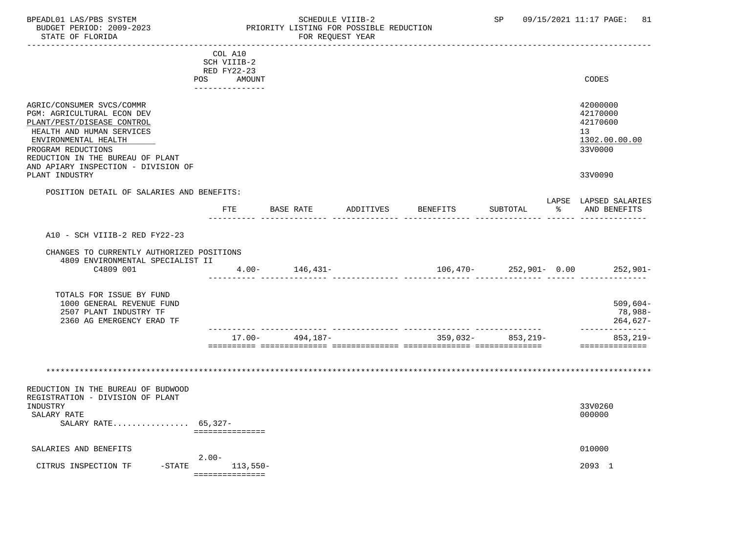## BPEADL01 LAS/PBS SYSTEM STRING THE SCHEDULE VIIIB-2 SP 09/15/2021 11:17 PAGE: 81 BUDGET PERIOD: 2009-2023 PRIORITY LISTING FOR POSSIBLE REDUCTION<br>STATE OF FLORIDA POR REQUEST YEAR FOR REQUEST YEAR

|                                           | COL A10            |                    |           |            |          |             |                                 |
|-------------------------------------------|--------------------|--------------------|-----------|------------|----------|-------------|---------------------------------|
|                                           | SCH VIIIB-2        |                    |           |            |          |             |                                 |
|                                           | <b>RED FY22-23</b> |                    |           |            |          |             |                                 |
|                                           | POS<br>AMOUNT      |                    |           |            |          |             | <b>CODES</b>                    |
|                                           |                    |                    |           |            |          |             |                                 |
|                                           |                    |                    |           |            |          |             |                                 |
|                                           |                    |                    |           |            |          |             | 42000000                        |
| AGRIC/CONSUMER SVCS/COMMR                 |                    |                    |           |            |          |             |                                 |
| PGM: AGRICULTURAL ECON DEV                |                    |                    |           |            |          |             | 42170000                        |
| PLANT/PEST/DISEASE CONTROL                |                    |                    |           |            |          |             | 42170600                        |
| HEALTH AND HUMAN SERVICES                 |                    |                    |           |            |          |             | 13 <sup>°</sup>                 |
| ENVIRONMENTAL HEALTH                      |                    |                    |           |            |          |             | 1302.00.00.00                   |
| PROGRAM REDUCTIONS                        |                    |                    |           |            |          |             | 33V0000                         |
| REDUCTION IN THE BUREAU OF PLANT          |                    |                    |           |            |          |             |                                 |
| AND APIARY INSPECTION - DIVISION OF       |                    |                    |           |            |          |             |                                 |
| PLANT INDUSTRY                            |                    |                    |           |            |          |             | 33V0090                         |
|                                           |                    |                    |           |            |          |             |                                 |
| POSITION DETAIL OF SALARIES AND BENEFITS: |                    |                    |           |            |          |             |                                 |
|                                           |                    |                    |           |            |          |             | LAPSE LAPSED SALARIES           |
|                                           | FTE                | <b>BASE RATE</b>   | ADDITIVES | BENEFITS   | SUBTOTAL | ႜ           | AND BENEFITS                    |
|                                           |                    |                    |           |            |          | added added |                                 |
|                                           |                    |                    |           |            |          |             |                                 |
| A10 - SCH VIIIB-2 RED FY22-23             |                    |                    |           |            |          |             |                                 |
|                                           |                    |                    |           |            |          |             |                                 |
| CHANGES TO CURRENTLY AUTHORIZED POSITIONS |                    |                    |           |            |          |             |                                 |
| 4809 ENVIRONMENTAL SPECIALIST II          |                    |                    |           |            |          |             |                                 |
| C4809 001                                 |                    | $4.00 - 146,431 -$ |           |            |          |             | $106,470-252,901-0.00$ 252,901- |
|                                           |                    |                    |           |            |          |             |                                 |
|                                           |                    |                    |           |            |          |             |                                 |
| TOTALS FOR ISSUE BY FUND                  |                    |                    |           |            |          |             |                                 |
|                                           |                    |                    |           |            |          |             | $509,604-$                      |
| 1000 GENERAL REVENUE FUND                 |                    |                    |           |            |          |             |                                 |
| 2507 PLANT INDUSTRY TF                    |                    |                    |           |            |          |             | 78,988-                         |
| 2360 AG EMERGENCY ERAD TF                 |                    |                    |           |            |          |             | 264,627-                        |
|                                           |                    |                    |           |            |          |             | ___________                     |
|                                           | $17.00 -$          | 494,187-           |           | $359,032-$ | 853,219- |             | $853, 219 -$                    |
|                                           |                    |                    |           |            |          |             |                                 |
|                                           |                    |                    |           |            |          |             |                                 |
|                                           |                    |                    |           |            |          |             |                                 |
|                                           |                    |                    |           |            |          |             |                                 |
|                                           |                    |                    |           |            |          |             |                                 |
| REDUCTION IN THE BUREAU OF BUDWOOD        |                    |                    |           |            |          |             |                                 |
| REGISTRATION - DIVISION OF PLANT          |                    |                    |           |            |          |             |                                 |
| INDUSTRY                                  |                    |                    |           |            |          |             | 33V0260                         |
| SALARY RATE                               |                    |                    |           |            |          |             | 000000                          |
| SALARY RATE 65,327-                       |                    |                    |           |            |          |             |                                 |
|                                           | ===============    |                    |           |            |          |             |                                 |
|                                           |                    |                    |           |            |          |             |                                 |
| SALARIES AND BENEFITS                     |                    |                    |           |            |          |             | 010000                          |
|                                           | $2.00 -$           |                    |           |            |          |             |                                 |
| CITRUS INSPECTION TF                      | -STATE 113,550-    |                    |           |            |          |             | 2093 1                          |
|                                           | ===============    |                    |           |            |          |             |                                 |
|                                           |                    |                    |           |            |          |             |                                 |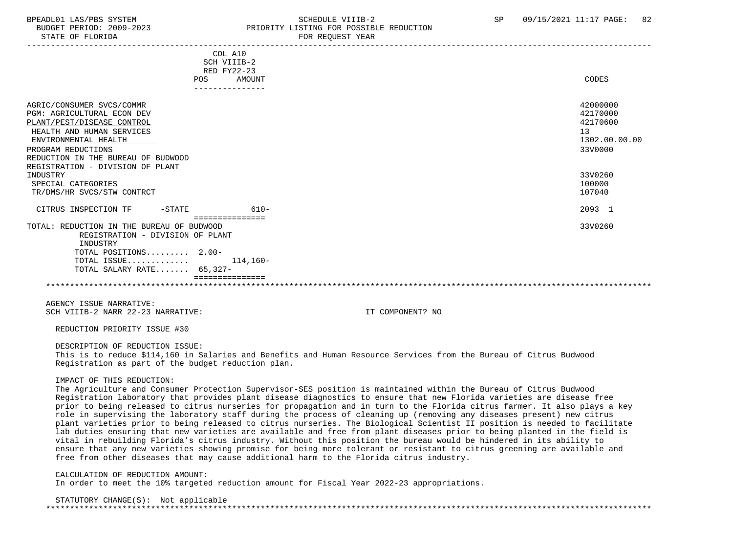## BPEADL01 LAS/PBS SYSTEM SALL SALL SOMEDULE VIIIB-2 SP 09/15/2021 11:17 PAGE: 82 BUDGET PERIOD: 2009-2023 PRIORITY LISTING FOR POSSIBLE REDUCTION

| POS                                                                                                                                                                                                           | COL A10<br>SCH VIIIB-2<br>RED FY22-23<br>AMOUNT | CODES                                                              |
|---------------------------------------------------------------------------------------------------------------------------------------------------------------------------------------------------------------|-------------------------------------------------|--------------------------------------------------------------------|
| AGRIC/CONSUMER SVCS/COMMR<br><b>PGM: AGRICULTURAL ECON DEV</b><br>PLANT/PEST/DISEASE CONTROL<br>HEALTH AND HUMAN SERVICES<br>ENVIRONMENTAL HEALTH<br>PROGRAM REDUCTIONS<br>REDUCTION IN THE BUREAU OF BUDWOOD |                                                 | 42000000<br>42170000<br>42170600<br>13<br>1302.00.00.00<br>33V0000 |
| REGISTRATION - DIVISION OF PLANT<br>INDUSTRY<br>SPECIAL CATEGORIES<br>TR/DMS/HR SVCS/STW CONTRCT                                                                                                              |                                                 | 33V0260<br>100000<br>107040                                        |
| CITRUS INSPECTION TF<br>-STATE                                                                                                                                                                                | $610-$                                          | 2093 1                                                             |
| TOTAL: REDUCTION IN THE BUREAU OF BUDWOOD<br>REGISTRATION - DIVISION OF PLANT<br>INDUSTRY<br>TOTAL POSITIONS 2.00-                                                                                            | ===============                                 | 33V0260                                                            |
| TOTAL ISSUE<br>TOTAL SALARY RATE 65,327-                                                                                                                                                                      | 114,160-                                        |                                                                    |
|                                                                                                                                                                                                               |                                                 |                                                                    |

 AGENCY ISSUE NARRATIVE: SCH VIIIB-2 NARR 22-23 NARRATIVE: IT COMPONENT? NO

REDUCTION PRIORITY ISSUE #30

DESCRIPTION OF REDUCTION ISSUE:

 This is to reduce \$114,160 in Salaries and Benefits and Human Resource Services from the Bureau of Citrus Budwood Registration as part of the budget reduction plan.

#### IMPACT OF THIS REDUCTION:

 The Agriculture and Consumer Protection Supervisor-SES position is maintained within the Bureau of Citrus Budwood Registration laboratory that provides plant disease diagnostics to ensure that new Florida varieties are disease free prior to being released to citrus nurseries for propagation and in turn to the Florida citrus farmer. It also plays a key role in supervising the laboratory staff during the process of cleaning up (removing any diseases present) new citrus plant varieties prior to being released to citrus nurseries. The Biological Scientist II position is needed to facilitate lab duties ensuring that new varieties are available and free from plant diseases prior to being planted in the field is vital in rebuilding Florida's citrus industry. Without this position the bureau would be hindered in its ability to ensure that any new varieties showing promise for being more tolerant or resistant to citrus greening are available and free from other diseases that may cause additional harm to the Florida citrus industry.

CALCULATION OF REDUCTION AMOUNT:

In order to meet the 10% targeted reduction amount for Fiscal Year 2022-23 appropriations.

#### STATUTORY CHANGE(S): Not applicable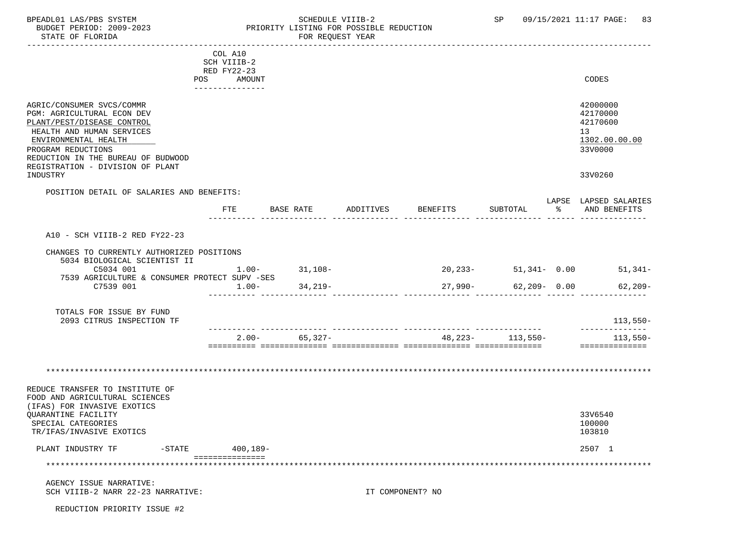## BPEADL01 LAS/PBS SYSTEM STRIM SCHEDULE VIIIB-2 SCHEDULE VIIIB-2 SP 09/15/2021 11:17 PAGE: 83 BUDGET PERIOD: 2009-2023 PRIORITY LISTING FOR POSSIBLE REDUCTION

|                                                                                                                                                                         | COL A10                   |           |                   |           |                  |                                          |               |                                                                    |
|-------------------------------------------------------------------------------------------------------------------------------------------------------------------------|---------------------------|-----------|-------------------|-----------|------------------|------------------------------------------|---------------|--------------------------------------------------------------------|
|                                                                                                                                                                         | SCH VIIIB-2               |           |                   |           |                  |                                          |               |                                                                    |
|                                                                                                                                                                         | RED FY22-23<br>POS AMOUNT |           |                   |           |                  |                                          |               | CODES                                                              |
|                                                                                                                                                                         | ---------------           |           |                   |           |                  |                                          |               |                                                                    |
| AGRIC/CONSUMER SVCS/COMMR<br><b>PGM: AGRICULTURAL ECON DEV</b><br>PLANT/PEST/DISEASE CONTROL<br>HEALTH AND HUMAN SERVICES<br>ENVIRONMENTAL HEALTH<br>PROGRAM REDUCTIONS |                           |           |                   |           |                  |                                          |               | 42000000<br>42170000<br>42170600<br>13<br>1302.00.00.00<br>33V0000 |
| REDUCTION IN THE BUREAU OF BUDWOOD<br>REGISTRATION - DIVISION OF PLANT<br>INDUSTRY                                                                                      |                           |           |                   |           |                  |                                          |               | 33V0260                                                            |
| POSITION DETAIL OF SALARIES AND BENEFITS:                                                                                                                               |                           |           |                   |           |                  |                                          |               |                                                                    |
|                                                                                                                                                                         | FTE                       | BASE RATE |                   | ADDITIVES | BENEFITS         | SUBTOTAL                                 | $\frac{1}{6}$ | LAPSE LAPSED SALARIES<br>AND BENEFITS                              |
| A10 - SCH VIIIB-2 RED FY22-23                                                                                                                                           |                           |           |                   |           |                  |                                          |               |                                                                    |
| CHANGES TO CURRENTLY AUTHORIZED POSITIONS                                                                                                                               |                           |           |                   |           |                  |                                          |               |                                                                    |
| 5034 BIOLOGICAL SCIENTIST II                                                                                                                                            |                           |           |                   |           |                  |                                          |               |                                                                    |
| C5034 001                                                                                                                                                               |                           |           | $1.00 - 31,108 -$ |           |                  |                                          |               | $20,233$ - 51,341- 0.00 51,341-                                    |
| 7539 AGRICULTURE & CONSUMER PROTECT SUPV -SES<br>C7539 001                                                                                                              | $1.00-$                   |           | 34,219-           |           | $27,990-$        |                                          |               | $62,209 - 0.00$ 62,209-                                            |
| TOTALS FOR ISSUE BY FUND<br>2093 CITRUS INSPECTION TF                                                                                                                   |                           |           |                   |           |                  |                                          |               | 113,550-                                                           |
|                                                                                                                                                                         | $2.00 -$                  |           | 65,327-           |           |                  | -- --------------- -<br>48,223- 113,550- |               | ______________<br>113,550-                                         |
|                                                                                                                                                                         |                           |           |                   |           |                  |                                          |               |                                                                    |
|                                                                                                                                                                         |                           |           |                   |           |                  |                                          |               |                                                                    |
| REDUCE TRANSFER TO INSTITUTE OF<br>FOOD AND AGRICULTURAL SCIENCES<br>(IFAS) FOR INVASIVE EXOTICS                                                                        |                           |           |                   |           |                  |                                          |               |                                                                    |
| QUARANTINE FACILITY<br>SPECIAL CATEGORIES<br>TR/IFAS/INVASIVE EXOTICS                                                                                                   |                           |           |                   |           |                  |                                          |               | 33V6540<br>100000<br>103810                                        |
| PLANT INDUSTRY TF                                                                                                                                                       | -STATE 400,189-           |           |                   |           |                  |                                          |               | 2507 1                                                             |
| ***********************                                                                                                                                                 | ===============           |           |                   |           |                  |                                          |               |                                                                    |
|                                                                                                                                                                         |                           |           |                   |           |                  |                                          |               |                                                                    |
| AGENCY ISSUE NARRATIVE:<br>SCH VIIIB-2 NARR 22-23 NARRATIVE:                                                                                                            |                           |           |                   |           | IT COMPONENT? NO |                                          |               |                                                                    |

REDUCTION PRIORITY ISSUE #2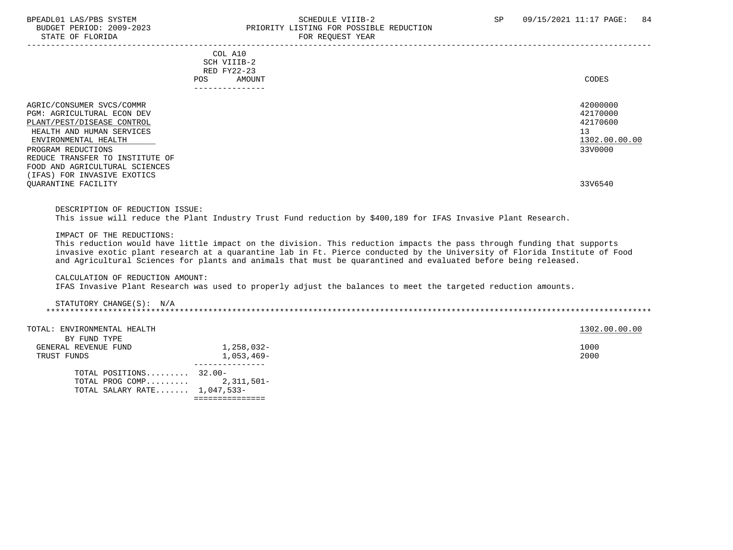### BPEADL01 LAS/PBS SYSTEM STREADLOI SCHEDULE VIIIB-2 SP 09/15/2021 11:17 PAGE: 84 BUDGET PERIOD: 2009-2023<br>
STATE OF FLORIDA<br>
FOR REOUEST YEAR FOR REQUEST YEAR

|                                                       | COL A10<br>SCH VIIIB-2 |                                                                                                               |               |
|-------------------------------------------------------|------------------------|---------------------------------------------------------------------------------------------------------------|---------------|
|                                                       | RED FY22-23            |                                                                                                               |               |
|                                                       | POS.                   | AMOUNT                                                                                                        | CODES         |
|                                                       |                        | ------------                                                                                                  |               |
| AGRIC/CONSUMER SVCS/COMMR                             |                        |                                                                                                               | 42000000      |
| <b>PGM: AGRICULTURAL ECON DEV</b>                     |                        |                                                                                                               | 42170000      |
| PLANT/PEST/DISEASE CONTROL                            |                        |                                                                                                               | 42170600      |
| HEALTH AND HUMAN SERVICES                             |                        |                                                                                                               | 13            |
| ENVIRONMENTAL HEALTH                                  |                        |                                                                                                               | 1302.00.00.00 |
| PROGRAM REDUCTIONS<br>REDUCE TRANSFER TO INSTITUTE OF |                        |                                                                                                               | 33V0000       |
| FOOD AND AGRICULTURAL SCIENCES                        |                        |                                                                                                               |               |
| (IFAS) FOR INVASIVE EXOTICS                           |                        |                                                                                                               |               |
| QUARANTINE FACILITY                                   |                        |                                                                                                               | 33V6540       |
|                                                       |                        |                                                                                                               |               |
|                                                       |                        |                                                                                                               |               |
| DESCRIPTION OF REDUCTION ISSUE:                       |                        |                                                                                                               |               |
|                                                       |                        | This issue will reduce the Plant Industry Trust Fund reduction by \$400,189 for IFAS Invasive Plant Research. |               |
| IMPACT OF THE REDUCTIONS:                             |                        |                                                                                                               |               |
|                                                       |                        |                                                                                                               |               |

 This reduction would have little impact on the division. This reduction impacts the pass through funding that supports invasive exotic plant research at a quarantine lab in Ft. Pierce conducted by the University of Florida Institute of Food and Agricultural Sciences for plants and animals that must be quarantined and evaluated before being released.

#### CALCULATION OF REDUCTION AMOUNT:

IFAS Invasive Plant Research was used to properly adjust the balances to meet the targeted reduction amounts.

#### STATUTORY CHANGE(S): N/A \*\*\*\*\*\*\*\*\*\*\*\*\*\*\*\*\*\*\*\*\*\*\*\*\*\*\*\*\*\*\*\*\*\*\*\*\*\*\*\*\*\*\*\*\*\*\*\*\*\*\*\*\*\*\*\*\*\*\*\*\*\*\*\*\*\*\*\*\*\*\*\*\*\*\*\*\*\*\*\*\*\*\*\*\*\*\*\*\*\*\*\*\*\*\*\*\*\*\*\*\*\*\*\*\*\*\*\*\*\*\*\*\*\*\*\*\*\*\*\*\*\*\*\*\*\*\*

TOTAL: ENVIRONMENTAL HEALTH 1302.00.00 COLLECTED AT A 1302.00.00 COLLECTED AND TOTAL: ENVIRONMENTAL HEALTH

|                      | TOTAL SALARY RATE $1,047,533-$ |            |
|----------------------|--------------------------------|------------|
|                      | TOTAL PROG COMP $2,311,501-$   |            |
|                      | TOTAL POSITIONS $32.00-$       |            |
|                      |                                |            |
| TRUST FUNDS          |                                | 1,053,469- |
| GENERAL REVENUE FUND |                                | 1,258,032- |
| BY FUND TYPE         |                                |            |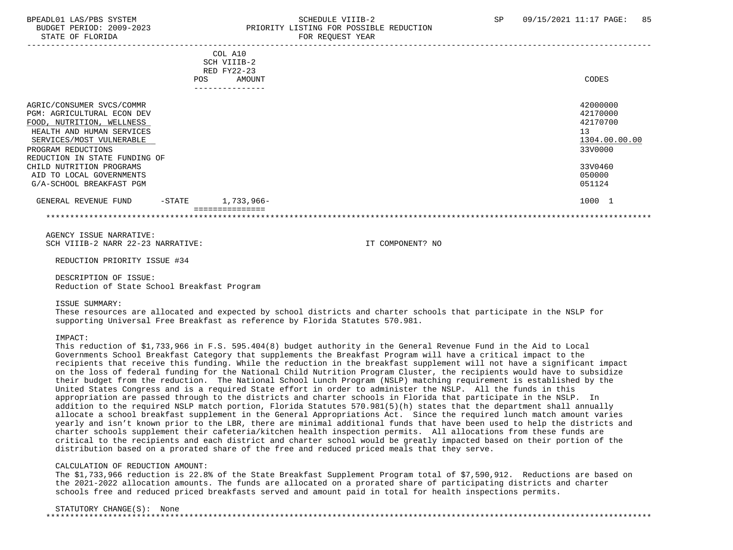STATE OF FLORIDA FOR STATE OF STATE OF STATE OF STATE OF STATE OF STATE OF STATE OF STATE OF STATE OF STATE OF STATE OF STATE OF STATE OF STATE OF STATE OF STATE OF STATE OF STATE OF STATE OF STATE OF STATE OF STATE OF STA

## BPEADL01 LAS/PBS SYSTEM STREADLE SCHEDULE VIIIB-2 SP 09/15/2021 11:17 PAGE: 85 BUDGET PERIOD: 2009-2023 PRIORITY LISTING FOR POSSIBLE REDUCTION

| COL A10<br>SCH VIIIB-2<br>RED FY22-23                                                                                                                                                                |                                                                    |
|------------------------------------------------------------------------------------------------------------------------------------------------------------------------------------------------------|--------------------------------------------------------------------|
| AMOUNT<br>POS                                                                                                                                                                                        | CODES                                                              |
|                                                                                                                                                                                                      |                                                                    |
| AGRIC/CONSUMER SVCS/COMMR<br>PGM: AGRICULTURAL ECON DEV<br>FOOD, NUTRITION, WELLNESS<br>HEALTH AND HUMAN SERVICES<br>SERVICES/MOST VULNERABLE<br>PROGRAM REDUCTIONS<br>REDUCTION IN STATE FUNDING OF | 42000000<br>42170000<br>42170700<br>13<br>1304.00.00.00<br>33V0000 |
| CHILD NUTRITION PROGRAMS<br>AID TO LOCAL GOVERNMENTS<br>G/A-SCHOOL BREAKFAST PGM                                                                                                                     | 33V0460<br>050000<br>051124                                        |
| 1,733,966-<br>GENERAL REVENUE FUND<br>$-$ STATE                                                                                                                                                      | 1000 1                                                             |
|                                                                                                                                                                                                      |                                                                    |

 AGENCY ISSUE NARRATIVE: SCH VIIIB-2 NARR 22-23 NARRATIVE: IT COMPONENT? NO

REDUCTION PRIORITY ISSUE #34

 DESCRIPTION OF ISSUE: Reduction of State School Breakfast Program

ISSUE SUMMARY:

 These resources are allocated and expected by school districts and charter schools that participate in the NSLP for supporting Universal Free Breakfast as reference by Florida Statutes 570.981.

IMPACT:

 This reduction of \$1,733,966 in F.S. 595.404(8) budget authority in the General Revenue Fund in the Aid to Local Governments School Breakfast Category that supplements the Breakfast Program will have a critical impact to the recipients that receive this funding. While the reduction in the breakfast supplement will not have a significant impact on the loss of federal funding for the National Child Nutrition Program Cluster, the recipients would have to subsidize their budget from the reduction. The National School Lunch Program (NSLP) matching requirement is established by the United States Congress and is a required State effort in order to administer the NSLP. All the funds in this appropriation are passed through to the districts and charter schools in Florida that participate in the NSLP. In addition to the required NSLP match portion, Florida Statutes 570.981(5)(h) states that the department shall annually allocate a school breakfast supplement in the General Appropriations Act. Since the required lunch match amount varies yearly and isn't known prior to the LBR, there are minimal additional funds that have been used to help the districts and charter schools supplement their cafeteria/kitchen health inspection permits. All allocations from these funds are critical to the recipients and each district and charter school would be greatly impacted based on their portion of the distribution based on a prorated share of the free and reduced priced meals that they serve.

#### CALCULATION OF REDUCTION AMOUNT:

 The \$1,733,966 reduction is 22.8% of the State Breakfast Supplement Program total of \$7,590,912. Reductions are based on the 2021-2022 allocation amounts. The funds are allocated on a prorated share of participating districts and charter schools free and reduced priced breakfasts served and amount paid in total for health inspections permits.

#### STATUTORY CHANGE(S): None

\*\*\*\*\*\*\*\*\*\*\*\*\*\*\*\*\*\*\*\*\*\*\*\*\*\*\*\*\*\*\*\*\*\*\*\*\*\*\*\*\*\*\*\*\*\*\*\*\*\*\*\*\*\*\*\*\*\*\*\*\*\*\*\*\*\*\*\*\*\*\*\*\*\*\*\*\*\*\*\*\*\*\*\*\*\*\*\*\*\*\*\*\*\*\*\*\*\*\*\*\*\*\*\*\*\*\*\*\*\*\*\*\*\*\*\*\*\*\*\*\*\*\*\*\*\*\*